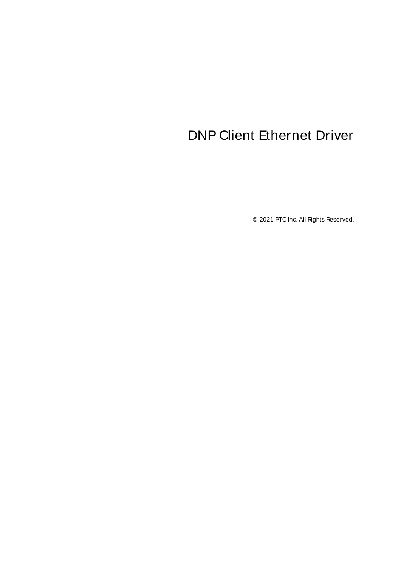# <span id="page-0-0"></span>DNP Client Ethernet Driver

© 2021 PTC Inc. All Rights Reserved.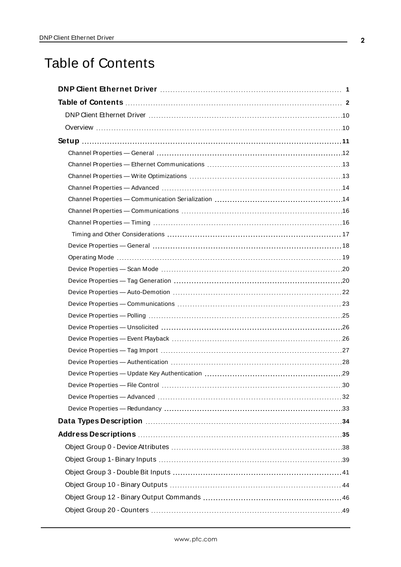## <span id="page-1-0"></span>Table of Contents

| $\ldots$ 30 |
|-------------|
|             |
|             |
|             |
|             |
|             |
|             |
|             |
|             |
|             |
|             |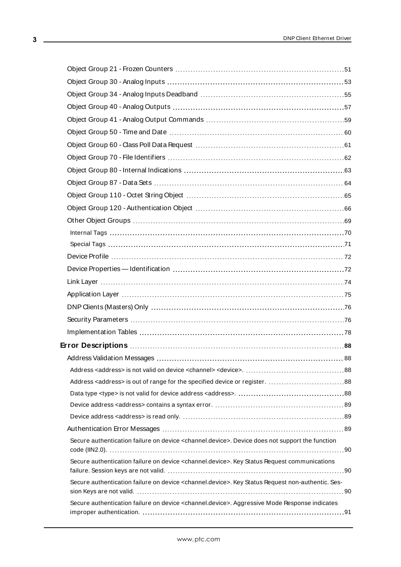| Secure authentication failure on device <channel.device>. Device does not support the function</channel.device>   |  |
|-------------------------------------------------------------------------------------------------------------------|--|
| Secure authentication failure on device <channel.device>. Key Status Request communications</channel.device>      |  |
| Secure authentication failure on device <channel.device>. Key Status Request non-authentic. Ses-</channel.device> |  |
| Secure authentication failure on device <channel.device>. Aggressive Mode Response indicates</channel.device>     |  |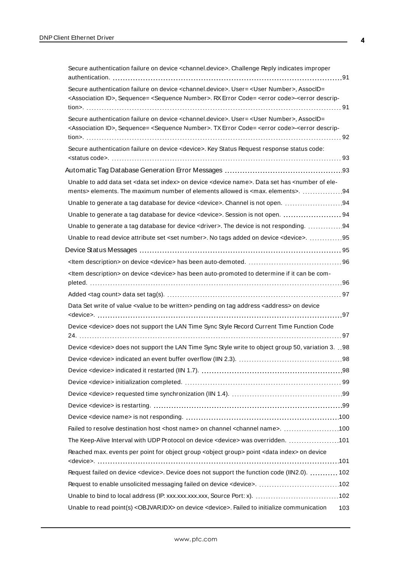| Secure authentication failure on device <channel.device>. Challenge Reply indicates improper</channel.device>                                                                                                                                                                           |  |
|-----------------------------------------------------------------------------------------------------------------------------------------------------------------------------------------------------------------------------------------------------------------------------------------|--|
| Secure authentication failure on device <channel.device>. User= <user number="">, AssocID=<br/><association id="">, Sequence= <sequence number="">. RX Error Code= <error code="">-<error descrip-<="" td=""><td></td></error></error></sequence></association></user></channel.device> |  |
| Secure authentication failure on device <channel.device>. User= <user number="">, AssocID=<br/><association id="">, Sequence= <sequence number="">. TX Error Code= <error code="">-<error descrip-<="" td=""><td></td></error></error></sequence></association></user></channel.device> |  |
| Secure authentication failure on device <device>. Key Status Request response status code:</device>                                                                                                                                                                                     |  |
|                                                                                                                                                                                                                                                                                         |  |
| Unable to add data set <data index="" set=""> on device <device name="">. Data set has <number ele-<br="" of="">ments&gt; elements. The maximum number of elements allowed is <max. elements="">. 94</max.></number></device></data>                                                    |  |
| Unable to generate a tag database for device <device>. Channel is not open. 94</device>                                                                                                                                                                                                 |  |
| Unable to generate a tag database for device <device>. Session is not open.  94</device>                                                                                                                                                                                                |  |
| Unable to generate a tag database for device <driver>. The device is not responding. 94</driver>                                                                                                                                                                                        |  |
| Unable to read device attribute set <set number="">. No tags added on device <device>. 95</device></set>                                                                                                                                                                                |  |
|                                                                                                                                                                                                                                                                                         |  |
|                                                                                                                                                                                                                                                                                         |  |
| <ltem description=""> on device <device> has been auto-promoted to determine if it can be com-</device></ltem>                                                                                                                                                                          |  |
|                                                                                                                                                                                                                                                                                         |  |
|                                                                                                                                                                                                                                                                                         |  |
| Data Set write of value <value be="" to="" written=""> pending on tag address <address> on device</address></value>                                                                                                                                                                     |  |
| Device <device> does not support the LAN Time Sync Style Record Current Time Function Code</device>                                                                                                                                                                                     |  |
|                                                                                                                                                                                                                                                                                         |  |
| Device <device> does not support the LAN Time Sync Style write to object group 50, variation 3. 98</device>                                                                                                                                                                             |  |
|                                                                                                                                                                                                                                                                                         |  |
|                                                                                                                                                                                                                                                                                         |  |
|                                                                                                                                                                                                                                                                                         |  |
|                                                                                                                                                                                                                                                                                         |  |
|                                                                                                                                                                                                                                                                                         |  |
|                                                                                                                                                                                                                                                                                         |  |
| Failed to resolve destination host <host name=""> on channel <channel name="">. 100</channel></host>                                                                                                                                                                                    |  |
| The Keep-Alive Interval with UDP Protocol on device <device> was overridden. 101</device>                                                                                                                                                                                               |  |
| Reached max. events per point for object group <object group=""> point <data index=""> on device</data></object>                                                                                                                                                                        |  |
| Request failed on device <device>. Device does not support the function code (IIN2.0).  102</device>                                                                                                                                                                                    |  |
|                                                                                                                                                                                                                                                                                         |  |
|                                                                                                                                                                                                                                                                                         |  |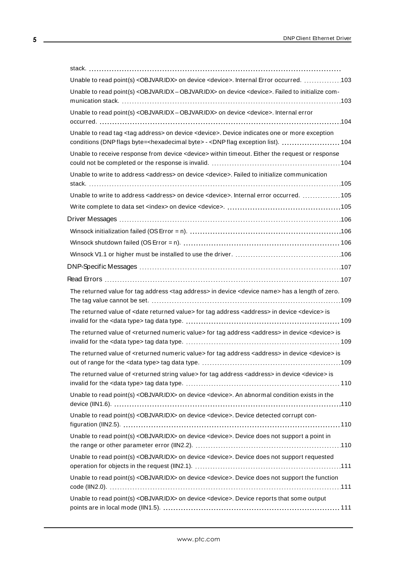| Unable to read point(s) <objvaridx> on device <device>. Internal Error occurred. 103</device></objvaridx>                                                                                                                                   |
|---------------------------------------------------------------------------------------------------------------------------------------------------------------------------------------------------------------------------------------------|
| Unable to read point(s) <objvaridx -="" objvaridx=""> on device <device>. Failed to initialize com-</device></objvaridx>                                                                                                                    |
| Unable to read point(s) < OBJVARIDX - OBJVARIDX> on device < device>. Internal error                                                                                                                                                        |
| Unable to read tag <tag address=""> on device <device>. Device indicates one or more exception<br/>conditions (DNP flags byte=<hexadecimal byte=""> - <dnp 104<="" exception="" flag="" list).="" td=""></dnp></hexadecimal></device></tag> |
| Unable to receive response from device <device> within timeout. Either the request or response</device>                                                                                                                                     |
| Unable to write to address <address> on device <device>. Failed to initialize communication</device></address>                                                                                                                              |
| Unable to write to address <address> on device <device>. Internal error occurred.  105</device></address>                                                                                                                                   |
|                                                                                                                                                                                                                                             |
|                                                                                                                                                                                                                                             |
|                                                                                                                                                                                                                                             |
|                                                                                                                                                                                                                                             |
|                                                                                                                                                                                                                                             |
|                                                                                                                                                                                                                                             |
|                                                                                                                                                                                                                                             |
| The returned value for tag address <tag address=""> in device <device name=""> has a length of zero.</device></tag>                                                                                                                         |
| The returned value of <date returned="" value=""> for tag address <address> in device <device> is</device></address></date>                                                                                                                 |
| The returned value of <returned numeric="" value=""> for tag address <address> in device <device> is</device></address></returned>                                                                                                          |
| The returned value of <returned numeric="" value=""> for tag address <address> in device <device> is</device></address></returned>                                                                                                          |
| The returned value of <returned string="" value=""> for tag address <address> in device <device> is</device></address></returned>                                                                                                           |
| Unable to read point(s) < OBJVARIDX> on device < device>. An abnormal condition exists in the                                                                                                                                               |
| Unable to read point(s) < OBJVARIDX> on device < device>. Device detected corrupt con-                                                                                                                                                      |
| Unable to read point(s) <objvaridx> on device <device>. Device does not support a point in</device></objvaridx>                                                                                                                             |
| Unable to read point(s) <objvaridx> on device <device>. Device does not support requested</device></objvaridx>                                                                                                                              |
| Unable to read point(s) < OBJVARIDX> on device < device>. Device does not support the function                                                                                                                                              |
| Unable to read point(s) <objvaridx> on device <device>. Device reports that some output</device></objvaridx>                                                                                                                                |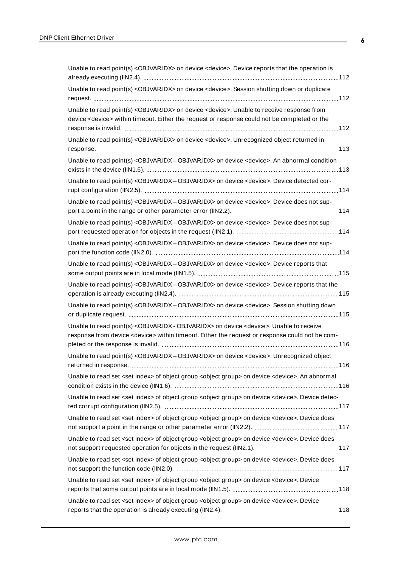| Unable to read point(s) <objvaridx> on device <device>. Device reports that the operation is</device></objvaridx>                                                                                                            |
|------------------------------------------------------------------------------------------------------------------------------------------------------------------------------------------------------------------------------|
| Unable to read point(s) <objvaridx> on device <device>. Session shutting down or duplicate</device></objvaridx>                                                                                                              |
| Unable to read point(s) <objvaridx> on device <device>. Unable to receive response from<br/>device <device> within timeout. Either the request or response could not be completed or the</device></device></objvaridx>       |
| Unable to read point(s) <objvaridx> on device <device>. Unrecognized object returned in</device></objvaridx>                                                                                                                 |
| Unable to read point(s) <objvaridx -="" objvaridx=""> on device <device>. An abnormal condition</device></objvaridx>                                                                                                         |
| Unable to read point(s) < OBJVARIDX - OBJVARIDX> on device < device>. Device detected cor-                                                                                                                                   |
| Unable to read point(s) <objvaridx-objvaridx> on device <device>. Device does not sup-</device></objvaridx-objvaridx>                                                                                                        |
| Unable to read point(s) < OBJVARIDX - OBJVARIDX> on device < device>. Device does not sup-                                                                                                                                   |
| Unable to read point(s) <objvaridx-objvaridx> on device <device>. Device does not sup-</device></objvaridx-objvaridx>                                                                                                        |
| Unable to read point(s) < OBJVARIDX - OBJVARIDX> on device < device>. Device reports that                                                                                                                                    |
| Unable to read point(s) <objvaridx-objvaridx> on device <device>. Device reports that the</device></objvaridx-objvaridx>                                                                                                     |
| Unable to read point(s) < OBJVARIDX - OBJVARIDX> on device < device>. Session shutting down                                                                                                                                  |
| Unable to read point(s) <objvaridx -="" objvaridx=""> on device <device>. Unable to receive<br/>response from device <device> within timeout. Either the request or response could not be com-</device></device></objvaridx> |
| Unable to read point(s) <objvaridx-objvaridx> on device <device>. Unrecognized object<br/>116</device></objvaridx-objvaridx>                                                                                                 |
| Unable to read set <set index=""> of object group <object group=""> on device <device>. An abnormal</device></object></set>                                                                                                  |
| Unable to read set <set index=""> of object group <object group=""> on device <device>. Device detec-</device></object></set>                                                                                                |
| Unable to read set <set index=""> of object group <object group=""> on device <device>. Device does</device></object></set>                                                                                                  |
| Unable to read set <set index=""> of object group <object group=""> on device <device>. Device does<br/>not support requested operation for objects in the request (IIN2.1).  117</device></object></set>                    |
| Unable to read set <set index=""> of object group <object group=""> on device <device>. Device does</device></object></set>                                                                                                  |
| Unable to read set <set index=""> of object group <object group=""> on device <device>. Device</device></object></set>                                                                                                       |
| Unable to read set <set index=""> of object group <object group=""> on device <device>. Device</device></object></set>                                                                                                       |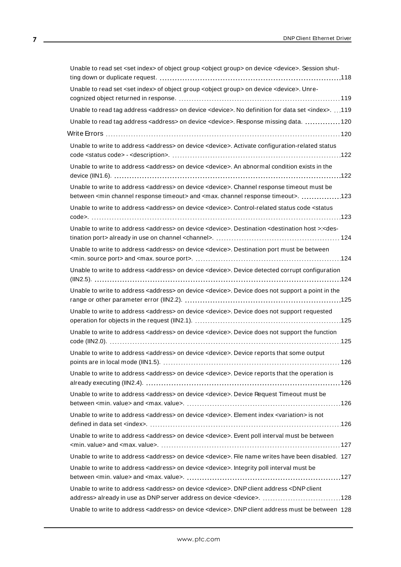| Unable to read set <set index=""> of object group <object group=""> on device <device>. Session shut-</device></object></set>                                                                                                   |
|---------------------------------------------------------------------------------------------------------------------------------------------------------------------------------------------------------------------------------|
| Unable to read set <set index=""> of object group <object group=""> on device <device>. Unre-</device></object></set>                                                                                                           |
| Unable to read tag address < address> on device < device>. No definition for data set <index>. 119</index>                                                                                                                      |
| Unable to read tag address < address> on device < device>. Response missing data.  120                                                                                                                                          |
|                                                                                                                                                                                                                                 |
| Unable to write to address <address> on device <device>. Activate configuration-related status</device></address>                                                                                                               |
| Unable to write to address <address> on device <device>. An abnormal condition exists in the</device></address>                                                                                                                 |
| Unable to write to address <address> on device <device>. Channel response timeout must be<br/>between <min channel="" response="" timeout=""> and <max. channel="" response="" timeout="">. 123</max.></min></device></address> |
| Unable to write to address <address> on device <device>. Control-related status code <status< td=""></status<></device></address>                                                                                               |
| Unable to write to address <address> on device <device>. Destination <destination host="">:<des-< td=""></des-<></destination></device></address>                                                                               |
| Unable to write to address <address> on device <device>. Destination port must be between</device></address>                                                                                                                    |
| Unable to write to address <address> on device <device>. Device detected corrupt configuration</device></address>                                                                                                               |
| Unable to write to address <address> on device <device>. Device does not support a point in the</device></address>                                                                                                              |
| Unable to write to address <address> on device <device>. Device does not support requested</device></address>                                                                                                                   |
| Unable to write to address <address> on device <device>. Device does not support the function</device></address>                                                                                                                |
| Unable to write to address <address> on device <device>. Device reports that some output</device></address>                                                                                                                     |
| Unable to write to address <address> on device <device>. Device reports that the operation is</device></address>                                                                                                                |
| Unable to write to address <address> on device <device>. Device Request Timeout must be</device></address>                                                                                                                      |
| Unable to write to address <address> on device <device>. Element index <variation> is not</variation></device></address>                                                                                                        |
| Unable to write to address <address> on device <device>. Event poll interval must be between</device></address>                                                                                                                 |
| Unable to write to address <address> on device <device>. File name writes have been disabled. 127</device></address>                                                                                                            |
| Unable to write to address <address> on device <device>. Integrity poll interval must be</device></address>                                                                                                                     |
| Unable to write to address <address> on device <device>. DNP client address <dnp client<br="">address&gt; already in use as DNP server address on device <device>. 128</device></dnp></device></address>                        |
| Unable to write to address <address> on device <device>. DNP client address must be between 128</device></address>                                                                                                              |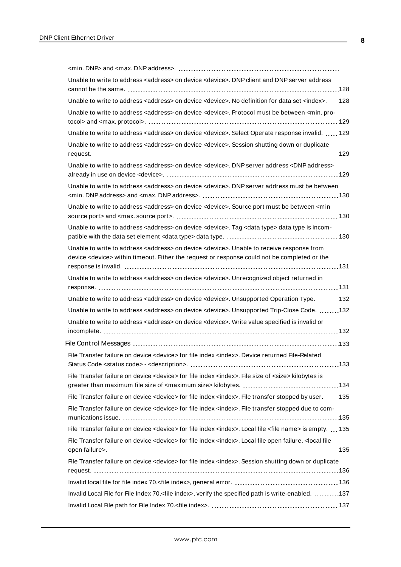| Unable to write to address <address> on device <device>. DNP client and DNP server address</device></address>                                                                                                         |
|-----------------------------------------------------------------------------------------------------------------------------------------------------------------------------------------------------------------------|
| Unable to write to address <address> on device <device>. No definition for data set <index>. 128</index></device></address>                                                                                           |
| Unable to write to address <address> on device <device>. Protocol must be between <min. pro-<="" td=""></min.></device></address>                                                                                     |
| Unable to write to address <address> on device <device>. Select Operate response invalid.  129</device></address>                                                                                                     |
| Unable to write to address <address> on device <device>. Session shutting down or duplicate</device></address>                                                                                                        |
| Unable to write to address <address> on device <device>. DNP server address <dnp address=""></dnp></device></address>                                                                                                 |
| Unable to write to address <address> on device <device>. DNP server address must be between</device></address>                                                                                                        |
| Unable to write to address <address> on device <device>. Source port must be between <min< td=""></min<></device></address>                                                                                           |
| Unable to write to address <address> on device <device>. Tag <data type=""> data type is incom-</data></device></address>                                                                                             |
| Unable to write to address <address> on device <device>. Unable to receive response from<br/>device <device> within timeout. Either the request or response could not be completed or the</device></device></address> |
| Unable to write to address <address> on device <device>. Unrecognized object returned in</device></address>                                                                                                           |
| Unable to write to address <address> on device <device>. Unsupported Operation Type.  132</device></address>                                                                                                          |
| Unable to write to address <address> on device <device>. Unsupported Trip-Close Code. 132</device></address>                                                                                                          |
| Unable to write to address <address> on device <device>. Write value specified is invalid or</device></address>                                                                                                       |
|                                                                                                                                                                                                                       |
| File Transfer failure on device <device> for file index <index>. Device returned File-Related<br/>133</index></device>                                                                                                |
| File Transfer failure on device <device> for file index <index>. File size of <size> kilobytes is</size></index></device>                                                                                             |
| File Transfer failure on device <device> for file index <index>. File transfer stopped by user.  135</index></device>                                                                                                 |
| File Transfer failure on device <device> for file index <index>. File transfer stopped due to com-</index></device>                                                                                                   |
| File Transfer failure on device <device> for file index <index>. Local file <file name=""> is empty.  135</file></index></device>                                                                                     |
| File Transfer failure on device <device> for file index <index>. Local file open failure. &lt; local file</index></device>                                                                                            |
| File Transfer failure on device <device> for file index <index>. Session shutting down or duplicate</index></device>                                                                                                  |
|                                                                                                                                                                                                                       |
| Invalid Local File for File Index 70. <file index="">, verify the specified path is write-enabled. 137</file>                                                                                                         |
|                                                                                                                                                                                                                       |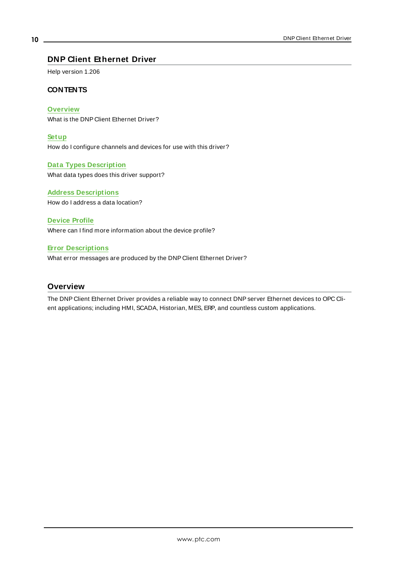## <span id="page-9-0"></span>**DNP Client Ethernet Driver**

Help version 1.206

#### **CONTENTS**

**[Overview](#page-9-1)**

What is the DNP Client Ethernet Driver?

**[Setup](#page-10-0)** How do I configure channels and devices for use with this driver?

**Data Types [Description](#page-33-0)** What data types does this driver support?

**Address [Descriptions](#page-34-0)** How do I address a data location?

**[Device](#page-71-0) Profile** Where can I find more information about the device profile?

#### **Error [Descriptions](#page-87-0)**

What error messages are produced by the DNP Client Ethernet Driver?

#### <span id="page-9-1"></span>**Overview**

The DNP Client Ethernet Driver provides a reliable way to connect DNPserver Ethernet devices to OPC Client applications; including HMI, SCADA, Historian, MES, ERP, and countless custom applications.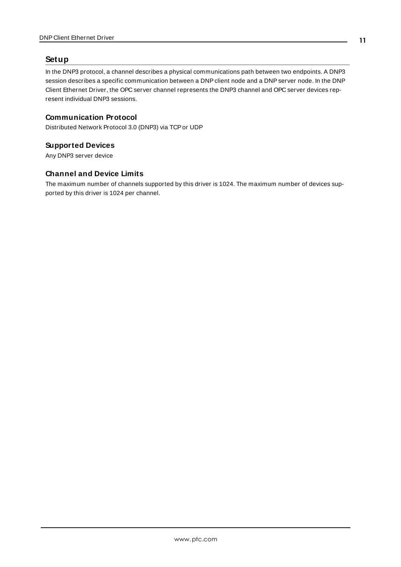## <span id="page-10-0"></span>**Setup**

In the DNP3 protocol, a channel describes a physical communications path between two endpoints. A DNP3 session describes a specific communication between a DNP client node and a DNP server node. In the DNP Client Ethernet Driver, the OPC server channel represents the DNP3 channel and OPC server devices represent individual DNP3 sessions.

## **Communication Protocol**

Distributed Network Protocol 3.0 (DNP3) via TCPor UDP

## **Supported Devices**

Any DNP3 server device

## **Channel and Device Limits**

The maximum number of channels supported by this driver is 1024. The maximum number of devices supported by this driver is 1024 per channel.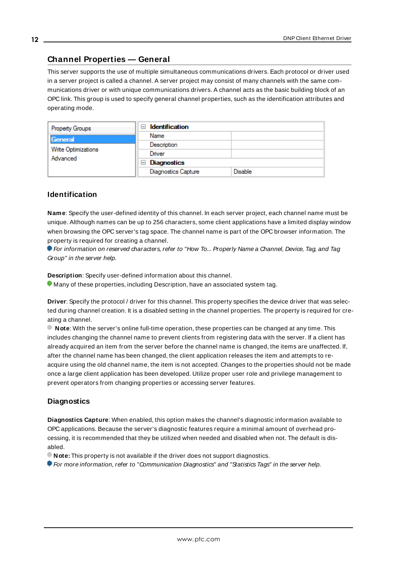## <span id="page-11-0"></span>**Channel Properties — General**

This server supports the use of multiple simultaneous communications drivers. Each protocol or driver used in a server project is called a channel. A server project may consist of many channels with the same communications driver or with unique communications drivers. A channel acts as the basic building block of an OPC link. This group is used to specify general channel properties, such as the identification attributes and operating mode.

| <b>Property Groups</b>                     | <b>Identification</b><br>-1             |                |
|--------------------------------------------|-----------------------------------------|----------------|
| General<br>Write Optimizations<br>Advanced | Name                                    |                |
|                                            | Description                             |                |
|                                            | Driver                                  |                |
|                                            | Diagnostics<br>$\overline{\phantom{a}}$ |                |
|                                            | <b>Diagnostics Capture</b>              | <b>Disable</b> |

#### **Identification**

**Name**: Specify the user-defined identity of this channel. In each server project, each channel name must be unique. Although names can be up to 256 characters, some client applications have a limited display window when browsing the OPC server's tag space. The channel name is part of the OPC browser information. The property is required for creating a channel.

For information on reserved characters, refer to "How To... Properly Name a Channel, Device, Tag, and Tag Group" in the server help.

**Description**: Specify user-defined information about this channel.

Many of these properties, including Description, have an associated system tag.

**Driver**: Specify the protocol / driver for this channel. This property specifies the device driver that was selected during channel creation. It is a disabled setting in the channel properties. The property is required for creating a channel.

**Note**: With the server's online full-time operation, these properties can be changed at any time. This includes changing the channel name to prevent clients from registering data with the server. If a client has already acquired an item from the server before the channel name is changed, the items are unaffected. If, after the channel name has been changed, the client application releases the item and attempts to reacquire using the old channel name, the item is not accepted. Changes to the properties should not be made once a large client application has been developed. Utilize proper user role and privilege management to prevent operators from changing properties or accessing server features.

#### **Diagnostics**

**Diagnostics Capture**: When enabled, this option makes the channel's diagnostic information available to OPC applications. Because the server's diagnostic features require a minimal amount of overhead processing, it is recommended that they be utilized when needed and disabled when not. The default is disabled.

**Note:** This property is not available if the driver does not support diagnostics.

For more information, refer to "Communication Diagnostics" and "Statistics Tags" in the server help.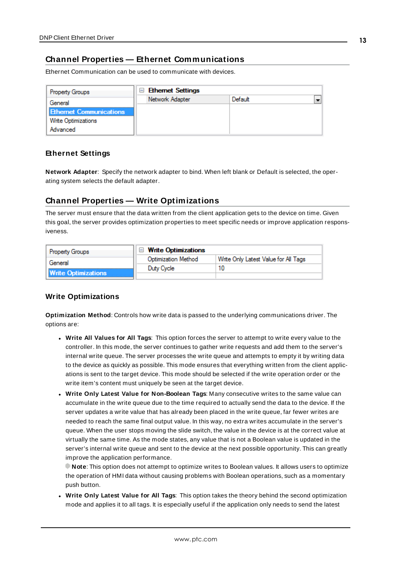## <span id="page-12-0"></span>**Channel Properties — Ethernet Communications**

Ethernet Communication can be used to communicate with devices.

| <b>Property Groups</b>         | <b>□ Ethernet Settings</b> |         |  |
|--------------------------------|----------------------------|---------|--|
| General                        | Network Adapter            | Default |  |
| <b>Ethernet Communications</b> |                            |         |  |
| Write Optimizations            |                            |         |  |
| Advanced                       |                            |         |  |

#### **Ethernet Settings**

**Network Adapter**: Specify the network adapter to bind. When left blank or Default is selected, the operating system selects the default adapter.

## <span id="page-12-1"></span>**Channel Properties — Write Optimizations**

The server must ensure that the data written from the client application gets to the device on time. Given this goal, the server provides optimization properties to meet specific needs or improve application responsiveness.

| <b>Property Groups</b>     | $\Box$ Write Optimizations |                                      |  |
|----------------------------|----------------------------|--------------------------------------|--|
| General                    | <b>Optimization Method</b> | Write Only Latest Value for All Tags |  |
|                            | Duty Cycle                 |                                      |  |
| <b>Write Optimizations</b> |                            |                                      |  |

## **Write Optimizations**

**Optimization Method**: Controls how write data is passed to the underlying communications driver. The options are:

- <sup>l</sup> **Write All Values for All Tags**: This option forces the server to attempt to write every value to the controller. In this mode, the server continues to gather write requests and add them to the server's internal write queue. The server processes the write queue and attempts to empty it by writing data to the device as quickly as possible. This mode ensures that everything written from the client applications is sent to the target device. This mode should be selected if the write operation order or the write item's content must uniquely be seen at the target device.
- <sup>l</sup> **Write Only Latest Value for Non-Boolean Tags**: Many consecutive writes to the same value can accumulate in the write queue due to the time required to actually send the data to the device. If the server updates a write value that has already been placed in the write queue, far fewer writes are needed to reach the same final output value. In this way, no extra writes accumulate in the server's queue. When the user stops moving the slide switch, the value in the device is at the correct value at virtually the same time. As the mode states, any value that is not a Boolean value is updated in the server's internal write queue and sent to the device at the next possible opportunity. This can greatly improve the application performance.

**Note**: This option does not attempt to optimize writes to Boolean values. It allows users to optimize the operation of HMI data without causing problems with Boolean operations, such as a momentary push button.

**• Write Only Latest Value for All Tags**: This option takes the theory behind the second optimization mode and applies it to all tags. It is especially useful if the application only needs to send the latest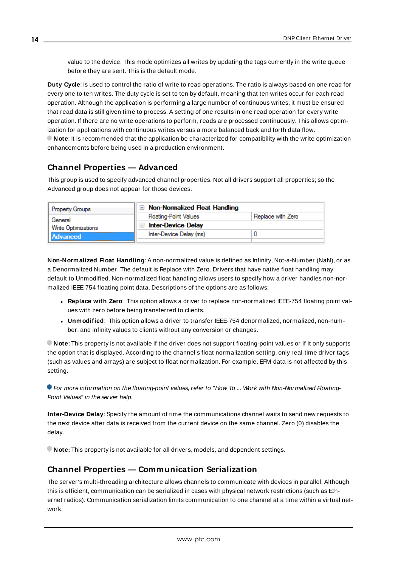value to the device. This mode optimizes all writes by updating the tags currently in the write queue before they are sent. This is the default mode.

**Duty Cycle**: is used to control the ratio of write to read operations. The ratio is always based on one read for every one to ten writes. The duty cycle is set to ten by default, meaning that ten writes occur for each read operation. Although the application is performing a large number of continuous writes, it must be ensured that read data is still given time to process. A setting of one results in one read operation for every write operation. If there are no write operations to perform, reads are processed continuously. This allows optimization for applications with continuous writes versus a more balanced back and forth data flow. **Note**: It is recommended that the application be characterized for compatibility with the write optimization enhancements before being used in a production environment.

## <span id="page-13-0"></span>**Channel Properties — Advanced**

This group is used to specify advanced channel properties. Not all drivers support all properties; so the Advanced group does not appear for those devices.

| <b>Property Groups</b> | $\Box$ Non-Normalized Float Handling |                   |
|------------------------|--------------------------------------|-------------------|
| General                | <b>Floating-Point Values</b>         | Replace with Zero |
| Write Optimizations    | <b>Inter-Device Delay</b>            |                   |
| Advanced               | Inter-Device Delay (ms)              |                   |
|                        |                                      |                   |

**Non-Normalized Float Handling**: A non-normalized value is defined as Infinity, Not-a-Number (NaN), or as a Denormalized Number. The default is Replace with Zero. Drivers that have native float handling may default to Unmodified. Non-normalized float handling allows users to specify how a driver handles non-normalized IEEE-754 floating point data. Descriptions of the options are as follows:

- <sup>l</sup> **Replace with Zero**: This option allows a driver to replace non-normalized IEEE-754 floating point values with zero before being transferred to clients.
- <sup>l</sup> **Unmodified**: This option allows a driver to transfer IEEE-754 denormalized, normalized, non-number, and infinity values to clients without any conversion or changes.

**Note:** This property is not available if the driver does not support floating-point values or if it only supports the option that is displayed. According to the channel's float normalization setting, only real-time driver tags (such as values and arrays) are subject to float normalization. For example, EFM data is not affected by this setting.

For more information on the floating-point values, refer to "How To ... Work with Non-Normalized Floating-Point Values" in the server help.

**Inter-Device Delay**: Specify the amount of time the communications channel waits to send new requests to the next device after data is received from the current device on the same channel. Zero (0) disables the delay.

<span id="page-13-1"></span>**Note:** This property is not available for all drivers, models, and dependent settings.

## **Channel Properties — Communication Serialization**

The server's multi-threading architecture allows channels to communicate with devices in parallel. Although this is efficient, communication can be serialized in cases with physical network restrictions (such as Ethernet radios). Communication serialization limits communication to one channel at a time within a virtual network.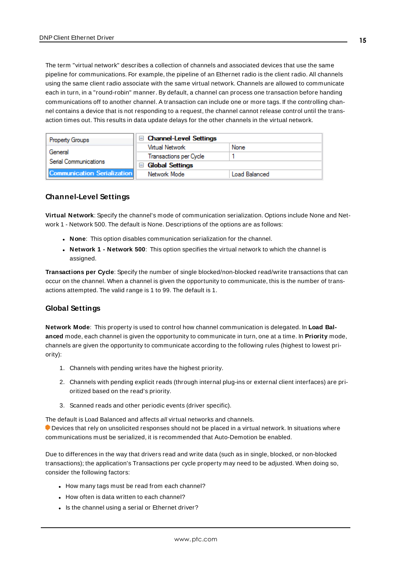The term "virtual network" describes a collection of channels and associated devices that use the same pipeline for communications. For example, the pipeline of an Ethernet radio is the client radio. All channels using the same client radio associate with the same virtual network. Channels are allowed to communicate each in turn, in a "round-robin" manner. By default, a channel can process one transaction before handing communications off to another channel. A transaction can include one or more tags. If the controlling channel contains a device that is not responding to a request, the channel cannot release control until the transaction times out. This results in data update delays for the other channels in the virtual network.

| <b>Property Groups</b>             | □ Channel-Level Settings                 |               |
|------------------------------------|------------------------------------------|---------------|
|                                    | Virtual Network                          | None          |
| General                            | Transactions per Cycle                   |               |
| Serial Communications              | <b>Global Settings</b><br>$\overline{ }$ |               |
| <b>Communication Serialization</b> | Network Mode                             | Load Balanced |

## **Channel-Level Settings**

**Virtual Network**: Specify the channel's mode of communication serialization. Options include None and Network 1 - Network 500. The default is None. Descriptions of the options are as follows:

- **None**: This option disables communication serialization for the channel.
- <sup>l</sup> **Network 1 - Network 500**: This option specifies the virtual network to which the channel is assigned.

**Transactions per Cycle**: Specify the number of single blocked/non-blocked read/write transactions that can occur on the channel. When a channel is given the opportunity to communicate, this is the number of transactions attempted. The valid range is 1 to 99. The default is 1.

## **Global Settings**

**Network Mode**: This property is used to control how channel communication is delegated. In **Load Balanced** mode, each channel is given the opportunity to communicate in turn, one at a time. In **Priority** mode, channels are given the opportunity to communicate according to the following rules (highest to lowest priority):

- 1. Channels with pending writes have the highest priority.
- 2. Channels with pending explicit reads (through internal plug-ins or external client interfaces) are prioritized based on the read's priority.
- 3. Scanned reads and other periodic events (driver specific).

The default is Load Balanced and affects all virtual networks and channels.

 Devices that rely on unsolicited responses should not be placed in a virtual network. In situations where communications must be serialized, it is recommended that Auto-Demotion be enabled.

Due to differences in the way that drivers read and write data (such as in single, blocked, or non-blocked transactions); the application's Transactions per cycle property may need to be adjusted. When doing so, consider the following factors:

- How many tags must be read from each channel?
- How often is data written to each channel?
- Is the channel using a serial or Ethernet driver?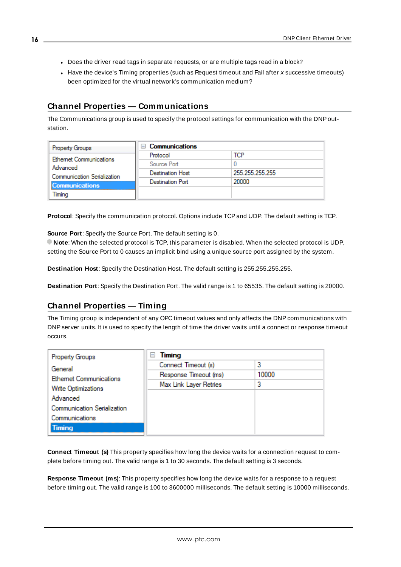- Does the driver read tags in separate requests, or are multiple tags read in a block?
- Have the device's Timing properties (such as Request timeout and Fail after x successive timeouts) been optimized for the virtual network's communication medium?

## <span id="page-15-0"></span>**Channel Properties — Communications**

The Communications group is used to specify the protocol settings for communication with the DNPoutstation.

| <b>Property Groups</b>                                                          | <b>Communications</b>   |                 |
|---------------------------------------------------------------------------------|-------------------------|-----------------|
| <b>Ethemet Communications</b><br>Advanced<br><b>Communication Serialization</b> | Protocol                | тсв             |
|                                                                                 | Source Port             |                 |
|                                                                                 | <b>Destination Host</b> | 255 255 255 255 |
|                                                                                 | Destination Port        | 20000           |
| <b>Communications</b><br>Timina                                                 |                         |                 |

Protocol: Specify the communication protocol. Options include TCP and UDP. The default setting is TCP.

**Source Port**: Specify the Source Port. The default setting is 0.

**Note**: When the selected protocol is TCP, this parameter is disabled. When the selected protocol is UDP, setting the Source Port to 0 causes an implicit bind using a unique source port assigned by the system.

**Destination Host**: Specify the Destination Host. The default setting is 255.255.255.255.

<span id="page-15-1"></span>**Destination Port**: Specify the Destination Port. The valid range is 1 to 65535. The default setting is 20000.

## **Channel Properties — Timing**

The Timing group is independent of any OPC timeout values and only affects the DNPcommunications with DNPserver units. It is used to specify the length of time the driver waits until a connect or response timeout occurs.

| Property Groups                                      | Timing<br>н            |       |
|------------------------------------------------------|------------------------|-------|
| General                                              | Connect Timeout (s)    | 3     |
| <b>Ethemet Communications</b><br>Write Optimizations | Response Timeout (ms)  | 10000 |
|                                                      | Max Link Layer Retries | 3     |
| Advanced                                             |                        |       |
| <b>Communication Serialization</b>                   |                        |       |
| Communications                                       |                        |       |
| Timing                                               |                        |       |

**Connect Timeout (s)** This property specifies how long the device waits for a connection request to complete before timing out. The valid range is 1 to 30 seconds. The default setting is 3 seconds.

**Response Timeout (ms)**: This property specifies how long the device waits for a response to a request before timing out. The valid range is 100 to 3600000 milliseconds. The default setting is 10000 milliseconds.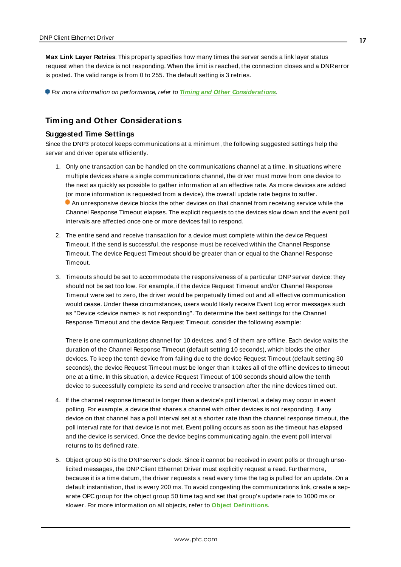**Max Link Layer Retries**: This property specifies how many times the server sends a link layer status request when the device is not responding. When the limit is reached, the connection closes and a DNRerror is posted. The valid range is from 0 to 255. The default setting is 3 retries.

For more information on performance, refer to **Timing and Other [Considerations](#page-16-0)**.

## <span id="page-16-0"></span>**Timing and Other Considerations**

#### **Suggested Time Settings**

Since the DNP3 protocol keeps communications at a minimum, the following suggested settings help the server and driver operate efficiently.

- 1. Only one transaction can be handled on the communications channel at a time. In situations where multiple devices share a single communications channel, the driver must move from one device to the next as quickly as possible to gather information at an effective rate. As more devices are added (or more information is requested from a device), the overall update rate begins to suffer. An unresponsive device blocks the other devices on that channel from receiving service while the Channel Response Timeout elapses. The explicit requests to the devices slow down and the event poll intervals are affected once one or more devices fail to respond.
- 2. The entire send and receive transaction for a device must complete within the device Request Timeout. If the send is successful, the response must be received within the Channel Response Timeout. The device Request Timeout should be greater than or equal to the Channel Response Timeout.
- 3. Timeouts should be set to accommodate the responsiveness of a particular DNP server device: they should not be set too low. For example, if the device Request Timeout and/or Channel Response Timeout were set to zero, the driver would be perpetually timed out and all effective communication would cease. Under these circumstances, users would likely receive Event Log error messages such as "Device <device name> is not responding". To determine the best settings for the Channel Response Timeout and the device Request Timeout, consider the following example:

There is one communications channel for 10 devices, and 9 of them are offline. Each device waits the duration of the Channel Response Timeout (default setting 10 seconds), which blocks the other devices. To keep the tenth device from failing due to the device Request Timeout (default setting 30 seconds), the device Request Timeout must be longer than it takes all of the offline devices to timeout one at a time. In this situation, a device Request Timeout of 100 seconds should allow the tenth device to successfully complete its send and receive transaction after the nine devices timed out.

- 4. If the channel response timeout is longer than a device's poll interval, a delay may occur in event polling. For example, a device that shares a channel with other devices is not responding. If any device on that channel has a poll interval set at a shorter rate than the channel response timeout, the poll interval rate for that device is not met. Event polling occurs as soon as the timeout has elapsed and the device is serviced. Once the device begins communicating again, the event poll interval returns to its defined rate.
- 5. Object group 50 is the DNPserver's clock. Since it cannot be received in event polls or through unsolicited messages, the DNP Client Ethernet Driver must explicitly request a read. Furthermore, because it is a time datum, the driver requests a read every time the tag is pulled for an update. On a default instantiation, that is every 200 ms. To avoid congesting the communications link, create a separate OPC group for the object group 50 time tag and set that group's update rate to 1000 ms or slower. For more information on all objects, refer to **Object [Definitions](#page-68-0)**.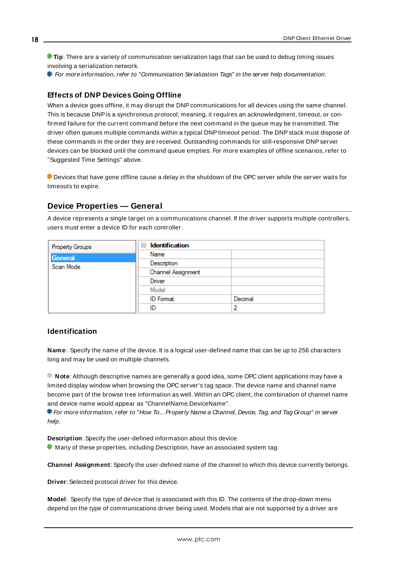**Tip**: There are a variety of communication serialization tags that can be used to debug timing issues involving a serialization network.

For more information, refer to "Communication Serialization Tags" in the server help documentation.

#### **Effects of DNP Devices Going Offline**

When a device goes offline, it may disrupt the DNP communications for all devices using the same channel. This is because DNPis a synchronous protocol; meaning, it requires an acknowledgment, timeout, or confirmed failure for the current command before the next command in the queue may be transmitted. The driver often queues multiple commands within a typical DNP timeout period. The DNP stack must dispose of these commands in the order they are received. Outstanding commands for still-responsive DNP server devices can be blocked until the command queue empties. For more examples of offline scenarios, refer to "Suggested Time Settings" above.

 Devices that have gone offline cause a delay in the shutdown of the OPC server while the server waits for timeouts to expire.

#### <span id="page-17-0"></span>**Device Properties — General**

A device represents a single target on a communications channel. If the driver supports multiple controllers, users must enter a device ID for each controller.

| <b>Property Groups</b> | <b>Identification</b><br>8 |         |
|------------------------|----------------------------|---------|
| General                | Name                       |         |
| Scan Mode              | Description                |         |
|                        | Channel Assignment         |         |
|                        | Driver                     |         |
|                        | Model                      |         |
|                        | <b>ID</b> Format           | Decimal |
|                        | ID                         |         |

#### **Identification**

**Name**: Specify the name of the device. It is a logical user-defined name that can be up to 256 characters long and may be used on multiple channels.

**Note**: Although descriptive names are generally a good idea, some OPC client applications may have a limited display window when browsing the OPC server's tag space. The device name and channel name become part of the browse tree information as well. Within an OPC client, the combination of channel name and device name would appear as "ChannelName.DeviceName".

For more information, refer to "How To... Properly Name a Channel, Device, Tag, and Tag Group" in server help.

**Description**: Specify the user-defined information about this device.

 $\bullet$  Many of these properties, including Description, have an associated system tag.

**Channel Assignment**: Specify the user-defined name of the channel to which this device currently belongs.

**Driver**: Selected protocol driver for this device.

**Model**: Specify the type of device that is associated with this ID. The contents of the drop-down menu depend on the type of communications driver being used. Models that are not supported by a driver are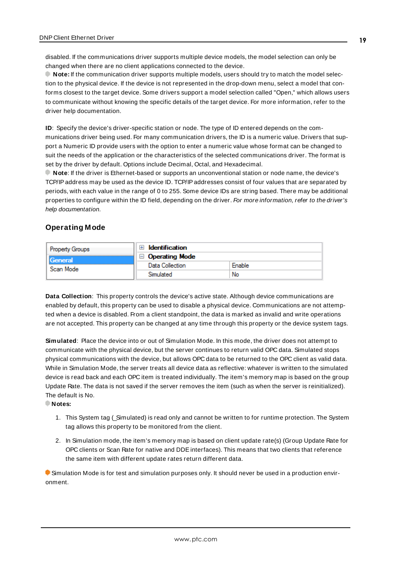disabled. If the communications driver supports multiple device models, the model selection can only be changed when there are no client applications connected to the device.

**Note:** If the communication driver supports multiple models, users should try to match the model selection to the physical device. If the device is not represented in the drop-down menu, select a model that conforms closest to the target device. Some drivers support a model selection called "Open," which allows users to communicate without knowing the specific details of the target device. For more information, refer to the driver help documentation.

**ID**: Specify the device's driver-specific station or node. The type of ID entered depends on the communications driver being used. For many communication drivers, the ID is a numeric value. Drivers that support a Numeric ID provide users with the option to enter a numeric value whose format can be changed to suit the needs of the application or the characteristics of the selected communications driver. The format is set by the driver by default. Options include Decimal, Octal, and Hexadecimal.

**Note**: If the driver is Ethernet-based or supports an unconventional station or node name, the device's TCP/IPaddress may be used as the device ID. TCP/IPaddresses consist of four values that are separated by periods, with each value in the range of 0 to 255. Some device IDs are string based. There may be additional properties to configure within the ID field, depending on the driver. For more information, refer to the driver's help documentation.

#### <span id="page-18-0"></span>**Operating Mode**

| <b>Property Groups</b><br>General<br>Scan Mode | <b>Identification</b>      |        |
|------------------------------------------------|----------------------------|--------|
|                                                | <b>Operating Mode</b><br>н |        |
|                                                | Data Collection            | Enable |
|                                                | Simulated                  | No     |

**Data Collection**: This property controls the device's active state. Although device communications are enabled by default, this property can be used to disable a physical device. Communications are not attempted when a device is disabled. From a client standpoint, the data is marked as invalid and write operations are not accepted. This property can be changed at any time through this property or the device system tags.

**Simulated**: Place the device into or out of Simulation Mode. In this mode, the driver does not attempt to communicate with the physical device, but the server continues to return valid OPC data. Simulated stops physical communications with the device, but allows OPC data to be returned to the OPC client as valid data. While in Simulation Mode, the server treats all device data as reflective: whatever is written to the simulated device is read back and each OPC item is treated individually. The item's memory map is based on the group Update Rate. The data is not saved if the server removes the item (such as when the server is reinitialized). The default is No.

**Notes:**

- 1. This System tag (Simulated) is read only and cannot be written to for runtime protection. The System tag allows this property to be monitored from the client.
- 2. In Simulation mode, the item's memory map is based on client update rate(s) (Group Update Rate for OPC clients or Scan Rate for native and DDEinterfaces). This means that two clients that reference the same item with different update rates return different data.

 Simulation Mode is for test and simulation purposes only. It should never be used in a production environment.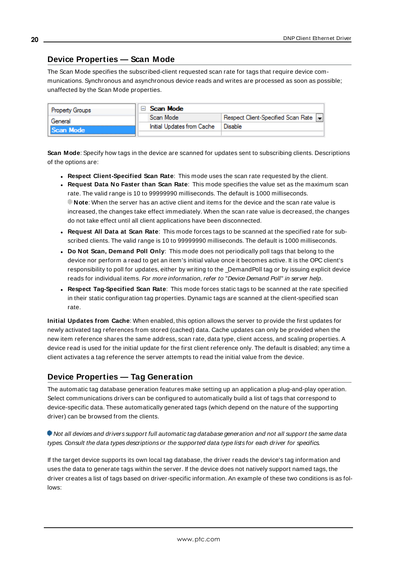## <span id="page-19-0"></span>**Device Properties — Scan Mode**

The Scan Mode specifies the subscribed-client requested scan rate for tags that require device communications. Synchronous and asynchronous device reads and writes are processed as soon as possible; unaffected by the Scan Mode properties.

| <b>Property Groups</b> | Scan Mode                  |                                    |
|------------------------|----------------------------|------------------------------------|
| General<br>Scan Mode   | Scan Mode                  | Respect Client-Specified Scan Rate |
|                        | Initial Updates from Cache | Disable                            |
|                        |                            |                                    |

**Scan Mode**: Specify how tags in the device are scanned for updates sent to subscribing clients. Descriptions of the options are:

- <sup>l</sup> **Respect Client-Specified Scan Rate**: This mode uses the scan rate requested by the client.
- <sup>l</sup> **Request Data No Faster than Scan Rate**: This mode specifies the value set as the maximum scan rate. The valid range is 10 to 99999990 milliseconds. The default is 1000 milliseconds. **Note**: When the server has an active client and items for the device and the scan rate value is increased, the changes take effect immediately. When the scan rate value is decreased, the changes do not take effect until all client applications have been disconnected.
- <sup>l</sup> **Request All Data at Scan Rate**: This mode forces tags to be scanned at the specified rate for subscribed clients. The valid range is 10 to 99999990 milliseconds. The default is 1000 milliseconds.
- <sup>l</sup> **Do Not Scan, Demand Poll Only**: This mode does not periodically poll tags that belong to the device nor perform a read to get an item's initial value once it becomes active. It is the OPC client's responsibility to poll for updates, either by writing to the \_DemandPoll tag or by issuing explicit device reads for individual items. For more information, refer to "Device Demand Poll" in server help.
- <sup>l</sup> **Respect Tag-Specified Scan Rate**: This mode forces static tags to be scanned at the rate specified in their static configuration tag properties. Dynamic tags are scanned at the client-specified scan rate.

**Initial Updates from Cache**: When enabled, this option allows the server to provide the first updates for newly activated tag references from stored (cached) data. Cache updates can only be provided when the new item reference shares the same address, scan rate, data type, client access, and scaling properties. A device read is used for the initial update for the first client reference only. The default is disabled; any time a client activates a tag reference the server attempts to read the initial value from the device.

## <span id="page-19-1"></span>**Device Properties — Tag Generation**

The automatic tag database generation features make setting up an application a plug-and-play operation. Select communications drivers can be configured to automatically build a list of tags that correspond to device-specific data. These automatically generated tags (which depend on the nature of the supporting driver) can be browsed from the clients.

#### Not all devices and drivers support full automatic tag database generation and not all support the same data types. Consult the data types descriptions or the supported data type lists for each driver for specifics.

If the target device supports its own local tag database, the driver reads the device's tag information and uses the data to generate tags within the server. If the device does not natively support named tags, the driver creates a list of tags based on driver-specific information. An example of these two conditions is as follows: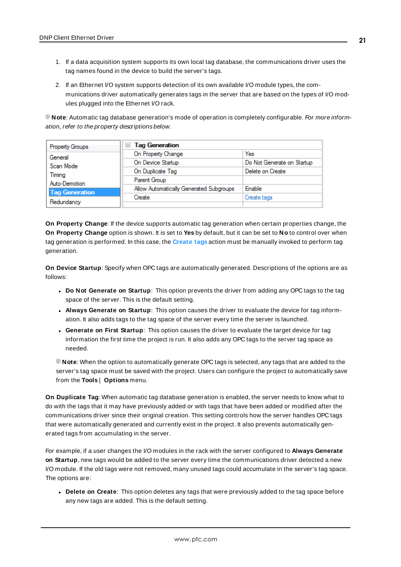- 1. If a data acquisition system supports its own local tag database, the communications driver uses the tag names found in the device to build the server's tags.
- 2. If an Ethernet I/O system supports detection of its own available I/O module types, the communications driver automatically generates tags in the server that are based on the types of I/O modules plugged into the Ethernet I/O rack.

**Note**: Automatic tag database generation's mode of operation is completely configurable. For more information, refer to the property descriptions below.

| Property Groups       | □ Tag Generation                        |                            |
|-----------------------|-----------------------------------------|----------------------------|
| General               | On Property Change                      | Yes                        |
| Scan Mode             | On Device Startup                       | Do Not Generate on Startup |
| Timina                | On Duplicate Tag                        | Delete on Create           |
| Auto-Demotion         | Parent Group                            |                            |
| <b>Tag Generation</b> | Allow Automatically Generated Subgroups | Enable                     |
|                       | Create                                  | Create tags                |
| Redundancy            |                                         |                            |

**On Property Change**: If the device supports automatic tag generation when certain properties change, the **On Property Change** option is shown. It is set to **Yes** by default, but it can be set to **No** to control over when tag generation is performed. In this case, the **Create tags** action must be manually invoked to perform tag generation.

**On Device Startup**: Specify when OPC tags are automatically generated. Descriptions of the options are as follows:

- <sup>l</sup> **Do Not Generate on Startup**: This option prevents the driver from adding any OPC tags to the tag space of the server. This is the default setting.
- <sup>l</sup> **Always Generate on Startup**: This option causes the driver to evaluate the device for tag information. It also adds tags to the tag space of the server every time the server is launched.
- <sup>l</sup> **Generate on First Startup**: This option causes the driver to evaluate the target device for tag information the first time the project is run. It also adds any OPC tags to the server tag space as needed.

**Note**: When the option to automatically generate OPC tags is selected, any tags that are added to the server's tag space must be saved with the project. Users can configure the project to automatically save from the **Tools** | **Options** menu.

**On Duplicate Tag**: When automatic tag database generation is enabled, the server needs to know what to do with the tags that it may have previously added or with tags that have been added or modified after the communications driver since their original creation. This setting controls how the server handles OPC tags that were automatically generated and currently exist in the project. It also prevents automatically generated tags from accumulating in the server.

For example, if a user changes the I/O modules in the rack with the server configured to **Always Generate on Startup**, new tags would be added to the server every time the communications driver detected a new I/O module. If the old tags were not removed, many unused tags could accumulate in the server's tag space. The options are:

**.** Delete on Create: This option deletes any tags that were previously added to the tag space before any new tags are added. This is the default setting.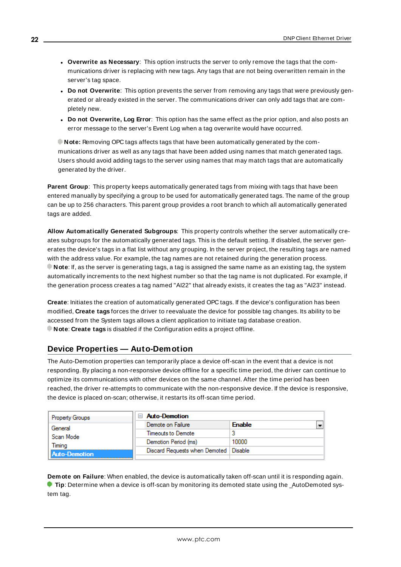- <sup>l</sup> **Overwrite as Necessary**: This option instructs the server to only remove the tags that the communications driver is replacing with new tags. Any tags that are not being overwritten remain in the server's tag space.
- <sup>l</sup> **Do not Overwrite**: This option prevents the server from removing any tags that were previously generated or already existed in the server. The communications driver can only add tags that are completely new.
- <sup>l</sup> **Do not Overwrite, Log Error**: This option has the same effect as the prior option, and also posts an error message to the server's Event Log when a tag overwrite would have occurred.

**Note:** Removing OPC tags affects tags that have been automatically generated by the communications driver as well as any tags that have been added using names that match generated tags. Users should avoid adding tags to the server using names that may match tags that are automatically generated by the driver.

**Parent Group**: This property keeps automatically generated tags from mixing with tags that have been entered manually by specifying a group to be used for automatically generated tags. The name of the group can be up to 256 characters. This parent group provides a root branch to which all automatically generated tags are added.

**Allow Automatically Generated Subgroups**: This property controls whether the server automatically creates subgroups for the automatically generated tags. This is the default setting. If disabled, the server generates the device's tags in a flat list without any grouping. In the server project, the resulting tags are named with the address value. For example, the tag names are not retained during the generation process. **Note**: If, as the server is generating tags, a tag is assigned the same name as an existing tag, the system automatically increments to the next highest number so that the tag name is not duplicated. For example, if the generation process creates a tag named "AI22" that already exists, it creates the tag as "AI23" instead.

**Create**: Initiates the creation of automatically generated OPC tags. If the device's configuration has been modified, **Create tags** forces the driver to reevaluate the device for possible tag changes. Its ability to be accessed from the System tags allows a client application to initiate tag database creation. **Note**: **Create tags** is disabled if the Configuration edits a project offline.

## <span id="page-21-0"></span>**Device Properties — Auto-Demotion**

The Auto-Demotion properties can temporarily place a device off-scan in the event that a device is not responding. By placing a non-responsive device offline for a specific time period, the driver can continue to optimize its communications with other devices on the same channel. After the time period has been reached, the driver re-attempts to communicate with the non-responsive device. If the device is responsive, the device is placed on-scan; otherwise, it restarts its off-scan time period.

| <b>Property Groups</b>               | <b>Auto-Demotion</b>                    |               |
|--------------------------------------|-----------------------------------------|---------------|
| General                              | Demote on Failure                       | <b>Enable</b> |
| Scan Mode<br>Timina<br>Auto-Demotion | Timeouts to Demote                      |               |
|                                      | Demotion Period (ms)                    | 10000         |
|                                      | Discard Requests when Demoted   Disable |               |
|                                      |                                         |               |

**Demote on Failure**: When enabled, the device is automatically taken off-scan until it is responding again. **Tip:** Determine when a device is off-scan by monitoring its demoted state using the \_AutoDemoted system tag.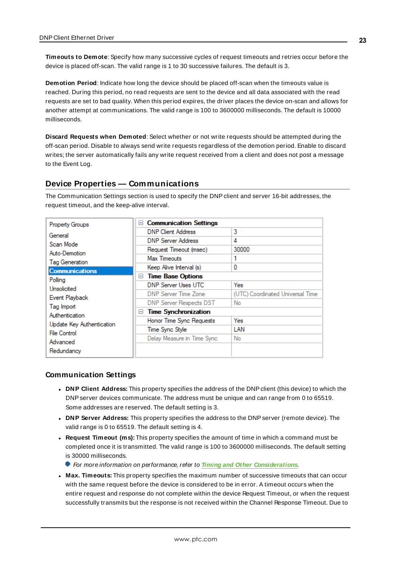**Timeouts to Demote**: Specify how many successive cycles of request timeouts and retries occur before the device is placed off-scan. The valid range is 1 to 30 successive failures. The default is 3.

**Demotion Period**: Indicate how long the device should be placed off-scan when the timeouts value is reached. During this period, no read requests are sent to the device and all data associated with the read requests are set to bad quality. When this period expires, the driver places the device on-scan and allows for another attempt at communications. The valid range is 100 to 3600000 milliseconds. The default is 10000 milliseconds.

**Discard Requests when Demoted**: Select whether or not write requests should be attempted during the off-scan period. Disable to always send write requests regardless of the demotion period. Enable to discard writes; the server automatically fails any write request received from a client and does not post a message to the Event Log.

## <span id="page-22-0"></span>**Device Properties — Communications**

The Communication Settings section is used to specify the DNPclient and server 16-bit addresses, the request timeout, and the keep-alive interval.

| <b>Property Groups</b>                          | <b>Communication Settings</b><br>ш |                                  |
|-------------------------------------------------|------------------------------------|----------------------------------|
| General                                         | <b>DNP Client Address</b>          | 3                                |
| Scan Mode                                       | <b>DNP Server Address</b>          | 4                                |
| Auto-Demotion                                   | Request Timeout (msec)             | 30000                            |
| Tag Generation                                  | <b>Max Timeouts</b>                |                                  |
| <b>Communications</b>                           | Keep Alive Interval (s)            | 0                                |
|                                                 | <b>Time Base Options</b><br>$-$    |                                  |
| Polling<br><b>Unsolicited</b><br>Event Playback | <b>DNP Server Uses UTC</b>         | Yes                              |
|                                                 | <b>DNP Server Time Zone</b>        | (UTC) Coordinated Universal Time |
|                                                 | DNP Server Respects DST            | No                               |
| Tag Import                                      | <b>Time Synchronization</b><br>$=$ |                                  |
| Authentication                                  | Honor Time Sync Requests           | Yes                              |
| Update Key Authentication                       | Time Sync Style                    | LAN                              |
| <b>File Control</b>                             | Delay Measure in Time Sync         | No                               |
| Advanced                                        |                                    |                                  |
| Redundancy                                      |                                    |                                  |

#### **Communication Settings**

- <sup>l</sup> **DNP Client Address:** This property specifies the address of the DNPclient (this device) to which the DNPserver devices communicate. The address must be unique and can range from 0 to 65519. Some addresses are reserved. The default setting is 3.
- <sup>l</sup> **DNP Server Address:** This property specifies the address to the DNP server (remote device). The valid range is 0 to 65519. The default setting is 4.
- <sup>l</sup> **Request Timeout (ms):** This property specifies the amount of time in which a command must be completed once it is transmitted. The valid range is 100 to 3600000 milliseconds. The default setting is 30000 milliseconds.
	- For more information on performance, refer to **Timing and Other [Considerations](#page-16-0)**.
- <sup>l</sup> **Max. Timeouts:** This property specifies the maximum number of successive timeouts that can occur with the same request before the device is considered to be in error. A timeout occurs when the entire request and response do not complete within the device Request Timeout, or when the request successfully transmits but the response is not received within the Channel Response Timeout. Due to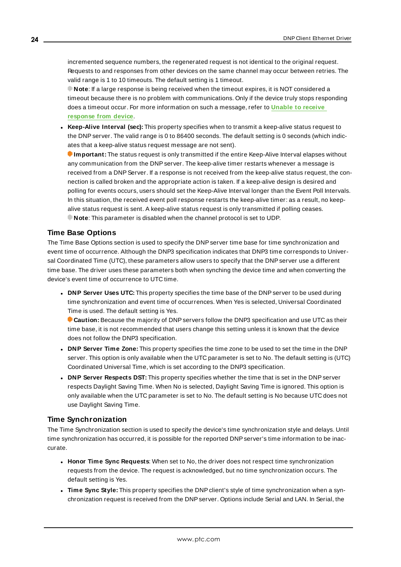incremented sequence numbers, the regenerated request is not identical to the original request. Requests to and responses from other devices on the same channel may occur between retries. The valid range is 1 to 10 timeouts. The default setting is 1 timeout.

**Note**: If a large response is being received when the timeout expires, it is NOT considered a timeout because there is no problem with communications. Only if the device truly stops responding does a timeout occur. For more information on such a message, refer to **Unable to [receive](#page-103-2) [response](#page-103-2) from device**.

**Keep-Alive Interval (sec):** This property specifies when to transmit a keep-alive status request to the DNP server. The valid range is 0 to 86400 seconds. The default setting is 0 seconds (which indicates that a keep-alive status request message are not sent).

**Important:** The status request is only transmitted if the entire Keep-Alive Interval elapses without any communication from the DNP server. The keep-alive timer restarts whenever a message is received from a DNP Server. If a response is not received from the keep-alive status request, the connection is called broken and the appropriate action is taken. If a keep-alive design is desired and polling for events occurs, users should set the Keep-Alive Interval longer than the Event Poll Intervals. In this situation, the received event poll response restarts the keep-alive timer: as a result, no keepalive status request is sent. A keep-alive status request is only transmitted if polling ceases. **Note**: This parameter is disabled when the channel protocol is set to UDP.

#### **Time Base Options**

The Time Base Options section is used to specify the DNPserver time base for time synchronization and event time of occurrence. Although the DNP3 specification indicates that DNP3 time corresponds to Universal Coordinated Time (UTC), these parameters allow users to specify that the DNP server use a different time base. The driver uses these parameters both when synching the device time and when converting the device's event time of occurrence to UTC time.

**.** DNP Server Uses UTC: This property specifies the time base of the DNP server to be used during time synchronization and event time of occurrences. When Yes is selected, Universal Coordinated Time is used. The default setting is Yes.

**Caution:** Because the majority of DNPservers follow the DNP3 specification and use UTC as their time base, it is not recommended that users change this setting unless it is known that the device does not follow the DNP3 specification.

- **.** DNP Server Time Zone: This property specifies the time zone to be used to set the time in the DNP server. This option is only available when the UTC parameter is set to No. The default setting is (UTC) Coordinated Universal Time, which is set according to the DNP3 specification.
- **DNP Server Respects DST:** This property specifies whether the time that is set in the DNP server respects Daylight Saving Time. When No is selected, Daylight Saving Time is ignored. This option is only available when the UTC parameter is set to No. The default setting is No because UTC does not use Daylight Saving Time.

## **Time Synchronization**

The Time Synchronization section is used to specify the device's time synchronization style and delays. Until time synchronization has occurred, it is possible for the reported DNP server's time information to be inaccurate.

- <sup>l</sup> **Honor Time Sync Requests**: When set to No, the driver does not respect time synchronization requests from the device. The request is acknowledged, but no time synchronization occurs. The default setting is Yes.
- <sup>l</sup> **Time Sync Style:** This property specifies the DNPclient's style of time synchronization when a synchronization request is received from the DNPserver. Options include Serial and LAN. In Serial, the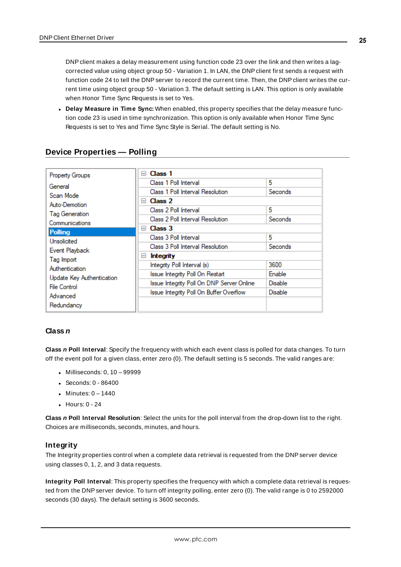DNPclient makes a delay measurement using function code 23 over the link and then writes a lagcorrected value using object group 50 - Variation 1. In LAN, the DNP client first sends a request with function code 24 to tell the DNP server to record the current time. Then, the DNP client writes the current time using object group 50 - Variation 3. The default setting is LAN. This option is only available when Honor Time Sync Requests is set to Yes.

<sup>l</sup> **Delay Measure in Time Sync:** When enabled, this property specifies that the delay measure function code 23 is used in time synchronization. This option is only available when Honor Time Sync Requests is set to Yes and Time Sync Style is Serial. The default setting is No.

|                           | Class 1<br>$=$                            |                |
|---------------------------|-------------------------------------------|----------------|
| <b>Property Groups</b>    |                                           |                |
| General                   | Class 1 Poll Interval                     | 5              |
| Scan Mode                 | Class 1 Poll Interval Resolution          | Seconds        |
| Auto-Demotion             | Class 2<br>$=$                            |                |
|                           | Class 2 Poll Interval                     | 5              |
| Tag Generation            | Class 2 Poll Interval Resolution          | Seconds        |
| Communications            | Class <sub>3</sub><br>н.                  |                |
| Polling                   |                                           |                |
| <b>Unsolicited</b>        | Class 3 Poll Interval                     | 5              |
| Event Playback            | Class 3 Poll Interval Resolution          | Seconds        |
| Tag Import                | <b>Integrity</b><br>$=$                   |                |
| Authentication            | Integrity Poll Interval (s)               | 3600           |
|                           | Issue Integrity Poll On Restart           | Enable         |
| Update Key Authentication | Issue Integrity Poll On DNP Server Online | <b>Disable</b> |
| <b>File Control</b>       | Issue Integrity Poll On Buffer Overflow   | Disable        |
| Advanced                  |                                           |                |
| Redundancy                |                                           |                |
|                           |                                           |                |

## <span id="page-24-0"></span>**Device Properties — Polling**

#### **Class n**

**Class n Poll Interval**: Specify the frequency with which each event class is polled for data changes. To turn off the event poll for a given class, enter zero (0). The default setting is 5 seconds. The valid ranges are:

- $\bullet$  Milliseconds: 0, 10 99999
- $\cdot$  Seconds: 0 86400
- $\bullet$  Minutes: 0 1440
- $\bullet$  Hours: 0 24

**Class n Poll Interval Resolution**: Select the units for the poll interval from the drop-down list to the right. Choices are milliseconds, seconds, minutes, and hours.

#### **Integrity**

The Integrity properties control when a complete data retrieval is requested from the DNPserver device using classes 0, 1, 2, and 3 data requests.

**Integrity Poll Interval**: This property specifies the frequency with which a complete data retrieval is requested from the DNPserver device. To turn off integrity polling, enter zero (0). The valid range is 0 to 2592000 seconds (30 days). The default setting is 3600 seconds.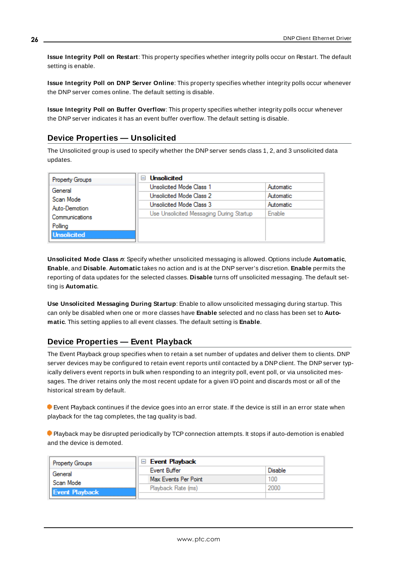**Issue Integrity Poll on Restart**: This property specifies whether integrity polls occur on Restart. The default setting is enable.

**Issue Integrity Poll on DNP Server Online**: This property specifies whether integrity polls occur whenever the DNP server comes online. The default setting is disable.

**Issue Integrity Poll on Buffer Overflow**: This property specifies whether integrity polls occur whenever the DNPserver indicates it has an event buffer overflow. The default setting is disable.

## <span id="page-25-0"></span>**Device Properties — Unsolicited**

The Unsolicited group is used to specify whether the DNPserver sends class 1, 2, and 3 unsolicited data updates.

| <b>Property Groups</b> | <b>Unsolicited</b><br>$\overline{}$      |               |
|------------------------|------------------------------------------|---------------|
| General                | Unsolicited Mode Class 1                 | Automatic     |
| Scan Mode              | Unsolicited Mode Class 2                 | Automatic     |
| Auto-Demotion          | Unsolicited Mode Class 3                 | Automatic     |
| Communications         | Use Unsolicited Messaging During Startup | <b>Enable</b> |
| Polling                |                                          |               |
| <b>Unsolicited</b>     |                                          |               |

**Unsolicited Mode Class n**: Specify whether unsolicited messaging is allowed. Options include **Automatic**, **Enable**, and **Disable**. **Automatic** takes no action and is at the DNPserver's discretion. **Enable** permits the reporting of data updates for the selected classes. **Disable** turns off unsolicited messaging. The default setting is **Automatic**.

**Use Unsolicited Messaging During Startup**: Enable to allow unsolicited messaging during startup. This can only be disabled when one or more classes have **Enable** selected and no class has been set to **Automatic**. This setting applies to all event classes. The default setting is **Enable**.

## <span id="page-25-1"></span>**Device Properties — Event Playback**

The Event Playback group specifies when to retain a set number of updates and deliver them to clients. DNP server devices may be configured to retain event reports until contacted by a DNP client. The DNP server typically delivers event reports in bulk when responding to an integrity poll, event poll, or via unsolicited messages. The driver retains only the most recent update for a given I/O point and discards most or all of the historical stream by default.

 Event Playback continues if the device goes into an error state. If the device is still in an error state when playback for the tag completes, the tag quality is bad.

**Playback may be disrupted periodically by TCP connection attempts. It stops if auto-demotion is enabled** and the device is demoted.

| <b>Property Groups</b>             | <b>Event Playback</b> |         |
|------------------------------------|-----------------------|---------|
| General                            | Event Buffer          | Disable |
| Scan Mode<br><b>Event Playback</b> | Max Events Per Point  | 100     |
|                                    | Playback Rate (ms)    | 2000    |
|                                    |                       |         |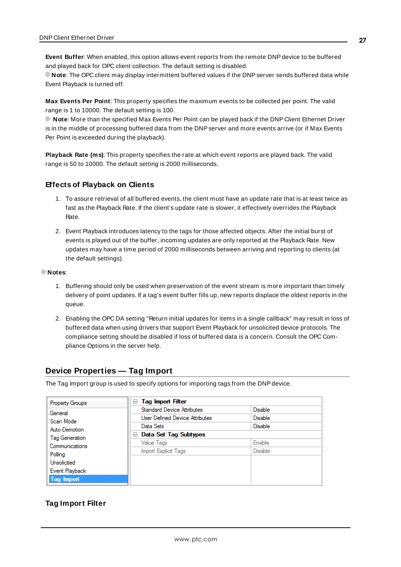**Event Buffer**: When enabled, this option allows event reports from the remote DNPdevice to be buffered and played back for OPC client collection. The default setting is disabled.

**Note**: The OPC client may display intermittent buffered values if the DNPserver sends buffered data while Event Playback is turned off.

**Max Events Per Point**: This property specifies the maximum events to be collected per point. The valid range is 1 to 10000. The default setting is 100.

**Note**: More than the specified Max Events Per Point can be played back if the DNP Client Ethernet Driver is in the middle of processing buffered data from the DNP server and more events arrive (or if Max Events Per Point is exceeded during the playback).

**Playback Rate (ms)**: This property specifies the rate at which event reports are played back. The valid range is 50 to 10000. The default setting is 2000 milliseconds.

#### **Effects of Playback on Clients**

- 1. To assure retrieval of all buffered events, the client must have an update rate that is at least twice as fast as the Playback Rate. If the client's update rate is slower, it effectively overrides the Playback Rate.
- 2. Event Playback introduces latency to the tags for those affected objects. After the initial burst of events is played out of the buffer, incoming updates are only reported at the Playback Rate. New updates may have a time period of 2000 milliseconds between arriving and reporting to clients (at the default settings).

#### **Notes**:

- 1. Buffering should only be used when preservation of the event stream is more important than timely delivery of point updates. If a tag's event buffer fills up, new reports displace the oldest reports in the queue.
- 2. Enabling the OPC DA setting "Return initial updates for items in a single callback" may result in loss of buffered data when using drivers that support Event Playback for unsolicited device protocols. The compliance setting should be disabled if loss of buffered data is a concern. Consult the OPC Compliance Options in the server help.

## <span id="page-26-0"></span>**Device Properties — Tag Import**

The Tag Import group is used to specify options for importing tags from the DNPdevice.

| <b>Property Groups</b> | <b>Tag Import Filter</b><br>ь         |                |
|------------------------|---------------------------------------|----------------|
| General                | <b>Standard Device Attributes</b>     | <b>Disable</b> |
| Scan Mode              | <b>User Defined Device Attributes</b> | <b>Disable</b> |
| Auto-Demotion          | Data Sets                             | <b>Disable</b> |
| Tag Generation         | Data Set Tag Subtypes<br>$=$          |                |
| Communications         | Value Tags                            | Enable         |
| Polling                | Import Explicit Tags                  | <b>Disable</b> |
| Unsolicited            |                                       |                |
| Event Playback         |                                       |                |
| Tag Import             |                                       |                |

#### **Tag Import Filter**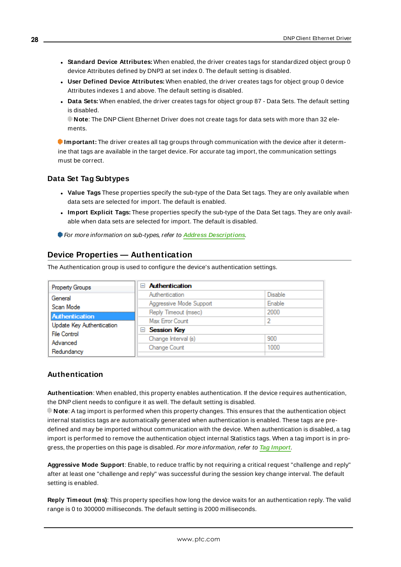- **.** Standard Device Attributes: When enabled, the driver creates tags for standardized object group 0 device Attributes defined by DNP3 at set index 0. The default setting is disabled.
- <sup>l</sup> **User Defined Device Attributes:** When enabled, the driver creates tags for object group 0 device Attributes indexes 1 and above. The default setting is disabled.
- **Data Sets:** When enabled, the driver creates tags for object group 87 Data Sets. The default setting is disabled.

**Note**: The DNP Client Ethernet Driver does not create tags for data sets with more than 32 elements.

**Important:** The driver creates all tag groups through communication with the device after it determine that tags are available in the target device. For accurate tag import, the communication settings must be correct.

#### **Data Set Tag Subtypes**

- **Value Tags** These properties specify the sub-type of the Data Set tags. They are only available when data sets are selected for import. The default is enabled.
- $\bullet$  Import Explicit Tags: These properties specify the sub-type of the Data Set tags. They are only available when data sets are selected for import. The default is disabled.
- <span id="page-27-0"></span>For more information on sub-types, refer to **Address [Descriptions](#page-34-0)**.

## **Device Properties — Authentication**

The Authentication group is used to configure the device's authentication settings.

| Property Groups           | <b>Authentication</b><br>$\blacksquare$ |         |
|---------------------------|-----------------------------------------|---------|
| General                   | Authentication                          | Disable |
| Scan Mode                 | Aggressive Mode Support                 | Enable  |
|                           | Reply Timeout (msec)                    | 2000    |
| <b>Authentication</b>     | Max Error Count                         |         |
| Update Key Authentication | <b>□ Session Key</b>                    |         |
| <b>File Control</b>       | Change Interval (s)                     | 900     |
| Advanced                  | Change Count                            | 1000    |
| Redundancy                |                                         |         |

#### **Authentication**

**Authentication**: When enabled, this property enables authentication. If the device requires authentication, the DNPclient needs to configure it as well. The default setting is disabled.

**Note**: A tag import is performed when this property changes. This ensures that the authentication object internal statistics tags are automatically generated when authentication is enabled. These tags are predefined and may be imported without communication with the device. When authentication is disabled, a tag import is performed to remove the authentication object internal Statistics tags. When a tag import is in progress, the properties on this page is disabled. For more information, refer to **Tag [Import](#page-26-0)**.

**Aggressive Mode Support**: Enable, to reduce traffic by not requiring a critical request "challenge and reply" after at least one "challenge and reply" was successful during the session key change interval. The default setting is enabled.

**Reply Timeout (ms)**: This property specifies how long the device waits for an authentication reply. The valid range is 0 to 300000 milliseconds. The default setting is 2000 milliseconds.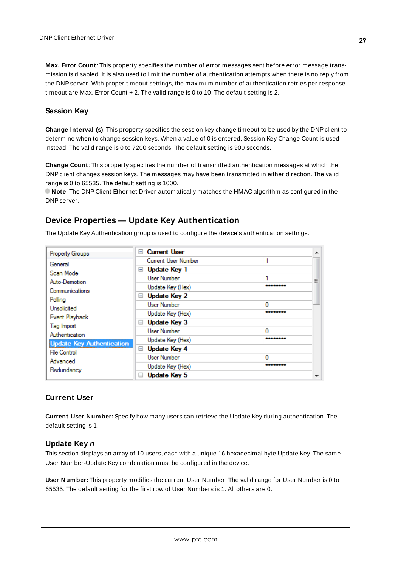**Max. Error Count**: This property specifies the number of error messages sent before error message transmission is disabled. It is also used to limit the number of authentication attempts when there is no reply from the DNPserver. With proper timeout settings, the maximum number of authentication retries per response timeout are Max. Error Count + 2. The valid range is 0 to 10. The default setting is 2.

#### **Session Key**

**Change Interval (s)**: This property specifies the session key change timeout to be used by the DNPclient to determine when to change session keys. When a value of 0 is entered, Session Key Change Count is used instead. The valid range is 0 to 7200 seconds. The default setting is 900 seconds.

**Change Count**: This property specifies the number of transmitted authentication messages at which the DNP client changes session keys. The messages may have been transmitted in either direction. The valid range is 0 to 65535. The default setting is 1000.

**Note**: The DNP Client Ethernet Driver automatically matches the HMAC algorithm as configured in the DNPserver.

## <span id="page-28-0"></span>**Device Properties — Update Key Authentication**

The Update Key Authentication group is used to configure the device's authentication settings.

| <b>Property Groups</b>           | <b>Current User</b><br>$\overline{}$  |          | ዹ |
|----------------------------------|---------------------------------------|----------|---|
| General                          | Current User Number                   | 1        |   |
| Scan Mode                        | Update Key 1<br>$=$                   |          |   |
| Auto-Demotion                    | <b>User Number</b>                    |          | Ξ |
| Communications                   | Update Key (Hex)                      | -------- |   |
| Polling                          | <b>Update Key 2</b><br>$\overline{}$  |          |   |
| <b>Unsolicited</b>               | <b>User Number</b>                    | o        |   |
|                                  | Update Key (Hex)                      | -------- |   |
| Event Playback                   | <b>Update Key 3</b><br>$\overline{}$  |          |   |
| Tag Import                       | User Number                           | n        |   |
| Authentication                   | Update Key (Hex)                      | -------- |   |
| <b>Update Key Authentication</b> | <b>Update Key 4</b><br>$\equiv$       |          |   |
| <b>File Control</b>              | <b>User Number</b>                    | o        |   |
| Advanced                         | Update Key (Hex)                      | -------- |   |
| Redundancy                       | <b>Update Key 5</b><br>$\blacksquare$ |          |   |

#### **Current User**

**Current User Number:** Specify how many users can retrieve the Update Key during authentication. The default setting is 1.

#### **Update Key n**

This section displays an array of 10 users, each with a unique 16 hexadecimal byte Update Key. The same User Number-Update Key combination must be configured in the device.

**User Number:** This property modifies the current User Number. The valid range for User Number is 0 to 65535. The default setting for the first row of User Numbers is 1. All others are 0.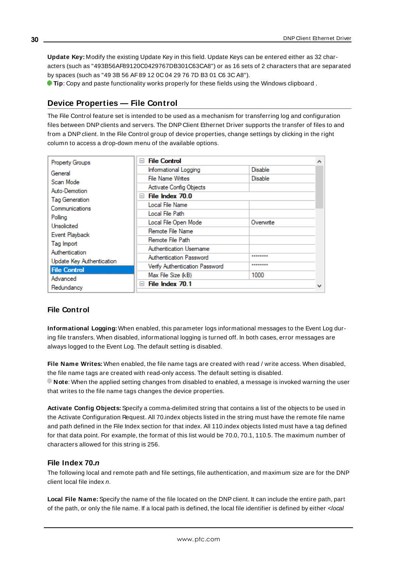**Update Key:** Modify the existing Update Key in this field. Update Keys can be entered either as 32 characters (such as "493B56AF89120C0429767DB301C63CA8") or as 16 sets of 2 characters that are separated by spaces (such as "49 3B 56 AF89 12 0C 04 29 76 7D B3 01 C6 3C A8").

<span id="page-29-0"></span>**Tip**: Copy and paste functionality works properly for these fields using the Windows clipboard .

## **Device Properties — File Control**

The File Control feature set is intended to be used as a mechanism for transferring log and configuration files between DNPclients and servers. The DNP Client Ethernet Driver supports the transfer of files to and from a DNPclient. In the File Control group of device properties, change settings by clicking in the right column to access a drop-down menu of the available options.

| <b>Property Groups</b>    | <b>File Control</b><br>E       |                | ∧            |
|---------------------------|--------------------------------|----------------|--------------|
| General                   | Informational Logging          | <b>Disable</b> |              |
| Scan Mode                 | <b>File Name Writes</b>        | <b>Disable</b> |              |
| Auto-Demotion             | Activate Config Objects        |                |              |
| Tag Generation            | $\Box$ File Index 70.0         |                |              |
| Communications            | Local File Name                |                |              |
| Polling                   | Local File Path                |                |              |
| Unsolicited               | Local File Open Mode           | Overwrite      |              |
| Event Playback            | Remote File Name               |                |              |
| Tag Import                | Remote File Path               |                |              |
| Authentication            | Authentication Usemame         |                |              |
| Update Key Authentication | Authentication Password        | ********       |              |
| <b>File Control</b>       | Verify Authentication Password | ********       |              |
| Advanced                  | Max File Size (kB)             | 1000           |              |
| Redundancy                | File Index 70.1<br>$=$         |                | $\mathbf{v}$ |

## **File Control**

**Informational Logging:** When enabled, this parameter logs informational messages to the Event Log during file transfers. When disabled, informational logging is turned off. In both cases, error messages are always logged to the Event Log. The default setting is disabled.

**File Name Writes:** When enabled, the file name tags are created with read / write access. When disabled, the file name tags are created with read-only access. The default setting is disabled.

**Note**: When the applied setting changes from disabled to enabled, a message is invoked warning the user that writes to the file name tags changes the device properties.

**Activate Config Objects:** Specify a comma-delimited string that contains a list of the objects to be used in the Activate Configuration Request. All 70.index objects listed in the string must have the remote file name and path defined in the File Index section for that index. All 110.index objects listed must have a tag defined for that data point. For example, the format of this list would be 70.0, 70.1, 110.5. The maximum number of characters allowed for this string is 256.

#### **File Index 70.n**

The following local and remote path and file settings, file authentication, and maximum size are for the DNP client local file index n.

**Local File Name:** Specify the name of the file located on the DNP client. It can include the entire path, part of the path, or only the file name. If a local path is defined, the local file identifier is defined by either <local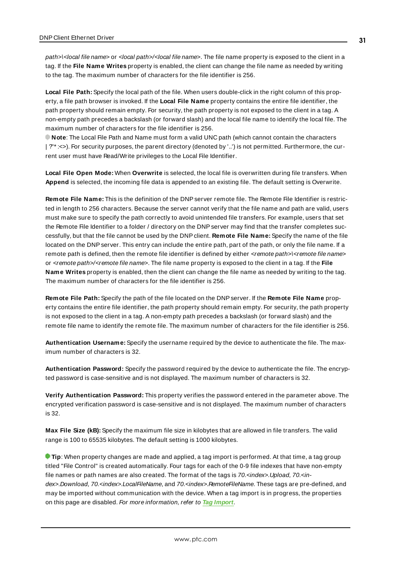path>\<local file name> or <local path>/<local file name>. The file name property is exposed to the client in a tag. If the **File Name Writes** property is enabled, the client can change the file name as needed by writing to the tag. The maximum number of characters for the file identifier is 256.

**Local File Path:** Specify the local path of the file. When users double-click in the right column of this property, a file path browser is invoked. If the **Local File Name** property contains the entire file identifier, the path property should remain empty. For security, the path property is not exposed to the client in a tag. A non-empty path precedes a backslash (or forward slash) and the local file name to identify the local file. The maximum number of characters for the file identifier is 256.

**Note**: The Local File Path and Name must form a valid UNC path (which cannot contain the characters | ?"\* :<>). For security purposes, the parent directory (denoted by '..') is not permitted. Furthermore, the current user must have Read/Write privileges to the Local File Identifier.

**Local File Open Mode:** When **Overwrite** is selected, the local file is overwritten during file transfers. When **Append** is selected, the incoming file data is appended to an existing file. The default setting is Overwrite.

**Remote File Name:** This is the definition of the DNPserver remote file. The Remote File Identifier is restricted in length to 256 characters. Because the server cannot verify that the file name and path are valid, users must make sure to specify the path correctly to avoid unintended file transfers. For example, users that set the Remote File Identifier to a folder / directory on the DNPserver may find that the transfer completes successfully, but that the file cannot be used by the DNPclient. **Remote File Name:** Specify the name of the file located on the DNPserver. This entry can include the entire path, part of the path, or only the file name. If a remote path is defined, then the remote file identifier is defined by either <remote path>\<remote file name> or <remote path>/<remote file name>. The file name property is exposed to the client in a tag. If the **File Name Writes** property is enabled, then the client can change the file name as needed by writing to the tag. The maximum number of characters for the file identifier is 256.

**Remote File Path:** Specify the path of the file located on the DNPserver. If the **Remote File Name** property contains the entire file identifier, the path property should remain empty. For security, the path property is not exposed to the client in a tag. A non-empty path precedes a backslash (or forward slash) and the remote file name to identify the remote file. The maximum number of characters for the file identifier is 256.

**Authentication Username:** Specify the username required by the device to authenticate the file. The maximum number of characters is 32.

**Authentication Password:** Specify the password required by the device to authenticate the file. The encrypted password is case-sensitive and is not displayed. The maximum number of characters is 32.

**Verify Authentication Password:** This property verifies the password entered in the parameter above. The encrypted verification password is case-sensitive and is not displayed. The maximum number of characters is 32.

**Max File Size (kB):** Specify the maximum file size in kilobytes that are allowed in file transfers. The valid range is 100 to 65535 kilobytes. The default setting is 1000 kilobytes.

**Tip**: When property changes are made and applied, a tag import is performed. At that time, a tag group titled "File Control" is created automatically. Four tags for each of the 0-9 file indexes that have non-empty file names or path names are also created. The format of the tags is 70.<index>.Upload, 70.<index>.Download, 70.<index>.LocalFileName, and 70.<index>.RemoteFileName. These tags are pre-defined, and may be imported without communication with the device. When a tag import is in progress, the properties on this page are disabled. For more information, refer to **Tag [Import](#page-26-0)**.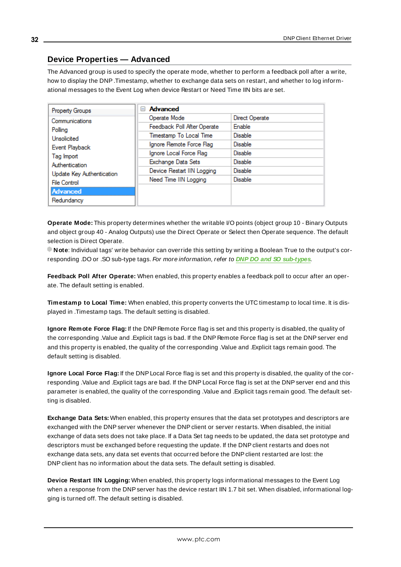## <span id="page-31-0"></span>**Device Properties — Advanced**

The Advanced group is used to specify the operate mode, whether to perform a feedback poll after a write, how to display the DNP.Timestamp, whether to exchange data sets on restart, and whether to log informational messages to the Event Log when device Restart or Need Time IIN bits are set.

| Property Groups           | <b>Advanced</b><br>н        |                |
|---------------------------|-----------------------------|----------------|
| Communications            | Operate Mode                | Direct Operate |
| Polling                   | Feedback Poll After Operate | Enable         |
| Unsolicited               | Timestamp To Local Time     | <b>Disable</b> |
| Event Playback            | Ignore Remote Force Flag    | <b>Disable</b> |
| Tag Import                | Ignore Local Force Flag     | <b>Disable</b> |
| Authentication            | Exchange Data Sets          | <b>Disable</b> |
| Update Key Authentication | Device Restart IIN Logging  | <b>Disable</b> |
| File Control              | Need Time IIN Logging       | <b>Disable</b> |
| Advanced                  |                             |                |
| Redundancy                |                             |                |

**Operate Mode:** This property determines whether the writable I/O points (object group 10 - Binary Outputs and object group 40 - Analog Outputs) use the Direct Operate or Select then Operate sequence. The default selection is Direct Operate.

**Note**: Individual tags' write behavior can override this setting by writing a Boolean True to the output's corresponding .DO or .SO sub-type tags. For more information, refer to **DNP DO and SO [sub-types](#page-35-0)**.

**Feedback Poll After Operate:** When enabled, this property enables a feedback poll to occur after an operate. The default setting is enabled.

**Timestamp to Local Time:** When enabled, this property converts the UTC timestamp to local time. It is displayed in .Timestamp tags. The default setting is disabled.

**Ignore Remote Force Flag:** If the DNP Remote Force flag is set and this property is disabled, the quality of the corresponding .Value and .Explicit tags is bad. If the DNP Remote Force flag is set at the DNPserver end and this property is enabled, the quality of the corresponding .Value and .Explicit tags remain good. The default setting is disabled.

**Ignore Local Force Flag:** If the DNPLocal Force flag is set and this property is disabled, the quality of the corresponding .Value and .Explicit tags are bad. If the DNP Local Force flag is set at the DNPserver end and this parameter is enabled, the quality of the corresponding .Value and .Explicit tags remain good. The default setting is disabled.

**Exchange Data Sets:** When enabled, this property ensures that the data set prototypes and descriptors are exchanged with the DNP server whenever the DNP client or server restarts. When disabled, the initial exchange of data sets does not take place. If a Data Set tag needs to be updated, the data set prototype and descriptors must be exchanged before requesting the update. If the DNPclient restarts and does not exchange data sets, any data set events that occurred before the DNPclient restarted are lost: the DNP client has no information about the data sets. The default setting is disabled.

**Device Restart IIN Logging:** When enabled, this property logs informational messages to the Event Log when a response from the DNP server has the device restart IIN 1.7 bit set. When disabled, informational logging is turned off. The default setting is disabled.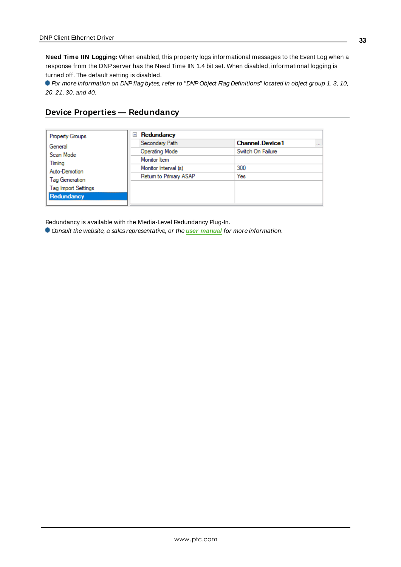**Need Time IIN Logging:** When enabled, this property logs informational messages to the Event Log when a response from the DNPserver has the Need Time IIN 1.4 bit set. When disabled, informational logging is turned off. The default setting is disabled.

For more information on DNP flag bytes, refer to "DNP Object Flag Definitions" located in object group 1, 3, 10, 20, 21, 30, and 40.

## <span id="page-32-0"></span>**Device Properties — Redundancy**

| <b>Property Groups</b>     | Redundancy<br>$=$      |                                    |
|----------------------------|------------------------|------------------------------------|
| General                    | Secondary Path         | <b>Channel Device1</b><br>$\cdots$ |
| Scan Mode                  | Operating Mode         | Switch On Failure                  |
| Timing                     | Monitor Item           |                                    |
| Auto-Demotion              | Monitor Interval (s)   | 300                                |
| Tag Generation             | Return to Primary ASAP | Yes                                |
|                            |                        |                                    |
| <b>Tag Import Settings</b> |                        |                                    |
| Redundancy                 |                        |                                    |

Redundancy is available with the Media-Level Redundancy Plug-In.

Consult the website, a sales representative, or the **user [manual](https://www.kepware.com/getattachment/35461efd-b53a-4219-a109-a89fad20b230/media-level-redundancy-manual.pdf)** for more information.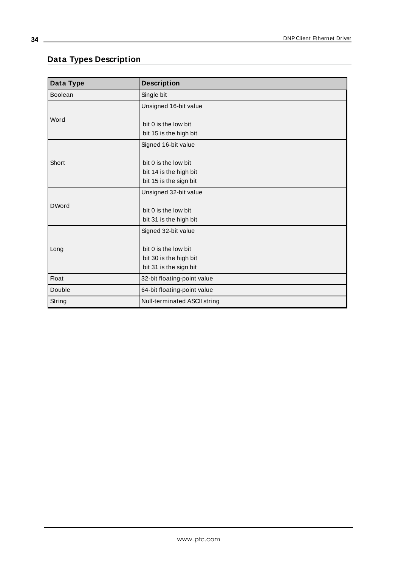## <span id="page-33-0"></span>**Data Types Description**

<u> 1980 - Johann Barn, mars ar breithinn ar chuid ann an t-Alban ann an t-Alban ann an t-Alban ann an t-Alban a</u>

| Data Type    | <b>Description</b>           |
|--------------|------------------------------|
| Boolean      | Single bit                   |
|              | Unsigned 16-bit value        |
| Word         |                              |
|              | bit 0 is the low bit         |
|              | bit 15 is the high bit       |
|              | Signed 16-bit value          |
|              |                              |
| Short        | bit 0 is the low bit         |
|              | bit 14 is the high bit       |
|              | bit 15 is the sign bit       |
|              | Unsigned 32-bit value        |
| <b>DWord</b> |                              |
|              | bit 0 is the low bit         |
|              | bit 31 is the high bit       |
|              | Signed 32-bit value          |
|              |                              |
| Long         | bit 0 is the low bit         |
|              | bit 30 is the high bit       |
|              | bit 31 is the sign bit       |
| <b>Float</b> | 32-bit floating-point value  |
| Double       | 64-bit floating-point value  |
| String       | Null-terminated ASCII string |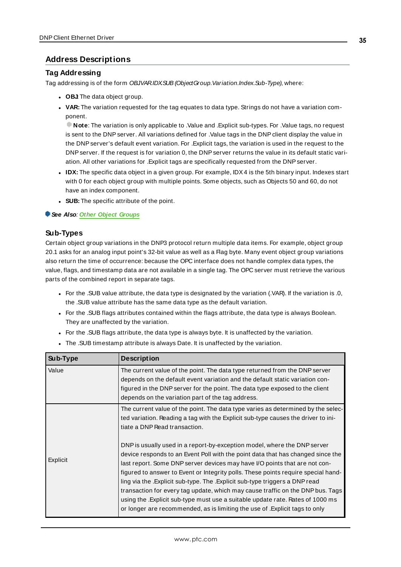## <span id="page-34-0"></span>**Address Descriptions**

#### **Tag Addressing**

Tag addressing is of the form OBJVARIDXSUB (ObjectGroup.Variation.Index.Sub-Type), where:

- **.** OBJ The data object group.
- **· VAR:** The variation requested for the tag equates to data type. Strings do not have a variation component.

**Note**: The variation is only applicable to .Value and .Explicit sub-types. For .Value tags, no request is sent to the DNP server. All variations defined for .Value tags in the DNP client display the value in the DNPserver's default event variation. For .Explicit tags, the variation is used in the request to the DNPserver. If the request is for variation 0, the DNPserver returns the value in its default static variation. All other variations for .Explicit tags are specifically requested from the DNPserver.

- IDX: The specific data object in a given group. For example, IDX4 is the 5th binary input. Indexes start with 0 for each object group with multiple points. Some objects, such as Objects 50 and 60, do not have an index component.
- **SUB:** The specific attribute of the point.

#### **See Also**: **Other Object [Groups](#page-68-0)**

#### **Sub-Types**

Certain object group variations in the DNP3 protocol return multiple data items. For example, object group 20.1 asks for an analog input point's 32-bit value as well as a Flag byte. Many event object group variations also return the time of occurrence: because the OPC interface does not handle complex data types, the value, flags, and timestamp data are not available in a single tag. The OPC server must retrieve the various parts of the combined report in separate tags.

- For the .SUB value attribute, the data type is designated by the variation (.VAR). If the variation is .0, the .SUB value attribute has the same data type as the default variation.
- For the .SUB flags attributes contained within the flags attribute, the data type is always Boolean. They are unaffected by the variation.
- For the .SUB flags attribute, the data type is always byte. It is unaffected by the variation.
- The .SUB timestamp attribute is always Date. It is unaffected by the variation.

| Sub-Type | <b>Description</b>                                                                                                                                                                                                                                                                                                                                                                                                                                                                                                                                                                                                                                                                                                                                                                                                                                                           |
|----------|------------------------------------------------------------------------------------------------------------------------------------------------------------------------------------------------------------------------------------------------------------------------------------------------------------------------------------------------------------------------------------------------------------------------------------------------------------------------------------------------------------------------------------------------------------------------------------------------------------------------------------------------------------------------------------------------------------------------------------------------------------------------------------------------------------------------------------------------------------------------------|
| Value    | The current value of the point. The data type returned from the DNP server<br>depends on the default event variation and the default static variation con-<br>figured in the DNP server for the point. The data type exposed to the client<br>depends on the variation part of the tag address.                                                                                                                                                                                                                                                                                                                                                                                                                                                                                                                                                                              |
| Explicit | The current value of the point. The data type varies as determined by the selec-<br>ted variation. Reading a tag with the Explicit sub-type causes the driver to ini-<br>tiate a DNP Read transaction.<br>DNP is usually used in a report-by-exception model, where the DNP server<br>device responds to an Event Poll with the point data that has changed since the<br>last report. Some DNP server devices may have I/O points that are not con-<br>figured to answer to Event or Integrity polls. These points require special hand-<br>ling via the .Explicit sub-type. The .Explicit sub-type triggers a DNP read<br>transaction for every tag update, which may cause traffic on the DNP bus. Tags<br>using the . Explicit sub-type must use a suitable update rate. Rates of 1000 ms<br>or longer are recommended, as is limiting the use of . Explicit tags to only |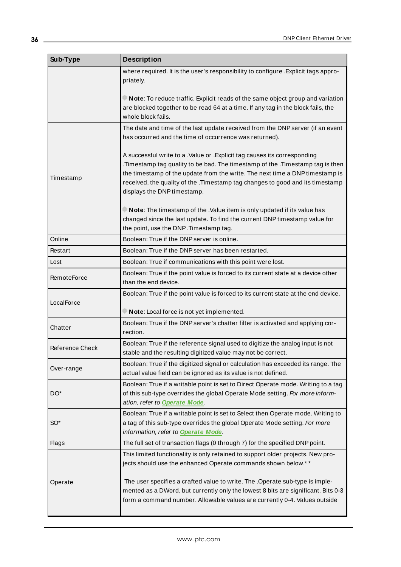<span id="page-35-0"></span>

| Sub-Type               | <b>Description</b>                                                                                                                                                                                                                                                                                                                                        |
|------------------------|-----------------------------------------------------------------------------------------------------------------------------------------------------------------------------------------------------------------------------------------------------------------------------------------------------------------------------------------------------------|
|                        | where required. It is the user's responsibility to configure . Explicit tags appro-<br>priately.                                                                                                                                                                                                                                                          |
|                        | Note: To reduce traffic, Explicit reads of the same object group and variation<br>are blocked together to be read 64 at a time. If any tag in the block fails, the<br>whole block fails.                                                                                                                                                                  |
|                        | The date and time of the last update received from the DNP server (if an event<br>has occurred and the time of occurrence was returned).                                                                                                                                                                                                                  |
| Timestamp              | A successful write to a .Value or .Explicit tag causes its corresponding<br>.Timestamp tag quality to be bad. The timestamp of the .Timestamp tag is then<br>the timestamp of the update from the write. The next time a DNP timestamp is<br>received, the quality of the .Timestamp tag changes to good and its timestamp<br>displays the DNP timestamp. |
|                        | Note: The timestamp of the .Value item is only updated if its value has<br>changed since the last update. To find the current DNP timestamp value for<br>the point, use the DNP. Timestamp tag.                                                                                                                                                           |
| Online                 | Boolean: True if the DNP server is online.                                                                                                                                                                                                                                                                                                                |
| Restart                | Boolean: True if the DNP server has been restarted.                                                                                                                                                                                                                                                                                                       |
| Lost                   | Boolean: True if communications with this point were lost.                                                                                                                                                                                                                                                                                                |
| <b>RemoteForce</b>     | Boolean: True if the point value is forced to its current state at a device other<br>than the end device.                                                                                                                                                                                                                                                 |
| LocalForce             | Boolean: True if the point value is forced to its current state at the end device.<br>Note: Local force is not yet implemented.                                                                                                                                                                                                                           |
| Chatter                | Boolean: True if the DNP server's chatter filter is activated and applying cor-<br>rection.                                                                                                                                                                                                                                                               |
| <b>Reference Check</b> | Boolean: True if the reference signal used to digitize the analog input is not<br>stable and the resulting digitized value may not be correct.                                                                                                                                                                                                            |
| Over-range             | Boolean: True if the digitized signal or calculation has exceeded its range. The<br>actual value field can be ignored as its value is not defined.                                                                                                                                                                                                        |
| DO <sup>*</sup>        | Boolean: True if a writable point is set to Direct Operate mode. Writing to a tag<br>of this sub-type overrides the global Operate Mode setting. For more inform-<br>ation, refer to Operate Mode.                                                                                                                                                        |
| SO <sup>*</sup>        | Boolean: True if a writable point is set to Select then Operate mode. Writing to<br>a tag of this sub-type overrides the global Operate Mode setting. For more<br>information, refer to Operate Mode.                                                                                                                                                     |
| <b>Flags</b>           | The full set of transaction flags (0 through 7) for the specified DNP point.                                                                                                                                                                                                                                                                              |
|                        | This limited functionality is only retained to support older projects. New pro-<br>jects should use the enhanced Operate commands shown below.**                                                                                                                                                                                                          |
| Operate                | The user specifies a crafted value to write. The . Operate sub-type is imple-<br>mented as a DWord, but currently only the lowest 8 bits are significant. Bits 0-3<br>form a command number. Allowable values are currently 0-4. Values outside                                                                                                           |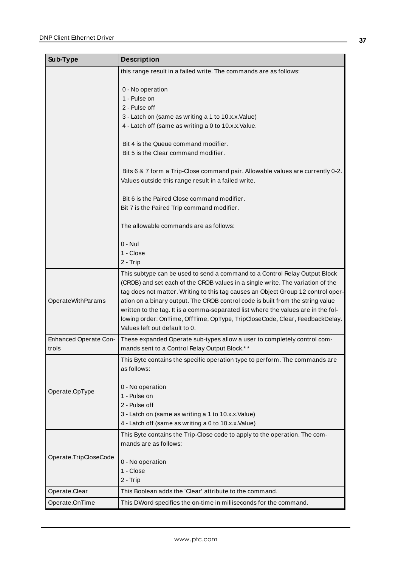| Sub-Type                       | <b>Description</b>                                                                                                                                                                                                                                                                                                                                                                                                                                                                                                                      |  |
|--------------------------------|-----------------------------------------------------------------------------------------------------------------------------------------------------------------------------------------------------------------------------------------------------------------------------------------------------------------------------------------------------------------------------------------------------------------------------------------------------------------------------------------------------------------------------------------|--|
|                                | this range result in a failed write. The commands are as follows:                                                                                                                                                                                                                                                                                                                                                                                                                                                                       |  |
|                                | 0 - No operation<br>1 - Pulse on                                                                                                                                                                                                                                                                                                                                                                                                                                                                                                        |  |
|                                | 2 - Pulse off                                                                                                                                                                                                                                                                                                                                                                                                                                                                                                                           |  |
|                                | 3 - Latch on (same as writing a 1 to 10.x.x.Value)                                                                                                                                                                                                                                                                                                                                                                                                                                                                                      |  |
|                                | 4 - Latch off (same as writing a 0 to 10.x.x. Value.                                                                                                                                                                                                                                                                                                                                                                                                                                                                                    |  |
|                                | Bit 4 is the Queue command modifier.                                                                                                                                                                                                                                                                                                                                                                                                                                                                                                    |  |
|                                | Bit 5 is the Clear command modifier.                                                                                                                                                                                                                                                                                                                                                                                                                                                                                                    |  |
|                                | Bits 6 & 7 form a Trip-Close command pair. Allowable values are currently 0-2.                                                                                                                                                                                                                                                                                                                                                                                                                                                          |  |
|                                | Values outside this range result in a failed write.                                                                                                                                                                                                                                                                                                                                                                                                                                                                                     |  |
|                                | Bit 6 is the Paired Close command modifier.                                                                                                                                                                                                                                                                                                                                                                                                                                                                                             |  |
|                                | Bit 7 is the Paired Trip command modifier.                                                                                                                                                                                                                                                                                                                                                                                                                                                                                              |  |
|                                | The allowable commands are as follows:                                                                                                                                                                                                                                                                                                                                                                                                                                                                                                  |  |
|                                | $0 - Nul$                                                                                                                                                                                                                                                                                                                                                                                                                                                                                                                               |  |
|                                | 1 - Close                                                                                                                                                                                                                                                                                                                                                                                                                                                                                                                               |  |
|                                | 2 - Trip                                                                                                                                                                                                                                                                                                                                                                                                                                                                                                                                |  |
| OperateWithParams              | This subtype can be used to send a command to a Control Relay Output Block<br>(CROB) and set each of the CROB values in a single write. The variation of the<br>tag does not matter. Writing to this tag causes an Object Group 12 control oper-<br>ation on a binary output. The CROB control code is built from the string value<br>written to the tag. It is a comma-separated list where the values are in the fol-<br>lowing order: OnTime, OffTime, OpType, TripCloseCode, Clear, FeedbackDelay.<br>Values left out default to 0. |  |
| Enhanced Operate Con-<br>trols | These expanded Operate sub-types allow a user to completely control com-<br>mands sent to a Control Relay Output Block.**                                                                                                                                                                                                                                                                                                                                                                                                               |  |
|                                | This Byte contains the specific operation type to perform. The commands are<br>as follows:                                                                                                                                                                                                                                                                                                                                                                                                                                              |  |
| Operate.OpType                 | 0 - No operation<br>1 - Pulse on<br>2 - Pulse off<br>3 - Latch on (same as writing a 1 to 10.x.x.Value)<br>4 - Latch off (same as writing a 0 to 10.x.x.Value)                                                                                                                                                                                                                                                                                                                                                                          |  |
|                                | This Byte contains the Trip-Close code to apply to the operation. The com-<br>mands are as follows:                                                                                                                                                                                                                                                                                                                                                                                                                                     |  |
| Operate.TripCloseCode          | 0 - No operation                                                                                                                                                                                                                                                                                                                                                                                                                                                                                                                        |  |
|                                | 1 - Close                                                                                                                                                                                                                                                                                                                                                                                                                                                                                                                               |  |
|                                | 2 - Trip                                                                                                                                                                                                                                                                                                                                                                                                                                                                                                                                |  |
| Operate.Clear                  | This Boolean adds the 'Clear' attribute to the command.                                                                                                                                                                                                                                                                                                                                                                                                                                                                                 |  |
| Operate.OnTime                 | This DWord specifies the on-time in milliseconds for the command.                                                                                                                                                                                                                                                                                                                                                                                                                                                                       |  |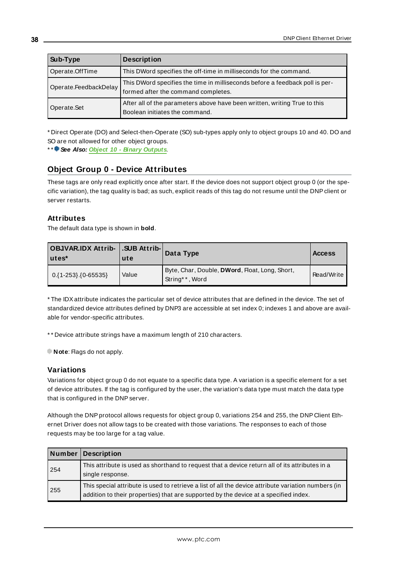| Sub-Type              | <b>Description</b>                                                                                                  |  |
|-----------------------|---------------------------------------------------------------------------------------------------------------------|--|
| Operate.OffTime       | This DWord specifies the off-time in milliseconds for the command.                                                  |  |
| Operate.FeedbackDelay | This DWord specifies the time in milliseconds before a feedback poll is per-<br>formed after the command completes. |  |
| Operate.Set           | After all of the parameters above have been written, writing True to this<br>Boolean initiates the command.         |  |

\* Direct Operate (DO) and Select-then-Operate (SO) sub-types apply only to object groups 10 and 40. DO and SO are not allowed for other object groups.

\* \* **See Also: Object 10 - Binary [Outputs](#page-43-0)**.

# **Object Group 0 - Device Attributes**

These tags are only read explicitly once after start. If the device does not support object group 0 (or the specific variation), the tag quality is bad; as such, explicit reads of this tag do not resume until the DNPclient or server restarts.

### **Attributes**

The default data type is shown in **bold**.

| OBJVAR.IDX Attrib-   .SUB Attrib- <br>l utes* | ute   | Data Type                                                        | <b>Access</b> |
|-----------------------------------------------|-------|------------------------------------------------------------------|---------------|
| $0.\{1-253\}.\{0-65535\}$                     | Value | Byte, Char, Double, DWord, Float, Long, Short,<br>String**, Word | Read/Write    |

\* The IDXattribute indicates the particular set of device attributes that are defined in the device. The set of standardized device attributes defined by DNP3 are accessible at set index 0; indexes 1 and above are available for vendor-specific attributes.

\* \* Device attribute strings have a maximum length of 210 characters.

**Note:** Flags do not apply.

### **Variations**

Variations for object group 0 do not equate to a specific data type. A variation is a specific element for a set of device attributes. If the tag is configured by the user, the variation's data type must match the data type that is configured in the DNPserver.

Although the DNPprotocol allows requests for object group 0, variations 254 and 255, the DNP Client Ethernet Driver does not allow tags to be created with those variations. The responses to each of those requests may be too large for a tag value.

|     | Number Description                                                                                                                                                                          |
|-----|---------------------------------------------------------------------------------------------------------------------------------------------------------------------------------------------|
| 254 | This attribute is used as shorthand to request that a device return all of its attributes in a<br>single response.                                                                          |
| 255 | This special attribute is used to retrieve a list of all the device attribute variation numbers (in<br>addition to their properties) that are supported by the device at a specified index. |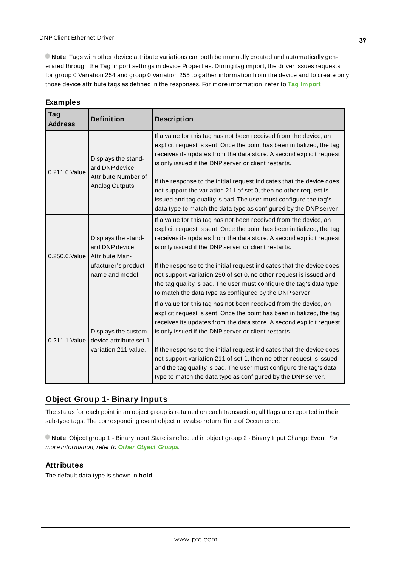**Note**: Tags with other device attribute variations can both be manually created and automatically generated through the Tag Import settings in device Properties. During tag import, the driver issues requests for group 0 Variation 254 and group 0 Variation 255 to gather information from the device and to create only those device attribute tags as defined in the responses. For more information, refer to **Tag [Import](#page-26-0)**.

| Examples |  |  |  |  |  |
|----------|--|--|--|--|--|
|----------|--|--|--|--|--|

| <b>Tag</b><br><b>Address</b>                                                            | <b>Definition</b>                                                                                 | <b>Description</b>                                                                                                                                                                                                                                                                                                                                                                                                                                                                                                                                               |
|-----------------------------------------------------------------------------------------|---------------------------------------------------------------------------------------------------|------------------------------------------------------------------------------------------------------------------------------------------------------------------------------------------------------------------------------------------------------------------------------------------------------------------------------------------------------------------------------------------------------------------------------------------------------------------------------------------------------------------------------------------------------------------|
| 0.211.0. Value                                                                          | Displays the stand-<br>ard DNP device<br>Attribute Number of<br>Analog Outputs.                   | If a value for this tag has not been received from the device, an<br>explicit request is sent. Once the point has been initialized, the tag<br>receives its updates from the data store. A second explicit request<br>is only issued if the DNP server or client restarts.<br>If the response to the initial request indicates that the device does<br>not support the variation 211 of set 0, then no other request is<br>issued and tag quality is bad. The user must configure the tag's<br>data type to match the data type as configured by the DNP server. |
| 0.250.0. Value                                                                          | Displays the stand-<br>ard DNP device<br>Attribute Man-<br>ufacturer's product<br>name and model. | If a value for this tag has not been received from the device, an<br>explicit request is sent. Once the point has been initialized, the tag<br>receives its updates from the data store. A second explicit request<br>is only issued if the DNP server or client restarts.<br>If the response to the initial request indicates that the device does<br>not support variation 250 of set 0, no other request is issued and<br>the tag quality is bad. The user must configure the tag's data type<br>to match the data type as configured by the DNP server.      |
| Displays the custom<br>device attribute set 1<br>0.211.1. Value<br>variation 211 value. |                                                                                                   | If a value for this tag has not been received from the device, an<br>explicit request is sent. Once the point has been initialized, the tag<br>receives its updates from the data store. A second explicit request<br>is only issued if the DNP server or client restarts.<br>If the response to the initial request indicates that the device does<br>not support variation 211 of set 1, then no other request is issued<br>and the tag quality is bad. The user must configure the tag's data<br>type to match the data type as configured by the DNP server. |

# **Object Group 1- Binary Inputs**

The status for each point in an object group is retained on each transaction; all flags are reported in their sub-type tags. The corresponding event object may also return Time of Occurrence.

**Note**: Object group 1 - Binary Input State is reflected in object group 2 - Binary Input Change Event. For more information, refer to **Other Object [Groups](#page-68-0)**.

# **Attributes**

The default data type is shown in **bold**.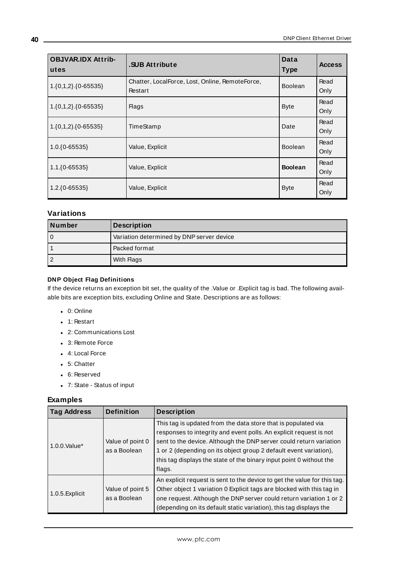| <b>OBJVAR.IDX Attrib-</b><br>utes | .SUB Attribute                                             | Data<br><b>Type</b> | <b>Access</b> |
|-----------------------------------|------------------------------------------------------------|---------------------|---------------|
| $1.\{0,1,2\}.\{0-65535\}$         | Chatter, LocalForce, Lost, Online, RemoteForce,<br>Restart | <b>Boolean</b>      | Read<br>Only  |
| $1.\{0,1,2\}.\{0-65535\}$         | <b>Flags</b>                                               | <b>Byte</b>         | Read<br>Only  |
| $1.\{0,1,2\}.\{0-65535\}$         | TimeStamp                                                  | Date                | Read<br>Only  |
| $1.0.\{0 - 65535\}$               | Value, Explicit                                            | <b>Boolean</b>      | Read<br>Only  |
| $1.1.\{0 - 65535\}$               | Value, Explicit                                            | <b>Boolean</b>      | Read<br>Only  |
| $1.2.\{0 - 65535\}$               | Value, Explicit                                            | <b>Byte</b>         | Read<br>Only  |

# **Variations**

| Number | <b>Description</b>                        |  |
|--------|-------------------------------------------|--|
| 0      | Variation determined by DNP server device |  |
|        | Packed format                             |  |
| 2      | With Flags                                |  |

### **DNP Object Flag Definitions**

If the device returns an exception bit set, the quality of the .Value or .Explicit tag is bad. The following available bits are exception bits, excluding Online and State. Descriptions are as follows:

- $\bullet$  0: Online
- $\bullet$  1: Restart
- 2: Communications Lost
- 3: Remote Force
- 4: Local Force
- $-5:$  Chatter
- 6: Reserved
- <sup>l</sup> 7: State Status of input

| <b>Tag Address</b>                                  | <b>Definition</b>                | <b>Description</b>                                                                                                                                                                                                                                                                                                                                              |
|-----------------------------------------------------|----------------------------------|-----------------------------------------------------------------------------------------------------------------------------------------------------------------------------------------------------------------------------------------------------------------------------------------------------------------------------------------------------------------|
| $1.0.0$ . Value $*$                                 | Value of point 0<br>as a Boolean | This tag is updated from the data store that is populated via<br>responses to integrity and event polls. An explicit request is not<br>sent to the device. Although the DNP server could return variation<br>1 or 2 (depending on its object group 2 default event variation),<br>this tag displays the state of the binary input point 0 without the<br>flags. |
| Value of point 5<br>1.0.5. Explicit<br>as a Boolean |                                  | An explicit request is sent to the device to get the value for this tag.<br>Other object 1 variation 0 Explicit tags are blocked with this tag in<br>one request. Although the DNP server could return variation 1 or 2<br>(depending on its default static variation), this tag displays the                                                                   |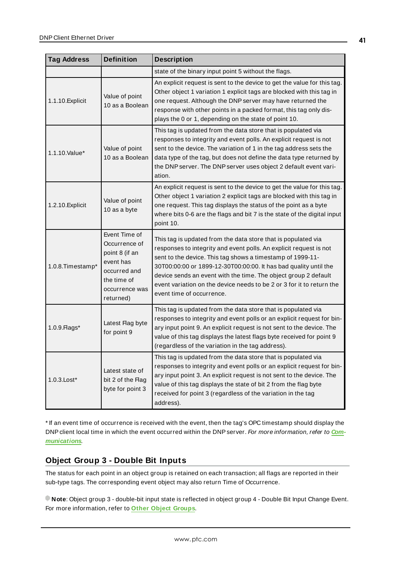| <b>Definition</b><br><b>Tag Address</b> |                                                                                                                             | <b>Description</b>                                                                                                                                                                                                                                                                                                                                                                                                                             |  |
|-----------------------------------------|-----------------------------------------------------------------------------------------------------------------------------|------------------------------------------------------------------------------------------------------------------------------------------------------------------------------------------------------------------------------------------------------------------------------------------------------------------------------------------------------------------------------------------------------------------------------------------------|--|
|                                         |                                                                                                                             | state of the binary input point 5 without the flags.                                                                                                                                                                                                                                                                                                                                                                                           |  |
| 1.1.10. Explicit                        | Value of point<br>10 as a Boolean                                                                                           | An explicit request is sent to the device to get the value for this tag.<br>Other object 1 variation 1 explicit tags are blocked with this tag in<br>one request. Although the DNP server may have returned the<br>response with other points in a packed format, this tag only dis-<br>plays the 0 or 1, depending on the state of point 10.                                                                                                  |  |
| 1.1.10. Value*                          | Value of point<br>10 as a Boolean                                                                                           | This tag is updated from the data store that is populated via<br>responses to integrity and event polls. An explicit request is not<br>sent to the device. The variation of 1 in the tag address sets the<br>data type of the tag, but does not define the data type returned by<br>the DNP server. The DNP server uses object 2 default event vari-<br>ation.                                                                                 |  |
| 1.2.10. Explicit                        | Value of point<br>10 as a byte                                                                                              | An explicit request is sent to the device to get the value for this tag.<br>Other object 1 variation 2 explicit tags are blocked with this tag in<br>one request. This tag displays the status of the point as a byte<br>where bits 0-6 are the flags and bit 7 is the state of the digital input<br>point 10.                                                                                                                                 |  |
| 1.0.8. Timestamp*                       | Event Time of<br>Occurrence of<br>point 8 (if an<br>event has<br>occurred and<br>the time of<br>occurrence was<br>returned) | This tag is updated from the data store that is populated via<br>responses to integrity and event polls. An explicit request is not<br>sent to the device. This tag shows a timestamp of 1999-11-<br>30T00:00:00 or 1899-12-30T00:00:00. It has bad quality until the<br>device sends an event with the time. The object group 2 default<br>event variation on the device needs to be 2 or 3 for it to return the<br>event time of occurrence. |  |
| 1.0.9. Flags*                           | Latest Flag byte<br>for point 9                                                                                             | This tag is updated from the data store that is populated via<br>responses to integrity and event polls or an explicit request for bin-<br>ary input point 9. An explicit request is not sent to the device. The<br>value of this tag displays the latest flags byte received for point 9<br>(regardless of the variation in the tag address).                                                                                                 |  |
| 1.0.3. Lost*                            | Latest state of<br>bit 2 of the Flag<br>byte for point 3                                                                    | This tag is updated from the data store that is populated via<br>responses to integrity and event polls or an explicit request for bin-<br>ary input point 3. An explicit request is not sent to the device. The<br>value of this tag displays the state of bit 2 from the flag byte<br>received for point 3 (regardless of the variation in the tag<br>address).                                                                              |  |

\* If an event time of occurrence is received with the event, then the tag's OPC timestamp should display the DNPclient local time in which the event occurred within the DNPserver. For more information, refer to **[Com](#page-22-0)[munications](#page-22-0)**.

# **Object Group 3 - Double Bit Inputs**

The status for each point in an object group is retained on each transaction; all flags are reported in their sub-type tags. The corresponding event object may also return Time of Occurrence.

**Note**: Object group 3 - double-bit input state is reflected in object group 4 - Double Bit Input Change Event. For more information, refer to **Other Object [Groups](#page-68-0)**.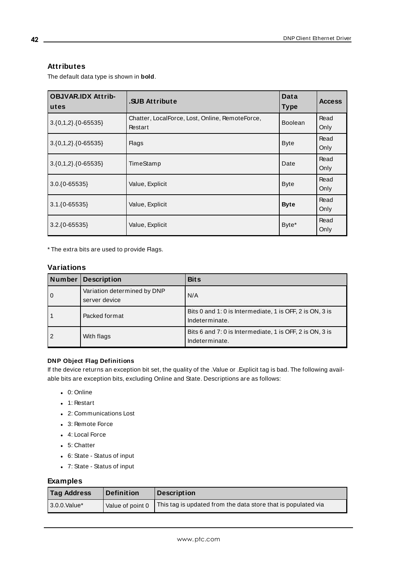### **Attributes**

The default data type is shown in **bold**.

| <b>OBJVAR.IDX Attrib-</b><br>utes | .SUB Attribute                                             | Data<br><b>Type</b> | <b>Access</b> |
|-----------------------------------|------------------------------------------------------------|---------------------|---------------|
| $3.\{0,1,2\}.\{0-65535\}$         | Chatter, LocalForce, Lost, Online, RemoteForce,<br>Restart | <b>Boolean</b>      | Read<br>Only  |
| $3.\{0,1,2\}.\{0-65535\}$         | <b>Flags</b>                                               | <b>Byte</b>         | Read<br>Only  |
| $3.\{0,1,2\}.\{0-65535\}$         | TimeStamp                                                  | Date                | Read<br>Only  |
| $3.0.\{0 - 65535\}$               | Value, Explicit                                            | <b>Byte</b>         | Read<br>Only  |
| $3.1.\{0 - 65535\}$               | Value, Explicit                                            | <b>Byte</b>         | Read<br>Only  |
| $3.2.\{0-65535\}$                 | Value, Explicit                                            | Byte*               | Read<br>Only  |

\* The extra bits are used to provide Flags.

### **Variations**

| Number      | Description                                  | <b>Bits</b>                                                                |
|-------------|----------------------------------------------|----------------------------------------------------------------------------|
| $\mathbf 0$ | Variation determined by DNP<br>server device | N/A                                                                        |
|             | Packed format                                | Bits 0 and 1: 0 is Intermediate, 1 is OFF, 2 is ON, 3 is<br>Indeterminate. |
|             | With flags                                   | Bits 6 and 7: 0 is Intermediate, 1 is OFF, 2 is ON, 3 is<br>Indeterminate. |

### **DNP Object Flag Definitions**

If the device returns an exception bit set, the quality of the .Value or .Explicit tag is bad. The following available bits are exception bits, excluding Online and State. Descriptions are as follows:

- $\bullet$  0: Online
- $\bullet$  1: Restart
- 2: Communications Lost
- 3: Remote Force
- 4: Local Force
- $-5:$  Chatter
- <sup>l</sup> 6: State Status of input
- <sup>l</sup> 7: State Status of input

| <b>Tag Address</b> | <b>Definition</b> | Description                                                   |
|--------------------|-------------------|---------------------------------------------------------------|
| 3.0.0. Value*      | Value of point 0  | This tag is updated from the data store that is populated via |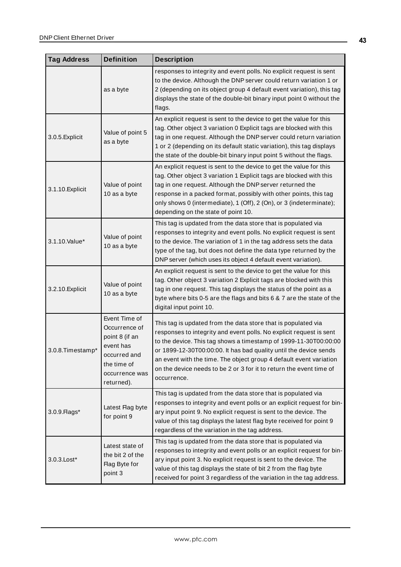| <b>Tag Address</b> | <b>Definition</b>                                                                                                                                                                                                                                                                                                                                                                                                                                                                                                                                                         | <b>Description</b>                                                                                                                                                                                                                                                                                                                                                                        |  |
|--------------------|---------------------------------------------------------------------------------------------------------------------------------------------------------------------------------------------------------------------------------------------------------------------------------------------------------------------------------------------------------------------------------------------------------------------------------------------------------------------------------------------------------------------------------------------------------------------------|-------------------------------------------------------------------------------------------------------------------------------------------------------------------------------------------------------------------------------------------------------------------------------------------------------------------------------------------------------------------------------------------|--|
|                    | as a byte                                                                                                                                                                                                                                                                                                                                                                                                                                                                                                                                                                 | responses to integrity and event polls. No explicit request is sent<br>to the device. Although the DNP server could return variation 1 or<br>2 (depending on its object group 4 default event variation), this tag<br>displays the state of the double-bit binary input point 0 without the<br>flags.                                                                                     |  |
| 3.0.5. Explicit    | Value of point 5<br>as a byte                                                                                                                                                                                                                                                                                                                                                                                                                                                                                                                                             | An explicit request is sent to the device to get the value for this<br>tag. Other object 3 variation 0 Explicit tags are blocked with this<br>tag in one request. Although the DNP server could return variation<br>1 or 2 (depending on its default static variation), this tag displays<br>the state of the double-bit binary input point 5 without the flags.                          |  |
| 3.1.10. Explicit   | Value of point<br>10 as a byte                                                                                                                                                                                                                                                                                                                                                                                                                                                                                                                                            | An explicit request is sent to the device to get the value for this<br>tag. Other object 3 variation 1 Explicit tags are blocked with this<br>tag in one request. Although the DNP server returned the<br>response in a packed format, possibly with other points, this tag<br>only shows 0 (intermediate), 1 (Off), 2 (On), or 3 (indeterminate);<br>depending on the state of point 10. |  |
| 3.1.10.Value*      | Value of point<br>10 as a byte                                                                                                                                                                                                                                                                                                                                                                                                                                                                                                                                            | This tag is updated from the data store that is populated via<br>responses to integrity and event polls. No explicit request is sent<br>to the device. The variation of 1 in the tag address sets the data<br>type of the tag, but does not define the data type returned by the<br>DNP server (which uses its object 4 default event variation).                                         |  |
| 3.2.10. Explicit   | Value of point<br>10 as a byte                                                                                                                                                                                                                                                                                                                                                                                                                                                                                                                                            | An explicit request is sent to the device to get the value for this<br>tag. Other object 3 variation 2 Explicit tags are blocked with this<br>tag in one request. This tag displays the status of the point as a<br>byte where bits 0-5 are the flags and bits 6 & 7 are the state of the<br>digital input point 10.                                                                      |  |
| 3.0.8. Timestamp*  | Event Time of<br>This tag is updated from the data store that is populated via<br>Occurrence of<br>responses to integrity and event polls. No explicit request is sent<br>point 8 (if an<br>to the device. This tag shows a timestamp of 1999-11-30T00:00:00<br>event has<br>or 1899-12-30T00:00:00. It has bad quality until the device sends<br>occurred and<br>an event with the time. The object group 4 default event variation<br>the time of<br>on the device needs to be 2 or 3 for it to return the event time of<br>occurrence was<br>occurrence.<br>returned). |                                                                                                                                                                                                                                                                                                                                                                                           |  |
| 3.0.9. Flags*      | Latest Flag byte<br>for point 9                                                                                                                                                                                                                                                                                                                                                                                                                                                                                                                                           | This tag is updated from the data store that is populated via<br>responses to integrity and event polls or an explicit request for bin-<br>ary input point 9. No explicit request is sent to the device. The<br>value of this tag displays the latest flag byte received for point 9<br>regardless of the variation in the tag address.                                                   |  |
| 3.0.3. Lost*       | Latest state of<br>the bit 2 of the<br>Flag Byte for<br>point 3                                                                                                                                                                                                                                                                                                                                                                                                                                                                                                           | This tag is updated from the data store that is populated via<br>responses to integrity and event polls or an explicit request for bin-<br>ary input point 3. No explicit request is sent to the device. The<br>value of this tag displays the state of bit 2 from the flag byte<br>received for point 3 regardless of the variation in the tag address.                                  |  |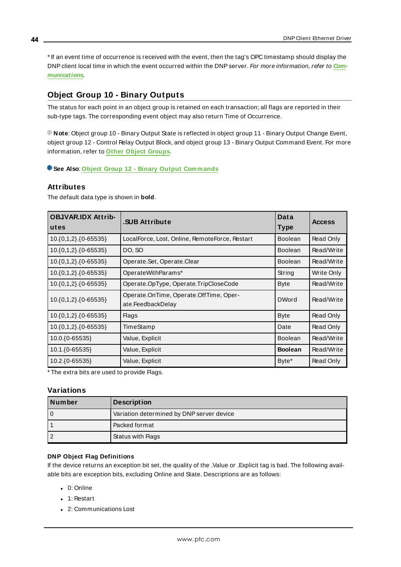\* If an event time of occurrence is received with the event, then the tag's OPC timestamp should display the DNPclient local time in which the event occurred within the DNP server. For more information, refer to **[Com](#page-22-0)[munications](#page-22-0)**.

# <span id="page-43-0"></span>**Object Group 10 - Binary Outputs**

The status for each point in an object group is retained on each transaction; all flags are reported in their sub-type tags. The corresponding event object may also return Time of Occurrence.

**Note**: Object group 10 - Binary Output State is reflected in object group 11 - Binary Output Change Event, object group 12 - Control Relay Output Block, and object group 13 - Binary Output Command Event. For more information, refer to **Other Object [Groups](#page-68-0)**.

**See Also**: **Object Group 12 - Binary Output [Commands](#page-45-0)**

### **Attributes**

The default data type is shown in **bold**.

| <b>OBJVAR.IDX Attrib-</b><br>utes | <b>SUB Attribute</b>                                        | Data<br><b>Type</b> | <b>Access</b> |
|-----------------------------------|-------------------------------------------------------------|---------------------|---------------|
| $10.\{0,1,2\}.\{0-65535\}$        | LocalForce, Lost, Online, RemoteForce, Restart              | <b>Boolean</b>      | Read Only     |
| 10.{0,1,2}.{0-65535}              | DO, SO                                                      | <b>Boolean</b>      | Read/Write    |
| 10.{0,1,2}.{0-65535}              | Operate.Set, Operate.Clear                                  | <b>Boolean</b>      | Read/Write    |
| $10.\{0,1,2\}.\{0-65535\}$        | OperateWithParams*                                          | String              | Write Only    |
| 10.{0,1,2}.{0-65535}              | Operate.OpType, Operate.TripCloseCode                       | <b>Byte</b>         | Read/Write    |
| 10.{0,1,2}.{0-65535}              | Operate.OnTime, Operate.OffTime, Oper-<br>ate.FeedbackDelay | <b>DWord</b>        | Read/Write    |
| 10.{0,1,2}.{0-65535}              | <b>Flags</b>                                                | <b>Byte</b>         | Read Only     |
| 10.{0,1,2}.{0-65535}              | TimeStamp                                                   | Date                | Read Only     |
| 10.0.{0-65535}                    | Value, Explicit                                             | <b>Boolean</b>      | Read/Write    |
| 10.1.{0-65535}                    | Value, Explicit                                             | <b>Boolean</b>      | Read/Write    |
| 10.2. { 0-65535}                  | Value, Explicit                                             | Byte*               | Read Only     |

\* The extra bits are used to provide Flags.

# **Variations**

| l Number | <b>Description</b>                        |  |
|----------|-------------------------------------------|--|
|          | Variation determined by DNP server device |  |
|          | l Packed format                           |  |
|          | Status with Flags                         |  |

#### **DNP Object Flag Definitions**

If the device returns an exception bit set, the quality of the .Value or .Explicit tag is bad. The following available bits are exception bits, excluding Online and State. Descriptions are as follows:

- $\bullet$  0: Online
- $\bullet$  1: Restart
- 2: Communications Lost

**44**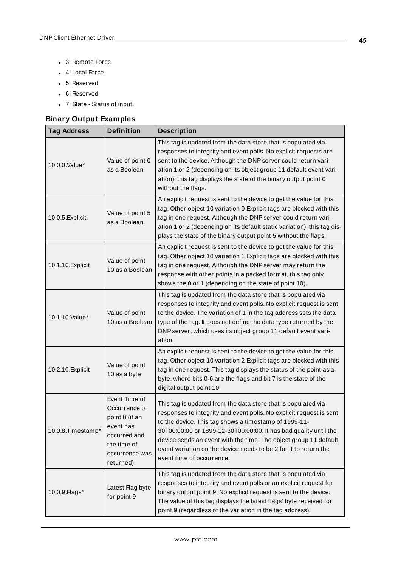- 3: Remote Force
- 4: Local Force
- 5: Reserved
- 6: Reserved
- <sup>l</sup> 7: State Status of input.

# **Binary Output Examples**

| <b>Tag Address</b> | <b>Definition</b>                                                                                                           | <b>Description</b>                                                                                                                                                                                                                                                                                                                                                                                                                     |  |
|--------------------|-----------------------------------------------------------------------------------------------------------------------------|----------------------------------------------------------------------------------------------------------------------------------------------------------------------------------------------------------------------------------------------------------------------------------------------------------------------------------------------------------------------------------------------------------------------------------------|--|
| 10.0.0. Value*     | Value of point 0<br>as a Boolean                                                                                            | This tag is updated from the data store that is populated via<br>responses to integrity and event polls. No explicit requests are<br>sent to the device. Although the DNP server could return vari-<br>ation 1 or 2 (depending on its object group 11 default event vari-<br>ation), this tag displays the state of the binary output point 0<br>without the flags.                                                                    |  |
| 10.0.5. Explicit   | Value of point 5<br>as a Boolean                                                                                            | An explicit request is sent to the device to get the value for this<br>tag. Other object 10 variation 0 Explicit tags are blocked with this<br>tag in one request. Although the DNP server could return vari-<br>ation 1 or 2 (depending on its default static variation), this tag dis-<br>plays the state of the binary output point 5 without the flags.                                                                            |  |
| 10.1.10. Explicit  | Value of point<br>10 as a Boolean                                                                                           | An explicit request is sent to the device to get the value for this<br>tag. Other object 10 variation 1 Explicit tags are blocked with this<br>tag in one request. Although the DNP server may return the<br>response with other points in a packed format, this tag only<br>shows the 0 or 1 (depending on the state of point 10).                                                                                                    |  |
| 10.1.10. Value*    | Value of point<br>10 as a Boolean                                                                                           | This tag is updated from the data store that is populated via<br>responses to integrity and event polls. No explicit request is sent<br>to the device. The variation of 1 in the tag address sets the data<br>type of the tag. It does not define the data type returned by the<br>DNP server, which uses its object group 11 default event vari-<br>ation.                                                                            |  |
| 10.2.10. Explicit  | Value of point<br>10 as a byte                                                                                              | An explicit request is sent to the device to get the value for this<br>tag. Other object 10 variation 2 Explicit tags are blocked with this<br>tag in one request. This tag displays the status of the point as a<br>byte, where bits 0-6 are the flags and bit 7 is the state of the<br>digital output point 10.                                                                                                                      |  |
| 10.0.8. Timestamp* | Event Time of<br>Occurrence of<br>point 8 (if an<br>event has<br>occurred and<br>the time of<br>occurrence was<br>returned) | This tag is updated from the data store that is populated via<br>responses to integrity and event polls. No explicit request is sent<br>to the device. This tag shows a timestamp of 1999-11-<br>30T00:00:00 or 1899-12-30T00:00:00. It has bad quality until the<br>device sends an event with the time. The object group 11 default<br>event variation on the device needs to be 2 for it to return the<br>event time of occurrence. |  |
| 10.0.9. Flags*     | Latest Flag byte<br>for point 9                                                                                             | This tag is updated from the data store that is populated via<br>responses to integrity and event polls or an explicit request for<br>binary output point 9. No explicit request is sent to the device.<br>The value of this tag displays the latest flags' byte received for<br>point 9 (regardless of the variation in the tag address).                                                                                             |  |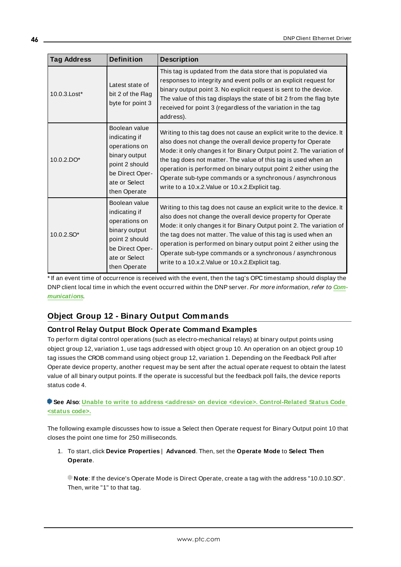| <b>Tag Address</b> | <b>Definition</b>                                                                                                                      | <b>Description</b>                                                                                                                                                                                                                                                                                                                                                                                                                                                     |
|--------------------|----------------------------------------------------------------------------------------------------------------------------------------|------------------------------------------------------------------------------------------------------------------------------------------------------------------------------------------------------------------------------------------------------------------------------------------------------------------------------------------------------------------------------------------------------------------------------------------------------------------------|
| 10.0.3. Lost*      | Latest state of<br>bit 2 of the Flag<br>byte for point 3                                                                               | This tag is updated from the data store that is populated via<br>responses to integrity and event polls or an explicit request for<br>binary output point 3. No explicit request is sent to the device.<br>The value of this tag displays the state of bit 2 from the flag byte<br>received for point 3 (regardless of the variation in the tag<br>address).                                                                                                           |
| $10.0.2$ .DO*      | Boolean value<br>indicating if<br>operations on<br>binary output<br>point 2 should<br>be Direct Oper-<br>ate or Select<br>then Operate | Writing to this tag does not cause an explicit write to the device. It<br>also does not change the overall device property for Operate<br>Mode: it only changes it for Binary Output point 2. The variation of<br>the tag does not matter. The value of this tag is used when an<br>operation is performed on binary output point 2 either using the<br>Operate sub-type commands or a synchronous / asynchronous<br>write to a 10.x.2. Value or 10.x.2. Explicit tag. |
| $10.0.2$ .SO*      | Boolean value<br>indicating if<br>operations on<br>binary output<br>point 2 should<br>be Direct Oper-<br>ate or Select<br>then Operate | Writing to this tag does not cause an explicit write to the device. It<br>also does not change the overall device property for Operate<br>Mode: it only changes it for Binary Output point 2. The variation of<br>the tag does not matter. The value of this tag is used when an<br>operation is performed on binary output point 2 either using the<br>Operate sub-type commands or a synchronous / asynchronous<br>write to a 10.x.2. Value or 10.x.2. Explicit tag. |

\* If an event time of occurrence is received with the event, then the tag's OPC timestamp should display the DNPclient local time in which the event occurred within the DNPserver. For more information, refer to **[Com](#page-22-0)[munications](#page-22-0)**.

# <span id="page-45-0"></span>**Object Group 12 - Binary Output Commands**

# **Control Relay Output Block Operate Command Examples**

To perform digital control operations (such as electro-mechanical relays) at binary output points using object group 12, variation 1, use tags addressed with object group 10. An operation on an object group 10 tag issues the CROB command using object group 12, variation 1. Depending on the Feedback Poll after Operate device property, another request may be sent after the actual operate request to obtain the latest value of all binary output points. If the operate is successful but the feedback poll fails, the device reports status code 4.

### **See Also**: **Unable to write to address <address> on device <device>. [Control-Related](#page-122-0) Status Code [<status](#page-122-0) code>.**

The following example discusses how to issue a Select then Operate request for Binary Output point 10 that closes the point one time for 250 milliseconds.

1. To start, click **Device Properties** | **Advanced**. Then, set the **Operate Mode** to **Select Then Operate**.

**Note**: If the device's Operate Mode is Direct Operate, create a tag with the address "10.0.10.SO". Then, write "1" to that tag.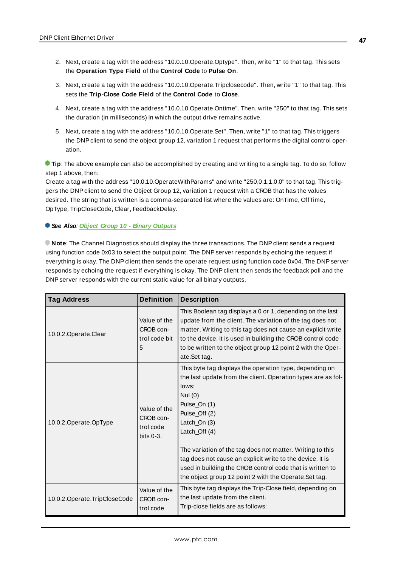- 2. Next, create a tag with the address "10.0.10.Operate.Optype". Then, write "1" to that tag. This sets the **Operation Type Field** of the **Control Code** to **Pulse On**.
- 3. Next, create a tag with the address "10.0.10.Operate.Tripclosecode". Then, write "1" to that tag. This sets the **Trip-Close Code Field** of the **Control Code** to **Close**.
- 4. Next, create a tag with the address "10.0.10.Operate.Ontime". Then, write "250" to that tag. This sets the duration (in milliseconds) in which the output drive remains active.
- 5. Next, create a tag with the address "10.0.10.Operate.Set". Then, write "1" to that tag. This triggers the DNP client to send the object group 12, variation 1 request that performs the digital control operation.

**Tip**: The above example can also be accomplished by creating and writing to a single tag. To do so, follow step 1 above, then:

Create a tag with the address "10.0.10.OperateWithParams" and write "250,0,1,1,0,0" to that tag. This triggers the DNP client to send the Object Group 12, variation 1 request with a CROB that has the values desired. The string that is written is a comma-separated list where the values are: OnTime, OffTime, OpType, TripCloseCode, Clear, FeedbackDelay.

#### **See Also**: **Object Group 10 - Binary [Outputs](#page-43-0)**

**Note**: The Channel Diagnostics should display the three transactions. The DNPclient sends a request using function code 0x03 to select the output point. The DNP server responds by echoing the request if everything is okay. The DNP client then sends the operate request using function code 0x04. The DNP server responds by echoing the request if everything is okay. The DNP client then sends the feedback poll and the DNPserver responds with the current static value for all binary outputs.

| <b>Tag Address</b>             | <b>Definition</b>                                      | <b>Description</b>                                                                                                                                                                                                                                                                                                                                                                                                                                               |
|--------------------------------|--------------------------------------------------------|------------------------------------------------------------------------------------------------------------------------------------------------------------------------------------------------------------------------------------------------------------------------------------------------------------------------------------------------------------------------------------------------------------------------------------------------------------------|
| 10.0.2. Operate. Clear         | Value of the<br>CROB con-<br>trol code bit<br>5        | This Boolean tag displays a 0 or 1, depending on the last<br>update from the client. The variation of the tag does not<br>matter. Writing to this tag does not cause an explicit write<br>to the device. It is used in building the CROB control code<br>to be written to the object group 12 point 2 with the Oper-<br>ate.Set tag.                                                                                                                             |
| 10.0.2.Operate.OpType          | Value of the<br>CROB con-<br>trol code<br>bits $0-3$ . | This byte tag displays the operation type, depending on<br>the last update from the client. Operation types are as fol-<br>lows:<br>Nul $(0)$<br>Pulse_On (1)<br>Pulse_Off (2)<br>Latch_On (3)<br>Latch_Off (4)<br>The variation of the tag does not matter. Writing to this<br>tag does not cause an explicit write to the device. It is<br>used in building the CROB control code that is written to<br>the object group 12 point 2 with the Operate. Set tag. |
| 10.0.2. Operate. TripCloseCode | Value of the<br>CROB con-<br>trol code                 | This byte tag displays the Trip-Close field, depending on<br>the last update from the client.<br>Trip-close fields are as follows:                                                                                                                                                                                                                                                                                                                               |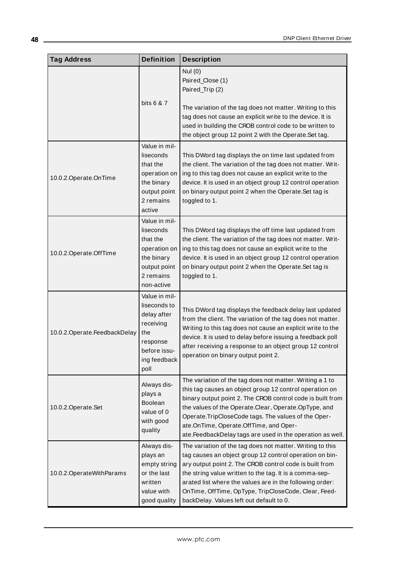| <b>Tag Address</b>              | <b>Definition</b>                                                                                                    | <b>Description</b>                                                                                                                                                                                                                                                                                                                                                                                         |
|---------------------------------|----------------------------------------------------------------------------------------------------------------------|------------------------------------------------------------------------------------------------------------------------------------------------------------------------------------------------------------------------------------------------------------------------------------------------------------------------------------------------------------------------------------------------------------|
|                                 | bits 6 & 7                                                                                                           | Nul (0)<br>Paired_Close (1)<br>Paired_Trip (2)<br>The variation of the tag does not matter. Writing to this<br>tag does not cause an explicit write to the device. It is<br>used in building the CROB control code to be written to<br>the object group 12 point 2 with the Operate.Set tag.                                                                                                               |
| 10.0.2.Operate.OnTime           | Value in mil-<br>liseconds<br>that the<br>operation on<br>the binary<br>output point<br>2 remains<br>active          | This DWord tag displays the on time last updated from<br>the client. The variation of the tag does not matter. Writ-<br>ing to this tag does not cause an explicit write to the<br>device. It is used in an object group 12 control operation<br>on binary output point 2 when the Operate.Set tag is<br>toggled to 1.                                                                                     |
| 10.0.2.Operate.OffTime          | Value in mil-<br>liseconds<br>that the<br>operation on<br>the binary<br>output point<br>2 remains<br>non-active      | This DWord tag displays the off time last updated from<br>the client. The variation of the tag does not matter. Writ-<br>ing to this tag does not cause an explicit write to the<br>device. It is used in an object group 12 control operation<br>on binary output point 2 when the Operate. Set tag is<br>toggled to 1.                                                                                   |
| 10.0.2. Operate. Feedback Delay | Value in mil-<br>liseconds to<br>delay after<br>receiving<br>the<br>response<br>before issu-<br>ing feedback<br>poll | This DWord tag displays the feedback delay last updated<br>from the client. The variation of the tag does not matter.<br>Writing to this tag does not cause an explicit write to the<br>device. It is used to delay before issuing a feedback poll<br>after receiving a response to an object group 12 control<br>operation on binary output point 2.                                                      |
| 10.0.2.Operate.Set              | Always dis-<br>plays a<br>Boolean<br>value of 0<br>with good<br>quality                                              | The variation of the tag does not matter. Writing a 1 to<br>this tag causes an object group 12 control operation on<br>binary output point 2. The CROB control code is built from<br>the values of the Operate.Clear, Operate.OpType, and<br>Operate.TripCloseCode tags. The values of the Oper-<br>ate.OnTime, Operate.OffTime, and Oper-<br>ate. Feedback Delay tags are used in the operation as well.  |
| 10.0.2. Operate With Params     | Always dis-<br>plays an<br>empty string<br>or the last<br>written<br>value with<br>good quality                      | The variation of the tag does not matter. Writing to this<br>tag causes an object group 12 control operation on bin-<br>ary output point 2. The CROB control code is built from<br>the string value written to the tag. It is a comma-sep-<br>arated list where the values are in the following order:<br>OnTime, OffTime, OpType, TripCloseCode, Clear, Feed-<br>backDelay. Values left out default to 0. |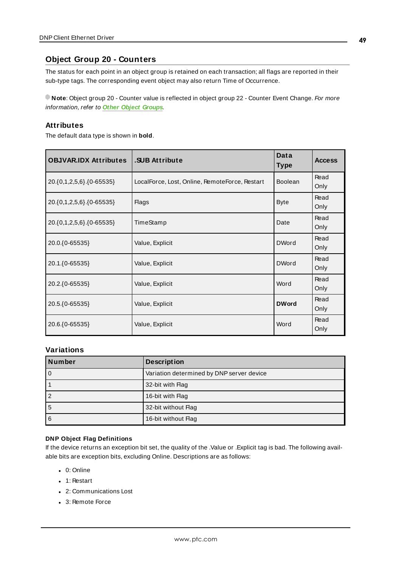# **Object Group 20 - Counters**

The status for each point in an object group is retained on each transaction; all flags are reported in their sub-type tags. The corresponding event object may also return Time of Occurrence.

**Note**: Object group 20 - Counter value is reflected in object group 22 - Counter Event Change. For more information, refer to **Other Object [Groups](#page-68-0)**.

#### **Attributes**

The default data type is shown in **bold**.

| <b>OBJVAR.IDX Attributes</b>    | .SUB Attribute                                 | Data<br><b>Type</b> | <b>Access</b> |
|---------------------------------|------------------------------------------------|---------------------|---------------|
| 20. {0, 1, 2, 5, 6} {0 - 65535} | LocalForce, Lost, Online, RemoteForce, Restart | <b>Boolean</b>      | Read<br>Only  |
| 20.{0,1,2,5,6}.{0-65535}        | <b>Flags</b>                                   | <b>Byte</b>         | Read<br>Only  |
| 20.{0,1,2,5,6}.{0-65535}        | TimeStamp                                      | Date                | Read<br>Only  |
| 20.0.{0-65535}                  | Value, Explicit                                | <b>DWord</b>        | Read<br>Only  |
| 20.1.{0-65535}                  | Value, Explicit                                | <b>DWord</b>        | Read<br>Only  |
| 20.2.{0-65535}                  | Value, Explicit                                | Word                | Read<br>Only  |
| 20.5.{0-65535}                  | Value, Explicit                                | <b>DWord</b>        | Read<br>Only  |
| 20.6. { 0-65535}                | Value, Explicit                                | Word                | Read<br>Only  |

### **Variations**

| Number | <b>Description</b>                        |  |
|--------|-------------------------------------------|--|
| 0      | Variation determined by DNP server device |  |
|        | 32-bit with Flag                          |  |
|        | 16-bit with Flag                          |  |
| .b     | 32-bit without Flag                       |  |
| 6      | 16-bit without Flag                       |  |

#### **DNP Object Flag Definitions**

If the device returns an exception bit set, the quality of the .Value or .Explicit tag is bad. The following available bits are exception bits, excluding Online. Descriptions are as follows:

- $\bullet$  0: Online
- $\bullet$  1: Restart
- 2: Communications Lost
- 3: Remote Force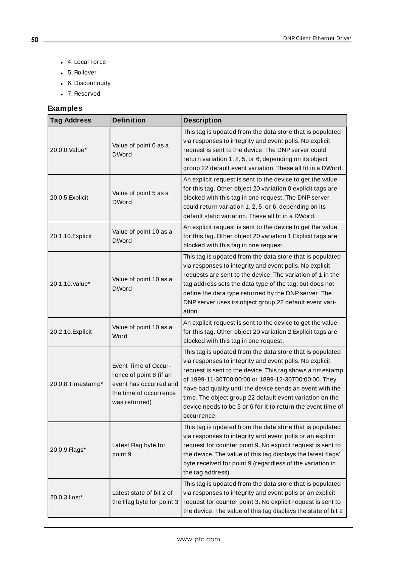- 4: Local Force
- 5: Rollover
- 6: Discontinuity
- 7: Reserved

| <b>Tag Address</b> | <b>Definition</b>                                                                                                    | <b>Description</b>                                                                                                                                                                                                                                                                                                                                                                                                                               |
|--------------------|----------------------------------------------------------------------------------------------------------------------|--------------------------------------------------------------------------------------------------------------------------------------------------------------------------------------------------------------------------------------------------------------------------------------------------------------------------------------------------------------------------------------------------------------------------------------------------|
| 20.0.0.Value*      | Value of point 0 as a<br><b>DWord</b>                                                                                | This tag is updated from the data store that is populated<br>via responses to integrity and event polls. No explicit<br>request is sent to the device. The DNP server could<br>return variation 1, 2, 5, or 6; depending on its object<br>group 22 default event variation. These all fit in a DWord.                                                                                                                                            |
| 20.0.5. Explicit   | Value of point 5 as a<br><b>DWord</b>                                                                                | An explicit request is sent to the device to get the value<br>for this tag. Other object 20 variation 0 explicit tags are<br>blocked with this tag in one request. The DNP server<br>could return variation 1, 2, 5, or 6; depending on its<br>default static variation. These all fit in a DWord.                                                                                                                                               |
| 20.1.10. Explicit  | Value of point 10 as a<br><b>DWord</b>                                                                               | An explicit request is sent to the device to get the value<br>for this tag. Other object 20 variation 1 Explicit tags are<br>blocked with this tag in one request.                                                                                                                                                                                                                                                                               |
| 20.1.10. Value*    | Value of point 10 as a<br><b>DWord</b>                                                                               | This tag is updated from the data store that is populated<br>via responses to integrity and event polls. No explicit<br>requests are sent to the device. The variation of 1 in the<br>tag address sets the data type of the tag, but does not<br>define the data type returned by the DNP server. The<br>DNP server uses its object group 22 default event vari-<br>ation.                                                                       |
| 20.2.10. Explicit  | Value of point 10 as a<br>Word                                                                                       | An explicit request is sent to the device to get the value<br>for this tag. Other object 20 variation 2 Explicit tags are<br>blocked with this tag in one request.                                                                                                                                                                                                                                                                               |
| 20.0.8. Timestamp* | Event Time of Occur-<br>rence of point 8 (if an<br>event has occurred and<br>the time of occurrence<br>was returned) | This tag is updated from the data store that is populated<br>via responses to integrity and event polls. No explicit<br>request is sent to the device. This tag shows a timestamp<br>of 1999-11-30T00:00:00 or 1899-12-30T00:00:00. They<br>have bad quality until the device sends an event with the<br>time. The object group 22 default event variation on the<br>device needs to be 5 or 6 for it to return the event time of<br>occurrence. |
| 20.0.9. Flags*     | Latest Flag byte for<br>point 9                                                                                      | This tag is updated from the data store that is populated<br>via responses to integrity and event polls or an explicit<br>request for counter point 9. No explicit request is sent to<br>the device. The value of this tag displays the latest flags'<br>byte received for point 9 (regardless of the variation in<br>the tag address).                                                                                                          |
| 20.0.3. Lost*      | Latest state of bit 2 of<br>the Flag byte for point 3                                                                | This tag is updated from the data store that is populated<br>via responses to integrity and event polls or an explicit<br>request for counter point 3. No explicit request is sent to<br>the device. The value of this tag displays the state of bit 2                                                                                                                                                                                           |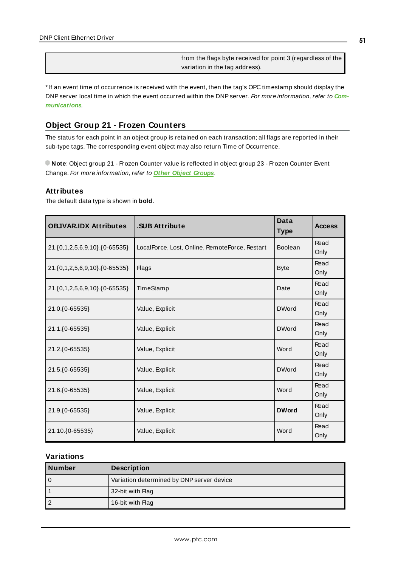|  | from the flags byte received for point 3 (regardless of the |
|--|-------------------------------------------------------------|
|  | variation in the tag address).                              |

\* If an event time of occurrence is received with the event, then the tag's OPC timestamp should display the DNPserver local time in which the event occurred within the DNPserver. For more information, refer to **[Com](#page-22-0)[munications](#page-22-0)**.

# **Object Group 21 - Frozen Counters**

The status for each point in an object group is retained on each transaction; all flags are reported in their sub-type tags. The corresponding event object may also return Time of Occurrence.

**Note**: Object group 21 - Frozen Counter value is reflected in object group 23 - Frozen Counter Event Change. For more information, refer to **Other Object [Groups](#page-68-0)**.

# **Attributes**

The default data type is shown in **bold**.

| <b>OBJVAR.IDX Attributes</b>  | .SUB Attribute                                 | <b>Data</b><br><b>Type</b> | <b>Access</b> |
|-------------------------------|------------------------------------------------|----------------------------|---------------|
| 21.{0,1,2,5,6,9,10}.{0-65535} | LocalForce, Lost, Online, RemoteForce, Restart | Boolean                    | Read<br>Only  |
| 21.{0,1,2,5,6,9,10}.{0-65535} | <b>Flags</b>                                   | <b>Byte</b>                | Read<br>Only  |
| 21.{0,1,2,5,6,9,10}.{0-65535} | TimeStamp                                      | Date                       | Read<br>Only  |
| 21.0.{0-65535}                | Value, Explicit                                | <b>DWord</b>               | Read<br>Only  |
| 21.1.{0-65535}                | Value, Explicit                                | <b>DWord</b>               | Read<br>Only  |
| 21.2. { 0-65535}              | Value, Explicit                                | Word                       | Read<br>Only  |
| 21.5. { 0-65535}              | Value, Explicit                                | <b>DWord</b>               | Read<br>Only  |
| 21.6. { 0-65535}              | Value, Explicit                                | Word                       | Read<br>Only  |
| 21.9. { 0-65535}              | Value, Explicit                                | <b>DWord</b>               | Read<br>Only  |
| 21.10.{0-65535}               | Value, Explicit                                | Word                       | Read<br>Only  |

### **Variations**

| Number | <b>Description</b>                        |
|--------|-------------------------------------------|
| 0      | Variation determined by DNP server device |
|        | 32-bit with Flag                          |
|        | 16-bit with Flag                          |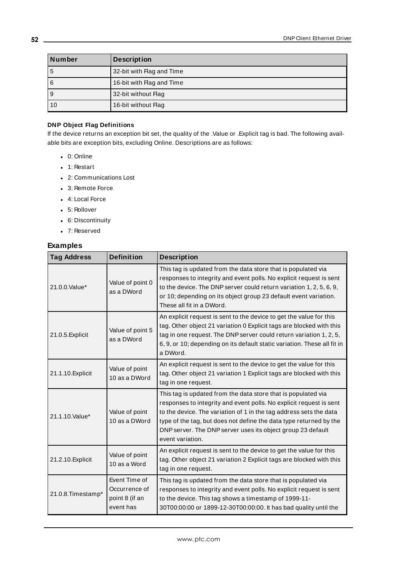| <b>Number</b> | <b>Description</b>        |
|---------------|---------------------------|
| 5             | 32-bit with Flag and Time |
| 6             | 16-bit with Flag and Time |
| 9             | 32-bit without Flag       |
| 10            | 16-bit without Flag       |

### **DNP Object Flag Definitions**

If the device returns an exception bit set, the quality of the .Value or .Explicit tag is bad. The following available bits are exception bits, excluding Online. Descriptions are as follows:

- $\bullet$  0: Online
- $\cdot$  1: Restart
- 2: Communications Lost
- 3: Remote Force
- 4: Local Force
- 5: Rollover
- 6: Discontinuity
- 7: Reserved

| <b>Tag Address</b> | <b>Definition</b>                                                                                                                                                                                                                                                                                                                                                                                      | <b>Description</b>                                                                                                                                                                                                                                                                                           |  |  |
|--------------------|--------------------------------------------------------------------------------------------------------------------------------------------------------------------------------------------------------------------------------------------------------------------------------------------------------------------------------------------------------------------------------------------------------|--------------------------------------------------------------------------------------------------------------------------------------------------------------------------------------------------------------------------------------------------------------------------------------------------------------|--|--|
| 21.0.0. Value*     | Value of point 0<br>as a DWord                                                                                                                                                                                                                                                                                                                                                                         | This tag is updated from the data store that is populated via<br>responses to integrity and event polls. No explicit request is sent<br>to the device. The DNP server could return variation 1, 2, 5, 6, 9,<br>or 10; depending on its object group 23 default event variation.<br>These all fit in a DWord. |  |  |
| 21.0.5. Explicit   | Value of point 5<br>as a DWord                                                                                                                                                                                                                                                                                                                                                                         | An explicit request is sent to the device to get the value for this<br>tag. Other object 21 variation 0 Explicit tags are blocked with this<br>tag in one request. The DNP server could return variation 1, 2, 5,<br>6, 9, or 10; depending on its default static variation. These all fit in<br>a DWord.    |  |  |
| 21.1.10. Explicit  | Value of point<br>10 as a DWord                                                                                                                                                                                                                                                                                                                                                                        | An explicit request is sent to the device to get the value for this<br>tag. Other object 21 variation 1 Explicit tags are blocked with this<br>tag in one request.                                                                                                                                           |  |  |
| 21.1.10. Value*    | This tag is updated from the data store that is populated via<br>responses to integrity and event polls. No explicit request is sent<br>Value of point<br>to the device. The variation of 1 in the tag address sets the data<br>10 as a DWord<br>type of the tag, but does not define the data type returned by the<br>DNP server. The DNP server uses its object group 23 default<br>event variation. |                                                                                                                                                                                                                                                                                                              |  |  |
| 21.2.10. Explicit  | Value of point<br>10 as a Word                                                                                                                                                                                                                                                                                                                                                                         | An explicit request is sent to the device to get the value for this<br>tag. Other object 21 variation 2 Explicit tags are blocked with this<br>tag in one request.                                                                                                                                           |  |  |
| 21.0.8. Timestamp* | Event Time of<br>Occurrence of<br>point 8 (if an<br>event has                                                                                                                                                                                                                                                                                                                                          | This tag is updated from the data store that is populated via<br>responses to integrity and event polls. No explicit request is sent<br>to the device. This tag shows a timestamp of 1999-11-<br>30T00:00:00 or 1899-12-30T00:00:00. It has bad quality until the                                            |  |  |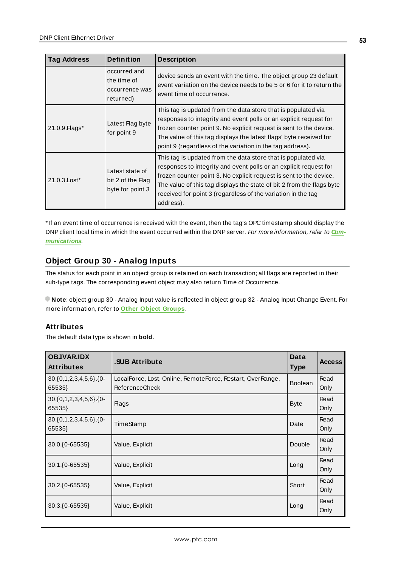| <b>Tag Address</b> | <b>Definition</b>                                          | <b>Description</b>                                                                                                                                                                                                                                                                                                                                             |
|--------------------|------------------------------------------------------------|----------------------------------------------------------------------------------------------------------------------------------------------------------------------------------------------------------------------------------------------------------------------------------------------------------------------------------------------------------------|
|                    | occurred and<br>the time of<br>occurrence was<br>returned) | device sends an event with the time. The object group 23 default<br>event variation on the device needs to be 5 or 6 for it to return the<br>event time of occurrence.                                                                                                                                                                                         |
| 21.0.9. Flags*     | Latest Flag byte<br>for point 9                            | This tag is updated from the data store that is populated via<br>responses to integrity and event polls or an explicit request for<br>frozen counter point 9. No explicit request is sent to the device.<br>The value of this tag displays the latest flags' byte received for<br>point 9 (regardless of the variation in the tag address).                    |
| 21.0.3. Lost*      | Latest state of<br>bit 2 of the Flag<br>byte for point 3   | This tag is updated from the data store that is populated via<br>responses to integrity and event polls or an explicit request for<br>frozen counter point 3. No explicit request is sent to the device.<br>The value of this tag displays the state of bit 2 from the flags byte<br>received for point 3 (regardless of the variation in the tag<br>address). |

\* If an event time of occurrence is received with the event, then the tag's OPC timestamp should display the DNPclient local time in which the event occurred within the DNPserver. For more information, refer to **[Com](#page-22-0)[munications](#page-22-0)**.

# **Object Group 30 - Analog Inputs**

The status for each point in an object group is retained on each transaction; all flags are reported in their sub-type tags. The corresponding event object may also return Time of Occurrence.

**Note**: object group 30 - Analog Input value is reflected in object group 32 - Analog Input Change Event. For more information, refer to **Other Object [Groups](#page-68-0)**.

# **Attributes**

The default data type is shown in **bold**.

| <b>OBJVAR.IDX</b><br><b>Attributes</b> | <b>SUB Attribute</b>                                                                | Data<br><b>Type</b> | <b>Access</b> |
|----------------------------------------|-------------------------------------------------------------------------------------|---------------------|---------------|
| $30.\{0,1,2,3,4,5,6\}.\{0-$<br>65535}  | LocalForce, Lost, Online, RemoteForce, Restart, OverRange,<br><b>ReferenceCheck</b> | Boolean             | Read<br>Only  |
| $30.\{0,1,2,3,4,5,6\}.\{0-$<br>65535}  | <b>Flags</b>                                                                        | <b>Byte</b>         | Read<br>Only  |
| $30.\{0,1,2,3,4,5,6\}.\{0-$<br>65535}  | TimeStamp                                                                           | Date                | Read<br>Only  |
| 30.0.{0-65535}                         | Value, Explicit                                                                     | Double              | Read<br>Only  |
| 30.1.{0-65535}                         | Value, Explicit                                                                     | Long                | Read<br>Only  |
| 30.2.{0-65535}                         | Value, Explicit                                                                     | Short               | Read<br>Only  |
| 30.3. { 0-65535}                       | Value, Explicit                                                                     | Long                | Read<br>Only  |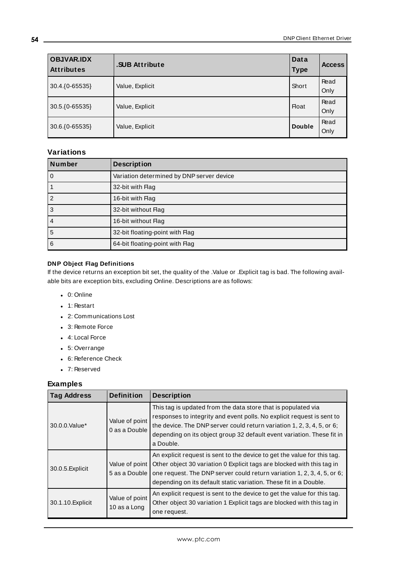| <b>OBJVAR.IDX</b><br>Attributes | .SUB Attribute  | Data<br><b>Type</b> | <b>Access</b> |
|---------------------------------|-----------------|---------------------|---------------|
| 30.4.{0-65535}                  | Value, Explicit | Short               | Read<br>Only  |
| 30.5.{0-65535}                  | Value, Explicit | <b>Float</b>        | Read<br>Only  |
| 30.6.{0-65535}                  | Value, Explicit | <b>Double</b>       | Read<br>Only  |

# **Variations**

| <b>Number</b> | <b>Description</b>                        |
|---------------|-------------------------------------------|
| 0             | Variation determined by DNP server device |
|               | 32-bit with Flag                          |
| 2             | 16-bit with Flag                          |
| 3             | 32-bit without Flag                       |
| 4             | 16-bit without Flag                       |
| 5             | 32-bit floating-point with Flag           |
| 6             | 64-bit floating-point with Flag           |

### **DNP Object Flag Definitions**

If the device returns an exception bit set, the quality of the .Value or .Explicit tag is bad. The following available bits are exception bits, excluding Online. Descriptions are as follows:

- $\bullet$  0: Online
- $\cdot$  1: Restart
- 2: Communications Lost
- 3: Remote Force
- 4: Local Force
- 5: Overrange
- 6: Reference Check
- 7: Reserved

| <b>Tag Address</b> | <b>Definition</b>               | <b>Description</b>                                                                                                                                                                                                                                                                                       |
|--------------------|---------------------------------|----------------------------------------------------------------------------------------------------------------------------------------------------------------------------------------------------------------------------------------------------------------------------------------------------------|
| 30.0.0. Value*     | Value of point<br>0 as a Double | This tag is updated from the data store that is populated via<br>responses to integrity and event polls. No explicit request is sent to<br>the device. The DNP server could return variation 1, 2, 3, 4, 5, or 6;<br>depending on its object group 32 default event variation. These fit in<br>a Double. |
| 30.0.5. Explicit   | Value of point<br>5 as a Double | An explicit request is sent to the device to get the value for this tag.<br>Other object 30 variation 0 Explicit tags are blocked with this tag in<br>one request. The DNP server could return variation 1, 2, 3, 4, 5, or 6;<br>depending on its default static variation. These fit in a Double.       |
| 30.1.10. Explicit  | Value of point<br>10 as a Long  | An explicit request is sent to the device to get the value for this tag.<br>Other object 30 variation 1 Explicit tags are blocked with this tag in<br>one request.                                                                                                                                       |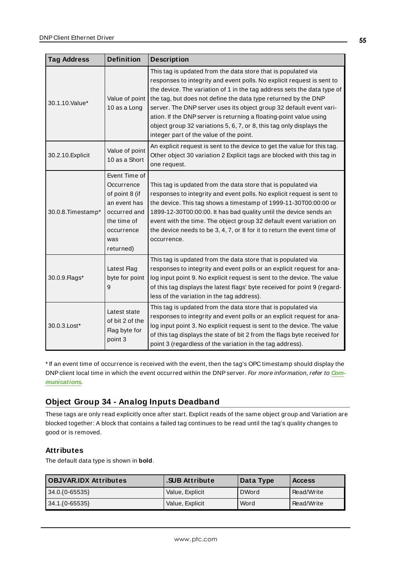| <b>Tag Address</b> | <b>Definition</b>                                                                                                              | <b>Description</b>                                                                                                                                                                                                                                                                                                                                                                                                                                                                                                                                   |
|--------------------|--------------------------------------------------------------------------------------------------------------------------------|------------------------------------------------------------------------------------------------------------------------------------------------------------------------------------------------------------------------------------------------------------------------------------------------------------------------------------------------------------------------------------------------------------------------------------------------------------------------------------------------------------------------------------------------------|
| 30.1.10.Value*     | Value of point<br>10 as a Long                                                                                                 | This tag is updated from the data store that is populated via<br>responses to integrity and event polls. No explicit request is sent to<br>the device. The variation of 1 in the tag address sets the data type of<br>the tag, but does not define the data type returned by the DNP<br>server. The DNP server uses its object group 32 default event vari-<br>ation. If the DNP server is returning a floating-point value using<br>object group 32 variations 5, 6, 7, or 8, this tag only displays the<br>integer part of the value of the point. |
| 30.2.10. Explicit  | Value of point<br>10 as a Short                                                                                                | An explicit request is sent to the device to get the value for this tag.<br>Other object 30 variation 2 Explicit tags are blocked with this tag in<br>one request.                                                                                                                                                                                                                                                                                                                                                                                   |
| 30.0.8. Timestamp* | Event Time of<br>Occurrence<br>of point 8 (if<br>an event has<br>occurred and<br>the time of<br>occurrence<br>was<br>returned) | This tag is updated from the data store that is populated via<br>responses to integrity and event polls. No explicit request is sent to<br>the device. This tag shows a timestamp of 1999-11-30T00:00:00 or<br>1899-12-30T00:00:00. It has bad quality until the device sends an<br>event with the time. The object group 32 default event variation on<br>the device needs to be 3, 4, 7, or 8 for it to return the event time of<br>occurrence.                                                                                                    |
| 30.0.9. Flags*     | Latest Flag<br>byte for point<br>9                                                                                             | This tag is updated from the data store that is populated via<br>responses to integrity and event polls or an explicit request for ana-<br>log input point 9. No explicit request is sent to the device. The value<br>of this tag displays the latest flags' byte received for point 9 (regard-<br>less of the variation in the tag address).                                                                                                                                                                                                        |
| 30.0.3. Lost*      | Latest state<br>of bit 2 of the<br>Flag byte for<br>point 3                                                                    | This tag is updated from the data store that is populated via<br>responses to integrity and event polls or an explicit request for ana-<br>log input point 3. No explicit request is sent to the device. The value<br>of this tag displays the state of bit 2 from the flags byte received for<br>point 3 (regardless of the variation in the tag address).                                                                                                                                                                                          |

\* If an event time of occurrence is received with the event, then the tag's OPC timestamp should display the DNPclient local time in which the event occurred within the DNPserver. For more information, refer to **[Com](#page-22-0)[munications](#page-22-0)**.

# **Object Group 34 - Analog Inputs Deadband**

These tags are only read explicitly once after start. Explicit reads of the same object group and Variation are blocked together: A block that contains a failed tag continues to be read until the tag's quality changes to good or is removed.

# **Attributes**

The default data type is shown in **bold**.

| <b>OBJVAR.IDX Attributes</b> | <b>SUB Attribute</b> | Data Type    | <b>Access</b> |
|------------------------------|----------------------|--------------|---------------|
| $ 34.0.\{0-65535\} $         | Value, Explicit      | <b>DWord</b> | Read/Write    |
| $ 34.1.\{0-65535\} $         | Value, Explicit      | Word         | Read/Write    |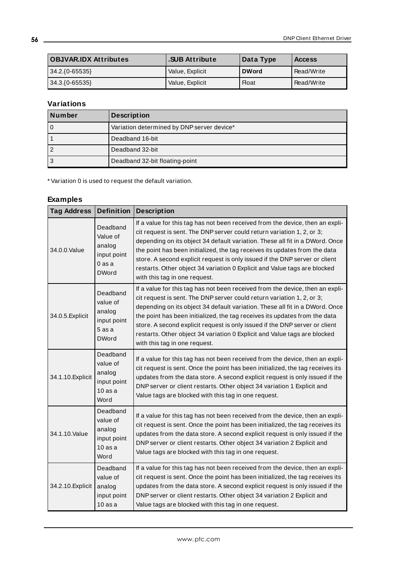| <b>OBJVAR.IDX Attributes</b> | <b>SUB Attribute</b> | Data Type    | <b>Access</b> |
|------------------------------|----------------------|--------------|---------------|
| $34.2.(0-65535)$             | Value, Explicit      | <b>DWord</b> | Read/Write    |
| $34.3.(0-65535)$             | Value, Explicit      | <b>Float</b> | Read/Write    |

# **Variations**

| Number         | <b>Description</b>                         |
|----------------|--------------------------------------------|
| $\mathbf 0$    | Variation determined by DNP server device* |
|                | Deadband 16-bit                            |
| $\overline{2}$ | Deadband 32-bit                            |
| 3              | Deadband 32-bit floating-point             |

\* Variation 0 is used to request the default variation.

| <b>Tag Address</b> | Definition $ $                                                            | <b>Description</b>                                                                                                                                                                                                                                                                                                                                                                                                                                                                                                 |
|--------------------|---------------------------------------------------------------------------|--------------------------------------------------------------------------------------------------------------------------------------------------------------------------------------------------------------------------------------------------------------------------------------------------------------------------------------------------------------------------------------------------------------------------------------------------------------------------------------------------------------------|
| 34.0.0.Value       | Deadband<br>Value of<br>analog<br>input point<br>0 as a<br><b>DWord</b>   | If a value for this tag has not been received from the device, then an expli-<br>cit request is sent. The DNP server could return variation 1, 2, or 3;<br>depending on its object 34 default variation. These all fit in a DWord. Once<br>the point has been initialized, the tag receives its updates from the data<br>store. A second explicit request is only issued if the DNP server or client<br>restarts. Other object 34 variation 0 Explicit and Value tags are blocked<br>with this tag in one request. |
| 34.0.5. Explicit   | Deadband<br>value of<br>analog<br>input point<br>$5$ as a<br><b>DWord</b> | If a value for this tag has not been received from the device, then an expli-<br>cit request is sent. The DNP server could return variation 1, 2, or 3;<br>depending on its object 34 default variation. These all fit in a DWord. Once<br>the point has been initialized, the tag receives its updates from the data<br>store. A second explicit request is only issued if the DNP server or client<br>restarts. Other object 34 variation 0 Explicit and Value tags are blocked<br>with this tag in one request. |
| 34.1.10. Explicit  | Deadband<br>value of<br>analog<br>input point<br>$10$ as a<br>Word        | If a value for this tag has not been received from the device, then an expli-<br>cit request is sent. Once the point has been initialized, the tag receives its<br>updates from the data store. A second explicit request is only issued if the<br>DNP server or client restarts. Other object 34 variation 1 Explicit and<br>Value tags are blocked with this tag in one request.                                                                                                                                 |
| 34.1.10.Value      | Deadband<br>value of<br>analog<br>input point<br>$10$ as a<br>Word        | If a value for this tag has not been received from the device, then an expli-<br>cit request is sent. Once the point has been initialized, the tag receives its<br>updates from the data store. A second explicit request is only issued if the<br>DNP server or client restarts. Other object 34 variation 2 Explicit and<br>Value tags are blocked with this tag in one request.                                                                                                                                 |
| 34.2.10. Explicit  | Deadband<br>value of<br>analog<br>input point<br>10asa                    | If a value for this tag has not been received from the device, then an expli-<br>cit request is sent. Once the point has been initialized, the tag receives its<br>updates from the data store. A second explicit request is only issued if the<br>DNP server or client restarts. Other object 34 variation 2 Explicit and<br>Value tags are blocked with this tag in one request.                                                                                                                                 |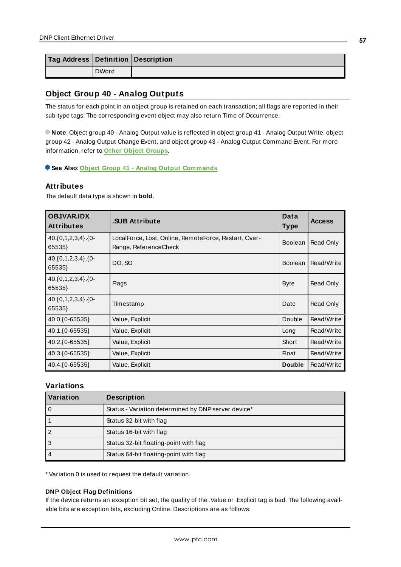| Tag Address Definition Description |              |  |
|------------------------------------|--------------|--|
|                                    | <b>DWord</b> |  |

# <span id="page-56-0"></span>**Object Group 40 - Analog Outputs**

The status for each point in an object group is retained on each transaction; all flags are reported in their sub-type tags. The corresponding event object may also return Time of Occurrence.

**Note**: Object group 40 - Analog Output value is reflected in object group 41 - Analog Output Write, object group 42 - Analog Output Change Event, and object group 43 - Analog Output Command Event. For more information, refer to **Other Object [Groups](#page-68-0)**.

**See Also**: **Object Group 41 - Analog Output [Commands](#page-58-0)**

### **Attributes**

The default data type is shown in **bold**.

| <b>OBJVAR.IDX</b><br><b>Attributes</b> | <b>SUB Attribute</b>                                                           | Data<br><b>Type</b> | <b>Access</b> |
|----------------------------------------|--------------------------------------------------------------------------------|---------------------|---------------|
| $40.\{0,1,2,3,4\}.\{0-$<br>65535}      | LocalForce, Lost, Online, RemoteForce, Restart, Over-<br>Range, ReferenceCheck | <b>Boolean</b>      | Read Only     |
| $40.\{0,1,2,3,4\}.\{0-$<br>65535}      | DO, SO                                                                         | <b>Boolean</b>      | Read/Write    |
| $40.\{0,1,2,3,4\}.\{0-$<br>65535}      | <b>Flags</b>                                                                   | <b>Byte</b>         | Read Only     |
| $40.\{0,1,2,3,4\}.\{0-$<br>65535}      | Timestamp                                                                      | Date                | Read Only     |
| 40.0.{0-65535}                         | Value, Explicit                                                                | Double              | Read/Write    |
| 40.1.{0-65535}                         | Value, Explicit                                                                | Long                | Read/Write    |
| 40.2. { 0-65535}                       | Value, Explicit                                                                | Short               | Read/Write    |
| 40.3. { 0-65535}                       | Value, Explicit                                                                | <b>Float</b>        | Read/Write    |
| 40.4. { 0-65535}                       | Value, Explicit                                                                | <b>Double</b>       | Read/Write    |

### **Variations**

| l Variation | <b>Description</b>                                  |
|-------------|-----------------------------------------------------|
|             | Status - Variation determined by DNP server device* |
|             | Status 32-bit with flag                             |
|             | Status 16-bit with flag                             |
| 3           | Status 32-bit floating-point with flag              |
|             | Status 64-bit floating-point with flag              |

\* Variation 0 is used to request the default variation.

#### **DNP Object Flag Definitions**

If the device returns an exception bit set, the quality of the .Value or .Explicit tag is bad. The following available bits are exception bits, excluding Online. Descriptions are as follows: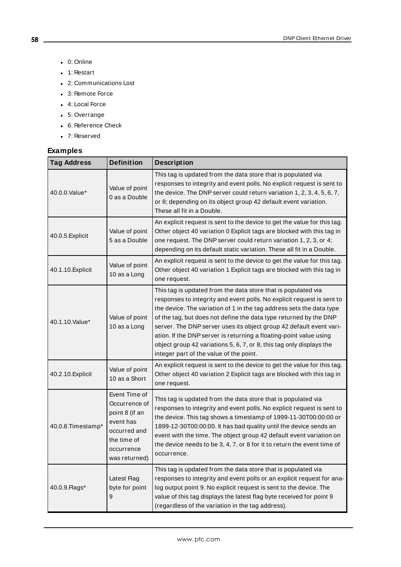- $\bullet$  0: Online
- $\bullet$  1: Restart
- 2: Communications Lost
- 3: Remote Force
- 4: Local Force
- 5: Overrange
- 6: Reference Check
- 7: Reserved

| <b>Tag Address</b> | <b>Definition</b>                                                                                                           | <b>Description</b>                                                                                                                                                                                                                                                                                                                                                                                                                                                                                                                                   |
|--------------------|-----------------------------------------------------------------------------------------------------------------------------|------------------------------------------------------------------------------------------------------------------------------------------------------------------------------------------------------------------------------------------------------------------------------------------------------------------------------------------------------------------------------------------------------------------------------------------------------------------------------------------------------------------------------------------------------|
| 40.0.0. Value*     | Value of point<br>0 as a Double                                                                                             | This tag is updated from the data store that is populated via<br>responses to integrity and event polls. No explicit request is sent to<br>the device. The DNP server could return variation 1, 2, 3, 4, 5, 6, 7,<br>or 8; depending on its object group 42 default event variation.<br>These all fit in a Double.                                                                                                                                                                                                                                   |
| 40.0.5. Explicit   | Value of point<br>5 as a Double                                                                                             | An explicit request is sent to the device to get the value for this tag.<br>Other object 40 variation 0 Explicit tags are blocked with this tag in<br>one request. The DNP server could return variation 1, 2, 3, or 4;<br>depending on its default static variation. These all fit in a Double.                                                                                                                                                                                                                                                     |
| 40.1.10. Explicit  | Value of point<br>10 as a Long                                                                                              | An explicit request is sent to the device to get the value for this tag.<br>Other object 40 variation 1 Explicit tags are blocked with this tag in<br>one request.                                                                                                                                                                                                                                                                                                                                                                                   |
| 40.1.10.Value*     | Value of point<br>10 as a Long                                                                                              | This tag is updated from the data store that is populated via<br>responses to integrity and event polls. No explicit request is sent to<br>the device. The variation of 1 in the tag address sets the data type<br>of the tag, but does not define the data type returned by the DNP<br>server. The DNP server uses its object group 42 default event vari-<br>ation. If the DNP server is returning a floating-point value using<br>object group 42 variations 5, 6, 7, or 8, this tag only displays the<br>integer part of the value of the point. |
| 40.2.10. Explicit  | Value of point<br>10 as a Short                                                                                             | An explicit request is sent to the device to get the value for this tag.<br>Other object 40 variation 2 Explicit tags are blocked with this tag in<br>one request.                                                                                                                                                                                                                                                                                                                                                                                   |
| 40.0.8. Timestamp* | Event Time of<br>Occurrence of<br>point 8 (if an<br>event has<br>occurred and<br>the time of<br>occurrence<br>was returned) | This tag is updated from the data store that is populated via<br>responses to integrity and event polls. No explicit request is sent to<br>the device. This tag shows a timestamp of 1999-11-30T00:00:00 or<br>1899-12-30T00:00:00. It has bad quality until the device sends an<br>event with the time. The object group 42 default event variation on<br>the device needs to be 3, 4, 7, or 8 for it to return the event time of<br>occurrence.                                                                                                    |
| 40.0.9. Flags*     | Latest Flag<br>byte for point<br>9                                                                                          | This tag is updated from the data store that is populated via<br>responses to integrity and event polls or an explicit request for ana-<br>log output point 9. No explicit request is sent to the device. The<br>value of this tag displays the latest flag byte received for point 9<br>(regardless of the variation in the tag address).                                                                                                                                                                                                           |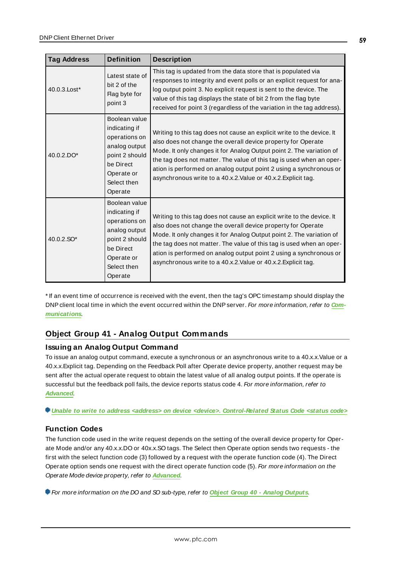| <b>Tag Address</b> | <b>Definition</b>                                                                                                                       | <b>Description</b>                                                                                                                                                                                                                                                                                                                                                                                                             |
|--------------------|-----------------------------------------------------------------------------------------------------------------------------------------|--------------------------------------------------------------------------------------------------------------------------------------------------------------------------------------------------------------------------------------------------------------------------------------------------------------------------------------------------------------------------------------------------------------------------------|
| 40.0.3. Lost*      | Latest state of<br>bit 2 of the<br>Flag byte for<br>point 3                                                                             | This tag is updated from the data store that is populated via<br>responses to integrity and event polls or an explicit request for ana-<br>log output point 3. No explicit request is sent to the device. The<br>value of this tag displays the state of bit 2 from the flag byte<br>received for point 3 (regardless of the variation in the tag address).                                                                    |
| 40.0.2.DO*         | Boolean value<br>indicating if<br>operations on<br>analog output<br>point 2 should<br>be Direct<br>Operate or<br>Select then<br>Operate | Writing to this tag does not cause an explicit write to the device. It<br>also does not change the overall device property for Operate<br>Mode. It only changes it for Analog Output point 2. The variation of<br>the tag does not matter. The value of this tag is used when an oper-<br>ation is performed on analog output point 2 using a synchronous or<br>asynchronous write to a 40.x.2. Value or 40.x.2. Explicit tag. |
| 40.0.2.SO*         | Boolean value<br>indicating if<br>operations on<br>analog output<br>point 2 should<br>be Direct<br>Operate or<br>Select then<br>Operate | Writing to this tag does not cause an explicit write to the device. It<br>also does not change the overall device property for Operate<br>Mode. It only changes it for Analog Output point 2. The variation of<br>the tag does not matter. The value of this tag is used when an oper-<br>ation is performed on analog output point 2 using a synchronous or<br>asynchronous write to a 40.x.2. Value or 40.x.2. Explicit tag. |

\* If an event time of occurrence is received with the event, then the tag's OPC timestamp should display the DNPclient local time in which the event occurred within the DNPserver. For more information, refer to **[Com](#page-22-0)[munications](#page-22-0)**.

# <span id="page-58-0"></span>**Object Group 41 - Analog Output Commands**

# **Issuing an Analog Output Command**

To issue an analog output command, execute a synchronous or an asynchronous write to a 40.x.x.Value or a 40.x.x.Explicit tag. Depending on the Feedback Poll after Operate device property, another request may be sent after the actual operate request to obtain the latest value of all analog output points. If the operate is successful but the feedback poll fails, the device reports status code 4. For more information, refer to **[Advanced](#page-31-0)**.

**Unable to write to address <address> on device <device>. [Control-Related](#page-122-0) Status Code <status code>**

# **Function Codes**

The function code used in the write request depends on the setting of the overall device property for Operate Mode and/or any 40.x.x.DO or 40x.x.SO tags. The Select then Operate option sends two requests - the first with the select function code (3) followed by a request with the operate function code (4). The Direct Operate option sends one request with the direct operate function code (5). For more information on the Operate Mode device property, refer to **[Advanced](#page-31-0)**.

For more information on the DO and SO sub-type, refer to **Object Group 40 - Analog [Outputs](#page-56-0)**.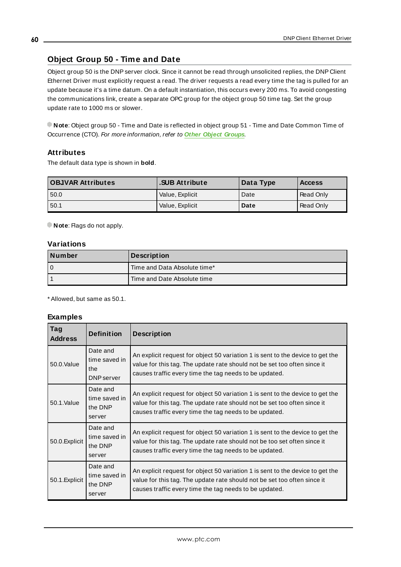# **Object Group 50 - Time and Date**

Object group 50 is the DNPserver clock. Since it cannot be read through unsolicited replies, the DNP Client Ethernet Driver must explicitly request a read. The driver requests a read every time the tag is pulled for an update because it's a time datum. On a default instantiation, this occurs every 200 ms. To avoid congesting the communications link, create a separate OPC group for the object group 50 time tag. Set the group update rate to 1000 ms or slower.

**Note**: Object group 50 - Time and Date is reflected in object group 51 - Time and Date Common Time of Occurrence (CTO). For more information, refer to **Other Object [Groups](#page-68-0)**.

### **Attributes**

The default data type is shown in **bold**.

| <b>OBJVAR Attributes</b> | <b>SUB Attribute</b> | Data Type | <b>Access</b> |
|--------------------------|----------------------|-----------|---------------|
| 50.0                     | Value, Explicit      | Date      | Read Only     |
| 50.1                     | Value, Explicit      | Date      | Read Only     |

**Note:** Flags do not apply.

### **Variations**

| Number | <b>Description</b>           |
|--------|------------------------------|
| 0      | Time and Data Absolute time* |
|        | Time and Date Absolute time  |

\* Allowed, but same as 50.1.

| Tag<br><b>Address</b> | <b>Definition</b>                              | <b>Description</b>                                                                                                                                                                                                   |
|-----------------------|------------------------------------------------|----------------------------------------------------------------------------------------------------------------------------------------------------------------------------------------------------------------------|
| 50.0. Value           | Date and<br>time saved in<br>the<br>DNP server | An explicit request for object 50 variation 1 is sent to the device to get the<br>value for this tag. The update rate should not be set too often since it<br>causes traffic every time the tag needs to be updated. |
| 50.1.Value            | Date and<br>time saved in<br>the DNP<br>server | An explicit request for object 50 variation 1 is sent to the device to get the<br>value for this tag. The update rate should not be set too often since it<br>causes traffic every time the tag needs to be updated. |
| 50.0. Explicit        | Date and<br>time saved in<br>the DNP<br>server | An explicit request for object 50 variation 1 is sent to the device to get the<br>value for this tag. The update rate should not be too set often since it<br>causes traffic every time the tag needs to be updated. |
| 50.1. Explicit        | Date and<br>time saved in<br>the DNP<br>server | An explicit request for object 50 variation 1 is sent to the device to get the<br>value for this tag. The update rate should not be set too often since it<br>causes traffic every time the tag needs to be updated. |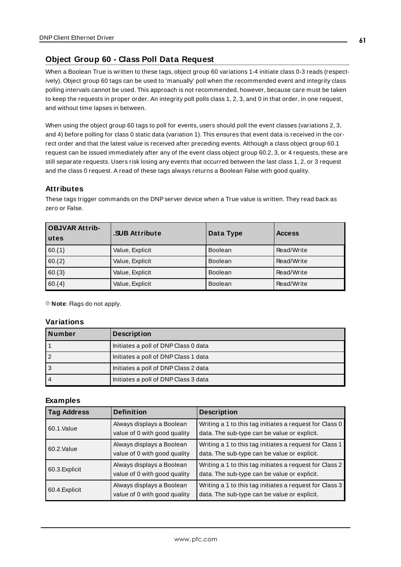# **Object Group 60 - Class Poll Data Request**

When a Boolean True is written to these tags, object group 60 variations 1-4 initiate class 0-3 reads (respectively). Object group 60 tags can be used to 'manually' poll when the recommended event and integrity class polling intervals cannot be used. This approach is not recommended, however, because care must be taken to keep the requests in proper order. An integrity poll polls class 1, 2, 3, and 0 in that order, in one request, and without time lapses in between.

When using the object group 60 tags to poll for events, users should poll the event classes (variations 2, 3, and 4) before polling for class 0 static data (variation 1). This ensures that event data is received in the correct order and that the latest value is received after preceding events. Although a class object group 60.1 request can be issued immediately after any of the event class object group 60.2, 3, or 4 requests, these are still separate requests. Users risk losing any events that occurred between the last class 1, 2, or 3 request and the class 0 request. A read of these tags always returns a Boolean False with good quality.

### **Attributes**

These tags trigger commands on the DNP server device when a True value is written. They read back as zero or False.

| <b>OBJVAR Attrib-</b><br>utes | .SUB Attribute  | Data Type      | <b>Access</b> |
|-------------------------------|-----------------|----------------|---------------|
| $60.\{1\}$                    | Value, Explicit | <b>Boolean</b> | Read/Write    |
| $60.\{2\}$                    | Value, Explicit | <b>Boolean</b> | Read/Write    |
| $60.\{3\}$                    | Value, Explicit | <b>Boolean</b> | Read/Write    |
| $60.\{4\}$                    | Value, Explicit | <b>Boolean</b> | Read/Write    |

**Note:** Flags do not apply.

### **Variations**

| Number         | <b>Description</b>                   |
|----------------|--------------------------------------|
|                | Initiates a poll of DNP Class 0 data |
|                | Initiates a poll of DNP Class 1 data |
| 3              | Initiates a poll of DNP Class 2 data |
| $\overline{4}$ | Initiates a poll of DNP Class 3 data |

| <b>Tag Address</b> | <b>Definition</b>                                         | <b>Description</b>                                                                                      |  |
|--------------------|-----------------------------------------------------------|---------------------------------------------------------------------------------------------------------|--|
| 60.1.Value         | Always displays a Boolean<br>value of 0 with good quality | Writing a 1 to this tag initiates a request for Class 0<br>data. The sub-type can be value or explicit. |  |
| 60.2.Value         | Always displays a Boolean<br>value of 0 with good quality | Writing a 1 to this tag initiates a request for Class 1<br>data. The sub-type can be value or explicit. |  |
| 60.3. Explicit     | Always displays a Boolean<br>value of 0 with good quality | Writing a 1 to this tag initiates a request for Class 2<br>data. The sub-type can be value or explicit. |  |
| 60.4. Explicit     | Always displays a Boolean<br>value of 0 with good quality | Writing a 1 to this tag initiates a request for Class 3<br>data. The sub-type can be value or explicit. |  |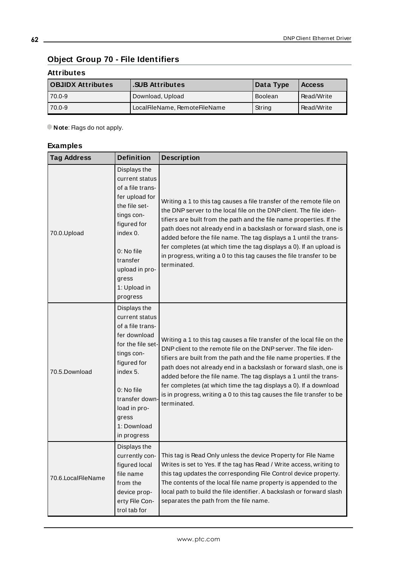# **Object Group 70 - File Identifiers**

# **Attributes**

| <b>OBJIDX Attributes</b> | <b>SUB Attributes</b>         | Data Type | <b>Access</b> |
|--------------------------|-------------------------------|-----------|---------------|
| 170.0-9                  | Download, Upload              | Boolean   | Read/Write    |
| 70.0-9                   | LocalFileName, RemoteFileName | String    | Read/Write    |

**Note**: Flags do not apply.

| <b>Tag Address</b> | <b>Definition</b>                                                                                                                                                                                                       | <b>Description</b>                                                                                                                                                                                                                                                                                                                                                                                                                                                                                                         |
|--------------------|-------------------------------------------------------------------------------------------------------------------------------------------------------------------------------------------------------------------------|----------------------------------------------------------------------------------------------------------------------------------------------------------------------------------------------------------------------------------------------------------------------------------------------------------------------------------------------------------------------------------------------------------------------------------------------------------------------------------------------------------------------------|
| 70.0.Upload        | Displays the<br>current status<br>of a file trans-<br>fer upload for<br>the file set-<br>tings con-<br>figured for<br>index 0.<br>0: No file<br>transfer<br>upload in pro-<br>gress<br>1: Upload in<br>progress         | Writing a 1 to this tag causes a file transfer of the remote file on<br>the DNP server to the local file on the DNP client. The file iden-<br>tifiers are built from the path and the file name properties. If the<br>path does not already end in a backslash or forward slash, one is<br>added before the file name. The tag displays a 1 until the trans-<br>fer completes (at which time the tag displays a 0). If an upload is<br>in progress, writing a 0 to this tag causes the file transfer to be<br>terminated.  |
| 70.5.Download      | Displays the<br>current status<br>of a file trans-<br>fer download<br>for the file set-<br>tings con-<br>figured for<br>index 5.<br>0: No file<br>transfer down-<br>load in pro-<br>gress<br>1: Download<br>in progress | Writing a 1 to this tag causes a file transfer of the local file on the<br>DNP client to the remote file on the DNP server. The file iden-<br>tifiers are built from the path and the file name properties. If the<br>path does not already end in a backslash or forward slash, one is<br>added before the file name. The tag displays a 1 until the trans-<br>fer completes (at which time the tag displays a 0). If a download<br>is in progress, writing a 0 to this tag causes the file transfer to be<br>terminated. |
| 70.6.LocalFileName | Displays the<br>currently con-<br>figured local<br>file name<br>from the<br>device prop-<br>erty File Con-<br>trol tab for                                                                                              | This tag is Read Only unless the device Property for File Name<br>Writes is set to Yes. If the tag has Read / Write access, writing to<br>this tag updates the corresponding File Control device property.<br>The contents of the local file name property is appended to the<br>local path to build the file identifier. A backslash or forward slash<br>separates the path from the file name.                                                                                                                           |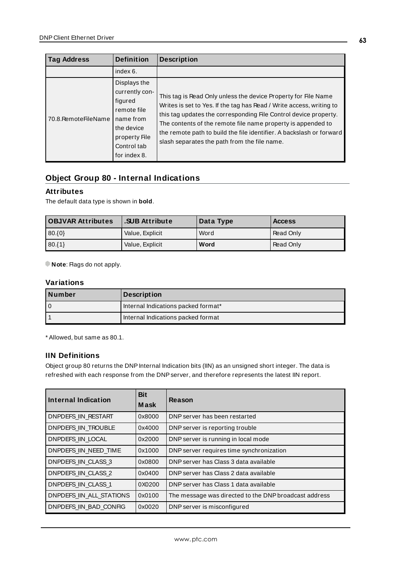| <b>Tag Address</b>     | <b>Definition</b>                                                                                                                   | <b>Description</b>                                                                                                                                                                                                                                                                                                                                                                                 |
|------------------------|-------------------------------------------------------------------------------------------------------------------------------------|----------------------------------------------------------------------------------------------------------------------------------------------------------------------------------------------------------------------------------------------------------------------------------------------------------------------------------------------------------------------------------------------------|
|                        | index 6.                                                                                                                            |                                                                                                                                                                                                                                                                                                                                                                                                    |
| 70.8. Remote File Name | Displays the<br>currently con-<br>figured<br>remote file<br>name from<br>the device<br>property File<br>Control tab<br>for index 8. | This tag is Read Only unless the device Property for File Name<br>Writes is set to Yes. If the tag has Read / Write access, writing to<br>this tag updates the corresponding File Control device property.<br>The contents of the remote file name property is appended to<br>the remote path to build the file identifier. A backslash or forward<br>slash separates the path from the file name. |

# **Object Group 80 - Internal Indications**

# **Attributes**

The default data type is shown in **bold**.

| <b>OBJVAR Attributes</b> | <b>.SUB Attribute</b> | Data Type | <b>Access</b>    |
|--------------------------|-----------------------|-----------|------------------|
| $  80.$ {0}              | Value, Explicit       | Word      | <b>Read Only</b> |
| 80.11                    | Value, Explicit       | Word      | <b>Read Only</b> |

**Note:** Flags do not apply.

### **Variations**

| Number | <b>Description</b>                  |
|--------|-------------------------------------|
|        | Internal Indications packed format* |
|        | Internal Indications packed format  |

\* Allowed, but same as 80.1.

### **IIN Definitions**

Object group 80 returns the DNPInternal Indication bits (IIN) as an unsigned short integer. The data is refreshed with each response from the DNP server, and therefore represents the latest IIN report.

| Internal Indication      | <b>Bit</b><br><b>Mask</b> | Reason                                                |
|--------------------------|---------------------------|-------------------------------------------------------|
| DNPDEFS IIN RESTART      | 0x8000                    | DNP server has been restarted                         |
| DNPDEFS IIN TROUBLE      | 0x4000                    | DNP server is reporting trouble                       |
| DNPDEFS IIN LOCAL        | 0x2000                    | DNP server is running in local mode                   |
| DNPDEFS IIN NEED TIME    | 0x1000                    | DNP server requires time synchronization              |
| DNPDEFS IIN CLASS 3      | 0x0800                    | DNP server has Class 3 data available                 |
| DNPDEFS IIN CLASS 2      | 0x0400                    | DNP server has Class 2 data available                 |
| DNPDEFS IIN CLASS 1      | 0X0200                    | DNP server has Class 1 data available                 |
| DNPDEFS IIN ALL STATIONS | 0x0100                    | The message was directed to the DNP broadcast address |
| DNPDEFS IIN BAD CONFIG   | 0x0020                    | DNP server is misconfigured                           |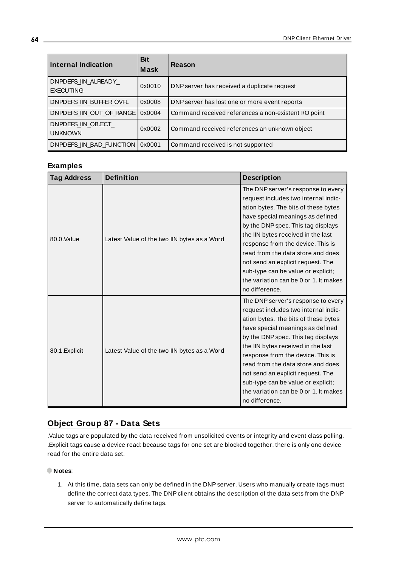| <b>Internal Indication</b>              | <b>Bit</b><br><b>Mask</b> | Reason                                               |
|-----------------------------------------|---------------------------|------------------------------------------------------|
| DNPDEFS IIN ALREADY<br><b>EXECUTING</b> | 0x0010                    | DNP server has received a duplicate request          |
| DNPDEFS IIN BUFFER OVFL                 | 0x0008                    | DNP server has lost one or more event reports        |
| DNPDEFS IIN OUT OF RANGE                | 0x0004                    | Command received references a non-existent I/O point |
| DNPDEFS IIN OBJECT<br><b>UNKNOWN</b>    | 0x0002                    | Command received references an unknown object        |
| DNPDEFS IIN BAD FUNCTION                | 0x0001                    | Command received is not supported                    |

# **Examples**

| <b>Tag Address</b> | <b>Definition</b>                           | <b>Description</b>                                                                                                                                                                                                                                                                                                                                                                                                                                 |
|--------------------|---------------------------------------------|----------------------------------------------------------------------------------------------------------------------------------------------------------------------------------------------------------------------------------------------------------------------------------------------------------------------------------------------------------------------------------------------------------------------------------------------------|
| 80.0.Value         | Latest Value of the two IIN bytes as a Word | The DNP server's response to every<br>request includes two internal indic-<br>ation bytes. The bits of these bytes<br>have special meanings as defined<br>by the DNP spec. This tag displays<br>the IIN bytes received in the last<br>response from the device. This is<br>read from the data store and does<br>not send an explicit request. The<br>sub-type can be value or explicit;<br>the variation can be 0 or 1. It makes<br>no difference. |
| 80.1. Explicit     | Latest Value of the two IIN bytes as a Word | The DNP server's response to every<br>request includes two internal indic-<br>ation bytes. The bits of these bytes<br>have special meanings as defined<br>by the DNP spec. This tag displays<br>the IIN bytes received in the last<br>response from the device. This is<br>read from the data store and does<br>not send an explicit request. The<br>sub-type can be value or explicit;<br>the variation can be 0 or 1. It makes<br>no difference. |

# **Object Group 87 - Data Sets**

.Value tags are populated by the data received from unsolicited events or integrity and event class polling. .Explicit tags cause a device read: because tags for one set are blocked together, there is only one device read for the entire data set.

### **Notes**:

1. At this time, data sets can only be defined in the DNPserver. Users who manually create tags must define the correct data types. The DNP client obtains the description of the data sets from the DNP server to automatically define tags.

**64**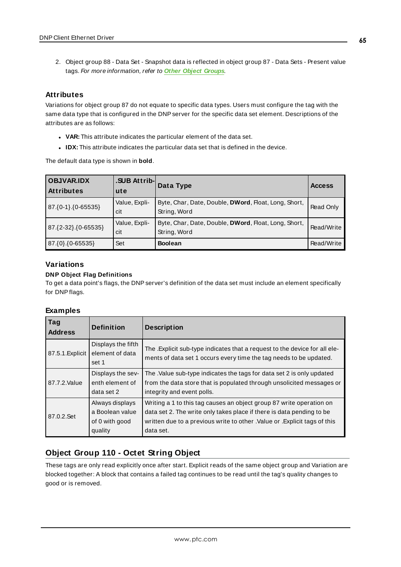2. Object group 88 - Data Set - Snapshot data is reflected in object group 87 - Data Sets - Present value tags. For more information, refer to **Other Object [Groups](#page-68-0)**.

### **Attributes**

Variations for object group 87 do not equate to specific data types. Users must configure the tag with the same data type that is configured in the DNP server for the specific data set element. Descriptions of the attributes are as follows:

- **· VAR:** This attribute indicates the particular element of the data set.
- **IDX:** This attribute indicates the particular data set that is defined in the device.

The default data type is shown in **bold**.

| <b>OBJVAR.IDX</b><br><b>Attributes</b> | .SUB Attrib-<br>ute  | Data Type                                                            | <b>Access</b> |
|----------------------------------------|----------------------|----------------------------------------------------------------------|---------------|
| 87. {0-1}. {0-65535}                   | Value, Expli-<br>cit | Byte, Char, Date, Double, DWord, Float, Long, Short,<br>String, Word | Read Only     |
| 87.{2-32}.{0-65535}                    | Value, Expli-<br>cit | Byte, Char, Date, Double, DWord, Float, Long, Short,<br>String, Word | Read/Write    |
| $87.\{0\}.\{0-65535\}$                 | Set                  | <b>Boolean</b>                                                       | Read/Write    |

# **Variations**

#### **DNP Object Flag Definitions**

To get a data point's flags, the DNPserver's definition of the data set must include an element specifically for DNPflags.

### **Examples**

| Tag<br><b>Address</b> | <b>Definition</b>                                               | <b>Description</b>                                                                                                                                                                                                                       |
|-----------------------|-----------------------------------------------------------------|------------------------------------------------------------------------------------------------------------------------------------------------------------------------------------------------------------------------------------------|
| 87.5.1. Explicit      | Displays the fifth<br>element of data<br>set 1                  | The . Explicit sub-type indicates that a request to the device for all ele-<br>ments of data set 1 occurs every time the tag needs to be updated.                                                                                        |
| 87.7.2. Value         | Displays the sev-<br>enth element of<br>data set 2              | The .Value sub-type indicates the tags for data set 2 is only updated<br>from the data store that is populated through unsolicited messages or<br>integrity and event polls.                                                             |
| 87.0.2.Set            | Always displays<br>a Boolean value<br>of 0 with good<br>quality | Writing a 1 to this tag causes an object group 87 write operation on<br>data set 2. The write only takes place if there is data pending to be<br>written due to a previous write to other. Value or . Explicit tags of this<br>data set. |

# **Object Group 110 - Octet String Object**

These tags are only read explicitly once after start. Explicit reads of the same object group and Variation are blocked together: A block that contains a failed tag continues to be read until the tag's quality changes to good or is removed.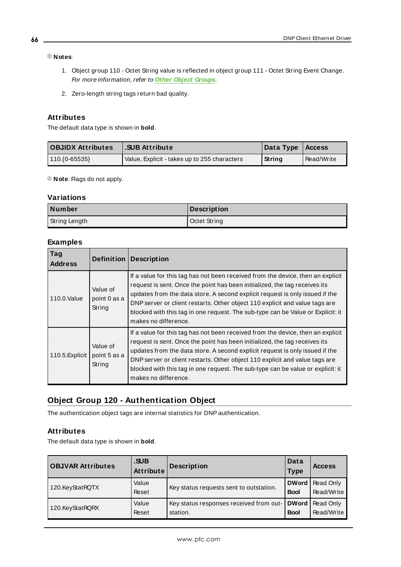### **Notes**:

- 1. Object group 110 Octet String value is reflected in object group 111 Octet String Event Change. For more information, refer to **Other Object [Groups](#page-68-0)**.
- 2. Zero-length string tags return bad quality.

### **Attributes**

The default data type is shown in **bold**.

| <b>OBJIDX Attributes</b> | .SUB Attribute                               | Data Type   Access |            |
|--------------------------|----------------------------------------------|--------------------|------------|
| $110.(0-65535)$          | Value, Explicit - takes up to 255 characters | String             | Read/Write |

**Note:** Flags do not apply.

### **Variations**

| Number        | Description  |
|---------------|--------------|
| String Length | Octet String |

#### **Examples**

| Tag<br><b>Address</b> | <b>Definition</b>                  | <b>Description</b>                                                                                                                                                                                                                                                                                                                                                                                                                      |
|-----------------------|------------------------------------|-----------------------------------------------------------------------------------------------------------------------------------------------------------------------------------------------------------------------------------------------------------------------------------------------------------------------------------------------------------------------------------------------------------------------------------------|
| 110.0. Value          | Value of<br>point 0 as a<br>String | If a value for this tag has not been received from the device, then an explicit<br>request is sent. Once the point has been initialized, the tag receives its<br>updates from the data store. A second explicit request is only issued if the<br>DNP server or client restarts. Other object 110 explicit and value tags are<br>blocked with this tag in one request. The sub-type can be Value or Explicit: it<br>makes no difference. |
| 110.5. Explicit       | Value of<br>point 5 as a<br>String | If a value for this tag has not been received from the device, then an explicit<br>request is sent. Once the point has been initialized, the tag receives its<br>updates from the data store. A second explicit request is only issued if the<br>DNP server or client restarts. Other object 110 explicit and value tags are<br>blocked with this tag in one request. The sub-type can be value or explicit: it<br>makes no difference. |

# **Object Group 120 - Authentication Object**

The authentication object tags are internal statistics for DNPauthentication.

# **Attributes**

The default data type is shown in **bold**.

| <b>OBJVAR Attributes</b> | .SUB<br>Attribute | <b>Description</b>                                  | Data<br>Type                | <b>Access</b>                  |
|--------------------------|-------------------|-----------------------------------------------------|-----------------------------|--------------------------------|
| 120.KeyStatRQTX          | Value<br>Reset    | Key status requests sent to outstation.             | <b>DWord</b><br><b>Bool</b> | Read Only<br>Read/Write        |
| 120.KeyStatRQRX          | Value<br>Reset    | Key status responses received from out-<br>station. | <b>DWord</b><br><b>Bool</b> | <b>Read Only</b><br>Read/Write |

**66**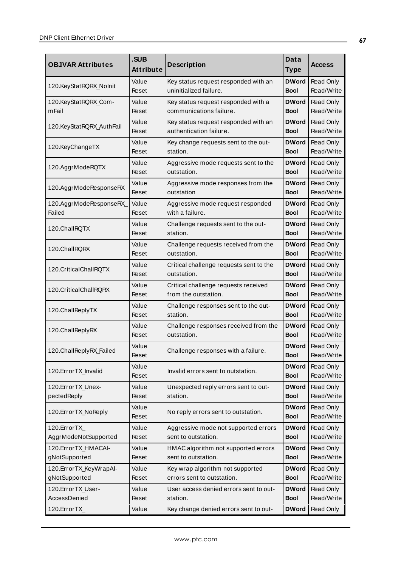|                                               | .SUB                                         |                                                              |                             |                         |  |
|-----------------------------------------------|----------------------------------------------|--------------------------------------------------------------|-----------------------------|-------------------------|--|
| <b>OBJVAR Attributes</b>                      | Attribute                                    | <b>Description</b>                                           | <b>Type</b>                 | <b>Access</b>           |  |
| Value<br>Key status request responded with an |                                              | <b>DWord</b>                                                 | Read Only                   |                         |  |
| 120.KeyStatRQRX_Nolnit                        | Reset                                        | uninitialized failure.                                       | Bool                        | Read/Write              |  |
| 120.KeyStatRQRX_Com-                          | Value                                        | Key status request responded with a                          | <b>DWord</b>                | Read Only               |  |
| m Fail                                        | Reset                                        | communications failure.                                      | Bool                        | Read/Write              |  |
| 120.KeyStatRQRX_AuthFail                      | Value                                        | Key status request responded with an                         | <b>DWord</b>                | Read Only               |  |
|                                               | Reset                                        | authentication failure.                                      | Bool                        | Read/Write              |  |
| 120.KeyChangeTX                               | Value                                        | Key change requests sent to the out-                         | <b>DWord</b>                | Read Only               |  |
|                                               | Reset                                        | station.                                                     | <b>Bool</b>                 | Read/Write              |  |
| 120.AggrModeRQTX                              | Value                                        | Aggressive mode requests sent to the                         | <b>DWord</b>                | Read Only               |  |
|                                               | Reset                                        | outstation.                                                  | Bool                        | Read/Write              |  |
| 120.AggrModeResponseRX                        | Value                                        | Aggressive mode responses from the                           | <b>DWord</b>                | Read Only               |  |
|                                               | Reset                                        | outstation                                                   | <b>Bool</b>                 | Read/Write              |  |
| 120.AggrModeResponseRX_                       | Value                                        | Aggressive mode request responded                            | <b>DWord</b>                | Read Only               |  |
| Failed                                        | Reset                                        | with a failure.                                              | Bool                        | Read/Write              |  |
| 120.ChallRQTX                                 | Value                                        | Challenge requests sent to the out-                          | <b>DWord</b>                | Read Only               |  |
|                                               | Reset                                        | station.                                                     | <b>Bool</b>                 | Read/Write              |  |
| 120.ChallRQRX                                 | Value                                        | Challenge requests received from the                         | <b>DWord</b>                | Read Only               |  |
|                                               | Reset                                        | outstation.                                                  | Bool                        | Read/Write              |  |
| 120.CriticalChallRQTX                         | Value                                        | Critical challenge requests sent to the<br>outstation.       | <b>DWord</b>                | Read Only<br>Read/Write |  |
|                                               | Reset                                        |                                                              | Bool                        |                         |  |
| 120. Critical Chall RQRX                      | Value<br>Reset                               | Critical challenge requests received<br>from the outstation. | <b>DWord</b><br>Bool        | Read Only<br>Read/Write |  |
|                                               |                                              |                                                              |                             |                         |  |
| 120.ChallReplyTX                              | Value<br>Reset                               | Challenge responses sent to the out-<br>station.             | <b>DWord</b><br><b>Bool</b> | Read Only<br>Read/Write |  |
|                                               |                                              |                                                              |                             |                         |  |
| 120.ChallReplyRX                              | Value<br>Reset                               | Challenge responses received from the<br>outstation.         | <b>DWord</b><br><b>Bool</b> | Read Only<br>Read/Write |  |
|                                               | Value                                        |                                                              | <b>DWord</b>                | Read Only               |  |
| 120.ChallReplyRX_Failed                       | Reset                                        | Challenge responses with a failure.                          | <b>Bool</b>                 | Read/Write              |  |
|                                               | Value                                        |                                                              | <b>DWord</b>                | Read Only               |  |
| 120. Error TX_Invalid                         | Reset                                        | Invalid errors sent to outstation.                           | <b>Bool</b>                 | Read/Write              |  |
| 120. Error TX_Unex-                           | Value                                        | Unexpected reply errors sent to out-                         | <b>DWord</b>                | Read Only               |  |
| pectedReply                                   | Reset                                        | station.                                                     | <b>Bool</b>                 | Read/Write              |  |
|                                               | Value                                        |                                                              | <b>DWord</b>                | Read Only               |  |
| 120.ErrorTX_NoReply                           | Reset                                        | No reply errors sent to outstation.                          | Bool                        | Read/Write              |  |
| 120.ErrorTX<br>Value                          |                                              | Aggressive mode not supported errors                         | <b>DWord</b>                | Read Only               |  |
| AggrModeNotSupported                          | Reset                                        | sent to outstation.                                          | <b>Bool</b>                 | Read/Write              |  |
| 120.ErrorTX_HMACAI-                           | Value<br>HMAC algorithm not supported errors |                                                              | <b>DWord</b>                | Read Only               |  |
| gNotSupported<br>sent to outstation.<br>Reset |                                              |                                                              | <b>Bool</b>                 | Read/Write              |  |
| 120.ErrorTX_KeyWrapAl-                        | Value                                        | Key wrap algorithm not supported                             | <b>DWord</b>                | Read Only               |  |
| gNotSupported<br>Reset                        |                                              | errors sent to outstation.                                   | <b>Bool</b>                 | Read/Write              |  |
| 120.ErrorTX_User-                             | Value                                        | User access denied errors sent to out-                       | <b>DWord</b>                | Read Only               |  |
| AccessDenied                                  | Reset                                        | station.                                                     | <b>Bool</b>                 | Read/Write              |  |
| 120.ErrorTX_                                  | Value                                        | Key change denied errors sent to out-                        | <b>DWord</b>                | Read Only               |  |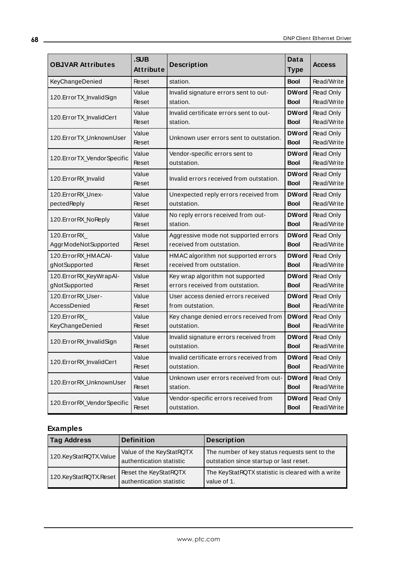| <b>OBJVAR Attributes</b>      | .SUB<br><b>Attribute</b> | <b>Description</b>                       | <b>Data</b><br><b>Type</b>  | <b>Access</b>           |
|-------------------------------|--------------------------|------------------------------------------|-----------------------------|-------------------------|
| KeyChangeDenied               | Reset                    | station.                                 | <b>Bool</b>                 | Read/Write              |
| 120. Error TX_InvalidSign     | Value                    | Invalid signature errors sent to out-    | <b>DWord</b>                | Read Only               |
|                               | Reset                    | station.                                 | <b>Bool</b>                 | Read/Write              |
| 120.ErrorTX_InvalidCert       | Value                    | Invalid certificate errors sent to out-  | <b>DWord</b>                | Read Only               |
|                               | Reset                    | station.                                 | <b>Bool</b>                 | Read/Write              |
| 120.ErrorTX_UnknownUser       | Value<br>Reset           | Unknown user errors sent to outstation.  | <b>DWord</b><br><b>Bool</b> | Read Only<br>Read/Write |
| 120.ErrorTX_VendorSpecific    | Value                    | Vendor-specific errors sent to           | <b>DWord</b>                | Read Only               |
|                               | Reset                    | outstation.                              | <b>Bool</b>                 | Read/Write              |
| 120. Error RX Invalid         | Value<br>Reset           | Invalid errors received from outstation. | <b>DWord</b><br><b>Bool</b> | Read Only<br>Read/Write |
| 120. Error RX Unex-           | Value                    | Unexpected reply errors received from    | <b>DWord</b>                | Read Only               |
| pectedReply                   | Reset                    | outstation.                              | <b>Bool</b>                 | Read/Write              |
| 120. Error RX_No Reply        | Value                    | No reply errors received from out-       | <b>DWord</b>                | Read Only               |
|                               | Reset                    | station.                                 | <b>Bool</b>                 | Read/Write              |
| 120. Error RX                 | Value                    | Aggressive mode not supported errors     | <b>DWord</b>                | Read Only               |
| AggrModeNotSupported          | Reset                    | received from outstation.                | <b>Bool</b>                 | Read/Write              |
| 120. Error RX HMACAI-         | Value                    | HMAC algorithm not supported errors      | <b>DWord</b>                | Read Only               |
| gNotSupported                 | Reset                    | received from outstation.                | <b>Bool</b>                 | Read/Write              |
| 120.ErrorRX_KeyWrapAl-        | Value                    | Key wrap algorithm not supported         | <b>DWord</b>                | Read Only               |
| gNotSupported                 | Reset                    | errors received from outstation.         | <b>Bool</b>                 | Read/Write              |
| 120. Error RX User-           | Value                    | User access denied errors received       | <b>DWord</b>                | Read Only               |
| AccessDenied                  | Reset                    | from outstation.                         | <b>Bool</b>                 | Read/Write              |
| 120.ErrorRX                   | Value                    | Key change denied errors received from   | <b>DWord</b>                | Read Only               |
| KeyChangeDenied               | Reset                    | outstation.                              | <b>Bool</b>                 | Read/Write              |
| 120. Error RX_Invalid Sign    | Value                    | Invalid signature errors received from   | <b>DWord</b>                | Read Only               |
|                               | Reset                    | outstation.                              | <b>Bool</b>                 | Read/Write              |
| 120.ErrorRX_InvalidCert       | Value                    | Invalid certificate errors received from | <b>DWord</b>                | Read Only               |
|                               | Reset                    | outstation.                              | <b>Bool</b>                 | Read/Write              |
| 120.ErrorRX_UnknownUser       | Value                    | Unknown user errors received from out-   | <b>DWord</b>                | Read Only               |
|                               | Reset                    | station.                                 | <b>Bool</b>                 | Read/Write              |
| 120. Error RX_Vendor Specific | Value                    | Vendor-specific errors received from     | <b>DWord</b>                | Read Only               |
|                               | Reset                    | outstation.                              | <b>Bool</b>                 | Read/Write              |

| <b>Tag Address</b>    | <b>Definition</b>                                    | <b>Description</b>                                                                       |
|-----------------------|------------------------------------------------------|------------------------------------------------------------------------------------------|
| 120.KeyStatRQTX.Value | Value of the KeyStatRQTX<br>authentication statistic | The number of key status requests sent to the<br>outstation since startup or last reset. |
| 120.KeyStatRQTX.Reset | Reset the KeyStatRQTX<br>authentication statistic    | The KeyStatRQTX statistic is cleared with a write<br>value of 1.                         |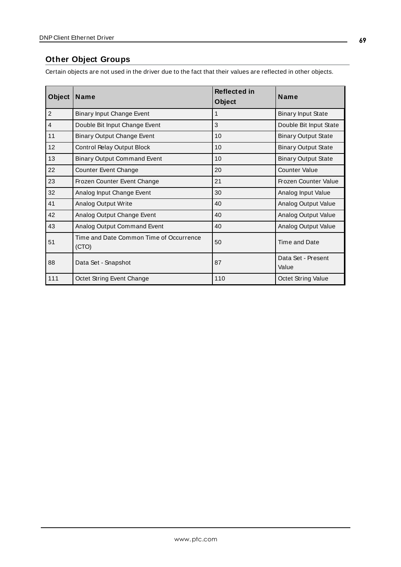# <span id="page-68-0"></span>**Other Object Groups**

Certain objects are not used in the driver due to the fact that their values are reflected in other objects.

| <b>Object</b>  | Name                                             | <b>Reflected in</b><br><b>Object</b> | Name                        |
|----------------|--------------------------------------------------|--------------------------------------|-----------------------------|
| $\overline{2}$ | Binary Input Change Event                        | 1                                    | <b>Binary Input State</b>   |
| $\overline{4}$ | Double Bit Input Change Event                    | 3                                    | Double Bit Input State      |
| 11             | <b>Binary Output Change Event</b>                | 10                                   | <b>Binary Output State</b>  |
| 12             | Control Relay Output Block                       | 10                                   | <b>Binary Output State</b>  |
| 13             | <b>Binary Output Command Event</b>               | 10                                   | <b>Binary Output State</b>  |
| 22             | Counter Event Change                             | 20                                   | <b>Counter Value</b>        |
| 23             | Frozen Counter Event Change                      | 21                                   | Frozen Counter Value        |
| 32             | Analog Input Change Event                        | 30                                   | Analog Input Value          |
| 41             | <b>Analog Output Write</b>                       | 40                                   | Analog Output Value         |
| 42             | Analog Output Change Event                       | 40                                   | Analog Output Value         |
| 43             | Analog Output Command Event                      | 40                                   | Analog Output Value         |
| 51             | Time and Date Common Time of Occurrence<br>(CTO) | 50                                   | Time and Date               |
| 88             | Data Set - Snapshot                              | 87                                   | Data Set - Present<br>Value |
| 111            | Octet String Event Change                        | 110                                  | Octet String Value          |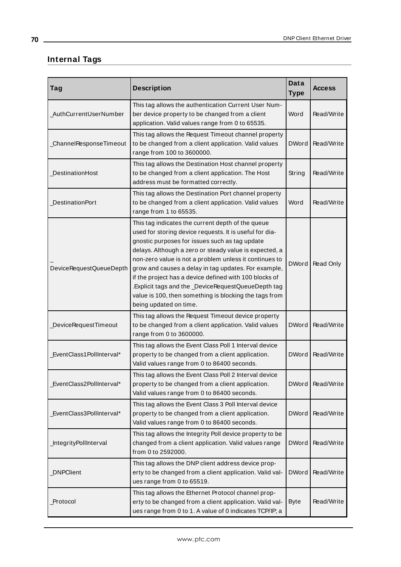# **Internal Tags**

| Tag                      | <b>Description</b>                                                                                                                                                                                                                                                                                                                                                                                                                                                                                                                              | <b>Data</b><br><b>Type</b> | <b>Access</b> |
|--------------------------|-------------------------------------------------------------------------------------------------------------------------------------------------------------------------------------------------------------------------------------------------------------------------------------------------------------------------------------------------------------------------------------------------------------------------------------------------------------------------------------------------------------------------------------------------|----------------------------|---------------|
| _AuthCurrentUserNumber   | This tag allows the authentication Current User Num-<br>ber device property to be changed from a client<br>application. Valid values range from 0 to 65535.                                                                                                                                                                                                                                                                                                                                                                                     | Word                       | Read/Write    |
| ChannelResponseTimeout   | This tag allows the Request Timeout channel property<br>to be changed from a client application. Valid values<br>range from 100 to 3600000.                                                                                                                                                                                                                                                                                                                                                                                                     | <b>DWord</b>               | Read/Write    |
| DestinationHost          | This tag allows the Destination Host channel property<br>to be changed from a client application. The Host<br>address must be formatted correctly.                                                                                                                                                                                                                                                                                                                                                                                              | String                     | Read/Write    |
| <b>DestinationPort</b>   | This tag allows the Destination Port channel property<br>to be changed from a client application. Valid values<br>range from 1 to 65535.                                                                                                                                                                                                                                                                                                                                                                                                        | Word                       | Read/Write    |
| DeviceRequestQueueDepth  | This tag indicates the current depth of the queue<br>used for storing device requests. It is useful for dia-<br>gnostic purposes for issues such as tag update<br>delays. Although a zero or steady value is expected, a<br>non-zero value is not a problem unless it continues to<br>grow and causes a delay in tag updates. For example,<br>if the project has a device defined with 100 blocks of<br>.Explicit tags and the _DeviceRequestQueueDepth tag<br>value is 100, then something is blocking the tags from<br>being updated on time. | <b>DWord</b>               | Read Only     |
| DeviceRequestTimeout     | This tag allows the Request Timeout device property<br>to be changed from a client application. Valid values<br>range from 0 to 3600000.                                                                                                                                                                                                                                                                                                                                                                                                        | <b>DWord</b>               | Read/Write    |
| EventClass1PollInterval* | This tag allows the Event Class Poll 1 Interval device<br>property to be changed from a client application.<br>Valid values range from 0 to 86400 seconds.                                                                                                                                                                                                                                                                                                                                                                                      | <b>DWord</b>               | Read/Write    |
| EventClass2PollInterval* | This tag allows the Event Class Poll 2 Interval device<br>property to be changed from a client application.<br>Valid values range from 0 to 86400 seconds.                                                                                                                                                                                                                                                                                                                                                                                      | <b>DWord</b>               | Read/Write    |
| EventClass3PollInterval* | This tag allows the Event Class 3 Poll Interval device<br>property to be changed from a client application.<br>Valid values range from 0 to 86400 seconds.                                                                                                                                                                                                                                                                                                                                                                                      | <b>DWord</b>               | Read/Write    |
| IntegrityPollInterval    | This tag allows the Integrity Poll device property to be<br>changed from a client application. Valid values range<br>from 0 to 2592000.                                                                                                                                                                                                                                                                                                                                                                                                         | <b>DWord</b>               | Read/Write    |
| DNPClient                | This tag allows the DNP client address device prop-<br>erty to be changed from a client application. Valid val-<br>ues range from 0 to 65519.                                                                                                                                                                                                                                                                                                                                                                                                   | <b>DWord</b>               | Read/Write    |
| Protocol                 | This tag allows the Ethernet Protocol channel prop-<br>erty to be changed from a client application. Valid val-<br>ues range from 0 to 1. A value of 0 indicates TCP/IP; a                                                                                                                                                                                                                                                                                                                                                                      | <b>Byte</b>                | Read/Write    |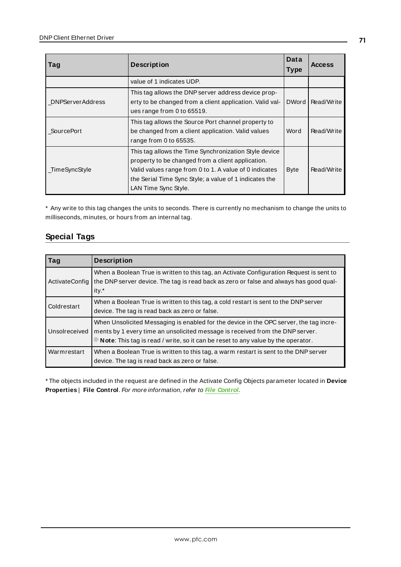| Tag                     | <b>Description</b>                                                                                                                                                                                                                                     |              | <b>Access</b> |
|-------------------------|--------------------------------------------------------------------------------------------------------------------------------------------------------------------------------------------------------------------------------------------------------|--------------|---------------|
|                         | value of 1 indicates UDP.                                                                                                                                                                                                                              |              |               |
| <b>DNPServerAddress</b> | This tag allows the DNP server address device prop-<br>erty to be changed from a client application. Valid val-<br>ues range from 0 to 65519.                                                                                                          | <b>DWord</b> | Read/Write    |
| <b>SourcePort</b>       | This tag allows the Source Port channel property to<br>be changed from a client application. Valid values<br>range from 0 to 65535.                                                                                                                    | Word         | Read/Write    |
| _TimeSyncStyle          | This tag allows the Time Synchronization Style device<br>property to be changed from a client application.<br>Valid values range from 0 to 1. A value of 0 indicates<br>the Serial Time Sync Style; a value of 1 indicates the<br>LAN Time Sync Style. | <b>Byte</b>  | Read/Write    |

\* Any write to this tag changes the units to seconds. There is currently no mechanism to change the units to milliseconds, minutes, or hours from an internal tag.

# **Special Tags**

| Taq            | <b>Description</b>                                                                                                                                                                                                                                          |
|----------------|-------------------------------------------------------------------------------------------------------------------------------------------------------------------------------------------------------------------------------------------------------------|
| ActivateConfig | When a Boolean True is written to this tag, an Activate Configuration Request is sent to<br>the DNP server device. The tag is read back as zero or false and always has good qual-<br>ity.*                                                                 |
| Coldrestart    | When a Boolean True is written to this tag, a cold restart is sent to the DNP server<br>device. The tag is read back as zero or false.                                                                                                                      |
| Unsolreceived  | When Unsolicited Messaging is enabled for the device in the OPC server, the tag incre-<br>ments by 1 every time an unsolicited message is received from the DNP server.<br>Note: This tag is read / write, so it can be reset to any value by the operator. |
| Warmrestart    | When a Boolean True is written to this tag, a warm restart is sent to the DNP server<br>device. The tag is read back as zero or false.                                                                                                                      |

\* The objects included in the request are defined in the Activate Config Objects parameter located in **Device Properties** | **File Control**. For more information, refer to **[File Control](#page-29-0)**.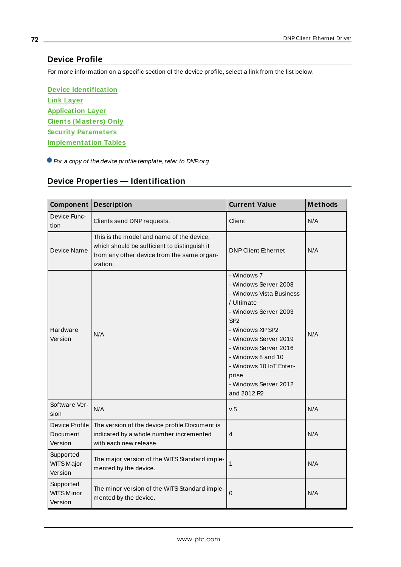# **Device Profile**

For more information on a specific section of the device profile, select a link from the list below.

**Device [Identification](#page-71-0) Link [Layer](#page-73-0) [Application](#page-74-0) Layer Clients [\(M asters\)](#page-75-0) Only Security [Parameters](#page-75-1) [Implementation](#page-77-0) Tables**

<span id="page-71-0"></span>For a copy of the device profile template, refer to DNP.org.

# **Device Properties — Identification**

| Component                                 | <b>Description</b>                                                                                                                                  | <b>Current Value</b>                                                                                                                                                                                                                                                                               | <b>Methods</b> |
|-------------------------------------------|-----------------------------------------------------------------------------------------------------------------------------------------------------|----------------------------------------------------------------------------------------------------------------------------------------------------------------------------------------------------------------------------------------------------------------------------------------------------|----------------|
| Device Func-<br>tion                      | Clients send DNP requests.                                                                                                                          | Client                                                                                                                                                                                                                                                                                             | N/A            |
| Device Name                               | This is the model and name of the device,<br>which should be sufficient to distinguish it<br>from any other device from the same organ-<br>ization. | <b>DNP Client Ethernet</b>                                                                                                                                                                                                                                                                         | N/A            |
| Hardware<br>Version                       | N/A                                                                                                                                                 | - Windows 7<br>- Windows Server 2008<br>- Windows Vista Business<br>/ Ultimate<br>- Windows Server 2003<br>SP <sub>2</sub><br>- Windows XP SP2<br>- Windows Server 2019<br>- Windows Server 2016<br>- Windows 8 and 10<br>- Windows 10 IoT Enter-<br>prise<br>- Windows Server 2012<br>and 2012 R2 | N/A            |
| Software Ver-<br>sion                     | N/A                                                                                                                                                 | v.5                                                                                                                                                                                                                                                                                                | N/A            |
| Device Profile<br>Document<br>Version     | The version of the device profile Document is<br>indicated by a whole number incremented<br>with each new release.                                  | 4                                                                                                                                                                                                                                                                                                  | N/A            |
| Supported<br><b>WITS Major</b><br>Version | The major version of the WITS Standard imple-<br>mented by the device.                                                                              | 1                                                                                                                                                                                                                                                                                                  | N/A            |
| Supported<br><b>WITS Minor</b><br>Version | The minor version of the WITS Standard imple-<br>mented by the device.                                                                              | $\mathbf 0$                                                                                                                                                                                                                                                                                        | N/A            |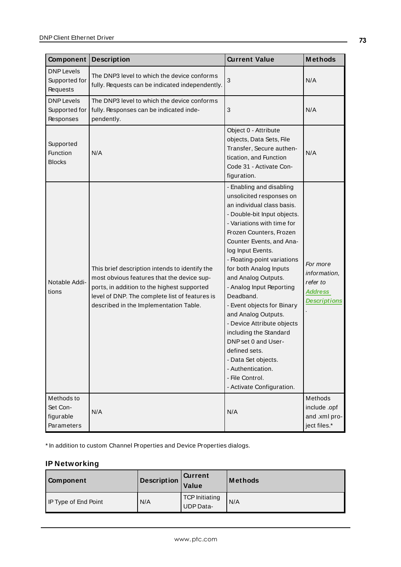| Component                                         | <b>Description</b>                                                                                                                                                                                                                      | <b>Current Value</b>                                                                                                                                                                                                                                                                                                                                                                                                                                                                                                                                                                                  | <b>Methods</b>                                                                |
|---------------------------------------------------|-----------------------------------------------------------------------------------------------------------------------------------------------------------------------------------------------------------------------------------------|-------------------------------------------------------------------------------------------------------------------------------------------------------------------------------------------------------------------------------------------------------------------------------------------------------------------------------------------------------------------------------------------------------------------------------------------------------------------------------------------------------------------------------------------------------------------------------------------------------|-------------------------------------------------------------------------------|
| <b>DNP Levels</b><br>Supported for<br>Requests    | The DNP3 level to which the device conforms<br>fully. Requests can be indicated independently.                                                                                                                                          | 3                                                                                                                                                                                                                                                                                                                                                                                                                                                                                                                                                                                                     | N/A                                                                           |
| <b>DNP</b> Levels<br>Supported for<br>Responses   | The DNP3 level to which the device conforms<br>fully. Responses can be indicated inde-<br>pendently.                                                                                                                                    | 3                                                                                                                                                                                                                                                                                                                                                                                                                                                                                                                                                                                                     | N/A                                                                           |
| Supported<br>Function<br><b>Blocks</b>            | N/A                                                                                                                                                                                                                                     | Object 0 - Attribute<br>objects, Data Sets, File<br>Transfer, Secure authen-<br>tication, and Function<br>Code 31 - Activate Con-<br>figuration.                                                                                                                                                                                                                                                                                                                                                                                                                                                      | N/A                                                                           |
| Notable Addi-<br>tions                            | This brief description intends to identify the<br>most obvious features that the device sup-<br>ports, in addition to the highest supported<br>level of DNP. The complete list of features is<br>described in the Implementation Table. | - Enabling and disabling<br>unsolicited responses on<br>an individual class basis.<br>- Double-bit Input objects.<br>- Variations with time for<br>Frozen Counters, Frozen<br>Counter Events, and Ana-<br>log Input Events.<br>- Floating-point variations<br>for both Analog Inputs<br>and Analog Outputs.<br>- Analog Input Reporting<br>Deadband.<br>- Event objects for Binary<br>and Analog Outputs.<br>- Device Attribute objects<br>including the Standard<br>DNP set 0 and User-<br>defined sets.<br>- Data Set objects.<br>- Authentication.<br>- File Control.<br>- Activate Configuration. | For more<br>information,<br>refer to<br><b>Address</b><br><b>Descriptions</b> |
| Methods to<br>Set Con-<br>figurable<br>Parameters | N/A                                                                                                                                                                                                                                     | N/A                                                                                                                                                                                                                                                                                                                                                                                                                                                                                                                                                                                                   | Methods<br>include .opf<br>and .xml pro-<br>ject files.*                      |

\* In addition to custom Channel Properties and Device Properties dialogs.

# **IP Networking**

| Component            | Description $ $ | <b>Current</b><br>Value            | <b>Methods</b> |
|----------------------|-----------------|------------------------------------|----------------|
| IP Type of End Point | N/A             | TCP Initiating<br><b>UDP</b> Data- | N/A            |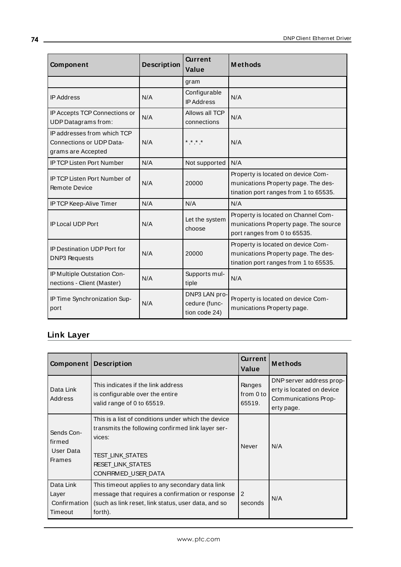| Component                                                                     | <b>Description</b> | <b>Current</b><br>Value                         | <b>Methods</b>                                                                                                     |
|-------------------------------------------------------------------------------|--------------------|-------------------------------------------------|--------------------------------------------------------------------------------------------------------------------|
|                                                                               |                    | gram                                            |                                                                                                                    |
| <b>IP Address</b>                                                             | N/A                | Configurable<br><b>IP Address</b>               | N/A                                                                                                                |
| IP Accepts TCP Connections or<br><b>UDP</b> Datagrams from:                   | N/A                | Allows all TCP<br>connections                   | N/A                                                                                                                |
| IP addresses from which TCP<br>Connections or UDP Data-<br>grams are Accepted | N/A                | * * * *                                         | N/A                                                                                                                |
| IP TCP Listen Port Number                                                     | N/A                | Not supported                                   | N/A                                                                                                                |
| <b>IP TCP Listen Port Number of</b><br><b>Remote Device</b>                   | N/A                | 20000                                           | Property is located on device Com-<br>munications Property page. The des-<br>tination port ranges from 1 to 65535. |
| IP TCP Keep-Alive Timer                                                       | N/A                | N/A                                             | N/A                                                                                                                |
| <b>IP Local UDP Port</b>                                                      | N/A                | Let the system<br>choose                        | Property is located on Channel Com-<br>munications Property page. The source<br>port ranges from 0 to 65535.       |
| <b>IP Destination UDP Port for</b><br><b>DNP3 Requests</b>                    | N/A                | 20000                                           | Property is located on device Com-<br>munications Property page. The des-<br>tination port ranges from 1 to 65535. |
| IP Multiple Outstation Con-<br>nections - Client (Master)                     | N/A                | Supports mul-<br>tiple                          | N/A                                                                                                                |
| IP Time Synchronization Sup-<br>port                                          | N/A                | DNP3 LAN pro-<br>cedure (func-<br>tion code 24) | Property is located on device Com-<br>munications Property page.                                                   |

## **Link Layer**

| Component                                          | <b>Description</b>                                                                                                                                                                               | <b>Current</b><br>Value       | <b>Methods</b>                                                                              |
|----------------------------------------------------|--------------------------------------------------------------------------------------------------------------------------------------------------------------------------------------------------|-------------------------------|---------------------------------------------------------------------------------------------|
| Data Link<br>Address                               | This indicates if the link address<br>is configurable over the entire<br>valid range of 0 to 65519.                                                                                              | Ranges<br>from 0 to<br>65519. | DNP server address prop-<br>erty is located on device<br>Communications Prop-<br>erty page. |
| Sends Con-<br>firmed<br>User Data<br><b>Frames</b> | This is a list of conditions under which the device<br>transmits the following confirmed link layer ser-<br>vices:<br><b>TEST LINK STATES</b><br><b>RESET LINK STATES</b><br>CONFIRMED USER DATA | Never                         | N/A                                                                                         |
| Data Link<br>Layer<br>Confirmation I<br>Timeout    | This timeout applies to any secondary data link<br>message that requires a confirmation or response<br>(such as link reset, link status, user data, and so<br>forth).                            | 2<br>seconds                  | N/A                                                                                         |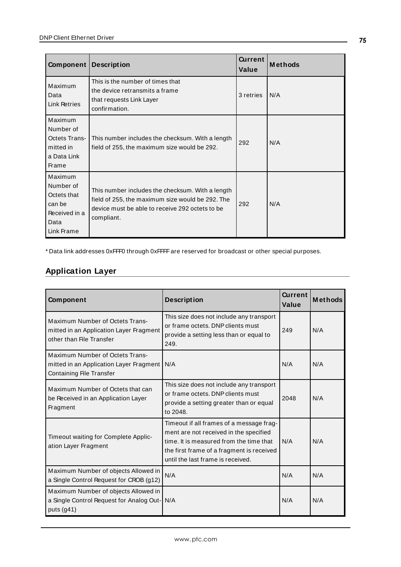| Component                                                                            | <b>Description</b>                                                                                                                                                    | <b>Current</b><br>Value | <b>Methods</b> |
|--------------------------------------------------------------------------------------|-----------------------------------------------------------------------------------------------------------------------------------------------------------------------|-------------------------|----------------|
| Maximum<br>Data<br>Link Retries                                                      | This is the number of times that<br>the device retransmits a frame<br>that requests Link Layer<br>confirmation.                                                       | 3 retries               | N/A            |
| Maximum<br>Number of<br><b>Octets Trans-</b><br>mitted in<br>a Data Link<br>Frame    | This number includes the checksum. With a length<br>field of 255, the maximum size would be 292.                                                                      | 292                     | N/A            |
| Maximum<br>Number of<br>Octets that<br>can be<br>Received in a<br>Data<br>Link Frame | This number includes the checksum. With a length<br>field of 255, the maximum size would be 292. The<br>device must be able to receive 292 octets to be<br>compliant. | 292                     | N/A            |

\* Data link addresses 0xFFF0 through 0xFFFFare reserved for broadcast or other special purposes.

# **Application Layer**

| Component                                                                                              | <b>Description</b>                                                                                                                                                                                              | Current<br>Value | <b>Methods</b> |
|--------------------------------------------------------------------------------------------------------|-----------------------------------------------------------------------------------------------------------------------------------------------------------------------------------------------------------------|------------------|----------------|
| Maximum Number of Octets Trans-<br>mitted in an Application Layer Fragment<br>other than File Transfer | This size does not include any transport<br>or frame octets. DNP clients must<br>provide a setting less than or equal to<br>249.                                                                                | 249              | N/A            |
| Maximum Number of Octets Trans-<br>mitted in an Application Layer Fragment<br>Containing File Transfer | N/A                                                                                                                                                                                                             | N/A              | N/A            |
| Maximum Number of Octets that can<br>be Received in an Application Layer<br>Fragment                   | This size does not include any transport<br>or frame octets. DNP clients must<br>provide a setting greater than or equal<br>to 2048.                                                                            | 2048             | N/A            |
| Timeout waiting for Complete Applic-<br>ation Layer Fragment                                           | Timeout if all frames of a message frag-<br>ment are not received in the specified<br>time. It is measured from the time that<br>the first frame of a fragment is received<br>until the last frame is received. | N/A              | N/A            |
| Maximum Number of objects Allowed in<br>a Single Control Request for CROB (g12)                        | N/A                                                                                                                                                                                                             | N/A              | N/A            |
| Maximum Number of objects Allowed in<br>a Single Control Request for Analog Out-<br>puts (g41)         | N/A                                                                                                                                                                                                             | N/A              | N/A            |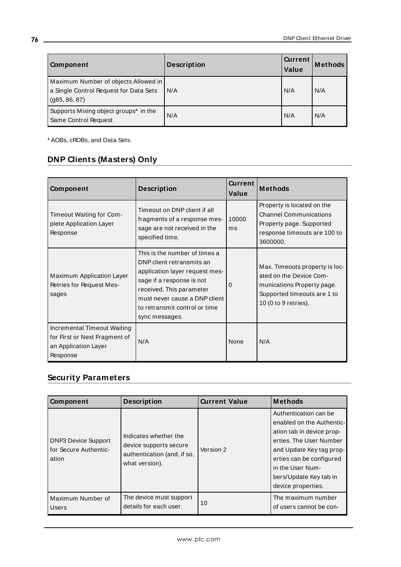| Component                                                                                       | <b>Description</b> | <b>Current</b><br>Value | <b>Methods</b> |
|-------------------------------------------------------------------------------------------------|--------------------|-------------------------|----------------|
| Maximum Number of objects Allowed in<br>a Single Control Request for Data Sets<br>(g85, 86, 87) | N/A                | N/A                     | N/A            |
| Supports Mixing object groups* in the<br>Same Control Request                                   | N/A                | N/A                     | N/A            |

\* AOBs, cROBs, and Data Sets.

# **DNP Clients (Masters) Only**

| Component                                                                                        | <b>Description</b>                                                                                                                                                                                                                        | <b>Current</b><br>Value | <b>Methods</b>                                                                                                                                 |
|--------------------------------------------------------------------------------------------------|-------------------------------------------------------------------------------------------------------------------------------------------------------------------------------------------------------------------------------------------|-------------------------|------------------------------------------------------------------------------------------------------------------------------------------------|
| Timeout Waiting for Com-<br>plete Application Layer<br>Response                                  | Timeout on DNP client if all<br>fragments of a response mes-<br>sage are not received in the<br>specified time.                                                                                                                           | 10000<br>ms             | Property is located on the<br><b>Channel Communications</b><br>Property page. Supported<br>response timeouts are 100 to<br>3600000.            |
| Maximum Application Layer<br>Retries for Request Mes-<br>sages                                   | This is the number of times a<br>DNP client retransmits an<br>application layer request mes-<br>sage if a response is not<br>received. This parameter<br>must never cause a DNP client<br>to retransmit control or time<br>sync messages. | O                       | Max. Timeouts property is loc-<br>ated on the Device Com-<br>munications Property page.<br>Supported timeouts are 1 to<br>10 (0 to 9 retries). |
| Incremental Timeout Waiting<br>for First or Next Fragment of<br>an Application Layer<br>Response | N/A                                                                                                                                                                                                                                       | None                    | N/A                                                                                                                                            |

## **Security Parameters**

| Component                                                    | <b>Description</b>                                                                               | <b>Current Value</b> | <b>Methods</b>                                                                                                                                                                                                                         |
|--------------------------------------------------------------|--------------------------------------------------------------------------------------------------|----------------------|----------------------------------------------------------------------------------------------------------------------------------------------------------------------------------------------------------------------------------------|
| <b>DNP3 Device Support</b><br>for Secure Authentic-<br>ation | Indicates whether the<br>device supports secure<br>authentication (and, if so,<br>what version). | Version 2            | Authentication can be<br>enabled on the Authentic-<br>ation tab in device prop-<br>erties. The User Number<br>and Update Key tag prop-<br>erties can be configured<br>in the User Num-<br>bers/Update Key tab in<br>device properties. |
| Maximum Number of<br>Users                                   | The device must support<br>details for each user.                                                | 10                   | The maximum number<br>of users cannot be con-                                                                                                                                                                                          |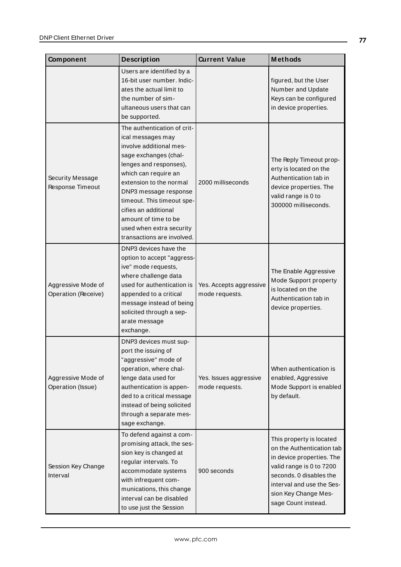| Component                                 | <b>Description</b>                                                                                                                                                                                                                                                                                                                                 | <b>Current Value</b>                      | <b>Methods</b>                                                                                                                                                                                                        |
|-------------------------------------------|----------------------------------------------------------------------------------------------------------------------------------------------------------------------------------------------------------------------------------------------------------------------------------------------------------------------------------------------------|-------------------------------------------|-----------------------------------------------------------------------------------------------------------------------------------------------------------------------------------------------------------------------|
|                                           | Users are identified by a<br>16-bit user number. Indic-<br>ates the actual limit to<br>the number of sim-<br>ultaneous users that can<br>be supported.                                                                                                                                                                                             |                                           | figured, but the User<br>Number and Update<br>Keys can be configured<br>in device properties.                                                                                                                         |
| Security Message<br>Response Timeout      | The authentication of crit-<br>ical messages may<br>involve additional mes-<br>sage exchanges (chal-<br>lenges and responses),<br>which can require an<br>extension to the normal<br>DNP3 message response<br>timeout. This timeout spe-<br>cifies an additional<br>amount of time to be<br>used when extra security<br>transactions are involved. | 2000 milliseconds                         | The Reply Timeout prop-<br>erty is located on the<br>Authentication tab in<br>device properties. The<br>valid range is 0 to<br>300000 milliseconds.                                                                   |
| Aggressive Mode of<br>Operation (Receive) | DNP3 devices have the<br>option to accept "aggress-<br>ive" mode requests,<br>where challenge data<br>used for authentication is<br>appended to a critical<br>message instead of being<br>solicited through a sep-<br>arate message<br>exchange.                                                                                                   | Yes. Accepts aggressive<br>mode requests. | The Enable Aggressive<br>Mode Support property<br>is located on the<br>Authentication tab in<br>device properties.                                                                                                    |
| Aggressive Mode of<br>Operation (Issue)   | DNP3 devices must sup-<br>port the issuing of<br>"aggressive" mode of<br>operation, where chal-<br>lenge data used for<br>authentication is appen-<br>ded to a critical message<br>instead of being solicited<br>through a separate mes-<br>sage exchange.                                                                                         | Yes. Issues aggressive<br>mode requests.  | When authentication is<br>enabled, Aggressive<br>Mode Support is enabled<br>by default.                                                                                                                               |
| Session Key Change<br>Interval            | To defend against a com-<br>promising attack, the ses-<br>sion key is changed at<br>regular intervals. To<br>accommodate systems<br>with infrequent com-<br>munications, this change<br>interval can be disabled<br>to use just the Session                                                                                                        | 900 seconds                               | This property is located<br>on the Authentication tab<br>in device properties. The<br>valid range is 0 to 7200<br>seconds. 0 disables the<br>interval and use the Ses-<br>sion Key Change Mes-<br>sage Count instead. |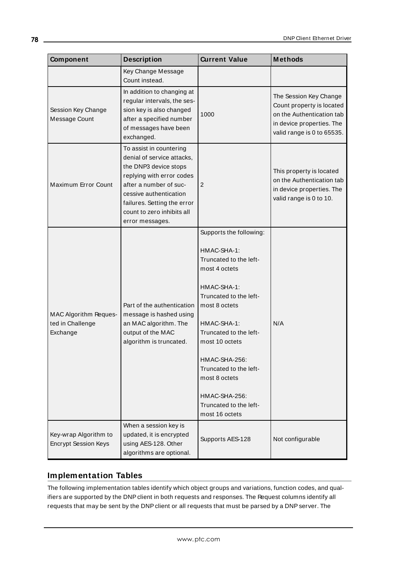| Component                                             | <b>Description</b>                                                                                                                                                                                                                              | <b>Current Value</b>                                                                                                                                                                                                                                                                                                            | <b>Methods</b>                                                                                                                              |
|-------------------------------------------------------|-------------------------------------------------------------------------------------------------------------------------------------------------------------------------------------------------------------------------------------------------|---------------------------------------------------------------------------------------------------------------------------------------------------------------------------------------------------------------------------------------------------------------------------------------------------------------------------------|---------------------------------------------------------------------------------------------------------------------------------------------|
|                                                       | Key Change Message<br>Count instead.                                                                                                                                                                                                            |                                                                                                                                                                                                                                                                                                                                 |                                                                                                                                             |
| Session Key Change<br>Message Count                   | In addition to changing at<br>regular intervals, the ses-<br>sion key is also changed<br>after a specified number<br>of messages have been<br>exchanged.                                                                                        | 1000                                                                                                                                                                                                                                                                                                                            | The Session Key Change<br>Count property is located<br>on the Authentication tab<br>in device properties. The<br>valid range is 0 to 65535. |
| Maximum Error Count                                   | To assist in countering<br>denial of service attacks,<br>the DNP3 device stops<br>replying with error codes<br>after a number of suc-<br>cessive authentication<br>failures. Setting the error<br>count to zero inhibits all<br>error messages. | 2                                                                                                                                                                                                                                                                                                                               | This property is located<br>on the Authentication tab<br>in device properties. The<br>valid range is 0 to 10.                               |
| MAC Algorithm Reques-<br>ted in Challenge<br>Exchange | Part of the authentication<br>message is hashed using<br>an MAC algorithm. The<br>output of the MAC<br>algorithm is truncated.                                                                                                                  | Supports the following:<br>HMAC-SHA-1:<br>Truncated to the left-<br>most 4 octets<br>HMAC-SHA-1:<br>Truncated to the left-<br>most 8 octets<br>HMAC-SHA-1:<br>Truncated to the left-<br>most 10 octets<br>HMAC-SHA-256:<br>Truncated to the left-<br>most 8 octets<br>HMAC-SHA-256:<br>Truncated to the left-<br>most 16 octets | N/A                                                                                                                                         |
| Key-wrap Algorithm to<br><b>Encrypt Session Keys</b>  | When a session key is<br>updated, it is encrypted<br>using AES-128. Other<br>algorithms are optional.                                                                                                                                           | Supports AES-128                                                                                                                                                                                                                                                                                                                | Not configurable                                                                                                                            |

### **Implementation Tables**

The following implementation tables identify which object groups and variations, function codes, and qualifiers are supported by the DNP client in both requests and responses. The Request columns identify all requests that may be sent by the DNP client or all requests that must be parsed by a DNP server. The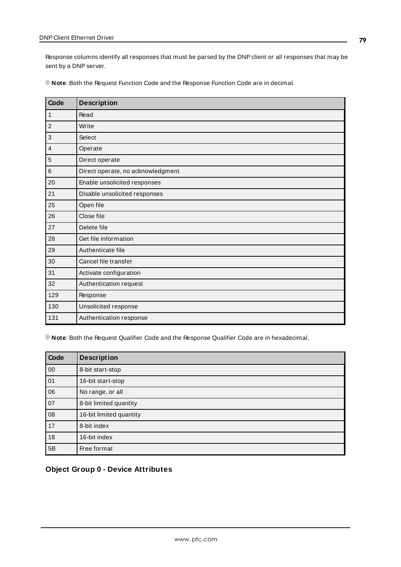Response columns identify all responses that must be parsed by the DNPclient or all responses that may be sent by a DNP server.

**Note**: Both the Request Function Code and the Response Function Code are in decimal.

| Code           | <b>Description</b>                |
|----------------|-----------------------------------|
| $\mathbf{1}$   | Read                              |
| $\overline{c}$ | Write                             |
| $\mathbf{3}$   | Select                            |
| $\overline{4}$ | Operate                           |
| 5              | Direct operate                    |
| $\,6$          | Direct operate, no acknowledgment |
| 20             | Enable unsolicited responses      |
| 21             | Disable unsolicited responses     |
| 25             | Open file                         |
| 26             | Close file                        |
| 27             | Delete file                       |
| 28             | Get file information              |
| 29             | Authenticate file                 |
| 30             | Cancel file transfer              |
| 31             | Activate configuration            |
| 32             | Authentication request            |
| 129            | Response                          |
| 130            | Unsolicited response              |
| 131            | Authentication response           |

**Note**: Both the Request Qualifier Code and the Response Qualifier Code are in hexadecimal.

| Code | <b>Description</b>      |
|------|-------------------------|
| 00   | 8-bit start-stop        |
| 01   | 16-bit start-stop       |
| 06   | No range, or all        |
| 07   | 8-bit limited quantity  |
| 08   | 16-bit limited quantity |
| 17   | 8-bit index             |
| 18   | 16-bit index            |
| 5B   | Free format             |

### **Object Group 0 - Device Attributes**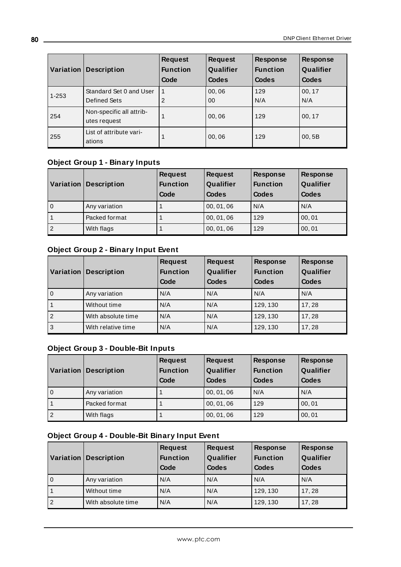| Variation | <b>Description</b>                       | <b>Request</b><br><b>Function</b><br>Code | <b>Request</b><br>Qualifier<br>Codes | <b>Response</b><br><b>Function</b><br><b>Codes</b> | <b>Response</b><br>Qualifier<br><b>Codes</b> |
|-----------|------------------------------------------|-------------------------------------------|--------------------------------------|----------------------------------------------------|----------------------------------------------|
| $1 - 253$ | Standard Set 0 and User<br>Defined Sets  | 2                                         | 00,06<br>$00\,$                      | 129<br>N/A                                         | 00, 17<br>N/A                                |
| 254       | Non-specific all attrib-<br>utes request |                                           | 00,06                                | 129                                                | 00, 17                                       |
| 255       | List of attribute vari-<br>ations        |                                           | 00,06                                | 129                                                | 00, 5B                                       |

# **Object Group 1 - Binary Inputs**

|   | <b>Variation Description</b> | <b>Request</b><br><b>Function</b><br>Code | <b>Request</b><br>Qualifier<br>Codes | <b>Response</b><br><b>Function</b><br>Codes | <b>Response</b><br>Qualifier<br><b>Codes</b> |
|---|------------------------------|-------------------------------------------|--------------------------------------|---------------------------------------------|----------------------------------------------|
| 0 | Any variation                |                                           | 00, 01, 06                           | N/A                                         | N/A                                          |
|   | Packed format                |                                           | 00, 01, 06                           | 129                                         | 00, 01                                       |
| 2 | With flags                   |                                           | 00, 01, 06                           | 129                                         | 00, 01                                       |

### **Object Group 2 - Binary Input Event**

|                | <b>Variation Description</b> | <b>Request</b><br><b>Function</b><br>Code | <b>Request</b><br>Qualifier<br><b>Codes</b> | <b>Response</b><br><b>Function</b><br>Codes | <b>Response</b><br>Qualifier<br>Codes |
|----------------|------------------------------|-------------------------------------------|---------------------------------------------|---------------------------------------------|---------------------------------------|
| l o            | Any variation                | N/A                                       | N/A                                         | N/A                                         | N/A                                   |
|                | Without time                 | N/A                                       | N/A                                         | 129, 130                                    | 17,28                                 |
| $\overline{2}$ | With absolute time           | N/A                                       | N/A                                         | 129, 130                                    | 17,28                                 |
| $\vert$ 3      | With relative time           | N/A                                       | N/A                                         | 129, 130                                    | 17,28                                 |

## **Object Group 3 - Double-Bit Inputs**

|                | <b>Variation Description</b> | <b>Request</b><br><b>Function</b><br>Code | <b>Request</b><br>Qualifier<br><b>Codes</b> | <b>Response</b><br><b>Function</b><br>Codes | <b>Response</b><br>Qualifier<br><b>Codes</b> |
|----------------|------------------------------|-------------------------------------------|---------------------------------------------|---------------------------------------------|----------------------------------------------|
| l 0            | Any variation                |                                           | 00, 01, 06                                  | N/A                                         | N/A                                          |
|                | Packed format                |                                           | 00, 01, 06                                  | 129                                         | 00.01                                        |
| $\overline{2}$ | With flags                   |                                           | 00, 01, 06                                  | 129                                         | 00, 01                                       |

## **Object Group 4 - Double-Bit Binary Input Event**

| Variation      | <b>Description</b> | <b>Request</b><br><b>Function</b><br>Code | <b>Request</b><br>Qualifier<br>Codes | <b>Response</b><br><b>Function</b><br>Codes | <b>Response</b><br>Qualifier<br>Codes |
|----------------|--------------------|-------------------------------------------|--------------------------------------|---------------------------------------------|---------------------------------------|
| $\mathbf 0$    | Any variation      | N/A                                       | N/A                                  | N/A                                         | N/A                                   |
|                | Without time       | N/A                                       | N/A                                  | 129, 130                                    | 17,28                                 |
| $\overline{2}$ | With absolute time | N/A                                       | N/A                                  | 129, 130                                    | 17.28                                 |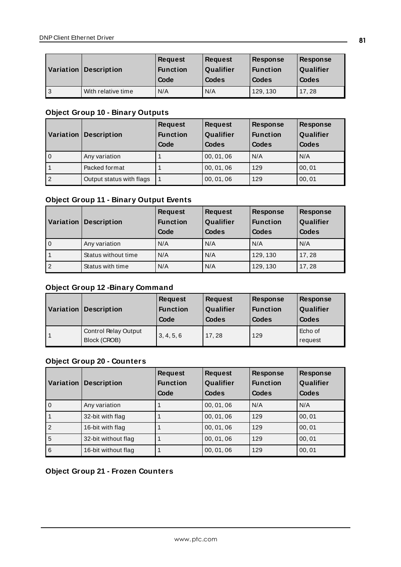|     | <b>Variation Description</b> | <b>Request</b><br><b>Function</b><br>Code | <b>Request</b><br>Qualifier<br>Codes | <b>Response</b><br><b>Function</b><br>Codes | <b>Response</b><br>Qualifier<br>Codes |
|-----|------------------------------|-------------------------------------------|--------------------------------------|---------------------------------------------|---------------------------------------|
| l 3 | With relative time           | N/A                                       | N/A                                  | 129, 130                                    | 17.28                                 |

## **Object Group 10 - Binary Outputs**

|                | Variation Description    | <b>Request</b><br><b>Function</b><br>Code | <b>Request</b><br>Qualifier<br>Codes | <b>Response</b><br><b>Function</b><br>Codes | <b>Response</b><br>Qualifier<br><b>Codes</b> |
|----------------|--------------------------|-------------------------------------------|--------------------------------------|---------------------------------------------|----------------------------------------------|
| $\mathbf 0$    | Any variation            |                                           | 00, 01, 06                           | N/A                                         | N/A                                          |
|                | Packed format            |                                           | 00, 01, 06                           | 129                                         | 00, 01                                       |
| $\overline{2}$ | Output status with flags |                                           | 00, 01, 06                           | 129                                         | 00, 01                                       |

## **Object Group 11 - Binary Output Events**

| Variation      | <b>Description</b>  | <b>Request</b><br><b>Function</b><br>Code | <b>Request</b><br>Qualifier<br><b>Codes</b> | <b>Response</b><br><b>Function</b><br>Codes | <b>Response</b><br>Qualifier<br>Codes |
|----------------|---------------------|-------------------------------------------|---------------------------------------------|---------------------------------------------|---------------------------------------|
| $\overline{0}$ | Any variation       | N/A                                       | N/A                                         | l N/A                                       | N/A                                   |
|                | Status without time | N/A                                       | N/A                                         | 129, 130                                    | 17.28                                 |
| $\overline{2}$ | Status with time    | N/A                                       | N/A                                         | 129, 130                                    | 17.28                                 |

## **Object Group 12 -Binary Command**

| Variation   Description                     | <b>Request</b><br><b>Function</b><br>Code | <b>Request</b><br>Qualifier<br>Codes | <b>Response</b><br><b>Function</b><br>Codes | <b>Response</b><br>Qualifier<br>Codes |
|---------------------------------------------|-------------------------------------------|--------------------------------------|---------------------------------------------|---------------------------------------|
| <b>Control Relay Output</b><br>Block (CROB) | 3, 4, 5, 6                                | 17.28                                | 129                                         | Echo of<br>request                    |

# **Object Group 20 - Counters**

| Variation      | <b>Description</b>  | <b>Request</b><br><b>Function</b><br>Code | <b>Request</b><br>Qualifier<br>Codes | <b>Response</b><br><b>Function</b><br>Codes | <b>Response</b><br>Qualifier<br><b>Codes</b> |
|----------------|---------------------|-------------------------------------------|--------------------------------------|---------------------------------------------|----------------------------------------------|
| $\overline{0}$ | Any variation       |                                           | 00, 01, 06                           | N/A                                         | N/A                                          |
|                | 32-bit with flag    |                                           | 00, 01, 06                           | 129                                         | 00,01                                        |
| 2              | 16-bit with flag    |                                           | 00, 01, 06                           | 129                                         | 00,01                                        |
| 5              | 32-bit without flag |                                           | 00, 01, 06                           | 129                                         | 00.01                                        |
| 6              | 16-bit without flag |                                           | 00, 01, 06                           | 129                                         | 00,01                                        |

# **Object Group 21 - Frozen Counters**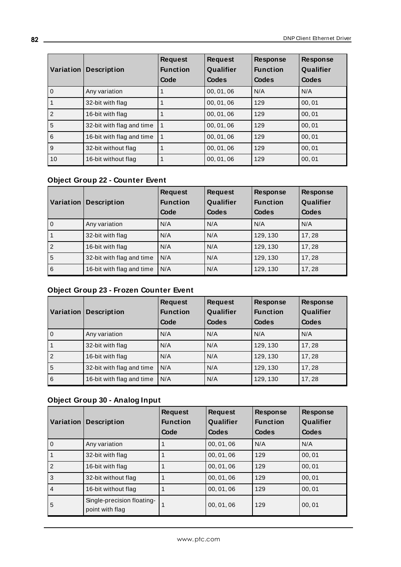| Variation      | <b>Description</b>        | <b>Request</b><br><b>Function</b><br>Code | <b>Request</b><br>Qualifier<br>Codes | <b>Response</b><br><b>Function</b><br>Codes | <b>Response</b><br>Qualifier<br><b>Codes</b> |
|----------------|---------------------------|-------------------------------------------|--------------------------------------|---------------------------------------------|----------------------------------------------|
| 0              | Any variation             |                                           | 00, 01, 06                           | N/A                                         | N/A                                          |
|                | 32-bit with flag          |                                           | 00, 01, 06                           | 129                                         | 00,01                                        |
| $\overline{2}$ | 16-bit with flag          |                                           | 00, 01, 06                           | 129                                         | 00,01                                        |
| 5              | 32-bit with flag and time |                                           | 00, 01, 06                           | 129                                         | 00.01                                        |
| 6              | 16-bit with flag and time |                                           | 00, 01, 06                           | 129                                         | 00,01                                        |
| 9              | 32-bit without flag       |                                           | 00, 01, 06                           | 129                                         | 00,01                                        |
| 10             | 16-bit without flag       |                                           | 00, 01, 06                           | 129                                         | 00,01                                        |

### **Object Group 22 - Counter Event**

|                | Variation   Description   | <b>Request</b><br><b>Function</b><br>Code | <b>Request</b><br>Qualifier<br>Codes | <b>Response</b><br><b>Function</b><br>Codes | <b>Response</b><br>Qualifier<br>Codes |
|----------------|---------------------------|-------------------------------------------|--------------------------------------|---------------------------------------------|---------------------------------------|
| $\overline{0}$ | Any variation             | N/A                                       | N/A                                  | N/A                                         | N/A                                   |
| l 1            | 32-bit with flag          | N/A                                       | N/A                                  | 129, 130                                    | 17, 28                                |
| $\overline{2}$ | 16-bit with flag          | N/A                                       | N/A                                  | 129, 130                                    | 17,28                                 |
| 5              | 32-bit with flag and time | N/A                                       | N/A                                  | 129, 130                                    | 17,28                                 |
| $\overline{6}$ | 16-bit with flag and time | N/A                                       | N/A                                  | 129, 130                                    | 17, 28                                |

# **Object Group 23 - Frozen Counter Event**

|                | <b>Variation Description</b> | <b>Request</b><br><b>Function</b><br>Code | <b>Request</b><br>Qualifier<br>Codes | <b>Response</b><br><b>Function</b><br><b>Codes</b> | <b>Response</b><br>Qualifier<br><b>Codes</b> |
|----------------|------------------------------|-------------------------------------------|--------------------------------------|----------------------------------------------------|----------------------------------------------|
| l o            | Any variation                | N/A                                       | N/A                                  | N/A                                                | N/A                                          |
|                | 32-bit with flag             | N/A                                       | N/A                                  | 129, 130                                           | 17,28                                        |
| $\overline{2}$ | 16-bit with flag             | N/A                                       | N/A                                  | 129, 130                                           | 17,28                                        |
| 5              | 32-bit with flag and time    | N/A                                       | N/A                                  | 129, 130                                           | 17,28                                        |
| $\overline{6}$ | 16-bit with flag and time    | N/A                                       | N/A                                  | 129, 130                                           | 17,28                                        |

## **Object Group 30 - Analog Input**

| Variation      | <b>Description</b>                            | <b>Request</b><br><b>Function</b><br>Code | <b>Request</b><br>Qualifier<br>Codes | <b>Response</b><br><b>Function</b><br>Codes | <b>Response</b><br>Qualifier<br>Codes |
|----------------|-----------------------------------------------|-------------------------------------------|--------------------------------------|---------------------------------------------|---------------------------------------|
| l o            | Any variation                                 |                                           | 00.01.06                             | N/A                                         | N/A                                   |
| $\mathbf{1}$   | 32-bit with flag                              |                                           | 00, 01, 06                           | 129                                         | 00,01                                 |
| $\overline{2}$ | 16-bit with flag                              |                                           | 00, 01, 06                           | 129                                         | 00,01                                 |
| l 3            | 32-bit without flag                           |                                           | 00.01.06                             | 129                                         | 00.01                                 |
| 4              | 16-bit without flag                           |                                           | 00.01.06                             | 129                                         | 00.01                                 |
| ا 5            | Single-precision floating-<br>point with flag |                                           | 00, 01, 06                           | 129                                         | 00, 01                                |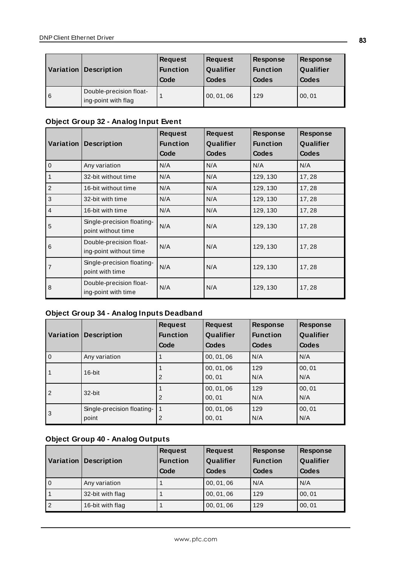|     | Variation Description                          | <b>Request</b><br><b>Function</b><br>Code | <b>Request</b><br>Qualifier<br>Codes | <b>Response</b><br><b>Function</b><br>Codes | <b>Response</b><br>Qualifier<br>Codes |
|-----|------------------------------------------------|-------------------------------------------|--------------------------------------|---------------------------------------------|---------------------------------------|
| l 6 | Double-precision float-<br>ing-point with flag |                                           | 00, 01, 06                           | 129                                         | 00, 01                                |

# **Object Group 32 - Analog Input Event**

|                |                                                   | <b>Request</b>  | <b>Request</b> | <b>Response</b> | <b>Response</b> |
|----------------|---------------------------------------------------|-----------------|----------------|-----------------|-----------------|
| Variation      | <b>Description</b>                                | <b>Function</b> | Qualifier      | <b>Function</b> | Qualifier       |
|                |                                                   | Code            | <b>Codes</b>   | <b>Codes</b>    | <b>Codes</b>    |
| $\Omega$       | Any variation                                     | N/A             | N/A            | N/A             | N/A             |
| 1              | 32-bit without time                               | N/A             | N/A            | 129, 130        | 17,28           |
| $\overline{2}$ | 16-bit without time                               | N/A             | N/A            | 129, 130        | 17,28           |
| 3              | 32-bit with time                                  | N/A             | N/A            | 129, 130        | 17,28           |
| $\overline{4}$ | 16-bit with time                                  | N/A             | N/A            | 129, 130        | 17,28           |
| 5              | Single-precision floating-<br>point without time  | N/A             | N/A            | 129, 130        | 17,28           |
| 6              | Double-precision float-<br>ing-point without time | N/A             | N/A            | 129, 130        | 17,28           |
| 7              | Single-precision floating-<br>point with time     | N/A             | N/A            | 129, 130        | 17,28           |
| 8              | Double-precision float-<br>ing-point with time    | N/A             | N/A            | 129, 130        | 17,28           |

# **Object Group 34 - Analog Inputs Deadband**

| Variation      | <b>Description</b>                  | <b>Request</b><br><b>Function</b><br>Code | <b>Request</b><br>Qualifier<br><b>Codes</b> | <b>Response</b><br><b>Function</b><br><b>Codes</b> | <b>Response</b><br>Qualifier<br><b>Codes</b> |
|----------------|-------------------------------------|-------------------------------------------|---------------------------------------------|----------------------------------------------------|----------------------------------------------|
| l o            | Any variation                       |                                           | 00, 01, 06                                  | N/A                                                | N/A                                          |
| l 1            | 16-bit                              | $\overline{2}$                            | 00, 01, 06<br>00.01                         | 129<br>N/A                                         | 00,01<br>N/A                                 |
| $\overline{2}$ | 32-bit                              | $\overline{2}$                            | 00, 01, 06<br>00.01                         | 129<br>N/A                                         | 00,01<br>N/A                                 |
| l3             | Single-precision floating-<br>point | 2                                         | 00, 01, 06<br>00,01                         | 129<br>N/A                                         | 00,01<br>N/A                                 |

# **Object Group 40 - Analog Outputs**

|                | <b>Variation Description</b> | <b>Request</b><br><b>Function</b><br>Code | <b>Request</b><br>Qualifier<br>Codes | <b>Response</b><br><b>Function</b><br>Codes | Response<br>Qualifier<br>Codes |
|----------------|------------------------------|-------------------------------------------|--------------------------------------|---------------------------------------------|--------------------------------|
| l o            | Any variation                |                                           | 00, 01, 06                           | N/A                                         | N/A                            |
| l 1            | 32-bit with flag             |                                           | 00, 01, 06                           | 129                                         | 00,01                          |
| $\overline{2}$ | 16-bit with flag             |                                           | 00, 01, 06                           | 129                                         | 00, 01                         |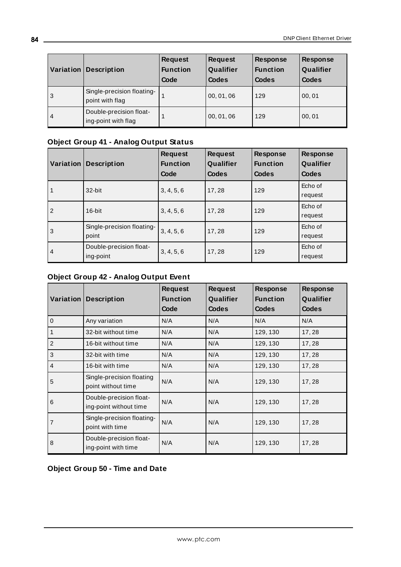| Variation | <b>Description</b>                             | <b>Request</b><br><b>Function</b><br>Code | <b>Request</b><br>Qualifier<br>Codes | <b>Response</b><br><b>Function</b><br>Codes | <b>Response</b><br>Qualifier<br>Codes |
|-----------|------------------------------------------------|-------------------------------------------|--------------------------------------|---------------------------------------------|---------------------------------------|
| 3         | Single-precision floating-<br>point with flag  |                                           | 00, 01, 06                           | 129                                         | 00, 01                                |
| $\vert$ 4 | Double-precision float-<br>ing-point with flag |                                           | 00, 01, 06                           | 129                                         | 00, 01                                |

# **Object Group 41 - Analog Output Status**

|              | <b>Variation Description</b>         | <b>Request</b><br><b>Function</b><br>Code | <b>Request</b><br>Qualifier<br>Codes | <b>Response</b><br><b>Function</b><br>Codes | <b>Response</b><br>Qualifier<br>Codes |
|--------------|--------------------------------------|-------------------------------------------|--------------------------------------|---------------------------------------------|---------------------------------------|
| $\mathbf{1}$ | 32-bit                               | 3, 4, 5, 6                                | 17,28                                | 129                                         | Echo of<br>request                    |
| 2            | 16-bit                               | 3, 4, 5, 6                                | 17,28                                | 129                                         | Echo of<br>request                    |
| l3           | Single-precision floating-<br>point  | 3, 4, 5, 6                                | 17,28                                | 129                                         | Echo of<br>request                    |
| l 4          | Double-precision float-<br>ing-point | 3, 4, 5, 6                                | 17,28                                | 129                                         | Echo of<br>request                    |

## **Object Group 42 - Analog Output Event**

|                |                                                   | <b>Request</b>  | <b>Request</b> | Response        | <b>Response</b> |
|----------------|---------------------------------------------------|-----------------|----------------|-----------------|-----------------|
| Variation      | <b>Description</b>                                | <b>Function</b> | Qualifier      | <b>Function</b> | Qualifier       |
|                |                                                   | Code            | <b>Codes</b>   | Codes           | <b>Codes</b>    |
| $\overline{0}$ | Any variation                                     | N/A             | N/A            | N/A             | N/A             |
| $\mathbf{1}$   | 32-bit without time                               | N/A             | N/A            | 129, 130        | 17,28           |
| $\overline{2}$ | 16-bit without time                               | N/A             | N/A            | 129, 130        | 17,28           |
| 3              | 32-bit with time                                  | N/A             | N/A            | 129, 130        | 17,28           |
| $\overline{4}$ | 16-bit with time                                  | N/A             | N/A            | 129, 130        | 17,28           |
| 5              | Single-precision floating<br>point without time   | N/A             | N/A            | 129, 130        | 17,28           |
| 6              | Double-precision float-<br>ing-point without time | N/A             | N/A            | 129, 130        | 17, 28          |
| $\overline{7}$ | Single-precision floating-<br>point with time     | N/A             | N/A            | 129, 130        | 17, 28          |
| 8              | Double-precision float-<br>ing-point with time    | N/A             | N/A            | 129, 130        | 17, 28          |

**Object Group 50 - Time and Date**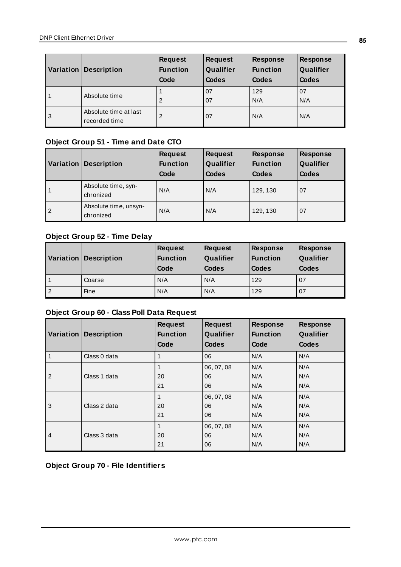|   | Variation Description                  | <b>Request</b><br><b>Function</b><br>Code | <b>Request</b><br>Qualifier<br>Codes | <b>Response</b><br><b>Function</b><br><b>Codes</b> | <b>Response</b><br>Qualifier<br><b>Codes</b> |
|---|----------------------------------------|-------------------------------------------|--------------------------------------|----------------------------------------------------|----------------------------------------------|
|   | Absolute time                          | $\overline{2}$                            | 07<br>07                             | 129<br>N/A                                         | 07<br>N/A                                    |
| 3 | Absolute time at last<br>recorded time | 2                                         | 07                                   | N/A                                                | N/A                                          |

## **Object Group 51 - Time and Date CTO**

| Variation      | <b>Description</b>                 | <b>Request</b><br><b>Function</b><br>Code | <b>Request</b><br>Qualifier<br>Codes | <b>Response</b><br><b>Function</b><br>Codes | <b>Response</b><br>Qualifier<br><b>Codes</b> |
|----------------|------------------------------------|-------------------------------------------|--------------------------------------|---------------------------------------------|----------------------------------------------|
|                | Absolute time, syn-<br>chronized   | N/A                                       | N/A                                  | 129, 130                                    | 07                                           |
| $\overline{2}$ | Absolute time, unsyn-<br>chronized | N/A                                       | N/A                                  | 129, 130                                    | 07                                           |

# **Object Group 52 - Time Delay**

|                | Variation   Description | <b>Request</b><br><b>Function</b><br>Code | <b>Request</b><br>Qualifier<br>Codes | <b>Response</b><br><b>Function</b><br>Codes | <b>Response</b><br>Qualifier<br>Codes |
|----------------|-------------------------|-------------------------------------------|--------------------------------------|---------------------------------------------|---------------------------------------|
|                | Coarse                  | N/A                                       | N/A                                  | 129                                         | 07                                    |
| $\overline{2}$ | Fine                    | N/A                                       | N/A                                  | 129                                         | 07                                    |

# **Object Group 60 - Class Poll Data Request**

| Variation      | <b>Description</b> | <b>Request</b><br><b>Function</b><br>Code | <b>Request</b><br>Qualifier<br><b>Codes</b> | <b>Response</b><br><b>Function</b><br>Code | <b>Response</b><br>Qualifier<br><b>Codes</b> |
|----------------|--------------------|-------------------------------------------|---------------------------------------------|--------------------------------------------|----------------------------------------------|
|                | Class 0 data       |                                           | 06                                          | N/A                                        | N/A                                          |
| $\overline{2}$ | Class 1 data       | 20<br>21                                  | 06, 07, 08<br>06<br>06                      | N/A<br>N/A<br>N/A                          | N/A<br>N/A<br>N/A                            |
| 3              | Class 2 data       | 20<br>21                                  | 06, 07, 08<br>06<br>06                      | N/A<br>N/A<br>N/A                          | N/A<br>N/A<br>N/A                            |
| $\overline{4}$ | Class 3 data       | 20<br>21                                  | 06, 07, 08<br>06<br>06                      | N/A<br>N/A<br>N/A                          | N/A<br>N/A<br>N/A                            |

**Object Group 70 - File Identifiers**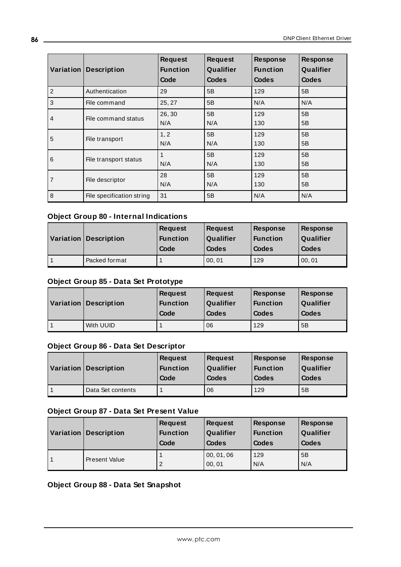| Variation      | <b>Description</b>        | <b>Request</b><br><b>Function</b><br>Code | <b>Request</b><br>Qualifier<br><b>Codes</b> | <b>Response</b><br><b>Function</b><br><b>Codes</b> | <b>Response</b><br>Qualifier<br><b>Codes</b> |
|----------------|---------------------------|-------------------------------------------|---------------------------------------------|----------------------------------------------------|----------------------------------------------|
| $\overline{2}$ | Authentication            | 29                                        | 5B                                          | 129                                                | 5B                                           |
| 3              | File command              | 25, 27                                    | 5B                                          | N/A                                                | N/A                                          |
| 4              | File command status       | 26,30<br>N/A                              | 5B<br>N/A                                   | 129<br>130                                         | 5B<br>5B                                     |
| 5              | File transport            | 1, 2<br>N/A                               | 5B<br>N/A                                   | 129<br>130                                         | 5B<br>5B                                     |
| 6              | File transport status     | 1<br>N/A                                  | 5B<br>N/A                                   | 129<br>130                                         | 5B<br>5B                                     |
| 7              | File descriptor           | 28<br>N/A                                 | 5B<br>N/A                                   | 129<br>130                                         | 5B<br>5B                                     |
| 8              | File specification string | 31                                        | 5B                                          | N/A                                                | N/A                                          |

### **Object Group 80 - Internal Indications**

| $\sqrt{\frac{1}{1}}$ Variation | <b>Description</b> | <b>Request</b><br><b>Function</b><br>Code | <b>Request</b><br>Qualifier<br>Codes | <b>Response</b><br><b>Function</b><br>Codes | <b>Response</b><br>Qualifier<br>Codes |
|--------------------------------|--------------------|-------------------------------------------|--------------------------------------|---------------------------------------------|---------------------------------------|
|                                | Packed format      |                                           | 00, 01                               | 129                                         | 00, 01                                |

## **Object Group 85 - Data Set Prototype**

| Variation | <b>Description</b> | <b>Request</b><br><b>Function</b><br>Code | <b>Request</b><br>Qualifier<br><b>Codes</b> | Response<br><b>Function</b><br>Codes | Response<br>Qualifier<br><b>Codes</b> |
|-----------|--------------------|-------------------------------------------|---------------------------------------------|--------------------------------------|---------------------------------------|
|           | With UUID          |                                           | 06                                          | 129                                  | 5B                                    |

### **Object Group 86 - Data Set Descriptor**

| Variation | <b>Description</b> | Request<br><b>Function</b><br>Code | <b>Request</b><br>Qualifier<br><b>Codes</b> | <b>Response</b><br><b>Function</b><br><b>Codes</b> | <b>Response</b><br>Qualifier<br><b>Codes</b> |
|-----------|--------------------|------------------------------------|---------------------------------------------|----------------------------------------------------|----------------------------------------------|
|           | Data Set contents  |                                    | 06                                          | 129                                                | 5B                                           |

### **Object Group 87 - Data Set Present Value**

| Variation | <b>Description</b>   | <b>Request</b><br><b>Function</b><br>Code | <b>Request</b><br>Qualifier<br>Codes | Response<br><b>Function</b><br>Codes | <b>Response</b><br>Qualifier<br><b>Codes</b> |
|-----------|----------------------|-------------------------------------------|--------------------------------------|--------------------------------------|----------------------------------------------|
|           | <b>Present Value</b> | 2                                         | 00, 01, 06<br>00, 01                 | 129<br>N/A                           | 5B<br>N/A                                    |

## **Object Group 88 - Data Set Snapshot**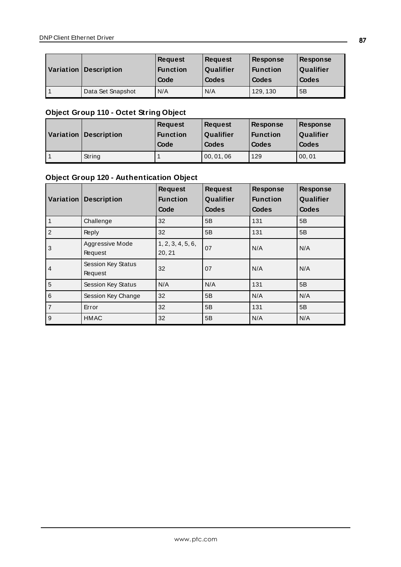| <b>Variation Description</b> | <b>Request</b><br><b>Function</b><br>Code | <b>Request</b><br>Qualifier<br>Codes | <b>Response</b><br><b>Function</b><br>Codes | <b>Response</b><br>Qualifier<br>Codes |
|------------------------------|-------------------------------------------|--------------------------------------|---------------------------------------------|---------------------------------------|
| Data Set Snapshot            | N/A                                       | N/A                                  | 129, 130                                    | 5B                                    |

# **Object Group 110 - Octet String Object**

| Variation Description | <b>Request</b><br><b>Function</b><br>Code | <b>Request</b><br>Qualifier<br><b>Codes</b> | <b>Response</b><br><b>Function</b><br>Codes | <b>Response</b><br>Qualifier<br>Codes |
|-----------------------|-------------------------------------------|---------------------------------------------|---------------------------------------------|---------------------------------------|
| String                |                                           | 00, 01, 06                                  | 129                                         | 00, 01                                |

# **Object Group 120 - Authentication Object**

|                | <b>Variation Description</b>  | <b>Request</b><br><b>Function</b><br>Code | <b>Request</b><br>Qualifier<br><b>Codes</b> | <b>Response</b><br><b>Function</b><br><b>Codes</b> | <b>Response</b><br>Qualifier<br><b>Codes</b> |
|----------------|-------------------------------|-------------------------------------------|---------------------------------------------|----------------------------------------------------|----------------------------------------------|
| $\vert$ 1      | Challenge                     | 32                                        | 5B                                          | 131                                                | 5B                                           |
| $\vert$ 2      | Reply                         | 32                                        | 5B                                          | 131                                                | 5B                                           |
| 3              | Aggressive Mode<br>Request    | 1, 2, 3, 4, 5, 6,<br>20, 21               | 07                                          | N/A                                                | N/A                                          |
| l 4            | Session Key Status<br>Request | 32                                        | 07                                          | N/A                                                | N/A                                          |
| $\overline{5}$ | Session Key Status            | N/A                                       | N/A                                         | 131                                                | 5B                                           |
| $\overline{6}$ | Session Key Change            | 32                                        | 5B                                          | N/A                                                | N/A                                          |
| 7              | Error                         | 32                                        | 5B                                          | 131                                                | 5B                                           |
| 9              | <b>HMAC</b>                   | 32                                        | 5B                                          | N/A                                                | N/A                                          |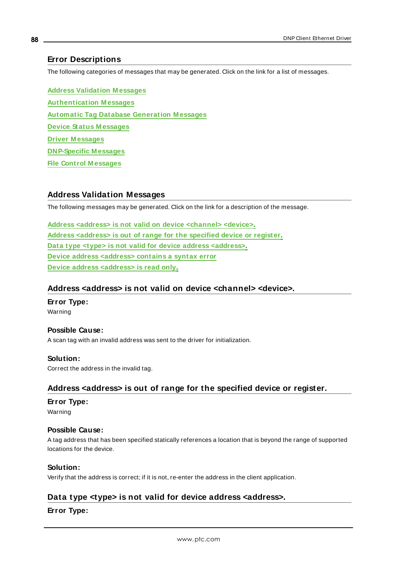### <span id="page-87-4"></span>**Error Descriptions**

The following categories of messages that may be generated. Click on the link for a list of messages.

**Address Validation [M essages](#page-87-0) [Authentication](#page-88-0) M essages Automatic Tag Database Generation [M essages](#page-92-0) Device Status [M essages](#page-94-0) Driver [M essages](#page-105-0) DNP-Specific [M essages](#page-106-0) File Control [M essages](#page-132-0)**

#### <span id="page-87-0"></span>**Address Validation Messages**

The following messages may be generated. Click on the link for a description of the message.

**Address <address> is not valid on device [<channel>](#page-87-1) <device>. Address [<address>](#page-87-2) is out of range for the specified device or register. Data type <type> is not valid for device address [<address>](#page-87-3). Device address [<address>](#page-88-1) contains a syntax error Device address [<address>](#page-88-2) is read only.**

#### <span id="page-87-1"></span>**Address <address> is not valid on device <channel> <device>.**

**Error Type:** Warning

#### **Possible Cause:** A scan tag with an invalid address was sent to the driver for initialization.

<span id="page-87-2"></span>Correct the address in the invalid tag.

### **Address <address> is out of range for the specified device or register.**

#### **Error Type:**

**Solution:**

Warning

#### **Possible Cause:**

A tag address that has been specified statically references a location that is beyond the range of supported locations for the device.

#### **Solution:**

<span id="page-87-3"></span>Verify that the address is correct; if it is not, re-enter the address in the client application.

#### **Data type <type> is not valid for device address <address>.**

#### **Error Type:**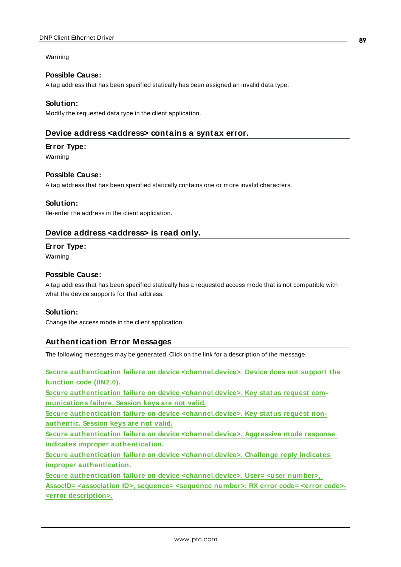#### Warning

#### **Possible Cause:**

A tag address that has been specified statically has been assigned an invalid data type.

#### **Solution:**

<span id="page-88-1"></span>Modify the requested data type in the client application.

### **Device address <address> contains a syntax error.**

#### **Error Type:**

Warning

#### **Possible Cause:**

A tag address that has been specified statically contains one or more invalid characters.

#### **Solution:**

<span id="page-88-2"></span>Re-enter the address in the client application.

### **Device address <address> is read only.**

#### **Error Type:**

Warning

#### **Possible Cause:**

A tag address that has been specified statically has a requested access mode that is not compatible with what the device supports for that address.

#### **Solution:**

<span id="page-88-0"></span>Change the access mode in the client application.

### **Authentication Error Messages**

The following messages may be generated. Click on the link for a description of the message.

**Secure authentication failure on device [<channel.device>.](#page-89-0) Device does not support the [function](#page-89-0) code (IIN2.0).**

**Secure authentication failure on device [<channel.device>.](#page-89-1) Key status request com[munications](#page-89-1) failure. Session keys are not valid.**

**Secure authentication failure on device [<channel.device>.](#page-89-2) Key status request non[authentic.](#page-89-2) Session keys are not valid.**

**Secure authentication failure on device [<channel.device>.](#page-90-0) Aggressive mode response indicates improper [authentication.](#page-90-0)**

**Secure authentication failure on device [<channel.device>.](#page-90-1) Challenge reply indicates improper [authentication.](#page-90-1)**

**Secure authentication failure on device [<channel.device>.](#page-90-2) User= <user number>,**

**AssocID= [<association](#page-90-2) ID>, sequence= <sequence number>. RX error code= <error code>- <error [description>.](#page-90-2)**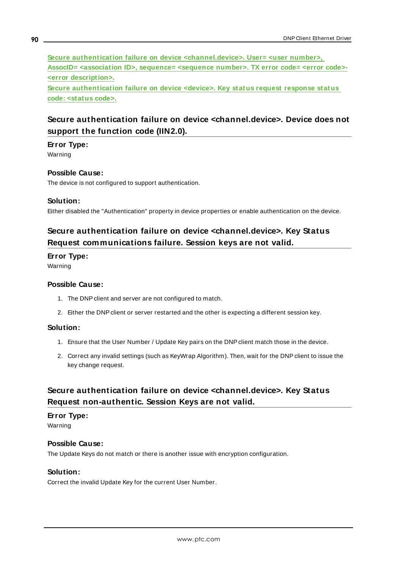**Secure authentication failure on device [<channel.device>.](#page-91-0) User= <user number>, AssocID= [<association](#page-91-0) ID>, sequence= <sequence number>. TX error code= <error code>- <error [description>.](#page-91-0)**

**Secure [authentication](#page-92-1) failure on device <device>. Key status request response status code: [<status](#page-92-1) code>.**

### <span id="page-89-0"></span>**Secure authentication failure on device <channel.device>. Device does not support the function code (IIN2.0).**

#### **Error Type:**

Warning

#### **Possible Cause:**

The device is not configured to support authentication.

#### **Solution:**

<span id="page-89-1"></span>Either disabled the "Authentication" property in device properties or enable authentication on the device.

### **Secure authentication failure on device <channel.device>. Key Status Request communications failure. Session keys are not valid.**

#### **Error Type:**

Warning

#### **Possible Cause:**

- 1. The DNP client and server are not configured to match.
- 2. Either the DNP client or server restarted and the other is expecting a different session key.

#### **Solution:**

- 1. Ensure that the User Number / Update Key pairs on the DNP client match those in the device.
- 2. Correct any invalid settings (such as KeyWrap Algorithm). Then, wait for the DNP client to issue the key change request.

### <span id="page-89-2"></span>**Secure authentication failure on device <channel.device>. Key Status Request non-authentic. Session Keys are not valid.**

#### **Error Type:** Warning

#### **Possible Cause:**

The Update Keys do not match or there is another issue with encryption configuration.

#### **Solution:**

Correct the invalid Update Key for the current User Number.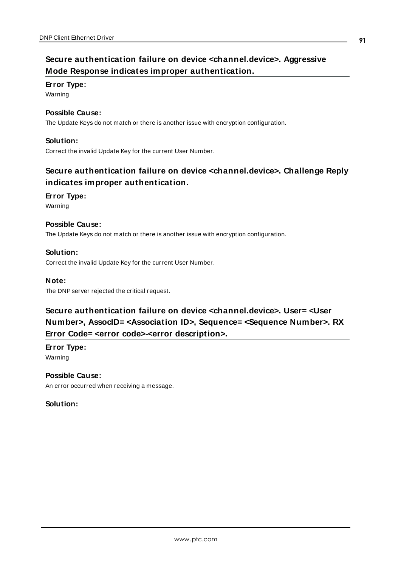# <span id="page-90-0"></span>**Secure authentication failure on device <channel.device>. Aggressive Mode Response indicates improper authentication.**

#### **Error Type:**

Warning

### **Possible Cause:**

The Update Keys do not match or there is another issue with encryption configuration.

#### **Solution:**

<span id="page-90-1"></span>Correct the invalid Update Key for the current User Number.

# **Secure authentication failure on device <channel.device>. Challenge Reply indicates improper authentication.**

#### **Error Type:**

Warning

#### **Possible Cause:**

The Update Keys do not match or there is another issue with encryption configuration.

#### **Solution:**

Correct the invalid Update Key for the current User Number.

#### **Note:**

<span id="page-90-2"></span>The DNP server rejected the critical request.

# **Secure authentication failure on device <channel.device>. User= <User Number>, AssocID= <Association ID>, Sequence= <Sequence Number>. RX Error Code= <error code>-<error description>.**

**Error Type:** Warning

#### **Possible Cause:**

An error occurred when receiving a message.

### **Solution:**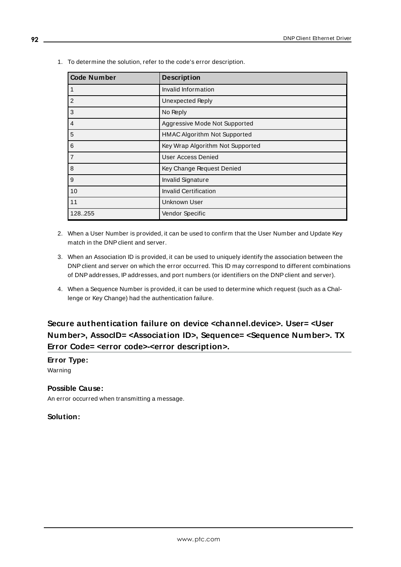| <b>Code Number</b> | <b>Description</b>                  |
|--------------------|-------------------------------------|
|                    | Invalid Information                 |
| $\overline{2}$     | Unexpected Reply                    |
| 3                  | No Reply                            |
| 4                  | Aggressive Mode Not Supported       |
| 5                  | <b>HMAC Algorithm Not Supported</b> |
| 6                  | Key Wrap Algorithm Not Supported    |
| $\overline{7}$     | User Access Denied                  |
| 8                  | Key Change Request Denied           |
| 9                  | Invalid Signature                   |
| 10                 | <b>Invalid Certification</b>        |
| 11                 | Unknown User                        |
| 128.255            | Vendor Specific                     |

1. To determine the solution, refer to the code's error description.

- 2. When a User Number is provided, it can be used to confirm that the User Number and Update Key match in the DNP client and server.
- 3. When an Association ID is provided, it can be used to uniquely identify the association between the DNP client and server on which the error occurred. This ID may correspond to different combinations of DNPaddresses, IPaddresses, and port numbers (or identifiers on the DNP client and server).
- 4. When a Sequence Number is provided, it can be used to determine which request (such as a Challenge or Key Change) had the authentication failure.

# <span id="page-91-0"></span>**Secure authentication failure on device <channel.device>. User= <User Number>, AssocID= <Association ID>, Sequence= <Sequence Number>. TX Error Code= <error code>-<error description>.**

### **Error Type:**

Warning

### **Possible Cause:**

An error occurred when transmitting a message.

### **Solution:**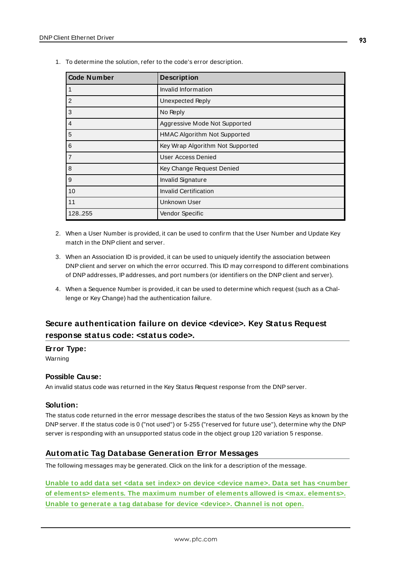| <b>Code Number</b> | <b>Description</b>               |
|--------------------|----------------------------------|
|                    | Invalid Information              |
| $\overline{2}$     | Unexpected Reply                 |
| 3                  | No Reply                         |
| $\overline{4}$     | Aggressive Mode Not Supported    |
| 5                  | HMAC Algorithm Not Supported     |
| 6                  | Key Wrap Algorithm Not Supported |
| $\overline{7}$     | User Access Denied               |
| 8                  | Key Change Request Denied        |
| 9                  | <b>Invalid Signature</b>         |
| 10                 | <b>Invalid Certification</b>     |
| 11                 | Unknown User                     |
| 128255             | Vendor Specific                  |

1. To determine the solution, refer to the code's error description.

- 2. When a User Number is provided, it can be used to confirm that the User Number and Update Key match in the DNP client and server.
- 3. When an Association ID is provided, it can be used to uniquely identify the association between DNP client and server on which the error occurred. This ID may correspond to different combinations of DNPaddresses, IPaddresses, and port numbers (or identifiers on the DNP client and server).
- 4. When a Sequence Number is provided, it can be used to determine which request (such as a Challenge or Key Change) had the authentication failure.

# <span id="page-92-1"></span>**Secure authentication failure on device <device>. Key Status Request response status code: <status code>.**

#### **Error Type:**

Warning

#### **Possible Cause:**

An invalid status code was returned in the Key Status Request response from the DNPserver.

#### **Solution:**

The status code returned in the error message describes the status of the two Session Keys as known by the DNPserver. If the status code is 0 ("not used") or 5-255 ("reserved for future use"), determine why the DNP server is responding with an unsupported status code in the object group 120 variation 5 response.

### <span id="page-92-0"></span>**Automatic Tag Database Generation Error Messages**

The following messages may be generated. Click on the link for a description of the message.

**Unable to add data set <data set index> on device <device name>. Data set has [<number](#page-93-0) of elements> elements. The maximum number of elements allowed is <max. [elements>.](#page-93-0) Unable to generate a tag database for device [<device>.](#page-93-1) Channel is not open.**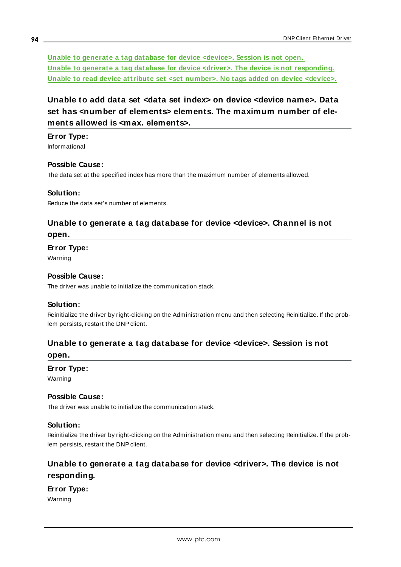**Unable to generate a tag database for device [<device>.](#page-93-2) Session is not open. Unable to generate a tag database for device <driver>. The device is not [responding.](#page-93-3) Unable to read device attribute set <set [number>.](#page-94-1) No tags added on device <device>.**

# <span id="page-93-0"></span>**Unable to add data set <data set index> on device <device name>. Data set has <number of elements> elements. The maximum number of elements allowed is <max. elements>.**

#### **Error Type:**

Informational

#### **Possible Cause:**

The data set at the specified index has more than the maximum number of elements allowed.

#### **Solution:**

<span id="page-93-1"></span>Reduce the data set's number of elements.

### **Unable to generate a tag database for device <device>. Channel is not open.**

#### **Error Type:**

Warning

#### **Possible Cause:**

The driver was unable to initialize the communication stack.

#### **Solution:**

Reinitialize the driver by right-clicking on the Administration menu and then selecting Reinitialize. If the problem persists, restart the DNP client.

# <span id="page-93-2"></span>**Unable to generate a tag database for device <device>. Session is not**

#### **open.**

#### **Error Type:** Warning

### **Possible Cause:**

The driver was unable to initialize the communication stack.

#### **Solution:**

Reinitialize the driver by right-clicking on the Administration menu and then selecting Reinitialize. If the problem persists, restart the DNP client.

# <span id="page-93-3"></span>**Unable to generate a tag database for device <driver>. The device is not responding.**

**Error Type:** Warning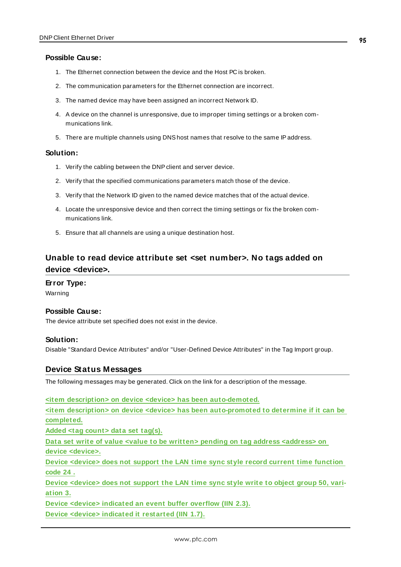#### **Possible Cause:**

- 1. The Ethernet connection between the device and the Host PC is broken.
- 2. The communication parameters for the Ethernet connection are incorrect.
- 3. The named device may have been assigned an incorrect Network ID.
- 4. A device on the channel is unresponsive, due to improper timing settings or a broken communications link.
- 5. There are multiple channels using DNShost names that resolve to the same IPaddress.

#### **Solution:**

- 1. Verify the cabling between the DNPclient and server device.
- 2. Verify that the specified communications parameters match those of the device.
- 3. Verify that the Network ID given to the named device matches that of the actual device.
- 4. Locate the unresponsive device and then correct the timing settings or fix the broken communications link.
- 5. Ensure that all channels are using a unique destination host.

### <span id="page-94-1"></span>**Unable to read device attribute set <set number>. No tags added on device <device>.**

#### **Error Type:**

Warning

#### **Possible Cause:**

The device attribute set specified does not exist in the device.

#### **Solution:**

<span id="page-94-0"></span>Disable "Standard Device Attributes" and/or "User-Defined Device Attributes" in the Tag Import group.

#### **Device Status Messages**

The following messages may be generated. Click on the link for a description of the message.

**<item description> on device <device> has been [auto-demoted.](#page-95-0)**

**<item description> on device <device> has been [auto-promoted](#page-95-1) to determine if it can be [completed.](#page-95-1)**

**Added <tag [count>](#page-96-0) data set tag(s).**

**Data set write of value <value to be written> pending on tag address [<address>](#page-96-1) on device [<device>.](#page-96-1)**

**Device [<device>](#page-96-2) does not support the LAN time sync style record current time function [code](#page-96-2) 24 .**

**Device [<device>](#page-97-0) does not support the LAN time sync style write to object group 50, vari[ation](#page-97-0) 3.**

**Device <device> [indicated](#page-97-1) an event buffer overflow (IIN 2.3).**

**Device <device> indicated it [restarted](#page-97-2) (IIN 1.7).**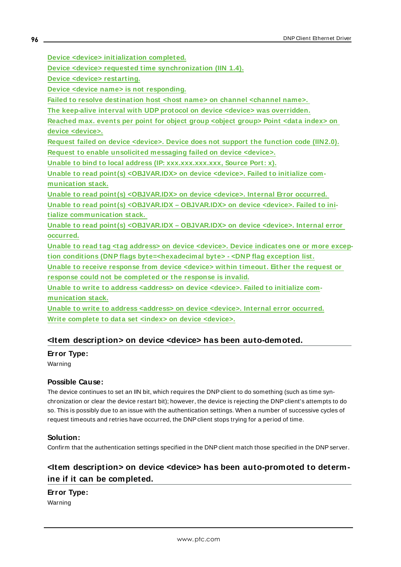**Device <device> [initialization](#page-98-0) completed.**

**Device <device> requested time [synchronization](#page-98-1) (IIN 1.4).**

**Device <device> [restarting.](#page-98-2)**

**Device <device name> is not [responding.](#page-99-0)**

**Failed to resolve [destination](#page-99-1) host <host name> on channel <channel name>.** 

**The keep-alive interval with UDP protocol on device <device> was [overridden.](#page-100-0)**

**[Reached](#page-100-1) max. events per point for object group <object group> Point <data index> on device [<device>.](#page-100-1)**

**Request failed on device [<device>.](#page-101-0) Device does not support the function code (IIN2.0). Request to enable [unsolicited](#page-101-1) messaging failed on device <device>.**

**Unable to bind to local address (IP: [xxx.xxx.xxx.xxx,](#page-101-2) Source Port: x).**

**Unable to read point(s) [<OBJ.VAR.IDX>](#page-102-0) on device <device>. Failed to initialize com[munication](#page-102-0) stack.**

**Unable to read point(s) [<OBJ.VAR.IDX>](#page-102-1) on device <device>. Internal Error occurred. Unable to read point(s) [<OBJ.VAR.IDX](#page-102-2) – OBJ.VAR.IDX> on device <device>. Failed to initialize [communication](#page-102-2) stack.**

**Unable to read point(s) [<OBJ.VAR.IDX](#page-103-0) – OBJ.VAR.IDX> on device <device>. Internal error [occurred.](#page-103-0)**

**Unable to read tag <tag address> on device [<device>.](#page-103-1) Device indicates one or more exception conditions (DNP flags [byte=<hexadecimal](#page-103-1) byte> - <DNP flag exception list.**

**Unable to receive [response](#page-103-2) from device <device> within timeout. Either the request or response could not be [completed](#page-103-2) or the response is invalid.**

**Unable to write to address [<address>](#page-104-0) on device <device>. Failed to initialize com[munication](#page-104-0) stack.**

**Unable to write to address [<address>](#page-104-1) on device <device>. Internal error occurred. Write complete to data set <index> on device [<device>.](#page-104-2)**

#### <span id="page-95-0"></span>**<Item description> on device <device> has been auto-demoted.**

#### **Error Type:**

Warning

#### **Possible Cause:**

The device continues to set an IIN bit, which requires the DNP client to do something (such as time synchronization or clear the device restart bit); however, the device is rejecting the DNP client's attempts to do so. This is possibly due to an issue with the authentication settings. When a number of successive cycles of request timeouts and retries have occurred, the DNP client stops trying for a period of time.

#### **Solution:**

<span id="page-95-1"></span>Confirm that the authentication settings specified in the DNP client match those specified in the DNP server.

### **<Item description> on device <device> has been auto-promoted to determine if it can be completed.**

#### **Error Type:**

Warning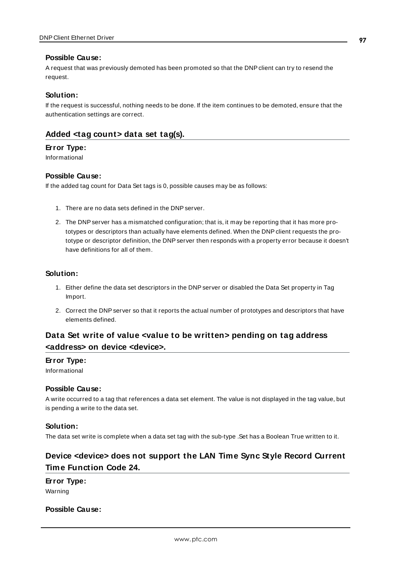#### **Possible Cause:**

A request that was previously demoted has been promoted so that the DNP client can try to resend the request.

#### **Solution:**

If the request is successful, nothing needs to be done. If the item continues to be demoted, ensure that the authentication settings are correct.

### <span id="page-96-0"></span>**Added <tag count> data set tag(s).**

#### **Error Type:**

Informational

#### **Possible Cause:**

If the added tag count for Data Set tags is 0, possible causes may be as follows:

- 1. There are no data sets defined in the DNP server.
- 2. The DNP server has a mismatched configuration; that is, it may be reporting that it has more prototypes or descriptors than actually have elements defined. When the DNP client requests the prototype or descriptor definition, the DNP server then responds with a property error because it doesn't have definitions for all of them.

#### **Solution:**

- 1. Either define the data set descriptors in the DNP server or disabled the Data Set property in Tag Import.
- 2. Correct the DNP server so that it reports the actual number of prototypes and descriptors that have elements defined.

## <span id="page-96-1"></span>**Data Set write of value <value to be written> pending on tag address <address> on device <device>.**

#### **Error Type:**

Informational

#### **Possible Cause:**

A write occurred to a tag that references a data set element. The value is not displayed in the tag value, but is pending a write to the data set.

#### **Solution:**

<span id="page-96-2"></span>The data set write is complete when a data set tag with the sub-type .Set has a Boolean True written to it.

### **Device <device> does not support the LAN Time Sync Style Record Current Time Function Code 24.**

**Error Type:**

Warning

### **Possible Cause:**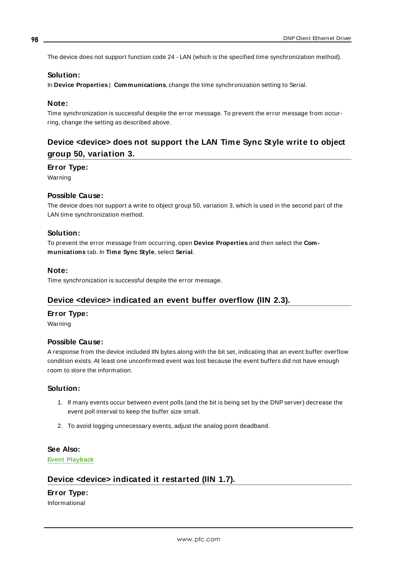The device does not support function code 24 - LAN (which is the specified time synchronization method).

#### **Solution:**

In **Device Properties** | **Communications**, change the time synchronization setting to Serial.

#### **Note:**

Time synchronization is successful despite the error message. To prevent the error message from occurring, change the setting as described above.

## <span id="page-97-0"></span>**Device <device> does not support the LAN Time Sync Style write to object group 50, variation 3.**

#### **Error Type:**

Warning

#### **Possible Cause:**

The device does not support a write to object group 50, variation 3, which is used in the second part of the LAN time synchronization method.

#### **Solution:**

To prevent the error message from occurring, open **Device Properties** and then select the **Communications** tab. In **Time Sync Style**, select **Serial**.

#### **Note:**

<span id="page-97-1"></span>Time synchronization is successful despite the error message.

#### **Device <device> indicated an event buffer overflow (IIN 2.3).**

#### **Error Type:**

Warning

#### **Possible Cause:**

A response from the device included IIN bytes along with the bit set, indicating that an event buffer overflow condition exists. At least one unconfirmed event was lost because the event buffers did not have enough room to store the information.

#### **Solution:**

- 1. If many events occur between event polls (and the bit is being set by the DNP server) decrease the event poll interval to keep the buffer size small.
- 2. To avoid logging unnecessary events, adjust the analog point deadband.

#### **See Also:**

<span id="page-97-2"></span>**Event [Playback](#page-25-0)**

#### **Device <device> indicated it restarted (IIN 1.7).**

# **Error Type:**

Informational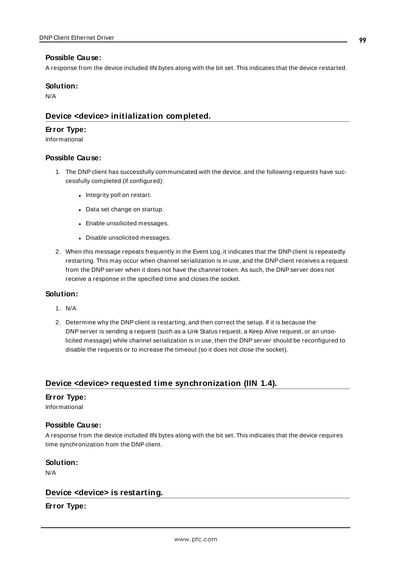#### **Possible Cause:**

A response from the device included IIN bytes along with the bit set. This indicates that the device restarted.

#### **Solution:**

<span id="page-98-0"></span>N/A

#### **Device <device> initialization completed.**

#### **Error Type:**

Informational

#### **Possible Cause:**

- 1. The DNP client has successfully communicated with the device, and the following requests have successfully completed (if configured):
	- Integrity poll on restart.
	- Data set change on startup.
	- Enable unsolicited messages.
	- Disable unsolicited messages.
- 2. When this message repeats frequently in the Event Log, it indicates that the DNP client is repeatedly restarting. This may occur when channel serialization is in use, and the DNP client receives a request from the DNP server when it does not have the channel token. As such, the DNP server does not receive a response in the specified time and closes the socket.

#### **Solution:**

- 1. N/A
- 2. Determine why the DNP client is restarting, and then correct the setup. If it is because the DNP server is sending a request (such as a Link Status request, a Keep Alive request, or an unsolicited message) while channel serialization is in use, then the DNP server should be reconfigured to disable the requests or to increase the timeout (so it does not close the socket).

#### <span id="page-98-1"></span>**Device <device> requested time synchronization (IIN 1.4).**

#### **Error Type:**

Informational

#### **Possible Cause:**

A response from the device included IIN bytes along with the bit set. This indicates that the device requires time synchronization from the DNP client.

#### **Solution:**

<span id="page-98-2"></span>N/A

#### **Device <device> is restarting.**

**Error Type:**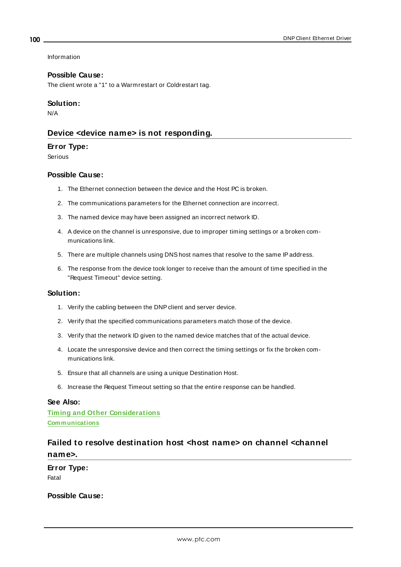Information

#### **Possible Cause:**

The client wrote a "1" to a Warmrestart or Coldrestart tag.

#### **Solution:**

<span id="page-99-0"></span>N/A

#### **Device <device name> is not responding.**

#### **Error Type:**

Serious

#### **Possible Cause:**

- 1. The Ethernet connection between the device and the Host PC is broken.
- 2. The communications parameters for the Ethernet connection are incorrect.
- 3. The named device may have been assigned an incorrect network ID.
- 4. A device on the channel is unresponsive, due to improper timing settings or a broken communications link.
- 5. There are multiple channels using DNShost names that resolve to the same IPaddress.
- 6. The response from the device took longer to receive than the amount of time specified in the "Request Timeout" device setting.

#### **Solution:**

- 1. Verify the cabling between the DNPclient and server device.
- 2. Verify that the specified communications parameters match those of the device.
- 3. Verify that the network ID given to the named device matches that of the actual device.
- 4. Locate the unresponsive device and then correct the timing settings or fix the broken communications link.
- 5. Ensure that all channels are using a unique Destination Host.
- 6. Increase the Request Timeout setting so that the entire response can be handled.

#### **See Also:**

**Timing and Other [Considerations](#page-16-0) [Communications](#page-22-0)**

# <span id="page-99-1"></span>**Failed to resolve destination host <host name> on channel <channel name>.**

**Error Type:** Fatal

**Possible Cause:**

**100**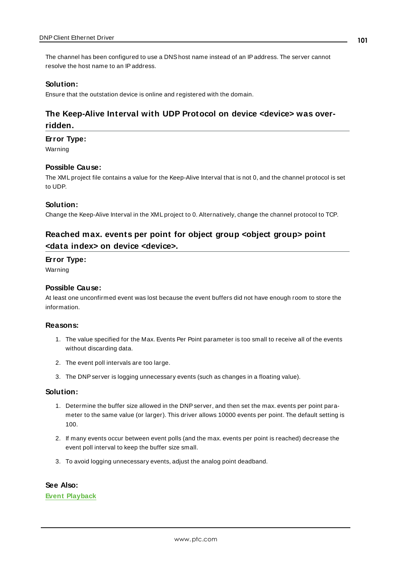The channel has been configured to use a DNShost name instead of an IPaddress. The server cannot resolve the host name to an IPaddress.

#### **Solution:**

<span id="page-100-0"></span>Ensure that the outstation device is online and registered with the domain.

### **The Keep-Alive Interval with UDP Protocol on device <device> was overridden.**

#### **Error Type:**

Warning

#### **Possible Cause:**

The XML project file contains a value for the Keep-Alive Interval that is not 0, and the channel protocol is set to UDP.

#### **Solution:**

<span id="page-100-1"></span>Change the Keep-Alive Interval in the XML project to 0. Alternatively, change the channel protocol to TCP.

## **Reached max. events per point for object group <object group> point <data index> on device <device>.**

#### **Error Type:**

Warning

#### **Possible Cause:**

At least one unconfirmed event was lost because the event buffers did not have enough room to store the information.

#### **Reasons:**

- 1. The value specified for the Max. Events Per Point parameter is too small to receive all of the events without discarding data.
- 2. The event poll intervals are too large.
- 3. The DNP server is logging unnecessary events (such as changes in a floating value).

#### **Solution:**

- 1. Determine the buffer size allowed in the DNP server, and then set the max. events per point parameter to the same value (or larger). This driver allows 10000 events per point. The default setting is 100.
- 2. If many events occur between event polls (and the max. events per point is reached) decrease the event poll interval to keep the buffer size small.
- 3. To avoid logging unnecessary events, adjust the analog point deadband.

#### **See Also:**

**Event [Playback](#page-25-0)**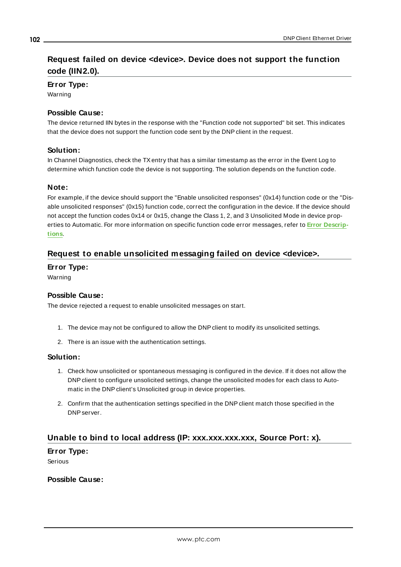# <span id="page-101-0"></span>**Request failed on device <device>. Device does not support the function code (IIN2.0).**

**Error Type:**

Warning

#### **Possible Cause:**

The device returned IIN bytes in the response with the "Function code not supported" bit set. This indicates that the device does not support the function code sent by the DNP client in the request.

#### **Solution:**

In Channel Diagnostics, check the TXentry that has a similar timestamp as the error in the Event Log to determine which function code the device is not supporting. The solution depends on the function code.

#### **Note:**

For example, if the device should support the "Enable unsolicited responses" (0x14) function code or the "Disable unsolicited responses" (0x15) function code, correct the configuration in the device. If the device should not accept the function codes 0x14 or 0x15, change the Class 1, 2, and 3 Unsolicited Mode in device properties to Automatic. For more information on specific function code error messages, refer to **Error [Descrip](#page-87-4)[tions](#page-87-4)**.

### <span id="page-101-1"></span>**Request to enable unsolicited messaging failed on device <device>.**

#### **Error Type:**

Warning

#### **Possible Cause:**

The device rejected a request to enable unsolicited messages on start.

- 1. The device may not be configured to allow the DNP client to modify its unsolicited settings.
- 2. There is an issue with the authentication settings.

#### **Solution:**

- 1. Check how unsolicited or spontaneous messaging is configured in the device. If it does not allow the DNP client to configure unsolicited settings, change the unsolicited modes for each class to Automatic in the DNP client's Unsolicited group in device properties.
- 2. Confirm that the authentication settings specified in the DNP client match those specified in the DNP server.

### <span id="page-101-2"></span>**Unable to bind to local address (IP: xxx.xxx.xxx.xxx, Source Port: x).**

**Error Type:** Serious

#### **Possible Cause:**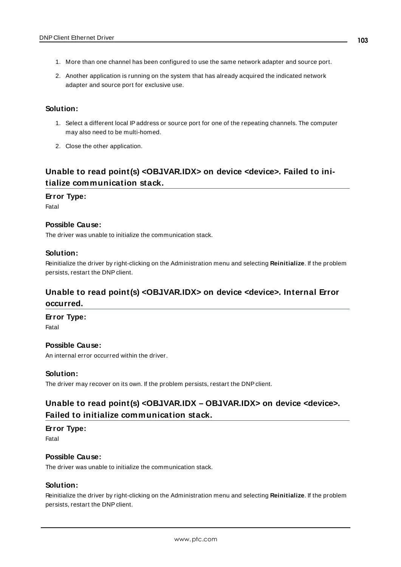- 1. More than one channel has been configured to use the same network adapter and source port.
- 2. Another application is running on the system that has already acquired the indicated network adapter and source port for exclusive use.

#### **Solution:**

- 1. Select a different local IPaddress or source port for one of the repeating channels. The computer may also need to be multi-homed.
- 2. Close the other application.

# <span id="page-102-0"></span>**Unable to read point(s) <OBJ.VAR.IDX> on device <device>. Failed to initialize communication stack.**

#### **Error Type:**

Fatal

#### **Possible Cause:**

The driver was unable to initialize the communication stack.

#### **Solution:**

Reinitialize the driver by right-clicking on the Administration menu and selecting **Reinitialize**. If the problem persists, restart the DNP client.

### <span id="page-102-1"></span>**Unable to read point(s) <OBJ.VAR.IDX> on device <device>. Internal Error occurred.**

#### **Error Type:**

Fatal

#### **Possible Cause:**

An internal error occurred within the driver.

#### **Solution:**

<span id="page-102-2"></span>The driver may recover on its own. If the problem persists, restart the DNP client.

## **Unable to read point(s) <OBJ.VAR.IDX – OBJ.VAR.IDX> on device <device>. Failed to initialize communication stack.**

### **Error Type:**

Fatal

#### **Possible Cause:**

The driver was unable to initialize the communication stack.

#### **Solution:**

Reinitialize the driver by right-clicking on the Administration menu and selecting **Reinitialize**. If the problem persists, restart the DNP client.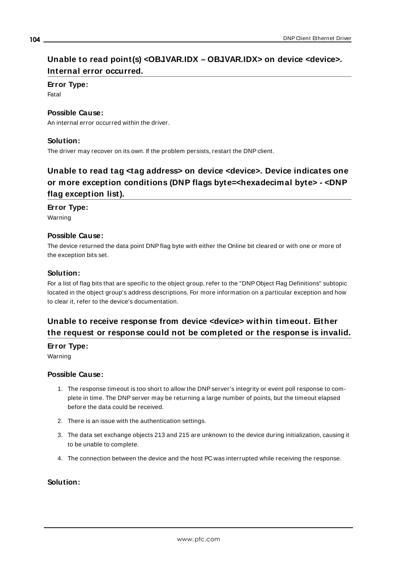# <span id="page-103-0"></span>**Unable to read point(s) <OBJ.VAR.IDX – OBJ.VAR.IDX> on device <device>. Internal error occurred.**

### **Error Type:**

Fatal

#### **Possible Cause:**

An internal error occurred within the driver.

#### **Solution:**

<span id="page-103-1"></span>The driver may recover on its own. If the problem persists, restart the DNP client.

# **Unable to read tag <tag address> on device <device>. Device indicates one or more exception conditions (DNP flags byte=<hexadecimal byte> - <DNP flag exception list).**

#### **Error Type:**

Warning

#### **Possible Cause:**

The device returned the data point DNPflag byte with either the Online bit cleared or with one or more of the exception bits set.

#### **Solution:**

For a list of flag bits that are specific to the object group, refer to the "DNP Object Flag Definitions" subtopic located in the object group's address descriptions. For more information on a particular exception and how to clear it, refer to the device's documentation.

## <span id="page-103-2"></span>**Unable to receive response from device <device> within timeout. Either the request or response could not be completed or the response is invalid.**

**Error Type:**

Warning

#### **Possible Cause:**

- 1. The response timeout is too short to allow the DNP server's integrity or event poll response to complete in time. The DNP server may be returning a large number of points, but the timeout elapsed before the data could be received.
- 2. There is an issue with the authentication settings.
- 3. The data set exchange objects 213 and 215 are unknown to the device during initialization, causing it to be unable to complete.
- 4. The connection between the device and the host PC was interrupted while receiving the response.

### **Solution:**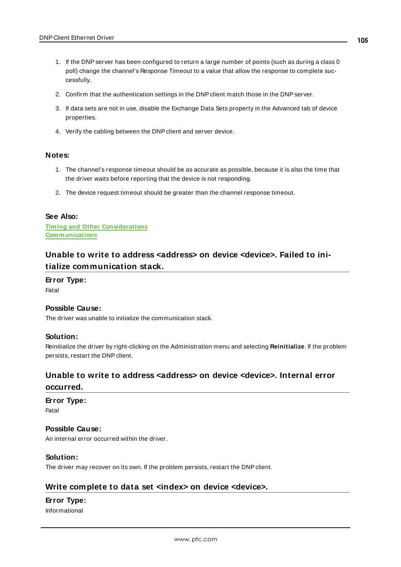- 1. If the DNP server has been configured to return a large number of points (such as during a class 0 poll) change the channel's Response Timeout to a value that allow the response to complete successfully.
- 2. Confirm that the authentication settings in the DNP client match those in the DNP server.
- 3. If data sets are not in use, disable the Exchange Data Sets property in the Advanced tab of device properties.
- 4. Verify the cabling between the DNP client and server device.

#### **Notes:**

- 1. The channel's response timeout should be as accurate as possible, because it is also the time that the driver waits before reporting that the device is not responding.
- 2. The device request timeout should be greater than the channel response timeout.

#### **See Also:**

**Timing and Other [Considerations](#page-16-0) [Communications](#page-22-0)**

## <span id="page-104-0"></span>**Unable to write to address <address> on device <device>. Failed to initialize communication stack.**

#### **Error Type:**

Fatal

#### **Possible Cause:**

The driver was unable to initialize the communication stack.

#### **Solution:**

Reinitialize the driver by right-clicking on the Administration menu and selecting **Reinitialize**. If the problem persists, restart the DNP client.

# <span id="page-104-1"></span>**Unable to write to address <address> on device <device>. Internal error**

#### **occurred.**

#### **Error Type:**

Fatal

#### **Possible Cause:**

An internal error occurred within the driver.

#### **Solution:**

<span id="page-104-2"></span>The driver may recover on its own. If the problem persists, restart the DNP client.

#### **Write complete to data set <index> on device <device>.**

#### **Error Type:**

Informational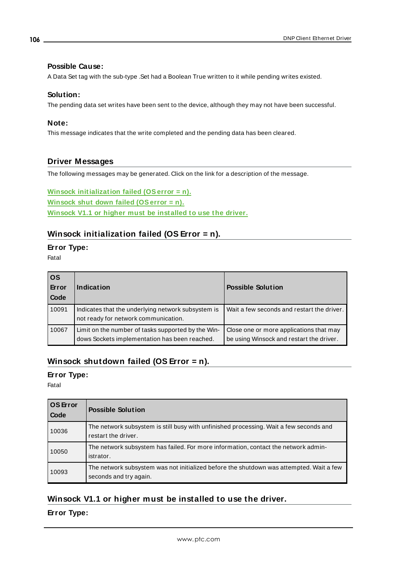#### **Possible Cause:**

A Data Set tag with the sub-type .Set had a Boolean True written to it while pending writes existed.

#### **Solution:**

The pending data set writes have been sent to the device, although they may not have been successful.

#### **Note:**

This message indicates that the write completed and the pending data has been cleared.

### <span id="page-105-0"></span>**Driver Messages**

The following messages may be generated. Click on the link for a description of the message.

**Winsock [initialization](#page-105-1) failed (OSerror = n). Winsock shut down failed [\(OSerror](#page-105-2) = n). Winsock V1.1 or higher must be [installed](#page-105-3) to use the driver.**

## <span id="page-105-1"></span>**Winsock initialization failed (OS Error = n).**

# **Error Type:**

Fatal

| <b>OS</b><br>Error<br>Code | Indication                                                                                          | <b>Possible Solution</b>                                                            |
|----------------------------|-----------------------------------------------------------------------------------------------------|-------------------------------------------------------------------------------------|
| 10091                      | Indicates that the underlying network subsystem is<br>not ready for network communication.          | Wait a few seconds and restart the driver.                                          |
| 10067                      | Limit on the number of tasks supported by the Win-<br>dows Sockets implementation has been reached. | Close one or more applications that may<br>be using Winsock and restart the driver. |

### <span id="page-105-2"></span>**Winsock shutdown failed (OS Error = n).**

#### **Error Type:**

Fatal

| <b>OS</b> Error<br><b>Code</b> | <b>Possible Solution</b>                                                                                          |  |
|--------------------------------|-------------------------------------------------------------------------------------------------------------------|--|
| 10036                          | The network subsystem is still busy with unfinished processing. Wait a few seconds and<br>restart the driver.     |  |
| 10050                          | The network subsystem has failed. For more information, contact the network admin-<br>istrator.                   |  |
| 10093                          | The network subsystem was not initialized before the shutdown was attempted. Wait a few<br>seconds and try again. |  |

### <span id="page-105-3"></span>**Winsock V1.1 or higher must be installed to use the driver.**

### **Error Type:**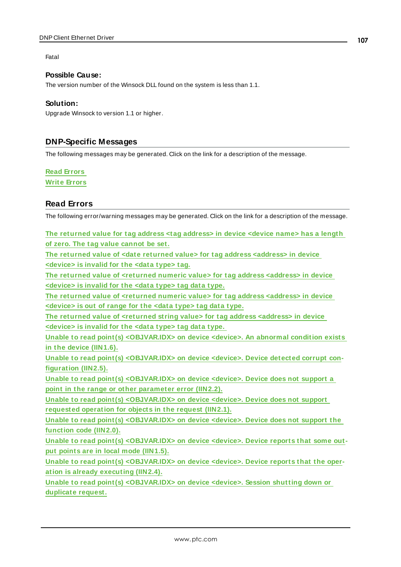#### Fatal

#### **Possible Cause:**

The version number of the Winsock DLL found on the system is less than 1.1.

#### **Solution:**

Upgrade Winsock to version 1.1 or higher.

### <span id="page-106-0"></span>**DNP-Specific Messages**

The following messages may be generated. Click on the link for a description of the message.

#### **Read [Errors](#page-106-1)**

<span id="page-106-1"></span>**Write [Errors](#page-119-0)**

### **Read Errors**

The following error/warning messages may be generated. Click on the link for a description of the message.

**The [returned](#page-108-0) value for tag address <tag address> in device <device name> has a length of zero. The tag value [cannot](#page-108-0) be set.**

**The returned value of <date returned value> for tag address [<address>](#page-108-1) in device [<device>](#page-108-1) is invalid for the <data type> tag.**

**The returned value of [<returned](#page-108-2) numeric value> for tag address <address> in device [<device>](#page-108-2) is invalid for the <data type> tag data type.**

**The returned value of [<returned](#page-108-3) numeric value> for tag address <address> in device [<device>](#page-108-3) is out of range for the <data type> tag data type.**

**The returned value of [<returned](#page-109-0) string value> for tag address <address> in device [<device>](#page-109-0) is invalid for the <data type> tag data type.**

**Unable to read point(s) [<OBJ.VAR.IDX>](#page-109-1) on device <device>. An abnormal condition exists in the device [\(IIN1.6\).](#page-109-1)**

**Unable to read point(s) [<OBJ.VAR.IDX>](#page-109-2) on device <device>. Device detected corrupt con[figuration](#page-109-2) (IIN2.5).**

**Unable to read point(s) [<OBJ.VAR.IDX>](#page-109-3) on device <device>. Device does not support a point in the range or other [parameter](#page-109-3) error (IIN2.2).**

**Unable to read point(s) [<OBJ.VAR.IDX>](#page-110-0) on device <device>. Device does not support [requested](#page-110-0) operation for objects in the request (IIN2.1).**

**Unable to read point(s) [<OBJ.VAR.IDX>](#page-110-1) on device <device>. Device does not support the [function](#page-110-1) code (IIN2.0).**

**Unable to read point(s) [<OBJ.VAR.IDX>](#page-110-2) on device <device>. Device reports that some output points are in local mode [\(IIN1.5\).](#page-110-2)**

**Unable to read point(s) [<OBJ.VAR.IDX>](#page-111-0) on device <device>. Device reports that the operation is already [executing](#page-111-0) (IIN2.4).**

**Unable to read point(s) [<OBJ.VAR.IDX>](#page-111-1) on device <device>. Session shutting down or [duplicate](#page-111-1) request.**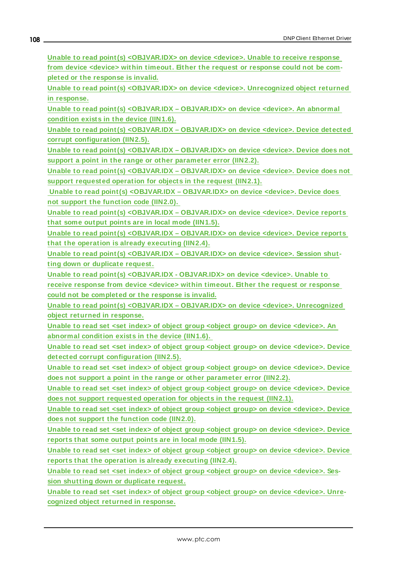**Unable to read point(s) [<OBJ.VAR.IDX>](#page-111-2) on device <device>. Unable to receive response from device <device> within timeout. Either the request or [response](#page-111-2) could not be completed or the [response](#page-111-2) is invalid.**

**Unable to read point(s) [<OBJ.VAR.IDX>](#page-112-0) on device <device>. Unrecognized object returned in [response.](#page-112-0)**

**Unable to read point(s) [<OBJ.VAR.IDX](#page-112-1) – OBJ.VAR.IDX> on device <device>. An abnormal [condition](#page-112-1) exists in the device (IIN1.6).**

**Unable to read point(s) [<OBJ.VAR.IDX](#page-113-0) – OBJ.VAR.IDX> on device <device>. Device detected corrupt [configuration](#page-113-0) (IIN2.5).**

**Unable to read point(s) [<OBJ.VAR.IDX](#page-113-1) – OBJ.VAR.IDX> on device <device>. Device does not support a point in the range or other [parameter](#page-113-1) error (IIN2.2).**

**Unable to read point(s) [<OBJ.VAR.IDX](#page-113-2) – OBJ.VAR.IDX> on device <device>. Device does not support [requested](#page-113-2) operation for objects in the request (IIN2.1).**

**Unable to read point(s) [<OBJ.VAR.IDX](#page-113-3) – OBJ.VAR.IDX> on device <device>. Device does not support the [function](#page-113-3) code (IIN2.0).**

**Unable to read point(s) [<OBJ.VAR.IDX](#page-114-0) – OBJ.VAR.IDX> on device <device>. Device reports that some output points are in local mode [\(IIN1.5\).](#page-114-0)**

**Unable to read point(s) [<OBJ.VAR.IDX](#page-114-1) – OBJ.VAR.IDX> on device <device>. Device reports that the operation is already [executing](#page-114-1) (IIN2.4).**

**Unable to read point(s) [<OBJ.VAR.IDX](#page-114-2) – OBJ.VAR.IDX> on device <device>. Session shutting down or [duplicate](#page-114-2) request.**

**Unable to read point(s) [<OBJ.VAR.IDX](#page-111-2) - OBJ.VAR.IDX> on device <device>. Unable to receive response from device <device> within timeout. Either the request or [response](#page-111-2) could not be [completed](#page-111-2) or the response is invalid.**

**Unable to read point(s) <OBJ.VAR.IDX – OBJ.VAR.IDX> on device <device>. [Unrecognized](#page-115-0) object returned in [response.](#page-115-0)**

**Unable to read set <set index> of object group <object group> on device [<device>.](#page-115-1) An [abnormal](#page-115-1) condition exists in the device (IIN1.6).**

**Unable to read set <set index> of object group <object group> on device [<device>.](#page-116-0) Device detected corrupt [configuration](#page-116-0) (IIN2.5).**

**Unable to read set <set index> of object group <object group> on device [<device>.](#page-116-1) Device does not support a point in the range or other [parameter](#page-116-1) error (IIN2.2).**

**Unable to read set <set index> of object group <object group> on device [<device>.](#page-116-2) Device does not support [requested](#page-116-2) operation for objects in the request (IIN2.1).**

**Unable to read set <set index> of object group <object group> on device [<device>.](#page-116-3) Device does not support the [function](#page-116-3) code (IIN2.0).**

**Unable to read set <set index> of object group <object group> on device [<device>.](#page-117-0) Device reports that some output points are in local mode [\(IIN1.5\).](#page-117-0)**

**Unable to read set <set index> of object group <object group> on device [<device>.](#page-117-1) Device reports that the operation is already [executing](#page-117-1) (IIN2.4).**

**Unable to read set <set index> of object group <object group> on device [<device>.](#page-117-2) Session shutting down or [duplicate](#page-117-2) request.**

**Unable to read set <set index> of object group <object group> on device [<device>.](#page-118-0) Unrecognized object returned in [response.](#page-118-0)**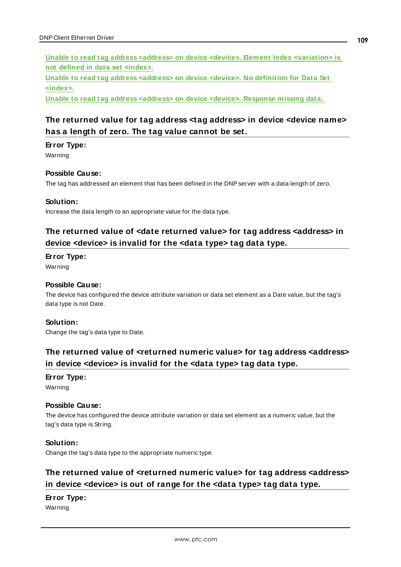**Unable to read tag address <address> on device <device>. Element Index [<variation>](#page-118-0) is not defined in data set [<index>.](#page-118-0)**

**Unable to read tag address [<address>](#page-118-1) on device <device>. No definition for Data Set [<index>.](#page-118-1)**

<span id="page-108-0"></span>**Unable to read tag address [<address>](#page-119-0) on device <device>. Response missing data.**

### **The returned value for tag address <tag address> in device <device name> has a length of zero. The tag value cannot be set.**

#### **Error Type:**

Warning

#### **Possible Cause:**

The tag has addressed an element that has been defined in the DNP server with a data length of zero.

#### **Solution:**

<span id="page-108-1"></span>Increase the data length to an appropriate value for the data type.

### **The returned value of <date returned value> for tag address <address> in device <device> is invalid for the <data type> tag data type.**

#### **Error Type:**

Warning

#### **Possible Cause:**

The device has configured the device attribute variation or data set element as a Date value, but the tag's data type is not Date.

#### **Solution:**

<span id="page-108-2"></span>Change the tag's data type to Date.

### **The returned value of <returned numeric value> for tag address <address> in device <device> is invalid for the <data type> tag data type.**

#### **Error Type:**

Warning

#### **Possible Cause:**

The device has configured the device attribute variation or data set element as a numeric value, but the tag's data type is String.

#### **Solution:**

<span id="page-108-3"></span>Change the tag's data type to the appropriate numeric type.

### **The returned value of <returned numeric value> for tag address <address> in device <device> is out of range for the <data type> tag data type.**

#### **Error Type:**

Warning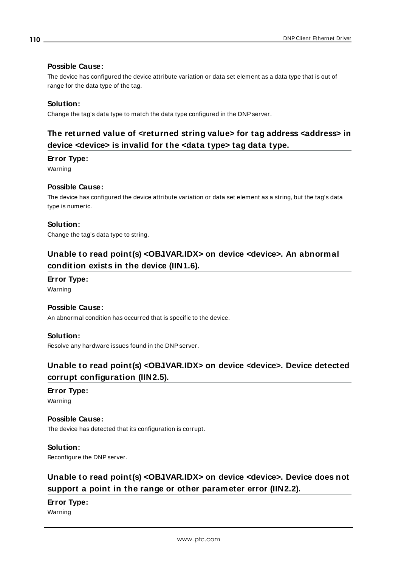#### **Possible Cause:**

The device has configured the device attribute variation or data set element as a data type that is out of range for the data type of the tag.

#### **Solution:**

<span id="page-109-0"></span>Change the tag's data type to match the data type configured in the DNP server.

### **The returned value of <returned string value> for tag address <address> in device <device> is invalid for the <data type> tag data type.**

#### **Error Type:**

Warning

#### **Possible Cause:**

The device has configured the device attribute variation or data set element as a string, but the tag's data type is numeric.

#### **Solution:**

<span id="page-109-1"></span>Change the tag's data type to string.

### **Unable to read point(s) <OBJ.VAR.IDX> on device <device>. An abnormal condition exists in the device (IIN1.6).**

#### **Error Type:**

Warning

#### **Possible Cause:**

An abnormal condition has occurred that is specific to the device.

#### **Solution:**

<span id="page-109-2"></span>Resolve any hardware issues found in the DNP server.

## **Unable to read point(s) <OBJ.VAR.IDX> on device <device>. Device detected corrupt configuration (IIN2.5).**

### **Error Type:**

Warning

#### **Possible Cause:**

The device has detected that its configuration is corrupt.

#### **Solution:**

<span id="page-109-3"></span>Reconfigure the DNP server.

# **Unable to read point(s) <OBJ.VAR.IDX> on device <device>. Device does not support a point in the range or other parameter error (IIN2.2).**

#### **Error Type:**

Warning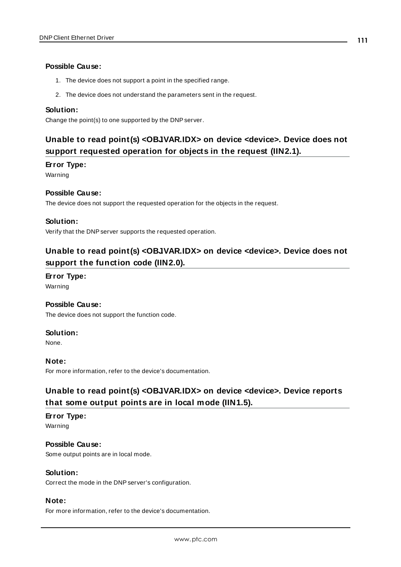#### **Possible Cause:**

- 1. The device does not support a point in the specified range.
- 2. The device does not understand the parameters sent in the request.

#### **Solution:**

<span id="page-110-0"></span>Change the point(s) to one supported by the DNP server.

# **Unable to read point(s) <OBJ.VAR.IDX> on device <device>. Device does not support requested operation for objects in the request (IIN2.1).**

#### **Error Type:**

Warning

#### **Possible Cause:**

The device does not support the requested operation for the objects in the request.

#### **Solution:**

<span id="page-110-1"></span>Verify that the DNP server supports the requested operation.

### **Unable to read point(s) <OBJ.VAR.IDX> on device <device>. Device does not support the function code (IIN2.0).**

#### **Error Type:**

Warning

#### **Possible Cause:**

The device does not support the function code.

#### **Solution:**

None.

#### **Note:**

<span id="page-110-2"></span>For more information, refer to the device's documentation.

### **Unable to read point(s) <OBJ.VAR.IDX> on device <device>. Device reports that some output points are in local mode (IIN1.5).**

#### **Error Type:** Warning

**Possible Cause:** Some output points are in local mode.

#### **Solution:**

Correct the mode in the DNP server's configuration.

#### **Note:**

For more information, refer to the device's documentation.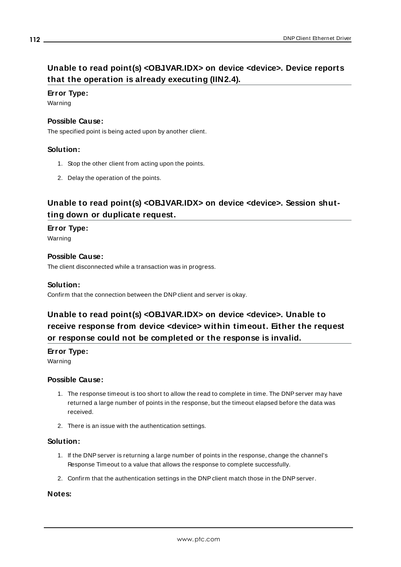# <span id="page-111-0"></span>**Unable to read point(s) <OBJ.VAR.IDX> on device <device>. Device reports that the operation is already executing (IIN2.4).**

#### **Error Type:**

Warning

#### **Possible Cause:**

The specified point is being acted upon by another client.

#### **Solution:**

- 1. Stop the other client from acting upon the points.
- 2. Delay the operation of the points.

### <span id="page-111-1"></span>**Unable to read point(s) <OBJ.VAR.IDX> on device <device>. Session shutting down or duplicate request.**

#### **Error Type:**

Warning

#### **Possible Cause:**

The client disconnected while a transaction was in progress.

#### **Solution:**

<span id="page-111-2"></span>Confirm that the connection between the DNP client and server is okay.

# **Unable to read point(s) <OBJ.VAR.IDX> on device <device>. Unable to receive response from device <device> within timeout. Either the request or response could not be completed or the response is invalid.**

#### **Error Type:**

Warning

#### **Possible Cause:**

- 1. The response timeout is too short to allow the read to complete in time. The DNP server may have returned a large number of points in the response, but the timeout elapsed before the data was received.
- 2. There is an issue with the authentication settings.

#### **Solution:**

- 1. If the DNP server is returning a large number of points in the response, change the channel's Response Timeout to a value that allows the response to complete successfully.
- 2. Confirm that the authentication settings in the DNP client match those in the DNP server.

#### **Notes:**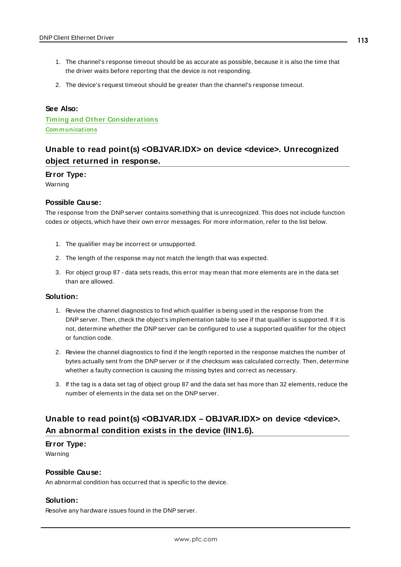- 1. The channel's response timeout should be as accurate as possible, because it is also the time that the driver waits before reporting that the device is not responding.
- 2. The device's request timeout should be greater than the channel's response timeout.

#### **See Also:**

**Timing and Other [Considerations](#page-16-0) [Communications](#page-22-0)**

### <span id="page-112-1"></span>**Unable to read point(s) <OBJ.VAR.IDX> on device <device>. Unrecognized object returned in response.**

#### **Error Type:**

Warning

#### **Possible Cause:**

The response from the DNP server contains something that is unrecognized. This does not include function codes or objects, which have their own error messages. For more information, refer to the list below.

- 1. The qualifier may be incorrect or unsupported.
- 2. The length of the response may not match the length that was expected.
- 3. For object group 87 data sets reads, this error may mean that more elements are in the data set than are allowed.

#### **Solution:**

- 1. Review the channel diagnostics to find which qualifier is being used in the response from the DNP server. Then, check the object's implementation table to see if that qualifier is supported. If it is not, determine whether the DNP server can be configured to use a supported qualifier for the object or function code.
- 2. Review the channel diagnostics to find if the length reported in the response matches the number of bytes actually sent from the DNP server or if the checksum was calculated correctly. Then, determine whether a faulty connection is causing the missing bytes and correct as necessary.
- 3. If the tag is a data set tag of object group 87 and the data set has more than 32 elements, reduce the number of elements in the data set on the DNP server.

### <span id="page-112-0"></span>**Unable to read point(s) <OBJ.VAR.IDX – OBJ.VAR.IDX> on device <device>. An abnormal condition exists in the device (IIN1.6).**

#### **Error Type:**

Warning

#### **Possible Cause:**

An abnormal condition has occurred that is specific to the device.

#### **Solution:**

Resolve any hardware issues found in the DNP server.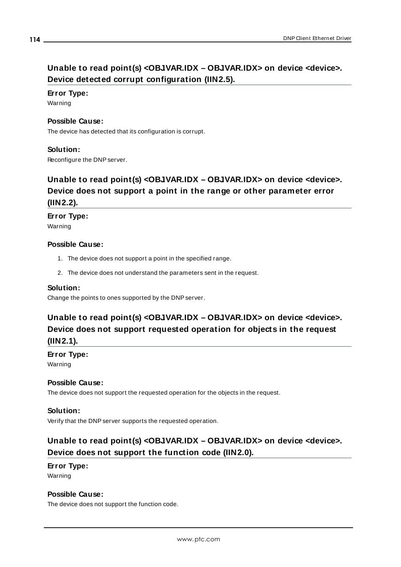# <span id="page-113-0"></span>**Unable to read point(s) <OBJ.VAR.IDX – OBJ.VAR.IDX> on device <device>. Device detected corrupt configuration (IIN2.5).**

#### **Error Type:**

Warning

#### **Possible Cause:**

The device has detected that its configuration is corrupt.

#### **Solution:**

<span id="page-113-1"></span>Reconfigure the DNP server.

# **Unable to read point(s) <OBJ.VAR.IDX – OBJ.VAR.IDX> on device <device>. Device does not support a point in the range or other parameter error (IIN2.2).**

#### **Error Type:**

Warning

#### **Possible Cause:**

- 1. The device does not support a point in the specified range.
- 2. The device does not understand the parameters sent in the request.

#### **Solution:**

<span id="page-113-2"></span>Change the points to ones supported by the DNP server.

# **Unable to read point(s) <OBJ.VAR.IDX – OBJ.VAR.IDX> on device <device>. Device does not support requested operation for objects in the request (IIN2.1).**

#### **Error Type:**

Warning

#### **Possible Cause:**

The device does not support the requested operation for the objects in the request.

#### **Solution:**

<span id="page-113-3"></span>Verify that the DNP server supports the requested operation.

### **Unable to read point(s) <OBJ.VAR.IDX – OBJ.VAR.IDX> on device <device>. Device does not support the function code (IIN2.0).**

#### **Error Type:** Warning

#### **Possible Cause:**

The device does not support the function code.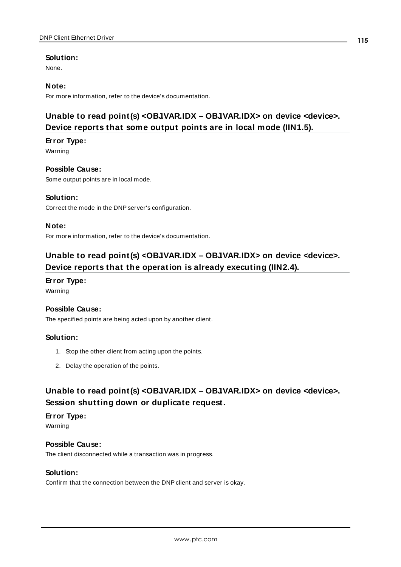#### **Solution:**

None.

#### **Note:**

<span id="page-114-0"></span>For more information, refer to the device's documentation.

# **Unable to read point(s) <OBJ.VAR.IDX – OBJ.VAR.IDX> on device <device>. Device reports that some output points are in local mode (IIN1.5).**

#### **Error Type:**

Warning

#### **Possible Cause:**

Some output points are in local mode.

#### **Solution:**

Correct the mode in the DNP server's configuration.

#### **Note:**

<span id="page-114-1"></span>For more information, refer to the device's documentation.

## **Unable to read point(s) <OBJ.VAR.IDX – OBJ.VAR.IDX> on device <device>. Device reports that the operation is already executing (IIN2.4).**

#### **Error Type:**

Warning

#### **Possible Cause:**

The specified points are being acted upon by another client.

#### **Solution:**

- 1. Stop the other client from acting upon the points.
- 2. Delay the operation of the points.

### <span id="page-114-2"></span>**Unable to read point(s) <OBJ.VAR.IDX – OBJ.VAR.IDX> on device <device>. Session shutting down or duplicate request.**

#### **Error Type:**

Warning

#### **Possible Cause:** The client disconnected while a transaction was in progress.

#### **Solution:**

Confirm that the connection between the DNP client and server is okay.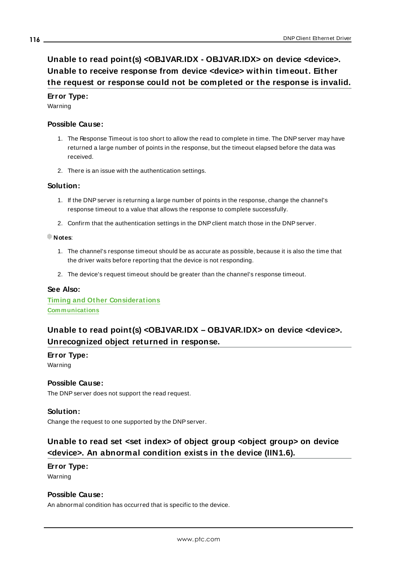# <span id="page-115-0"></span>**Unable to read point(s) <OBJ.VAR.IDX - OBJ.VAR.IDX> on device <device>. Unable to receive response from device <device> within timeout. Either the request or response could not be completed or the response is invalid.**

#### **Error Type:**

Warning

#### **Possible Cause:**

- 1. The Response Timeout is too short to allow the read to complete in time. The DNP server may have returned a large number of points in the response, but the timeout elapsed before the data was received.
- 2. There is an issue with the authentication settings.

#### **Solution:**

- 1. If the DNP server is returning a large number of points in the response, change the channel's response timeout to a value that allows the response to complete successfully.
- 2. Confirm that the authentication settings in the DNP client match those in the DNP server.

#### **Notes**:

- 1. The channel's response timeout should be as accurate as possible, because it is also the time that the driver waits before reporting that the device is not responding.
- 2. The device's request timeout should be greater than the channel's response timeout.

#### **See Also:**

**Timing and Other [Considerations](#page-16-0) [Communications](#page-22-0)**

### <span id="page-115-1"></span>**Unable to read point(s) <OBJ.VAR.IDX – OBJ.VAR.IDX> on device <device>. Unrecognized object returned in response.**

#### **Error Type:**

Warning

#### **Possible Cause:**

The DNP server does not support the read request.

#### **Solution:**

<span id="page-115-2"></span>Change the request to one supported by the DNP server.

### **Unable to read set <set index> of object group <object group> on device <device>. An abnormal condition exists in the device (IIN1.6).**

#### **Error Type:** Warning

#### **Possible Cause:**

An abnormal condition has occurred that is specific to the device.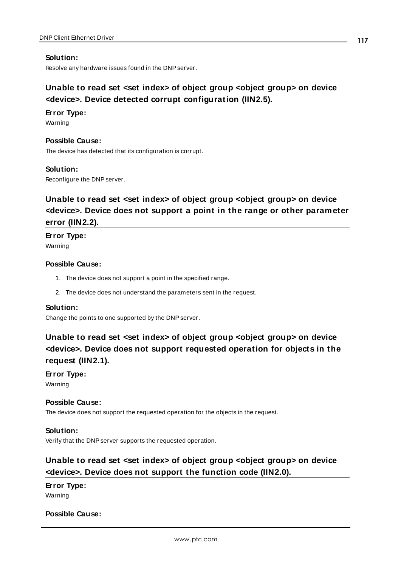#### **Solution:**

<span id="page-116-0"></span>Resolve any hardware issues found in the DNP server.

### **Unable to read set <set index> of object group <object group> on device <device>. Device detected corrupt configuration (IIN2.5).**

#### **Error Type:**

Warning

#### **Possible Cause:**

The device has detected that its configuration is corrupt.

#### **Solution:**

<span id="page-116-1"></span>Reconfigure the DNP server.

# **Unable to read set <set index> of object group <object group> on device <device>. Device does not support a point in the range or other parameter error (IIN2.2).**

# **Error Type:**

Warning

#### **Possible Cause:**

- 1. The device does not support a point in the specified range.
- 2. The device does not understand the parameters sent in the request.

#### **Solution:**

<span id="page-116-2"></span>Change the points to one supported by the DNP server.

# **Unable to read set <set index> of object group <object group> on device <device>. Device does not support requested operation for objects in the request (IIN2.1).**

### **Error Type:**

Warning

#### **Possible Cause:**

The device does not support the requested operation for the objects in the request.

#### **Solution:**

<span id="page-116-3"></span>Verify that the DNP server supports the requested operation.

# **Unable to read set <set index> of object group <object group> on device <device>. Device does not support the function code (IIN2.0).**

#### **Error Type:**

Warning

#### **Possible Cause:**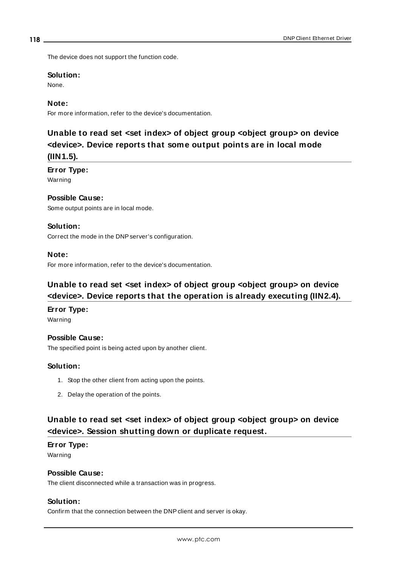The device does not support the function code.

#### **Solution:**

None.

#### **Note:**

<span id="page-117-0"></span>For more information, refer to the device's documentation.

# **Unable to read set <set index> of object group <object group> on device <device>. Device reports that some output points are in local mode (IIN1.5).**

#### **Error Type:**

Warning

#### **Possible Cause:**

Some output points are in local mode.

#### **Solution:**

Correct the mode in the DNP server's configuration.

#### **Note:**

<span id="page-117-1"></span>For more information, refer to the device's documentation.

### **Unable to read set <set index> of object group <object group> on device <device>. Device reports that the operation is already executing (IIN2.4).**

#### **Error Type:**

Warning

#### **Possible Cause:**

The specified point is being acted upon by another client.

#### **Solution:**

- 1. Stop the other client from acting upon the points.
- 2. Delay the operation of the points.

### **Unable to read set <set index> of object group <object group> on device <device>. Session shutting down or duplicate request.**

#### **Error Type:**

Warning

#### **Possible Cause:**

The client disconnected while a transaction was in progress.

#### **Solution:**

Confirm that the connection between the DNP client and server is okay.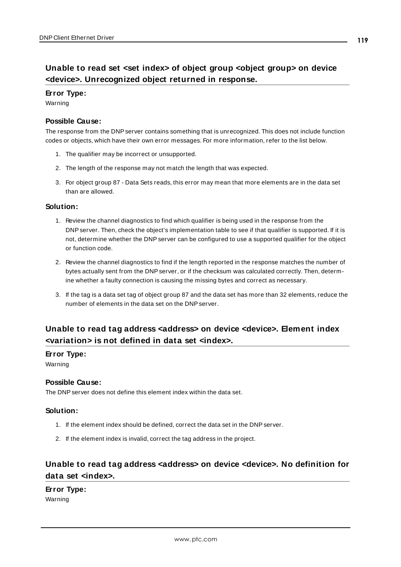# **Unable to read set <set index> of object group <object group> on device <device>. Unrecognized object returned in response.**

#### **Error Type:**

Warning

#### **Possible Cause:**

The response from the DNP server contains something that is unrecognized. This does not include function codes or objects, which have their own error messages. For more information, refer to the list below.

- 1. The qualifier may be incorrect or unsupported.
- 2. The length of the response may not match the length that was expected.
- 3. For object group 87 Data Sets reads, this error may mean that more elements are in the data set than are allowed.

#### **Solution:**

- 1. Review the channel diagnostics to find which qualifier is being used in the response from the DNP server. Then, check the object's implementation table to see if that qualifier is supported. If it is not, determine whether the DNP server can be configured to use a supported qualifier for the object or function code.
- 2. Review the channel diagnostics to find if the length reported in the response matches the number of bytes actually sent from the DNP server, or if the checksum was calculated correctly. Then, determine whether a faulty connection is causing the missing bytes and correct as necessary.
- 3. If the tag is a data set tag of object group 87 and the data set has more than 32 elements, reduce the number of elements in the data set on the DNP server.

### <span id="page-118-0"></span>**Unable to read tag address <address> on device <device>. Element index <variation> is not defined in data set <index>.**

#### **Error Type:**

Warning

#### **Possible Cause:**

The DNP server does not define this element index within the data set.

#### **Solution:**

- 1. If the element index should be defined, correct the data set in the DNP server.
- 2. If the element index is invalid, correct the tag address in the project.

### <span id="page-118-1"></span>**Unable to read tag address <address> on device <device>. No definition for data set <index>.**

#### **Error Type:**

Warning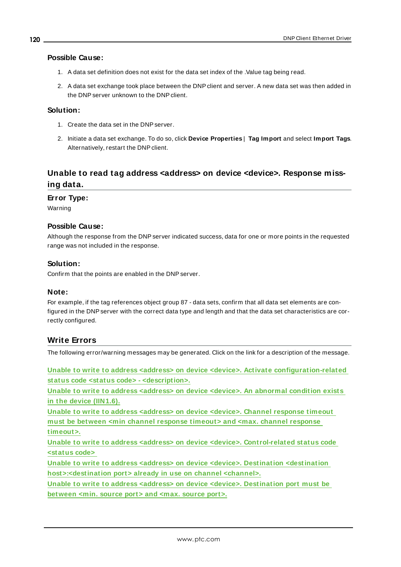#### **Possible Cause:**

- 1. A data set definition does not exist for the data set index of the .Value tag being read.
- 2. A data set exchange took place between the DNP client and server. A new data set was then added in the DNP server unknown to the DNP client.

#### **Solution:**

- 1. Create the data set in the DNP server.
- 2. Initiate a data set exchange. To do so, click **Device Properties** | **Tag Import** and select **Import Tags**. Alternatively, restart the DNP client.

# <span id="page-119-0"></span>**Unable to read tag address <address> on device <device>. Response missing data.**

#### **Error Type:**

Warning

#### **Possible Cause:**

Although the response from the DNP server indicated success, data for one or more points in the requested range was not included in the response.

#### **Solution:**

Confirm that the points are enabled in the DNP server.

#### **Note:**

For example, if the tag references object group 87 - data sets, confirm that all data set elements are configured in the DNP server with the correct data type and length and that the data set characteristics are correctly configured.

#### **Write Errors**

The following error/warning messages may be generated. Click on the link for a description of the message.

**Unable to write to address <address> on device <device>. Activate [configuration-related](#page-121-0) status code <status code> - [<description>.](#page-121-0)**

**Unable to write to address [<address>](#page-121-1) on device <device>. An abnormal condition exists in the device [\(IIN1.6\).](#page-121-1)**

**Unable to write to address [<address>](#page-122-0) on device <device>. Channel response timeout must be between <min channel response [timeout>](#page-122-0) and <max. channel response [timeout>.](#page-122-0)**

**Unable to write to address <address> on device <device>. [Control-related](#page-122-1) status code [<status](#page-122-1) code>**

**Unable to write to address <address> on device <device>. Destination [<destination](#page-123-0) [host>:<destination](#page-123-0) port> already in use on channel <channel>.**

**Unable to write to address <address> on device <device>. [Destination](#page-123-1) port must be [between](#page-123-1) <min. source port> and <max. source port>.**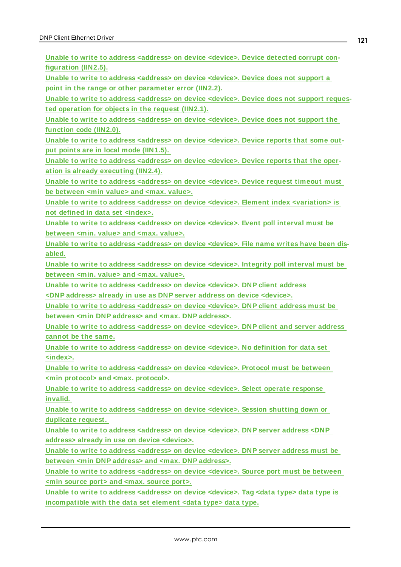**Unable to write to address [<address>](#page-123-2) on device <device>. Device detected corrupt con[figuration](#page-123-2) (IIN2.5).**

**Unable to write to address [<address>](#page-124-0) on device <device>. Device does not support a point in the range or other [parameter](#page-124-0) error (IIN2.2).**

**Unable to write to address [<address>](#page-124-1) on device <device>. Device does not support requested [operation](#page-124-1) for objects in the request (IIN2.1).**

**Unable to write to address [<address>](#page-124-2) on device <device>. Device does not support the [function](#page-124-2) code (IIN2.0).**

**Unable to write to address [<address>](#page-125-0) on device <device>. Device reports that some output points are in local mode [\(IIN1.5\).](#page-125-0)**

**Unable to write to address [<address>](#page-125-1) on device <device>. Device reports that the operation is already [executing](#page-125-1) (IIN2.4).**

**Unable to write to address [<address>](#page-125-2) on device <device>. Device request timeout must be [between](#page-125-2) <min value> and <max. value>.**

**Unable to write to address <address> on device <device>. Element index [<variation>](#page-125-3) is not defined in data set [<index>.](#page-125-3)**

**Unable to write to address [<address>](#page-126-0) on device <device>. Event poll interval must be [between](#page-126-0) <min. value> and <max. value>.**

**Unable to write to address [<address>](#page-126-1) on device <device>. File name writes have been dis[abled.](#page-126-1)**

**Unable to write to address [<address>](#page-126-2) on device <device>. Integrity poll interval must be [between](#page-126-2) <min. value> and <max. value>.**

**Unable to write to address <address> on device <device>. [DNP client](#page-127-0) address**

**[<DNP address>](#page-127-0) already in use as DNP server address on device <device>.**

**Unable to write to address <address> on device <device>. [DNP client](#page-127-1) address must be between <min [DNP address>](#page-127-1) and <max. DNP address>.**

**Unable to write to address <address> on device <device>. [DNP client](#page-127-2) and server address [cannot](#page-127-2) be the same.**

**Unable to write to address [<address>](#page-127-3) on device <device>. No definition for data set [<index>.](#page-127-3)**

**Unable to write to address [<address>](#page-128-0) on device <device>. Protocol must be between <min protocol> and <max. [protocol>.](#page-128-0)**

**Unable to write to address [<address>](#page-128-1) on device <device>. Select operate response [invalid.](#page-128-1)**

**Unable to write to address [<address>](#page-128-2) on device <device>. Session shutting down or [duplicate](#page-128-2) request.**

**Unable to write to address <address> on device <device>. [DNP server](#page-128-3) address <DNP address> already in use on device [<device>.](#page-128-3)**

**Unable to write to address <address> on device <device>. [DNP server](#page-129-0) address must be between <min DNP address> and <max. DNP [address>.](#page-129-0)**

**Unable to write to address [<address>](#page-129-1) on device <device>. Source port must be between <min [source](#page-129-1) port> and <max. source port>.**

**Unable to write to address [<address>](#page-129-2) on device <device>. Tag <data type> data type is [incompatible](#page-129-2) with the data set element <data type> data type.**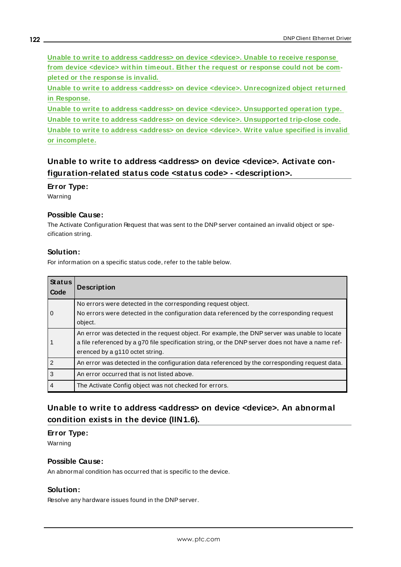**Unable to write to address [<address>](#page-130-0) on device <device>. Unable to receive response from device <device> within timeout. Either the request or [response](#page-130-0) could not be completed or the [response](#page-130-0) is invalid.**

**Unable to write to address <address> on device <device>. [Unrecognized](#page-130-1) object returned in [Response.](#page-130-1)**

**Unable to write to address <address> on device <device>. [Unsupported](#page-131-0) operation type. Unable to write to address <address> on device <device>. [Unsupported](#page-131-1) trip-close code. Unable to write to address [<address>](#page-131-2) on device <device>. Write value specified is invalid or [incomplete.](#page-131-2)**

### <span id="page-121-0"></span>**Unable to write to address <address> on device <device>. Activate configuration-related status code <status code> - <description>.**

#### **Error Type:**

Warning

#### **Possible Cause:**

The Activate Configuration Request that was sent to the DNP server contained an invalid object or specification string.

#### **Solution:**

For information on a specific status code, refer to the table below.

| <b>Status</b><br>Code | <b>Description</b>                                                                                                                                                                                                                    |
|-----------------------|---------------------------------------------------------------------------------------------------------------------------------------------------------------------------------------------------------------------------------------|
| l 0                   | No errors were detected in the corresponding request object.<br>No errors were detected in the configuration data referenced by the corresponding request<br>object.                                                                  |
| l 1                   | An error was detected in the request object. For example, the DNP server was unable to locate<br>a file referenced by a g70 file specification string, or the DNP server does not have a name ref-<br>erenced by a g110 octet string. |
| $\overline{2}$        | An error was detected in the configuration data referenced by the corresponding request data.                                                                                                                                         |
| $\vert$ 3             | An error occurred that is not listed above.                                                                                                                                                                                           |
| l 4                   | The Activate Config object was not checked for errors.                                                                                                                                                                                |

### <span id="page-121-1"></span>**Unable to write to address <address> on device <device>. An abnormal condition exists in the device (IIN1.6).**

#### **Error Type:**

Warning

#### **Possible Cause:**

An abnormal condition has occurred that is specific to the device.

#### **Solution:**

Resolve any hardware issues found in the DNP server.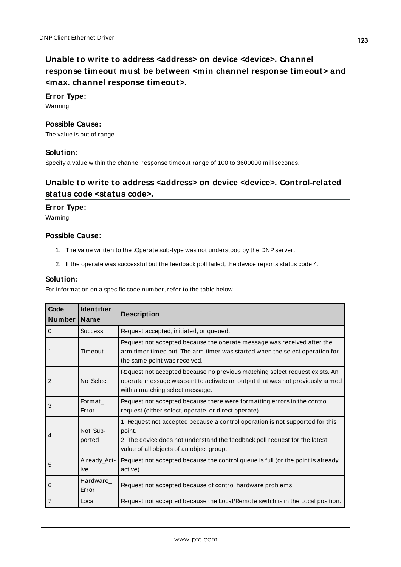#### <span id="page-122-0"></span>**Error Type:**

Warning

#### **Possible Cause:**

The value is out of range.

#### **Solution:**

<span id="page-122-1"></span>Specify a value within the channel response timeout range of 100 to 3600000 milliseconds.

### **Unable to write to address <address> on device <device>. Control-related status code <status code>.**

#### **Error Type:**

Warning

#### **Possible Cause:**

- 1. The value written to the .Operate sub-type was not understood by the DNPserver.
- 2. If the operate was successful but the feedback poll failed, the device reports status code 4.

#### **Solution:**

For information on a specific code number, refer to the table below.

| Code<br>Number | <b>Identifier</b><br><b>Name</b> | <b>Description</b>                                                                                                                                                                                                |
|----------------|----------------------------------|-------------------------------------------------------------------------------------------------------------------------------------------------------------------------------------------------------------------|
| $\mathbf 0$    | <b>Success</b>                   | Request accepted, initiated, or queued.                                                                                                                                                                           |
| 1              | Timeout                          | Request not accepted because the operate message was received after the<br>arm timer timed out. The arm timer was started when the select operation for<br>the same point was received.                           |
| 2              | No_Select                        | Request not accepted because no previous matching select request exists. An<br>operate message was sent to activate an output that was not previously armed<br>with a matching select message.                    |
| 3              | Format<br>Error                  | Request not accepted because there were formatting errors in the control<br>request (either select, operate, or direct operate).                                                                                  |
| 4              | Not_Sup-<br>ported               | 1. Request not accepted because a control operation is not supported for this<br>point.<br>2. The device does not understand the feedback poll request for the latest<br>value of all objects of an object group. |
| 5              | Already_Act-<br>ive              | Request not accepted because the control queue is full (or the point is already<br>active).                                                                                                                       |
| 6              | Hardware<br>Error                | Request not accepted because of control hardware problems.                                                                                                                                                        |
| $\overline{7}$ | Local                            | Request not accepted because the Local/Remote switch is in the Local position.                                                                                                                                    |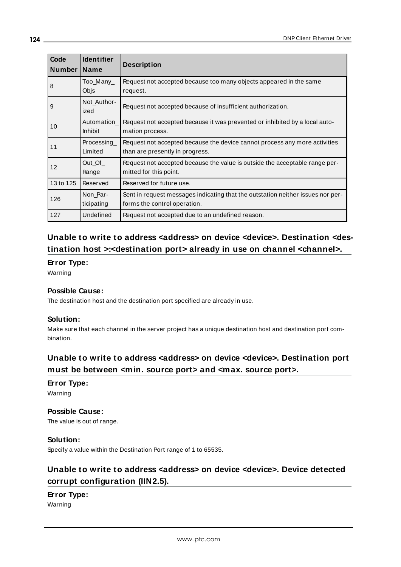| Code<br><b>Number</b> | <b>Identifier</b><br><b>Name</b> | <b>Description</b>                                                                                              |
|-----------------------|----------------------------------|-----------------------------------------------------------------------------------------------------------------|
| 8                     | Too_Many_<br>Objs                | Request not accepted because too many objects appeared in the same<br>request.                                  |
| 9                     | Not Author-<br>ized              | Request not accepted because of insufficient authorization.                                                     |
| 10                    | Automation<br><b>Inhibit</b>     | Request not accepted because it was prevented or inhibited by a local auto-<br>mation process.                  |
| 11                    | Processing<br>Limited            | Request not accepted because the device cannot process any more activities<br>than are presently in progress.   |
| 12                    | Out Of<br>Range                  | Request not accepted because the value is outside the acceptable range per-<br>mitted for this point.           |
| 13 to 125             | Reserved                         | Reserved for future use.                                                                                        |
| 126                   | Non Par-<br>ticipating           | Sent in request messages indicating that the outstation neither issues nor per-<br>forms the control operation. |
| 127                   | Undefined                        | Request not accepted due to an undefined reason.                                                                |

## <span id="page-123-0"></span>**Unable to write to address <address> on device <device>. Destination <destination host >:<destination port> already in use on channel <channel>.**

#### **Error Type:**

Warning

#### **Possible Cause:**

The destination host and the destination port specified are already in use.

#### **Solution:**

Make sure that each channel in the server project has a unique destination host and destination port combination.

## <span id="page-123-1"></span>**Unable to write to address <address> on device <device>. Destination port must be between <min. source port> and <max. source port>.**

**Error Type:**

Warning

### **Possible Cause:**

The value is out of range.

#### **Solution:**

<span id="page-123-2"></span>Specify a value within the Destination Port range of 1 to 65535.

# **Unable to write to address <address> on device <device>. Device detected corrupt configuration (IIN2.5).**

# **Error Type:**

Warning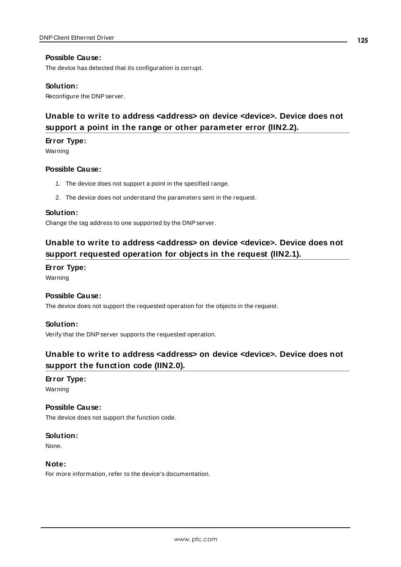#### **Possible Cause:**

The device has detected that its configuration is corrupt.

#### **Solution:**

<span id="page-124-0"></span>Reconfigure the DNP server.

# **Unable to write to address <address> on device <device>. Device does not support a point in the range or other parameter error (IIN2.2).**

#### **Error Type:**

Warning

#### **Possible Cause:**

- 1. The device does not support a point in the specified range.
- 2. The device does not understand the parameters sent in the request.

#### **Solution:**

<span id="page-124-1"></span>Change the tag address to one supported by the DNP server.

## **Unable to write to address <address> on device <device>. Device does not support requested operation for objects in the request (IIN2.1).**

#### **Error Type:**

Warning

#### **Possible Cause:**

The device does not support the requested operation for the objects in the request.

#### **Solution:**

<span id="page-124-2"></span>Verify that the DNP server supports the requested operation.

### **Unable to write to address <address> on device <device>. Device does not support the function code (IIN2.0).**

#### **Error Type:**

Warning

#### **Possible Cause:**

The device does not support the function code.

#### **Solution:**

None.

#### **Note:**

For more information, refer to the device's documentation.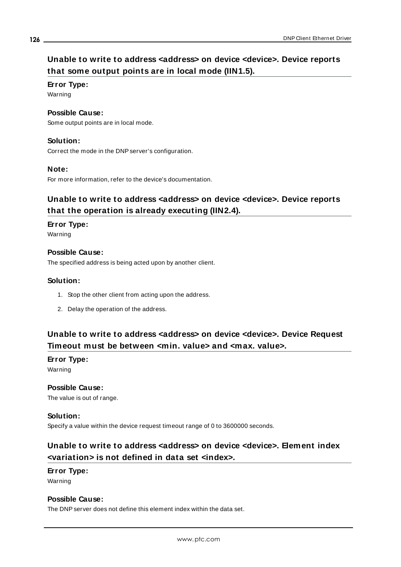# <span id="page-125-0"></span>**Unable to write to address <address> on device <device>. Device reports that some output points are in local mode (IIN1.5).**

#### **Error Type:**

Warning

#### **Possible Cause:**

Some output points are in local mode.

#### **Solution:**

Correct the mode in the DNP server's configuration.

#### **Note:**

<span id="page-125-1"></span>For more information, refer to the device's documentation.

### **Unable to write to address <address> on device <device>. Device reports that the operation is already executing (IIN2.4).**

### **Error Type:**

Warning

#### **Possible Cause:**

The specified address is being acted upon by another client.

#### **Solution:**

- 1. Stop the other client from acting upon the address.
- 2. Delay the operation of the address.

### <span id="page-125-2"></span>**Unable to write to address <address> on device <device>. Device Request Timeout must be between <min. value> and <max. value>.**

### **Error Type:**

Warning

### **Possible Cause:**

The value is out of range.

#### **Solution:**

<span id="page-125-3"></span>Specify a value within the device request timeout range of 0 to 3600000 seconds.

### **Unable to write to address <address> on device <device>. Element index <variation> is not defined in data set <index>.**

#### **Error Type:** Warning

#### **Possible Cause:**

The DNP server does not define this element index within the data set.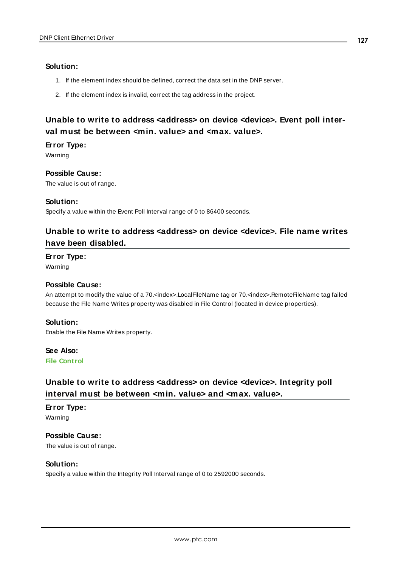#### **Solution:**

- 1. If the element index should be defined, correct the data set in the DNP server.
- 2. If the element index is invalid, correct the tag address in the project.

# <span id="page-126-0"></span>**Unable to write to address <address> on device <device>. Event poll interval must be between <min. value> and <max. value>.**

#### **Error Type:**

Warning

#### **Possible Cause:**

The value is out of range.

#### **Solution:**

<span id="page-126-1"></span>Specify a value within the Event Poll Interval range of 0 to 86400 seconds.

### **Unable to write to address <address> on device <device>. File name writes have been disabled.**

#### **Error Type:**

Warning

#### **Possible Cause:**

An attempt to modify the value of a 70.<index>.LocalFileName tag or 70.<index>.RemoteFileName tag failed because the File Name Writes property was disabled in File Control (located in device properties).

#### **Solution:**

Enable the File Name Writes property.

# **See Also:**

<span id="page-126-2"></span>**File [Control](#page-29-0)**

## **Unable to write to address <address> on device <device>. Integrity poll interval must be between <min. value> and <max. value>.**

#### **Error Type:**

Warning

**Possible Cause:** The value is out of range.

#### **Solution:**

Specify a value within the Integrity Poll Interval range of 0 to 2592000 seconds.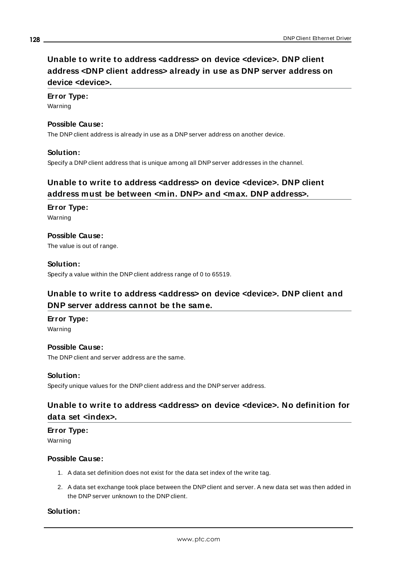# <span id="page-127-0"></span>**Unable to write to address <address> on device <device>. DNP client address <DNP client address> already in use as DNP server address on device <device>.**

#### **Error Type:**

Warning

#### **Possible Cause:**

The DNP client address is already in use as a DNP server address on another device.

#### **Solution:**

<span id="page-127-1"></span>Specify a DNP client address that is unique among all DNP server addresses in the channel.

### **Unable to write to address <address> on device <device>. DNP client address must be between <min. DNP> and <max. DNP address>.**

# **Error Type:**

Warning

#### **Possible Cause:** The value is out of range.

#### **Solution:**

<span id="page-127-2"></span>Specify a value within the DNP client address range of 0 to 65519.

### **Unable to write to address <address> on device <device>. DNP client and DNP server address cannot be the same.**

**Error Type:** Warning

#### **Possible Cause:** The DNP client and server address are the same.

#### **Solution:**

<span id="page-127-3"></span>Specify unique values for the DNP client address and the DNP server address.

### **Unable to write to address <address> on device <device>. No definition for data set <index>.**

#### **Error Type:** Warning

#### **Possible Cause:**

- 1. A data set definition does not exist for the data set index of the write tag.
- 2. A data set exchange took place between the DNPclient and server. A new data set was then added in the DNP server unknown to the DNP client.

#### **Solution:**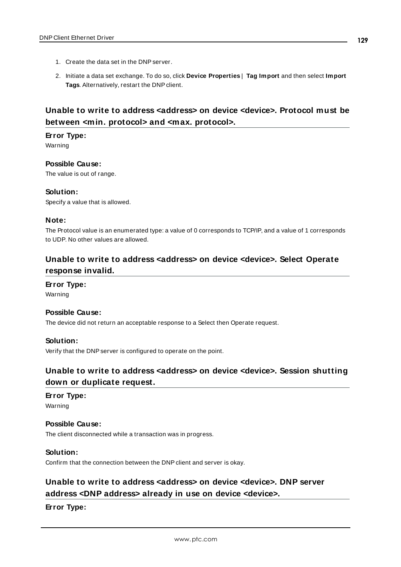- 1. Create the data set in the DNP server.
- 2. Initiate a data set exchange. To do so, click **Device Properties** | **Tag Import** and then select **Import Tags**. Alternatively, restart the DNP client.

### <span id="page-128-0"></span>**Unable to write to address <address> on device <device>. Protocol must be between <min. protocol> and <max. protocol>.**

#### **Error Type:**

Warning

**Possible Cause:**

The value is out of range.

#### **Solution:**

Specify a value that is allowed.

#### **Note:**

The Protocol value is an enumerated type: a value of 0 corresponds to TCP/IP, and a value of 1 corresponds to UDP. No other values are allowed.

### <span id="page-128-1"></span>**Unable to write to address <address> on device <device>. Select Operate response invalid.**

**Error Type:**

Warning

#### **Possible Cause:**

The device did not return an acceptable response to a Select then Operate request.

#### **Solution:**

<span id="page-128-2"></span>Verify that the DNP server is configured to operate on the point.

### **Unable to write to address <address> on device <device>. Session shutting down or duplicate request.**

#### **Error Type:**

Warning

### **Possible Cause:**

The client disconnected while a transaction was in progress.

#### **Solution:**

<span id="page-128-3"></span>Confirm that the connection between the DNP client and server is okay.

### **Unable to write to address <address> on device <device>. DNP server address <DNP address> already in use on device <device>.**

**Error Type:**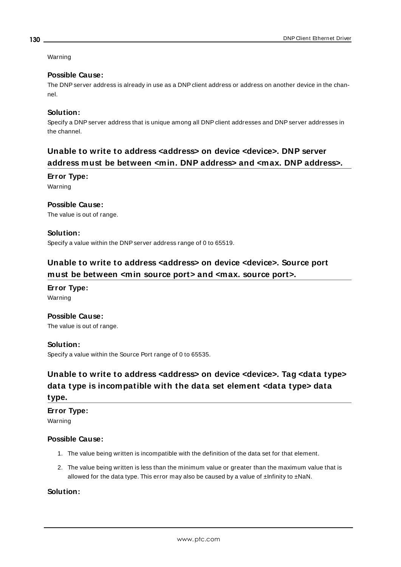#### Warning

#### **Possible Cause:**

The DNP server address is already in use as a DNP client address or address on another device in the channel.

#### **Solution:**

Specify a DNP server address that is unique among all DNP client addresses and DNP server addresses in the channel.

### <span id="page-129-0"></span>**Unable to write to address <address> on device <device>. DNP server address must be between <min. DNP address> and <max. DNP address>.**

#### **Error Type:**

Warning

#### **Possible Cause:**

The value is out of range.

#### **Solution:**

<span id="page-129-1"></span>Specify a value within the DNP server address range of 0 to 65519.

### **Unable to write to address <address> on device <device>. Source port must be between <min source port> and <max. source port>.**

# **Error Type:**

Warning

#### **Possible Cause:**

The value is out of range.

#### **Solution:**

<span id="page-129-2"></span>Specify a value within the Source Port range of 0 to 65535.

# **Unable to write to address <address> on device <device>. Tag <data type> data type is incompatible with the data set element <data type> data**

### **type.**

**Error Type:**

Warning

#### **Possible Cause:**

- 1. The value being written is incompatible with the definition of the data set for that element.
- 2. The value being written is less than the minimum value or greater than the maximum value that is allowed for the data type. This error may also be caused by a value of  $\pm$ Infinity to  $\pm$ NaN.

#### **Solution:**

**130**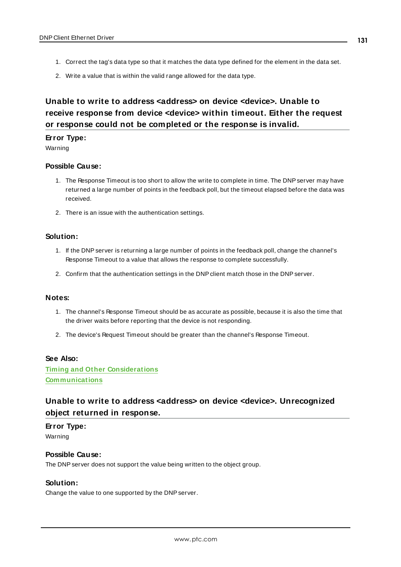- 1. Correct the tag's data type so that it matches the data type defined for the element in the data set.
- 2. Write a value that is within the valid range allowed for the data type.

# <span id="page-130-0"></span>**Unable to write to address <address> on device <device>. Unable to receive response from device <device> within timeout. Either the request or response could not be completed or the response is invalid.**

#### **Error Type:**

Warning

#### **Possible Cause:**

- 1. The Response Timeout is too short to allow the write to complete in time. The DNP server may have returned a large number of points in the feedback poll, but the timeout elapsed before the data was received.
- 2. There is an issue with the authentication settings.

#### **Solution:**

- 1. If the DNP server is returning a large number of points in the feedback poll, change the channel's Response Timeout to a value that allows the response to complete successfully.
- 2. Confirm that the authentication settings in the DNP client match those in the DNP server.

#### **Notes:**

- 1. The channel's Response Timeout should be as accurate as possible, because it is also the time that the driver waits before reporting that the device is not responding.
- 2. The device's Request Timeout should be greater than the channel's Response Timeout.

#### **See Also:**

**Timing and Other [Considerations](#page-16-0) [Communications](#page-22-0)**

### <span id="page-130-1"></span>**Unable to write to address <address> on device <device>. Unrecognized object returned in response.**

#### **Error Type:**

Warning

#### **Possible Cause:**

The DNP server does not support the value being written to the object group.

#### **Solution:**

Change the value to one supported by the DNP server.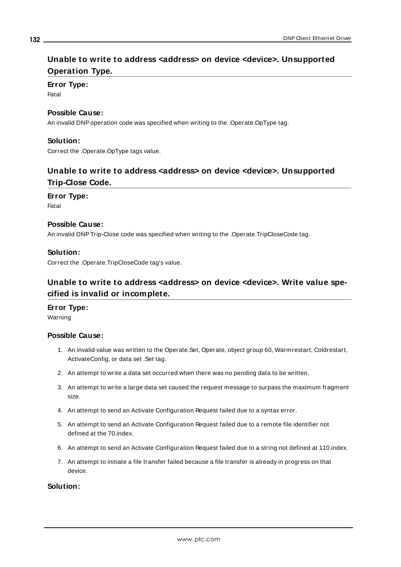### <span id="page-131-0"></span>**Unable to write to address <address> on device <device>. Unsupported Operation Type.**

### **Error Type:**

Fatal

#### **Possible Cause:**

An invalid DNP operation code was specified when writing to the .Operate.OpType tag.

#### **Solution:**

<span id="page-131-1"></span>Correct the .Operate.OpType tags value.

### **Unable to write to address <address> on device <device>. Unsupported Trip-Close Code.**

#### **Error Type:**

Fatal

#### **Possible Cause:**

An invalid DNPTrip-Close code was specified when writing to the .Operate.TripCloseCode tag.

#### **Solution:**

<span id="page-131-2"></span>Correct the .Operate.TripCloseCode tag's value.

### **Unable to write to address <address> on device <device>. Write value specified is invalid or incomplete.**

#### **Error Type:**

Warning

#### **Possible Cause:**

- 1. An invalid value was written to the Operate.Set, Operate, object group 60, Warmrestart, Coldrestart, ActivateConfig, or data set .Set tag.
- 2. An attempt to write a data set occurred when there was no pending data to be written.
- 3. An attempt to write a large data set caused the request message to surpass the maximum fragment size.
- 4. An attempt to send an Activate Configuration Request failed due to a syntax error.
- 5. An attempt to send an Activate Configuration Request failed due to a remote file identifier not defined at the 70.index.
- 6. An attempt to send an Activate Configuration Request failed due to a string not defined at 110.index.
- 7. An attempt to initiate a file transfer failed because a file transfer is already in progress on that device.

#### **Solution:**

**132**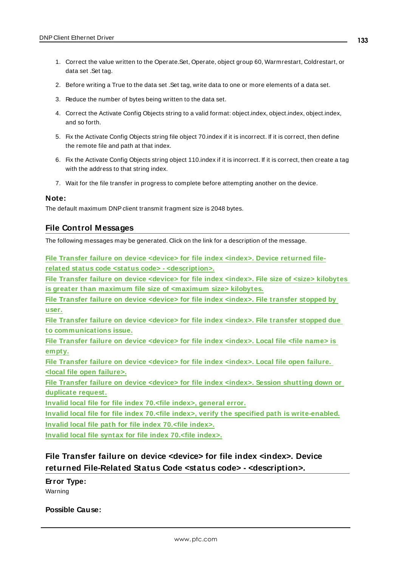- 1. Correct the value written to the Operate.Set, Operate, object group 60, Warmrestart, Coldrestart, or data set .Set tag.
- 2. Before writing a True to the data set .Set tag, write data to one or more elements of a data set.
- 3. Reduce the number of bytes being written to the data set.
- 4. Correct the Activate Config Objects string to a valid format: object.index, object.index, object.index, and so forth.
- 5. Fix the Activate Config Objects string file object 70.index if it is incorrect. If it is correct, then define the remote file and path at that index.
- 6. Fix the Activate Config Objects string object 110.index if it is incorrect. If it is correct, then create a tag with the address to that string index.
- 7. Wait for the file transfer in progress to complete before attempting another on the device.

#### **Note:**

<span id="page-132-1"></span>The default maximum DNP client transmit fragment size is 2048 bytes.

#### **File Control Messages**

The following messages may be generated. Click on the link for a description of the message.

**File Transfer failure on device <device> for file index <index>. Device [returned](#page-132-0) filerelated status code <status code> - [<description>.](#page-132-0)**

**File Transfer failure on device <device> for file index <index>. File size of <size> [kilobytes](#page-133-0) is greater than maximum file size of [<maximum](#page-133-0) size> kilobytes.**

**File Transfer failure on device [<device>](#page-134-0) for file index <index>. File transfer stopped by [user.](#page-134-0)**

**File Transfer failure on device [<device>](#page-134-1) for file index <index>. File transfer stopped due to [communications](#page-134-1) issue.**

**File Transfer failure on device [<device>](#page-134-2) for file index <index>. Local file <file name> is [empty.](#page-134-2)**

**File Transfer failure on device [<device>](#page-134-3) for file index <index>. Local file open failure. <local file open [failure>.](#page-134-3)**

**File Transfer failure on device [<device>](#page-135-0) for file index <index>. Session shutting down or [duplicate](#page-135-0) request.**

**Invalid local file for file index 70.<file index>, [general](#page-135-1) error.**

**Invalid local file for file index 70.<file index>, verify the specified path is [write-enabled.](#page-136-0) Invalid local file path for file index 70.<file [index>.](#page-136-1)**

<span id="page-132-0"></span>**Invalid local file syntax for file index 70.<file [index>.](#page-136-2)**

### **File Transfer failure on device <device> for file index <index>. Device returned File-Related Status Code <status code> - <description>.**

#### **Error Type:**

Warning

#### **Possible Cause:**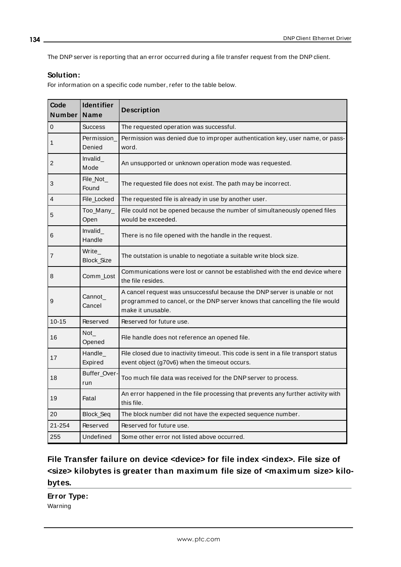The DNP server is reporting that an error occurred during a file transfer request from the DNP client.

#### **Solution:**

For information on a specific code number, refer to the table below.

| Code<br>Number | <b>Identifier</b><br>Name | <b>Description</b>                                                                                                                                                             |
|----------------|---------------------------|--------------------------------------------------------------------------------------------------------------------------------------------------------------------------------|
| 0              | <b>Success</b>            | The requested operation was successful.                                                                                                                                        |
| 1              | Permission<br>Denied      | Permission was denied due to improper authentication key, user name, or pass-<br>word.                                                                                         |
| 2              | Invalid<br>Mode           | An unsupported or unknown operation mode was requested.                                                                                                                        |
| 3              | File_Not_<br>Found        | The requested file does not exist. The path may be incorrect.                                                                                                                  |
| 4              | File_Locked               | The requested file is already in use by another user.                                                                                                                          |
| 5              | Too_Many_<br>Open         | File could not be opened because the number of simultaneously opened files<br>would be exceeded.                                                                               |
| 6              | Invalid<br>Handle         | There is no file opened with the handle in the request.                                                                                                                        |
| 7              | Write_<br>Block_Size      | The outstation is unable to negotiate a suitable write block size.                                                                                                             |
| 8              | Comm Lost                 | Communications were lost or cannot be established with the end device where<br>the file resides.                                                                               |
| 9              | Cannot_<br>Cancel         | A cancel request was unsuccessful because the DNP server is unable or not<br>programmed to cancel, or the DNP server knows that cancelling the file would<br>make it unusable. |
| $10 - 15$      | Reserved                  | Reserved for future use.                                                                                                                                                       |
| 16             | $Not_$<br>Opened          | File handle does not reference an opened file.                                                                                                                                 |
| 17             | Handle<br>Expired         | File closed due to inactivity timeout. This code is sent in a file transport status<br>event object (g70v6) when the timeout occurs.                                           |
| 18             | Buffer_Over<br>run        | Too much file data was received for the DNP server to process.                                                                                                                 |
| 19             | Fatal                     | An error happened in the file processing that prevents any further activity with<br>this file.                                                                                 |
| 20             | Block_Seq                 | The block number did not have the expected sequence number.                                                                                                                    |
| 21-254         | Reserved                  | Reserved for future use.                                                                                                                                                       |
| 255            | Undefined                 | Some other error not listed above occurred.                                                                                                                                    |

# <span id="page-133-0"></span>**File Transfer failure on device <device> for file index <index>. File size of <size> kilobytes is greater than maximum file size of <maximum size> kilobytes.**

**Error Type:** Warning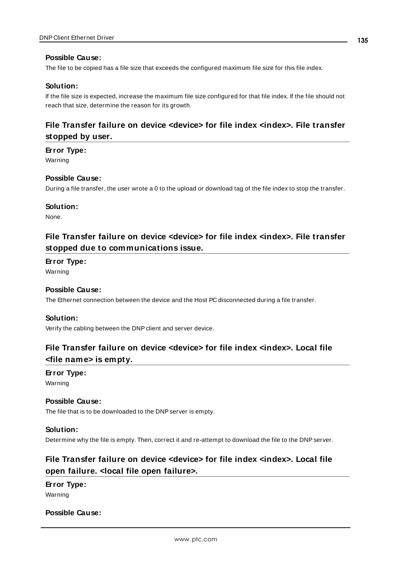#### **Possible Cause:**

The file to be copied has a file size that exceeds the configured maximum file size for this file index.

#### **Solution:**

If the file size is expected, increase the maximum file size configured for that file index. If the file should not reach that size, determine the reason for its growth.

### <span id="page-134-0"></span>**File Transfer failure on device <device> for file index <index>. File transfer stopped by user.**

#### **Error Type:**

Warning

#### **Possible Cause:**

During a file transfer, the user wrote a 0 to the upload or download tag of the file index to stop the transfer.

#### **Solution:**

<span id="page-134-1"></span>None.

### **File Transfer failure on device <device> for file index <index>. File transfer stopped due to communications issue.**

#### **Error Type:**

Warning

#### **Possible Cause:**

The Ethernet connection between the device and the Host PC disconnected during a file transfer.

#### **Solution:**

<span id="page-134-2"></span>Verify the cabling between the DNPclient and server device.

### **File Transfer failure on device <device> for file index <index>. Local file <file name> is empty.**

### **Error Type:**

Warning

#### **Possible Cause:**

The file that is to be downloaded to the DNP server is empty.

#### **Solution:**

<span id="page-134-3"></span>Determine why the file is empty. Then, correct it and re-attempt to download the file to the DNP server.

## **File Transfer failure on device <device> for file index <index>. Local file open failure. <local file open failure>.**

### **Error Type:**

Warning

#### **Possible Cause:**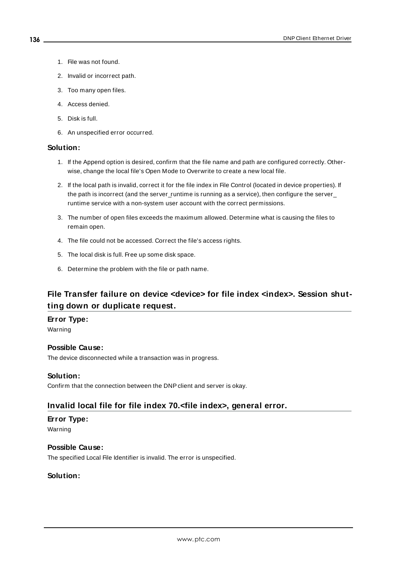- 1. File was not found.
- 2. Invalid or incorrect path.
- 3. Too many open files.
- 4. Access denied.
- 5. Disk is full.
- 6. An unspecified error occurred.

#### **Solution:**

- 1. If the Append option is desired, confirm that the file name and path are configured correctly. Otherwise, change the local file's Open Mode to Overwrite to create a new local file.
- 2. If the local path is invalid, correct it for the file index in File Control (located in device properties). If the path is incorrect (and the server\_runtime is running as a service), then configure the server\_ runtime service with a non-system user account with the correct permissions.
- 3. The number of open files exceeds the maximum allowed. Determine what is causing the files to remain open.
- 4. The file could not be accessed. Correct the file's access rights.
- 5. The local disk is full. Free up some disk space.
- 6. Determine the problem with the file or path name.

### <span id="page-135-0"></span>**File Transfer failure on device <device> for file index <index>. Session shutting down or duplicate request.**

#### **Error Type:**

Warning

#### **Possible Cause:**

The device disconnected while a transaction was in progress.

#### **Solution:**

<span id="page-135-1"></span>Confirm that the connection between the DNP client and server is okay.

#### **Invalid local file for file index 70.<file index>, general error.**

#### **Error Type:**

Warning

#### **Possible Cause:**

The specified Local File Identifier is invalid. The error is unspecified.

#### **Solution:**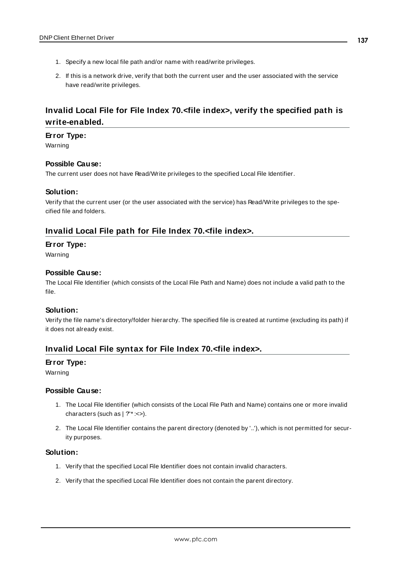- 1. Specify a new local file path and/or name with read/write privileges.
- 2. If this is a network drive, verify that both the current user and the user associated with the service have read/write privileges.

### <span id="page-136-0"></span>**Invalid Local File for File Index 70.<file index>, verify the specified path is write-enabled.**

#### **Error Type:**

Warning

#### **Possible Cause:**

The current user does not have Read/Write privileges to the specified Local File Identifier.

#### **Solution:**

Verify that the current user (or the user associated with the service) has Read/Write privileges to the specified file and folders.

#### <span id="page-136-1"></span>**Invalid Local File path for File Index 70.<file index>.**

#### **Error Type:**

Warning

#### **Possible Cause:**

The Local File Identifier (which consists of the Local File Path and Name) does not include a valid path to the file.

#### **Solution:**

Verify the file name's directory/folder hierarchy. The specified file is created at runtime (excluding its path) if it does not already exist.

#### <span id="page-136-2"></span>**Invalid Local File syntax for File Index 70.<file index>.**

#### **Error Type:**

Warning

#### **Possible Cause:**

- 1. The Local File Identifier (which consists of the Local File Path and Name) contains one or more invalid characters (such as | ?"\* :<>).
- 2. The Local File Identifier contains the parent directory (denoted by '..'), which is not permitted for security purposes.

#### **Solution:**

- 1. Verify that the specified Local File Identifier does not contain invalid characters.
- 2. Verify that the specified Local File Identifier does not contain the parent directory.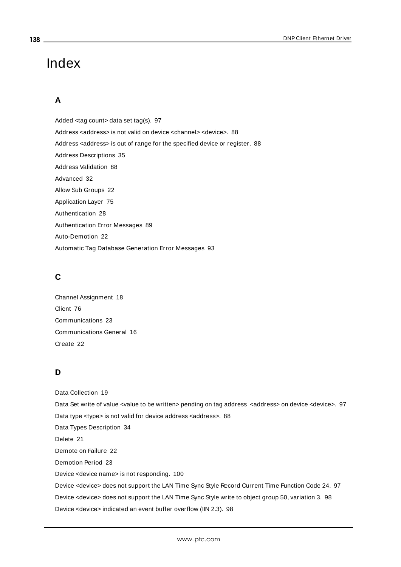# Index

# **A**

Added <tag count> data set tag(s). [97](#page-96-0) Address <address> is not valid on device <channel> <device>. [88](#page-87-0) Address <address> is out of range for the specified device or register. [88](#page-87-1) Address Descriptions [35](#page-34-0) Address Validation [88](#page-87-2) Advanced [32](#page-31-0) Allow Sub Groups [22](#page-21-0) Application Layer [75](#page-74-0) Authentication [28](#page-27-0) Authentication Error Messages [89](#page-88-0) Auto-Demotion [22](#page-21-1) Automatic Tag Database Generation Error Messages [93](#page-92-0)

# **C**

Channel Assignment [18](#page-17-0) Client [76](#page-75-0) Communications [23](#page-22-0) Communications General [16](#page-15-0) Create [22](#page-21-2)

### **D**

Data Collection [19](#page-18-0) Data Set write of value <value to be written> pending on tag address <address> on device <device>. [97](#page-96-1) Data type <type> is not valid for device address <address>. [88](#page-87-3) Data Types Description [34](#page-33-0) Delete [21](#page-20-0) Demote on Failure [22](#page-21-3) Demotion Period [23](#page-22-1) Device <device name> is not responding. [100](#page-99-0) Device <device> does not support the LAN Time Sync Style Record Current Time Function Code 24. [97](#page-96-2) Device <device> does not support the LAN Time Sync Style write to object group 50, variation 3. [98](#page-97-0) Device <device> indicated an event buffer overflow (IIN 2.3). [98](#page-97-1)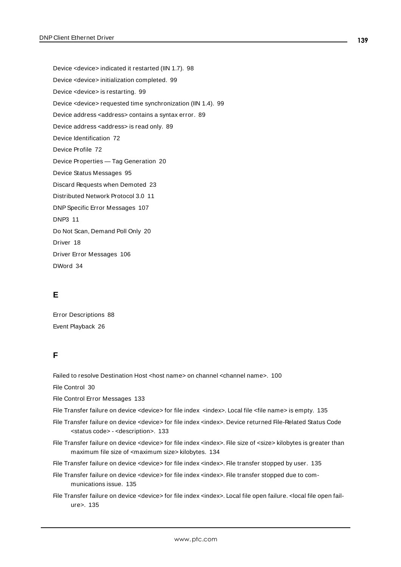Device <device> indicated it restarted (IIN 1.7). [98](#page-97-2) Device <device> initialization completed. [99](#page-98-0) Device <device> is restarting. [99](#page-98-1) Device <device> requested time synchronization (IIN 1.4). [99](#page-98-2) Device address <address> contains a syntax error. [89](#page-88-1) Device address <address> is read only. [89](#page-88-2) Device Identification [72](#page-71-0) Device Profile [72](#page-71-1) Device Properties — Tag Generation [20](#page-19-0) Device Status Messages [95](#page-94-0) Discard Requests when Demoted [23](#page-22-2) Distributed Network Protocol 3.0 [11](#page-10-0) DNPSpecific Error Messages [107](#page-106-0) DNP3 [11](#page-10-0) Do Not Scan, Demand Poll Only [20](#page-19-1) Driver [18](#page-17-1) Driver Error Messages [106](#page-105-0) DWord [34](#page-33-1)

### **E**

Error Descriptions [88](#page-87-4) Event Playback [26](#page-25-0)

### **F**

Failed to resolve Destination Host <host name> on channel <channel name>. [100](#page-99-1)

File Control [30](#page-29-0)

File Control Error Messages [133](#page-132-1)

File Transfer failure on device <device> for file index <index>. Local file <file name> is empty. [135](#page-134-2)

- File Transfer failure on device <device> for file index <index>. Device returned File-Related Status Code <status code> - <description>. [133](#page-132-0)
- File Transfer failure on device <device> for file index <index>. File size of <size> kilobytes is greater than maximum file size of <maximum size> kilobytes. [134](#page-133-0)
- File Transfer failure on device <device> for file index <index>. File transfer stopped by user. [135](#page-134-0)
- File Transfer failure on device <device> for file index <index>. File transfer stopped due to communications issue. [135](#page-134-1)
- File Transfer failure on device <device> for file index <index>. Local file open failure. <local file open failure>. [135](#page-134-3)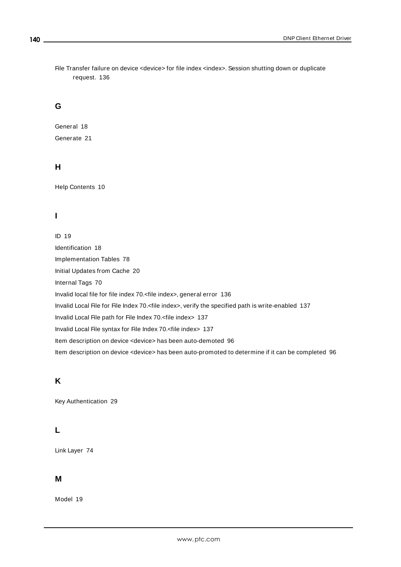File Transfer failure on device <device> for file index <index>. Session shutting down or duplicate request. [136](#page-135-0)

#### **G**

General [18](#page-17-2) Generate [21](#page-20-1)

### **H**

Help Contents [10](#page-9-0)

### **I**

ID [19](#page-18-1) Identification [18](#page-17-2) Implementation Tables [78](#page-77-0) Initial Updates from Cache [20](#page-19-2) Internal Tags [70](#page-69-0) Invalid local file for file index 70.<file index>, general error [136](#page-135-1) Invalid Local File for File Index 70.<file index>, verify the specified path is write-enabled [137](#page-136-0) Invalid Local File path for File Index 70.<file index> [137](#page-136-1) Invalid Local File syntax for File Index 70.<file index> [137](#page-136-2) Item description on device <device> has been auto-demoted [96](#page-95-0) Item description on device <device> has been auto-promoted to determine if it can be completed [96](#page-95-1)

### **K**

Key Authentication [29](#page-28-0)

### **L**

Link Layer [74](#page-73-0)

#### **M**

Model [19](#page-18-2)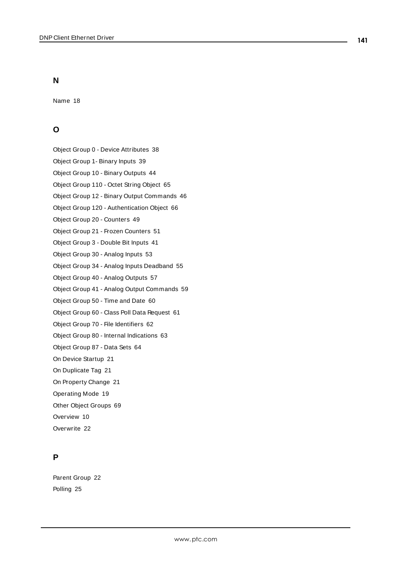### **N**

Name [18](#page-17-3)

### **O**

Object Group 0 - Device Attributes [38](#page-37-0)

- Object Group 1- Binary Inputs [39](#page-38-0)
- Object Group 10 Binary Outputs [44](#page-43-0)
- Object Group 110 Octet String Object [65](#page-64-0)
- Object Group 12 Binary Output Commands [46](#page-45-0)
- Object Group 120 Authentication Object [66](#page-65-0)
- Object Group 20 Counters [49](#page-48-0)
- Object Group 21 Frozen Counters [51](#page-50-0)
- Object Group 3 Double Bit Inputs [41](#page-40-0)
- Object Group 30 Analog Inputs [53](#page-52-0)
- Object Group 34 Analog Inputs Deadband [55](#page-54-0)
- Object Group 40 Analog Outputs [57](#page-56-0)
- Object Group 41 Analog Output Commands [59](#page-58-0)
- Object Group 50 Time and Date [60](#page-59-0)
- Object Group 60 Class Poll Data Request [61](#page-60-0)
- Object Group 70 File Identifiers [62](#page-61-0)
- Object Group 80 Internal Indications [63](#page-62-0)
- Object Group 87 Data Sets [64](#page-63-0)
- On Device Startup [21](#page-20-2)
- On Duplicate Tag [21](#page-20-3)
- On Property Change [21](#page-20-4)
- Operating Mode [19](#page-18-3)
- Other Object Groups [69](#page-68-0)
- Overview [10](#page-9-1)
- Overwrite [22](#page-21-4)

### **P**

Parent Group [22](#page-21-5) Polling [25](#page-24-0)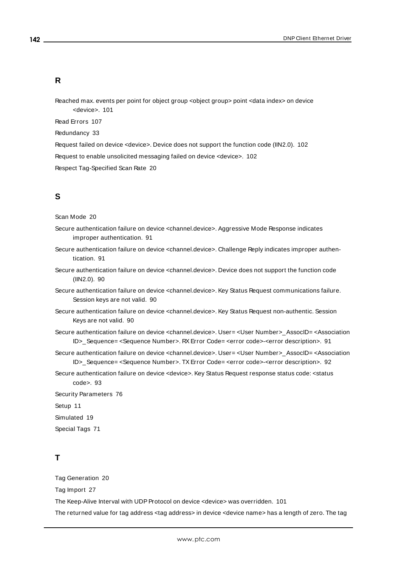#### **R**

Reached max. events per point for object group <object group> point <data index> on device <device>. [101](#page-100-0)

Read Errors [107](#page-106-1)

Redundancy [33](#page-32-0)

Request failed on device <device>. Device does not support the function code (IIN2.0). [102](#page-101-0)

Request to enable unsolicited messaging failed on device <device>. [102](#page-101-1)

Respect Tag-Specified Scan Rate [20](#page-19-3)

#### **S**

Scan Mode [20](#page-19-4)

- Secure authentication failure on device <channel.device>. Aggressive Mode Response indicates improper authentication. [91](#page-90-0)
- Secure authentication failure on device <channel.device>. Challenge Reply indicates improper authentication. [91](#page-90-1)
- Secure authentication failure on device <channel.device>. Device does not support the function code (IIN2.0). [90](#page-89-0)
- Secure authentication failure on device <channel.device>. Key Status Request communications failure. Session keys are not valid. [90](#page-89-1)
- Secure authentication failure on device <channel.device>. Key Status Request non-authentic. Session Keys are not valid. [90](#page-89-2)
- Secure authentication failure on device <channel.device>. User= <User Number>\_AssocID= <Association ID>\_Sequence= <Sequence Number>. RXError Code= <error code>-<error description>. [91](#page-90-2)
- Secure authentication failure on device <channel.device>. User= <User Number>\_AssocID= <Association ID>\_Sequence= <Sequence Number>. TXError Code= <error code>-<error description>. [92](#page-91-0)
- Secure authentication failure on device <device>. Key Status Request response status code: <status code>. [93](#page-92-1)

Security Parameters [76](#page-75-1)

Setup [11](#page-10-1)

Simulated [19](#page-18-4)

Special Tags [71](#page-70-0)

### **T**

Tag Generation [20](#page-19-0)

Tag Import [27](#page-26-0)

The Keep-Alive Interval with UDP Protocol on device <device> was overridden. [101](#page-100-1)

The returned value for tag address <tag address> in device <device name> has a length of zero. The tag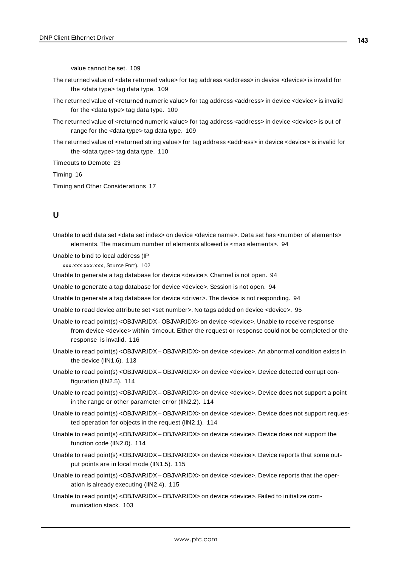value cannot be set. [109](#page-108-0)

- The returned value of <date returned value> for tag address <address> in device <device> is invalid for the <data type> tag data type. [109](#page-108-1)
- The returned value of <returned numeric value> for tag address <address> in device <device> is invalid for the <data type> tag data type. [109](#page-108-2)
- The returned value of <returned numeric value> for tag address <address> in device <device> is out of range for the <data type> tag data type. [109](#page-108-3)
- The returned value of <returned string value> for tag address <address> in device <device> is invalid for the <data type> tag data type. [110](#page-109-0)

Timeouts to Demote [23](#page-22-3)

Timing [16](#page-15-1)

Timing and Other Considerations [17](#page-16-0)

### **U**

Unable to add data set <data set index> on device <device name>. Data set has <number of elements> elements. The maximum number of elements allowed is <max elements>. [94](#page-93-0)

Unable to bind to local address (IP

xxx.xxx.xxx.xxx, Source Port). [102](#page-101-2)

Unable to generate a tag database for device <device>. Channel is not open. [94](#page-93-1)

Unable to generate a tag database for device <device>. Session is not open. [94](#page-93-2)

Unable to generate a tag database for device <driver>. The device is not responding. [94](#page-93-3)

Unable to read device attribute set <set number>. No tags added on device <device>. [95](#page-94-1)

- Unable to read point(s) <OBJVARIDX OBJVARIDX> on device <device>. Unable to receive response from device <device> within timeout. Either the request or response could not be completed or the response is invalid. [116](#page-115-0)
- Unable to read point(s) <OBJVARIDX OBJVARIDX> on device <device>. An abnormal condition exists in the device (IIN1.6). [113](#page-112-0)
- Unable to read point(s) <OBJVARIDX OBJVARIDX> on device <device>. Device detected corrupt configuration (IIN2.5). [114](#page-113-0)
- Unable to read point(s) <OBJVARIDX OBJVARIDX> on device <device>. Device does not support a point in the range or other parameter error (IIN2.2). [114](#page-113-1)
- Unable to read point(s) <OBJVARIDX OBJVARIDX> on device <device>. Device does not support requested operation for objects in the request (IIN2.1). [114](#page-113-2)
- Unable to read point(s) <OBJVARIDX OBJVARIDX> on device <device>. Device does not support the function code (IIN2.0). [114](#page-113-3)
- Unable to read point(s) < OBJVARIDX OBJVARIDX> on device < device>. Device reports that some output points are in local mode (IIN1.5). [115](#page-114-0)
- Unable to read point(s) <OBJVARIDX OBJVARIDX> on device <device>. Device reports that the operation is already executing (IIN2.4). [115](#page-114-1)
- Unable to read point(s) < OBJVARIDX OBJVARIDX> on device <device>. Failed to initialize communication stack. [103](#page-102-0)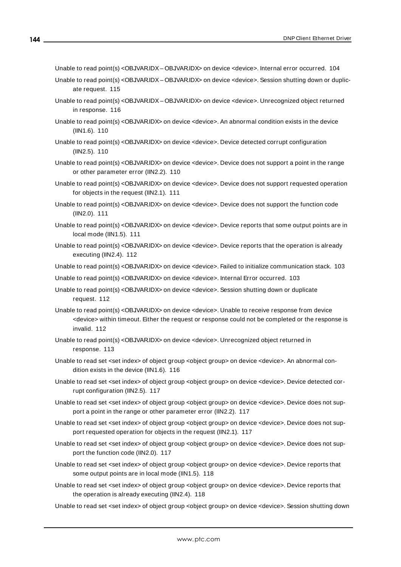Unable to read point(s) <OBJVARIDX-OBJVARIDX> on device <device>. Internal error occurred. [104](#page-103-0)

- Unable to read point(s) <OBJVARIDX OBJVARIDX> on device <device>. Session shutting down or duplicate request. [115](#page-114-2)
- Unable to read point(s) < OBJVARIDX OBJVARIDX > on device < device >. Unrecognized object returned in response. [116](#page-115-1)
- Unable to read point(s) <OBJVAR.IDX> on device <device>. An abnormal condition exists in the device (IIN1.6). [110](#page-109-1)
- Unable to read point(s) <OBJVARIDX> on device <device>. Device detected corrupt configuration (IIN2.5). [110](#page-109-2)
- Unable to read point(s) <OBJVAR.IDX> on device <device>. Device does not support a point in the range or other parameter error (IIN2.2). [110](#page-109-3)
- Unable to read point(s) <OBJVARIDX> on device <device>. Device does not support requested operation for objects in the request (IIN2.1). [111](#page-110-0)
- Unable to read point(s) <OBJVARIDX> on device <device>. Device does not support the function code (IIN2.0). [111](#page-110-1)
- Unable to read point(s) <OBJVARIDX> on device <device>. Device reports that some output points are in local mode (IIN1.5). [111](#page-110-2)
- Unable to read point(s) < OBJVARIDX> on device < device >. Device reports that the operation is already executing (IIN2.4). [112](#page-111-0)

Unable to read point(s) <OBJVARIDX> on device <device>. Failed to initialize communication stack. [103](#page-102-1)

- Unable to read point(s) <OBJVARIDX> on device <device>. Internal Error occurred. [103](#page-102-2)
- Unable to read point(s) <OBJVAR.IDX> on device <device>. Session shutting down or duplicate request. [112](#page-111-1)
- Unable to read point(s) <OBJVARIDX> on device <device>. Unable to receive response from device <device> within timeout. Either the request or response could not be completed or the response is invalid. [112](#page-111-2)
- Unable to read point(s) < OBJVARIDX> on device <device>. Unrecognized object returned in response. [113](#page-112-1)
- Unable to read set <set index> of object group <object group> on device <device>. An abnormal condition exists in the device (IIN1.6). [116](#page-115-2)
- Unable to read set <set index> of object group <object group> on device <device>. Device detected corrupt configuration (IIN2.5). [117](#page-116-0)
- Unable to read set <set index> of object group <object group> on device <device>. Device does not support a point in the range or other parameter error (IIN2.2). [117](#page-116-1)
- Unable to read set <set index> of object group <object group> on device <device>. Device does not support requested operation for objects in the request (IIN2.1). [117](#page-116-2)
- Unable to read set <set index> of object group <object group> on device <device>. Device does not support the function code (IIN2.0). [117](#page-116-3)
- Unable to read set <set index> of object group <object group> on device <device>. Device reports that some output points are in local mode (IIN1.5). [118](#page-117-0)
- Unable to read set <set index> of object group <object group> on device <device>. Device reports that the operation is already executing (IIN2.4). [118](#page-117-1)
- Unable to read set <set index> of object group <object group> on device <device>. Session shutting down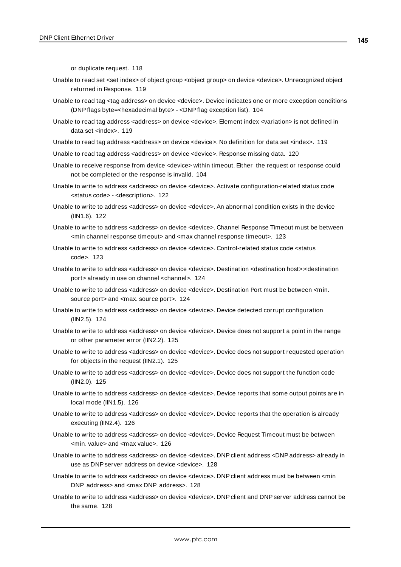or duplicate request. [118](#page-117-0)

- Unable to read set <set index> of object group <object group> on device <device>. Unrecognized object returned in Response. [119](#page-118-0)
- Unable to read tag <tag address> on device <device>. Device indicates one or more exception conditions (DNPflags byte=<hexadecimal byte> - <DNPflag exception list). [104](#page-103-0)
- Unable to read tag address <address> on device <device>. Element index <variation> is not defined in data set <index>. [119](#page-118-1)
- Unable to read tag address <address> on device <device>. No definition for data set <index>. [119](#page-118-2)
- Unable to read tag address <address> on device <device>. Response missing data. [120](#page-119-0)
- Unable to receive response from device <device> within timeout. Either the request or response could not be completed or the response is invalid. [104](#page-103-1)
- Unable to write to address <address> on device <device>. Activate configuration-related status code <status code> - <description>. [122](#page-121-0)

Unable to write to address <address> on device <device>. An abnormal condition exists in the device (IIN1.6). [122](#page-121-1)

- Unable to write to address <address> on device <device>. Channel Response Timeout must be between <min channel response timeout> and <max channel response timeout>. [123](#page-122-0)
- Unable to write to address <address> on device <device>. Control-related status code <status code>. [123](#page-122-1)
- Unable to write to address <address> on device <device>. Destination <destination host>:<destination port> already in use on channel <channel>. [124](#page-123-0)
- Unable to write to address <address> on device <device>. Destination Port must be between <min. source port> and <max. source port>. [124](#page-123-1)
- Unable to write to address <address> on device <device>. Device detected corrupt configuration (IIN2.5). [124](#page-123-2)
- Unable to write to address <address> on device <device>. Device does not support a point in the range or other parameter error (IIN2.2). [125](#page-124-0)
- Unable to write to address <address> on device <device>. Device does not support requested operation for objects in the request (IIN2.1). [125](#page-124-1)
- Unable to write to address <address> on device <device>. Device does not support the function code (IIN2.0). [125](#page-124-2)
- Unable to write to address <address> on device <device>. Device reports that some output points are in local mode (IIN1.5). [126](#page-125-0)
- Unable to write to address <address> on device <device>. Device reports that the operation is already executing (IIN2.4). [126](#page-125-1)
- Unable to write to address <address> on device <device>. Device Request Timeout must be between <min. value> and <max value>. [126](#page-125-2)
- Unable to write to address <address> on device <device>. DNP client address <DNP address> already in use as DNPserver address on device <device>. [128](#page-127-0)
- Unable to write to address <address> on device <device>. DNP client address must be between <min DNP address> and <max DNP address>. [128](#page-127-1)
- Unable to write to address <address> on device <device>. DNP client and DNP server address cannot be the same. [128](#page-127-2)